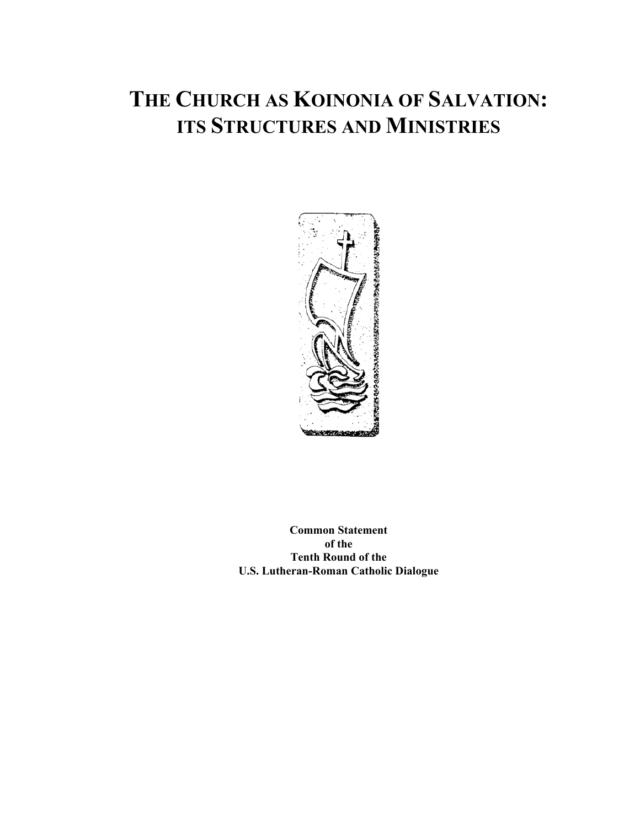# **THE CHURCH AS KOINONIA OF SALVATION: ITS STRUCTURES AND MINISTRIES**



**Common Statement of the Tenth Round of the U.S. Lutheran-Roman Catholic Dialogue**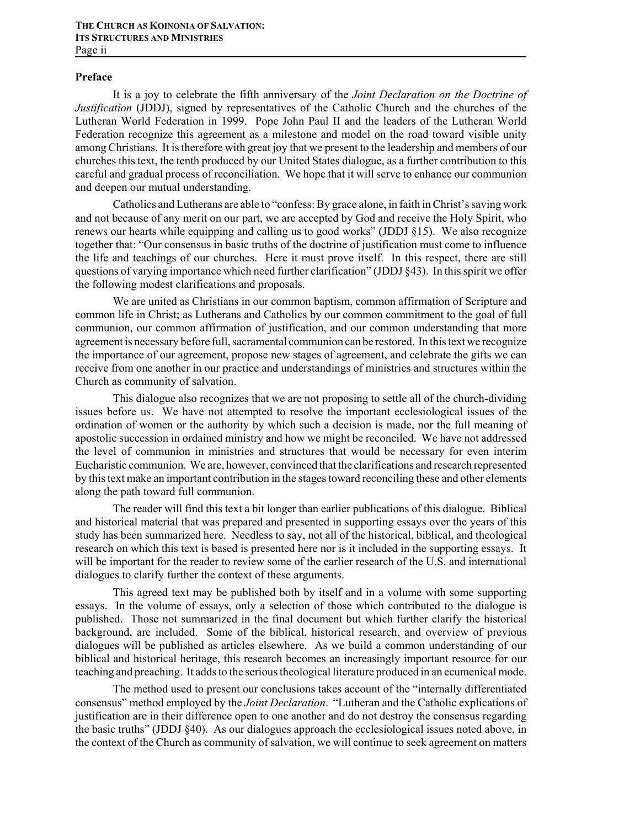#### **Preface**

It is a joy to celebrate the fifth anniversary of the *Joint Declaration on the Doctrine of Justification* (JDDJ), signed by representatives of the Catholic Church and the churches of the Lutheran World Federation in 1999. Pope John Paul II and the leaders of the Lutheran World Federation recognize this agreement as a milestone and model on the road toward visible unity among Christians. It is therefore with great joy that we present to the leadership and members of our churches this text, the tenth produced by our United States dialogue, as a further contribution to this careful and gradual process of reconciliation. We hope that it will serve to enhance our communion and deepen our mutual understanding.

Catholics and Lutherans are able to "confess: By grace alone, in faith in Christ's saving work and not because of any merit on our part, we are accepted by God and receive the Holy Spirit, who renews our hearts while equipping and calling us to good works" (JDDJ §15). We also recognize together that: "Our consensus in basic truths of the doctrine of justification must come to influence the life and teachings of our churches. Here it must prove itself. In this respect, there are still questions of varying importance which need further clarification" (JDDJ §43). In this spirit we offer the following modest clarifications and proposals.

We are united as Christians in our common baptism, common affirmation of Scripture and common life in Christ; as Lutherans and Catholics by our common commitment to the goal of full communion, our common affirmation of justification, and our common understanding that more agreement is necessary before full, sacramental communion can be restored. In this text we recognize the importance of our agreement, propose new stages of agreement, and celebrate the gifts we can receive from one another in our practice and understandings of ministries and structures within the Church as community of salvation.

This dialogue also recognizes that we are not proposing to settle all of the church-dividing issues before us. We have not attempted to resolve the important ecclesiological issues of the ordination of women or the authority by which such a decision is made, nor the full meaning of apostolic succession in ordained ministry and how we might be reconciled. We have not addressed the level of communion in ministries and structures that would be necessary for even interim Eucharistic communion. We are, however, convinced that the clarifications and research represented by this text make an important contribution in the stages toward reconciling these and other elements along the path toward full communion.

The reader will find this text a bit longer than earlier publications of this dialogue. Biblical and historical material that was prepared and presented in supporting essays over the years of this study has been summarized here. Needless to say, not all of the historical, biblical, and theological research on which this text is based is presented here nor is it included in the supporting essays. It will be important for the reader to review some of the earlier research of the U.S. and international dialogues to clarify further the context of these arguments.

This agreed text may be published both by itself and in a volume with some supporting essays. In the volume of essays, only a selection of those which contributed to the dialogue is published. Those not summarized in the final document but which further clarify the historical background, are included. Some of the biblical, historical research, and overview of previous dialogues will be published as articles elsewhere. As we build a common understanding of our biblical and historical heritage, this research becomes an increasingly important resource for our teaching and preaching. It adds to the serious theological literature produced in an ecumenical mode.

The method used to present our conclusions takes account of the "internally differentiated consensus" method employed by the *Joint Declaration*. "Lutheran and the Catholic explications of justification are in their difference open to one another and do not destroy the consensus regarding the basic truths" (JDDJ §40). As our dialogues approach the ecclesiological issues noted above, in the context of the Church as community of salvation, we will continue to seek agreement on matters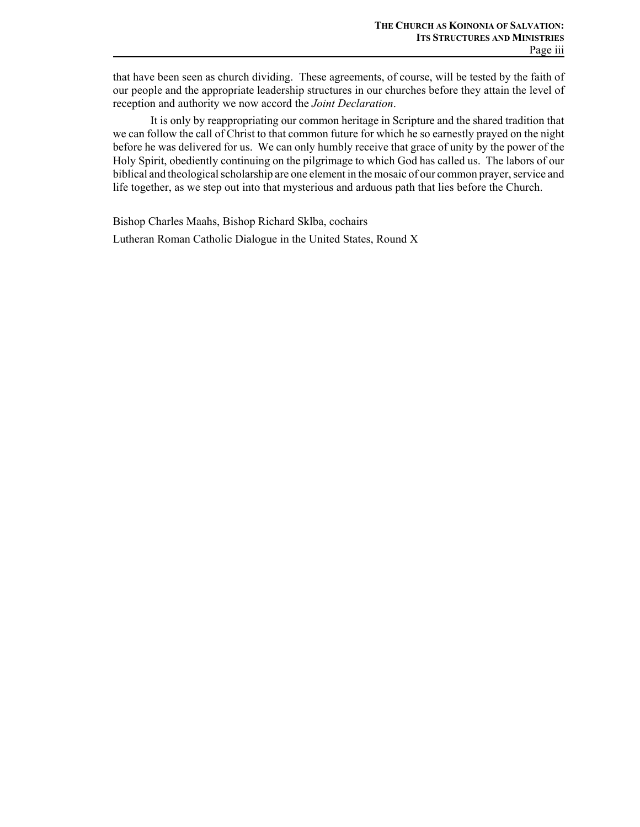that have been seen as church dividing. These agreements, of course, will be tested by the faith of our people and the appropriate leadership structures in our churches before they attain the level of reception and authority we now accord the *Joint Declaration*.

It is only by reappropriating our common heritage in Scripture and the shared tradition that we can follow the call of Christ to that common future for which he so earnestly prayed on the night before he was delivered for us. We can only humbly receive that grace of unity by the power of the Holy Spirit, obediently continuing on the pilgrimage to which God has called us. The labors of our biblical and theological scholarship are one element in the mosaic of our common prayer, service and life together, as we step out into that mysterious and arduous path that lies before the Church.

Bishop Charles Maahs, Bishop Richard Sklba, cochairs Lutheran Roman Catholic Dialogue in the United States, Round X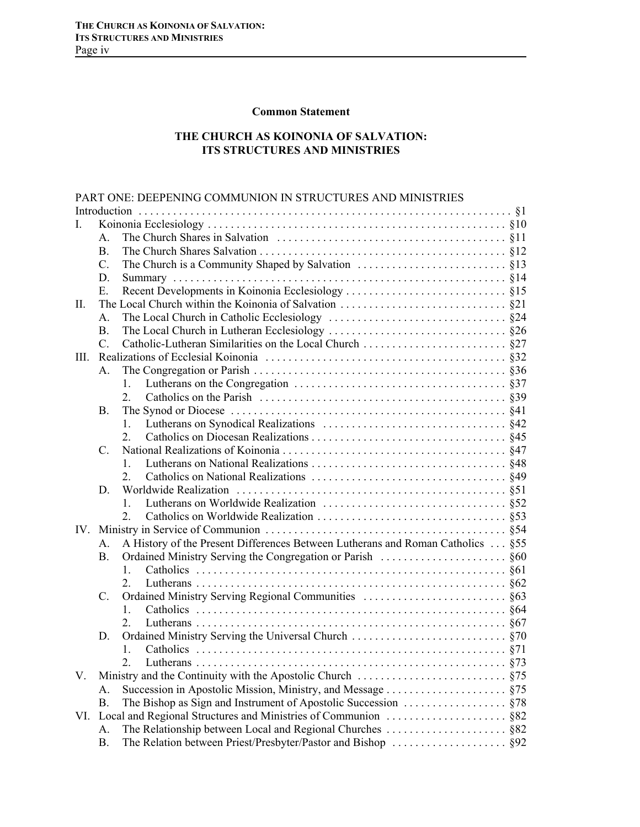#### **Common Statement**

#### **THE CHURCH AS KOINONIA OF SALVATION: ITS STRUCTURES AND MINISTRIES**

## PART ONE: DEEPENING COMMUNION IN STRUCTURES AND MINISTRIES Introduction . . . . . . . . . . . . . . . . . . . . . . . . . . . . . . . . . . . . . . . . . . . . . . . . . . . . . . . . . . . . . . . . . §1 I. Koinonia Ecclesiology . . . . . . . . . . . . . . . . . . . . . . . . . . . . . . . . . . . . . . . . . . . . . . . . . . . . §10 A. The Church Shares in Salvation . . . . . . . . . . . . . . . . . . . . . . . . . . . . . . . . . . . . . . . . §11 B. The Church Shares Salvation . . . . . . . . . . . . . . . . . . . . . . . . . . . . . . . . . . . . . . . . . . . §12 C. The Church is a Community Shaped by Salvation . . . . . . . . . . . . . . . . . . . . . . . . . . §13 D. Summary . . . . . . . . . . . . . . . . . . . . . . . . . . . . . . . . . . . . . . . . . . . . . . . . . . . . . . . . . . §14 E. Recent Developments in Koinonia Ecclesiology . . . . . . . . . . . . . . . . . . . . . . . . . . . . §15 II. The Local Church within the Koinonia of Salvation . . . . . . . . . . . . . . . . . . . . . . . . . . . . . §21 A. The Local Church in Catholic Ecclesiology . . . . . . . . . . . . . . . . . . . . . . . . . . . . . . . §24 B. The Local Church in Lutheran Ecclesiology . . . . . . . . . . . . . . . . . . . . . . . . . . . . . . . §26 C. Catholic-Lutheran Similarities on the Local Church . . . . . . . . . . . . . . . . . . . . . . . . . §27 III. Realizations of Ecclesial Koinonia . . . . . . . . . . . . . . . . . . . . . . . . . . . . . . . . . . . . . . . . . . §32 A. The Congregation or Parish . . . . . . . . . . . . . . . . . . . . . . . . . . . . . . . . . . . . . . . . . . . . §36 1. Lutherans on the Congregation . . . . . . . . . . . . . . . . . . . . . . . . . . . . . . . . . . . . . §37 2. Catholics on the Parish . . . . . . . . . . . . . . . . . . . . . . . . . . . . . . . . . . . . . . . . . . . §39 B. The Synod or Diocese . . . . . . . . . . . . . . . . . . . . . . . . . . . . . . . . . . . . . . . . . . . . . . . . §41 1. Lutherans on Synodical Realizations . . . . . . . . . . . . . . . . . . . . . . . . . . . . . . . . §42 2. Catholics on Diocesan Realizations . . . . . . . . . . . . . . . . . . . . . . . . . . . . . . . . . . §45 C. National Realizations of Koinonia . . . . . . . . . . . . . . . . . . . . . . . . . . . . . . . . . . . . . . . §47 1. Lutherans on National Realizations . . . . . . . . . . . . . . . . . . . . . . . . . . . . . . . . . . §48 2. Catholics on National Realizations . . . . . . . . . . . . . . . . . . . . . . . . . . . . . . . . . . §49 D. Worldwide Realization . . . . . . . . . . . . . . . . . . . . . . . . . . . . . . . . . . . . . . . . . . . . . . . §51 1. Lutherans on Worldwide Realization . . . . . . . . . . . . . . . . . . . . . . . . . . . . . . . . §52 2. Catholics on Worldwide Realization . . . . . . . . . . . . . . . . . . . . . . . . . . . . . . . . . §53 IV. Ministry in Service of Communion . . . . . . . . . . . . . . . . . . . . . . . . . . . . . . . . . . . . . . . . . . §54 A. A History of the Present Differences Between Lutherans and Roman Catholics . . . §55 B. Ordained Ministry Serving the Congregation or Parish . . . . . . . . . . . . . . . . . . . . . . §60 1. Catholics . . . . . . . . . . . . . . . . . . . . . . . . . . . . . . . . . . . . . . . . . . . . . . . . . . . . . . §61 2. Lutherans . . . . . . . . . . . . . . . . . . . . . . . . . . . . . . . . . . . . . . . . . . . . . . . . . . . . . . §62 C. Ordained Ministry Serving Regional Communities . . . . . . . . . . . . . . . . . . . . . . . . . §63 1. Catholics . . . . . . . . . . . . . . . . . . . . . . . . . . . . . . . . . . . . . . . . . . . . . . . . . . . . . . §64 2. Lutherans . . . . . . . . . . . . . . . . . . . . . . . . . . . . . . . . . . . . . . . . . . . . . . . . . . . . . . §67 D. Ordained Ministry Serving the Universal Church . . . . . . . . . . . . . . . . . . . . . . . . . . . §70 1. Catholics . . . . . . . . . . . . . . . . . . . . . . . . . . . . . . . . . . . . . . . . . . . . . . . . . . . . . . §71 2. Lutherans . . . . . . . . . . . . . . . . . . . . . . . . . . . . . . . . . . . . . . . . . . . . . . . . . . . . . . §73 V. Ministry and the Continuity with the Apostolic Church . . . . . . . . . . . . . . . . . . . . . . . . . . §75 A. Succession in Apostolic Mission, Ministry, and Message . . . . . . . . . . . . . . . . . . . . . §75 B. The Bishop as Sign and Instrument of Apostolic Succession . . . . . . . . . . . . . . . . . . §78 VI. Local and Regional Structures and Ministries of Communion . . . . . . . . . . . . . . . . . . . . . §82

A. The Relationship between Local and Regional Churches . . . . . . . . . . . . . . . . . . . . . §82 B. The Relation between Priest/Presbyter/Pastor and Bishop . . . . . . . . . . . . . . . . . . . . §92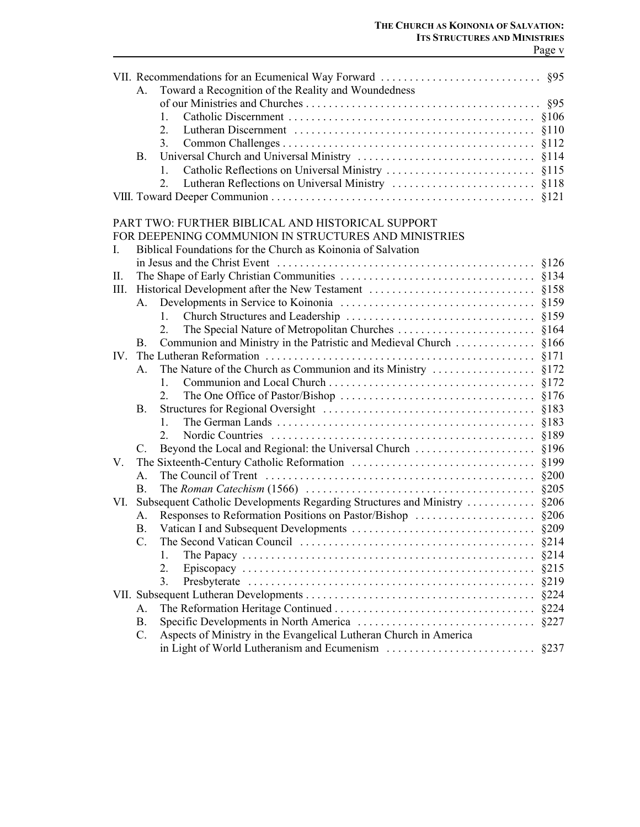| VII. Recommendations for an Ecumenical Way Forward<br>§95                       |
|---------------------------------------------------------------------------------|
| Toward a Recognition of the Reality and Woundedness<br>$A_{-}$                  |
|                                                                                 |
| $\mathbf{1}$                                                                    |
| 2.                                                                              |
| 3 <sub>1</sub>                                                                  |
| B.                                                                              |
| $\mathbf{1}$                                                                    |
| $2_{\cdot}$                                                                     |
|                                                                                 |
| PART TWO: FURTHER BIBLICAL AND HISTORICAL SUPPORT                               |
| FOR DEEPENING COMMUNION IN STRUCTURES AND MINISTRIES                            |
| Biblical Foundations for the Church as Koinonia of Salvation<br>L               |
| \$126                                                                           |
| П.                                                                              |
| III.                                                                            |
| $A_{1}$                                                                         |
| 1.                                                                              |
| §164<br>2.                                                                      |
| Communion and Ministry in the Patristic and Medieval Church<br>\$166<br>В.      |
| §171<br>$IV_{-}$                                                                |
| The Nature of the Church as Communion and its Ministry<br>§172<br>$\mathsf{A}$  |
| §172<br>$\mathbf{1}$                                                            |
| $2_{-}$                                                                         |
| \$183<br>В.                                                                     |
| 1<br>§183                                                                       |
| §189<br>2                                                                       |
| Beyond the Local and Regional: the Universal Church<br>\$196<br>C.              |
| §199<br>V.                                                                      |
| \$200<br>$\mathsf{A}$                                                           |
| §205<br>В.                                                                      |
| Subsequent Catholic Developments Regarding Structures and Ministry  §206<br>VI. |
| Responses to Reformation Positions on Pastor/Bishop<br>\$206<br>A.              |
| \$209<br>В.                                                                     |
| $\mathbf{C}$ .<br>§214                                                          |
| $\mathbf{1}$ .<br>§214                                                          |
| 2.<br>§215                                                                      |
| 3.<br>§219                                                                      |
| §224                                                                            |
| §224<br>A.                                                                      |
| <b>B.</b><br>§227                                                               |
| Aspects of Ministry in the Evangelical Lutheran Church in America<br>C.         |
|                                                                                 |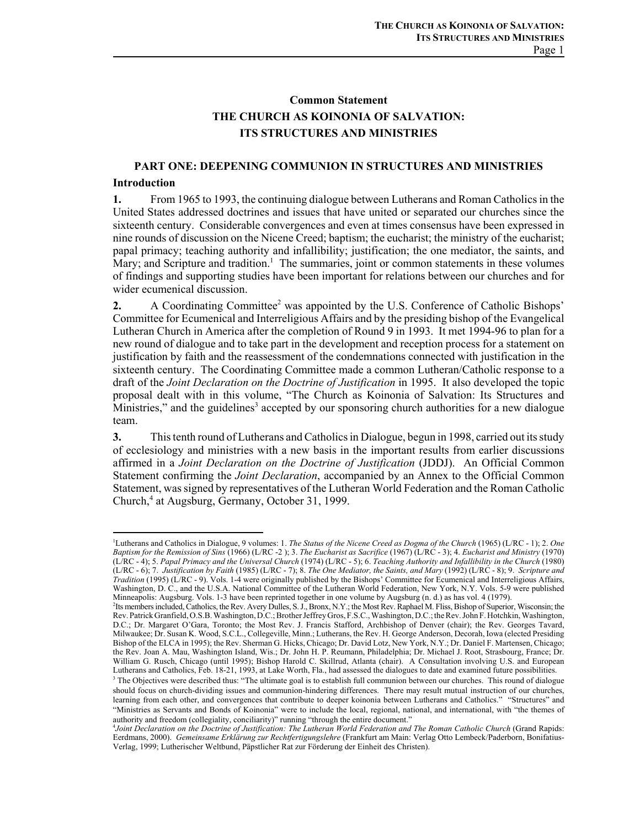# **Common Statement THE CHURCH AS KOINONIA OF SALVATION: ITS STRUCTURES AND MINISTRIES**

# **PART ONE: DEEPENING COMMUNION IN STRUCTURES AND MINISTRIES Introduction**

**1.** From 1965 to 1993, the continuing dialogue between Lutherans and Roman Catholics in the United States addressed doctrines and issues that have united or separated our churches since the sixteenth century. Considerable convergences and even at times consensus have been expressed in nine rounds of discussion on the Nicene Creed; baptism; the eucharist; the ministry of the eucharist; papal primacy; teaching authority and infallibility; justification; the one mediator, the saints, and Mary; and Scripture and tradition.<sup>1</sup> The summaries, joint or common statements in these volumes of findings and supporting studies have been important for relations between our churches and for wider ecumenical discussion.

2. A Coordinating Committee<sup>2</sup> was appointed by the U.S. Conference of Catholic Bishops' Committee for Ecumenical and Interreligious Affairs and by the presiding bishop of the Evangelical Lutheran Church in America after the completion of Round 9 in 1993. It met 1994-96 to plan for a new round of dialogue and to take part in the development and reception process for a statement on justification by faith and the reassessment of the condemnations connected with justification in the sixteenth century. The Coordinating Committee made a common Lutheran/Catholic response to a draft of the *Joint Declaration on the Doctrine of Justification* in 1995. It also developed the topic proposal dealt with in this volume, "The Church as Koinonia of Salvation: Its Structures and Ministries," and the guidelines<sup>3</sup> accepted by our sponsoring church authorities for a new dialogue team.

**3.** This tenth round of Lutherans and Catholics in Dialogue, begun in 1998, carried out its study of ecclesiology and ministries with a new basis in the important results from earlier discussions affirmed in a *Joint Declaration on the Doctrine of Justification* (JDDJ). An Official Common Statement confirming the *Joint Declaration*, accompanied by an Annex to the Official Common Statement, was signed by representatives of the Lutheran World Federation and the Roman Catholic Church,<sup>4</sup> at Augsburg, Germany, October 31, 1999.

<sup>1</sup> Lutherans and Catholics in Dialogue, 9 volumes: 1. *The Status of the Nicene Creed as Dogma of the Church* (1965) (L/RC - 1); 2. *One Baptism for the Remission of Sins* (1966) (L/RC -2 ); 3. *The Eucharist as Sacrifice* (1967) (L/RC - 3); 4. *Eucharist and Ministry* (1970) (L/RC - 4); 5. *Papal Primacy and the Universal Church* (1974) (L/RC - 5); 6. *Teaching Authority and Infallibility in the Church* (1980) (L/RC - 6); 7. *Justification by Faith* (1985) (L/RC - 7); 8. *The One Mediator, the Saints, and Mary* (1992) (L/RC - 8); 9. *Scripture and Tradition* (1995) (L/RC - 9). Vols. 1-4 were originally published by the Bishops' Committee for Ecumenical and Interreligious Affairs, Washington, D. C., and the U.S.A. National Committee of the Lutheran World Federation, New York, N.Y. Vols. 5-9 were published Minneapolis: Augsburg. Vols. 1-3 have been reprinted together in one volume by Augsburg (n. d.) as has vol. 4 (1979).

<sup>2</sup> Its members included, Catholics, the Rev. Avery Dulles, S. J., Bronx, N.Y.; the Most Rev. Raphael M. Fliss, Bishop of Superior, Wisconsin; the Rev. Patrick Granfield, O.S.B. Washington, D.C.; Brother Jeffrey Gros, F.S.C., Washington, D.C.; the Rev. John F. Hotchkin, Washington, D.C.; Dr. Margaret O'Gara, Toronto; the Most Rev. J. Francis Stafford, Archbishop of Denver (chair); the Rev. Georges Tavard, Milwaukee; Dr. Susan K. Wood, S.C.L., Collegeville, Minn.; Lutherans, the Rev. H. George Anderson, Decorah, Iowa (elected Presiding Bishop of the ELCA in 1995); the Rev. Sherman G. Hicks, Chicago; Dr. David Lotz, New York, N.Y.; Dr. Daniel F. Martensen, Chicago; the Rev. Joan A. Mau, Washington Island, Wis.; Dr. John H. P. Reumann, Philadelphia; Dr. Michael J. Root, Strasbourg, France; Dr. William G. Rusch, Chicago (until 1995); Bishop Harold C. Skillrud, Atlanta (chair). A Consultation involving U.S. and European Lutherans and Catholics, Feb. 18-21, 1993, at Lake Worth, Fla., had assessed the dialogues to date and examined future possibilities.

<sup>&</sup>lt;sup>3</sup> The Objectives were described thus: "The ultimate goal is to establish full communion between our churches. This round of dialogue should focus on church-dividing issues and communion-hindering differences. There may result mutual instruction of our churches, learning from each other, and convergences that contribute to deeper koinonia between Lutherans and Catholics." "Structures" and "Ministries as Servants and Bonds of Koinonia" were to include the local, regional, national, and international, with "the themes of authority and freedom (collegiality, conciliarity)" running "through the entire document." <sup>4</sup>

*Joint Declaration on the Doctrine of Justification: The Lutheran World Federation and The Roman Catholic Church* (Grand Rapids: Eerdmans, 2000). *Gemeinsame Erklärung zur Rechtfertigungslehre* (Frankfurt am Main: Verlag Otto Lembeck/Paderborn, Bonifatius-Verlag, 1999; Lutherischer Weltbund, Päpstlicher Rat zur Förderung der Einheit des Christen).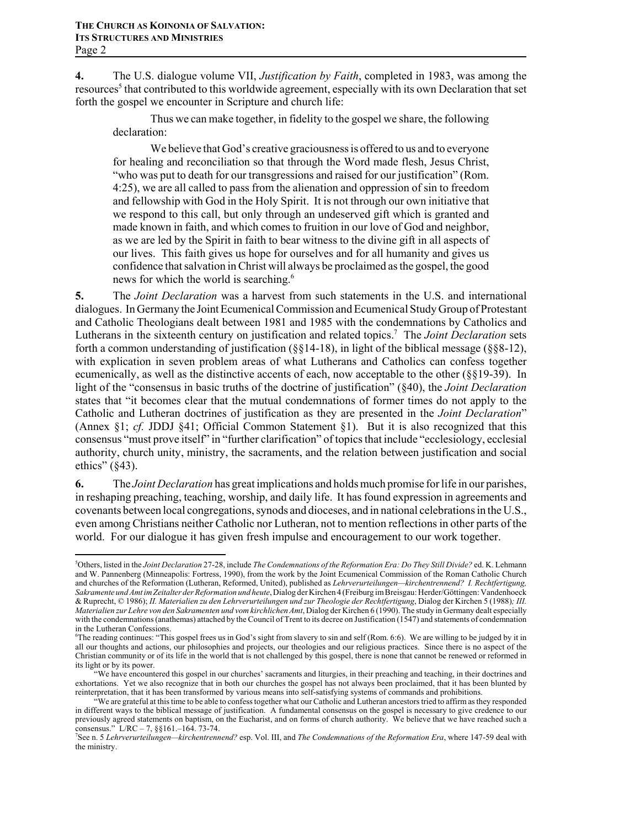**4.** The U.S. dialogue volume VII, *Justification by Faith*, completed in 1983, was among the resources<sup>5</sup> that contributed to this worldwide agreement, especially with its own Declaration that set forth the gospel we encounter in Scripture and church life:

Thus we can make together, in fidelity to the gospel we share, the following declaration:

We believe that God's creative graciousness is offered to us and to everyone for healing and reconciliation so that through the Word made flesh, Jesus Christ, "who was put to death for our transgressions and raised for our justification" (Rom. 4:25), we are all called to pass from the alienation and oppression of sin to freedom and fellowship with God in the Holy Spirit. It is not through our own initiative that we respond to this call, but only through an undeserved gift which is granted and made known in faith, and which comes to fruition in our love of God and neighbor, as we are led by the Spirit in faith to bear witness to the divine gift in all aspects of our lives. This faith gives us hope for ourselves and for all humanity and gives us confidence that salvation in Christ will always be proclaimed as the gospel, the good news for which the world is searching.<sup>6</sup>

**5.** The *Joint Declaration* was a harvest from such statements in the U.S. and international dialogues. In Germany the Joint Ecumenical Commission and Ecumenical Study Group of Protestant and Catholic Theologians dealt between 1981 and 1985 with the condemnations by Catholics and Lutherans in the sixteenth century on justification and related topics.<sup>7</sup> The *Joint Declaration* sets forth a common understanding of justification  $(\frac{8}{9}14 - 18)$ , in light of the biblical message ( $\S$  $\$ 8-12), with explication in seven problem areas of what Lutherans and Catholics can confess together ecumenically, as well as the distinctive accents of each, now acceptable to the other (§§19-39). In light of the "consensus in basic truths of the doctrine of justification" (§40), the *Joint Declaration* states that "it becomes clear that the mutual condemnations of former times do not apply to the Catholic and Lutheran doctrines of justification as they are presented in the *Joint Declaration*" (Annex §1; *cf.* JDDJ §41; Official Common Statement §1). But it is also recognized that this consensus "must prove itself" in "further clarification" of topics that include "ecclesiology, ecclesial authority, church unity, ministry, the sacraments, and the relation between justification and social ethics" (§43).

**6.** The *Joint Declaration* has great implications and holds much promise for life in our parishes, in reshaping preaching, teaching, worship, and daily life. It has found expression in agreements and covenants between local congregations, synods and dioceses, and in national celebrations in the U.S., even among Christians neither Catholic nor Lutheran, not to mention reflections in other parts of the world. For our dialogue it has given fresh impulse and encouragement to our work together.

<sup>5</sup> Others, listed in the *Joint Declaration* 27-28, include *The Condemnations of the Reformation Era: Do They Still Divide?* ed. K. Lehmann and W. Pannenberg (Minneapolis: Fortress, 1990), from the work by the Joint Ecumenical Commission of the Roman Catholic Church and churches of the Reformation (Lutheran, Reformed, United), published as *Lehrverurteilungen—kirchentrennend? I. Rechtfertigung, Sakramente und Amt im Zeitalter der Reformation und heute*, Dialog der Kirchen 4 (Freiburg im Breisgau: Herder/Göttingen: Vandenhoeck & Ruprecht, © 1986); *II. Materialien zu den Lehrverurteilungen und zur Theologie der Rechtfertigung*, Dialog der Kirchen 5 (1988)*; III. Materialien zur Lehre von den Sakramenten und vom kirchlichen Amt*, Dialog der Kirchen 6 (1990). The study in Germany dealt especially with the condemnations (anathemas) attached by the Council of Trent to its decree on Justification (1547) and statements of condemnation in the Lutheran Confessions.

<sup>6</sup> The reading continues: "This gospel frees us in God's sight from slavery to sin and self (Rom. 6:6). We are willing to be judged by it in all our thoughts and actions, our philosophies and projects, our theologies and our religious practices. Since there is no aspect of the Christian community or of its life in the world that is not challenged by this gospel, there is none that cannot be renewed or reformed in its light or by its power.

<sup>&</sup>quot;We have encountered this gospel in our churches' sacraments and liturgies, in their preaching and teaching, in their doctrines and exhortations. Yet we also recognize that in both our churches the gospel has not always been proclaimed, that it has been blunted by reinterpretation, that it has been transformed by various means into self-satisfying systems of commands and prohibitions.

<sup>&</sup>quot;We are grateful at this time to be able to confess together what our Catholic and Lutheran ancestors tried to affirm as they responded in different ways to the biblical message of justification. A fundamental consensus on the gospel is necessary to give credence to our previously agreed statements on baptism, on the Eucharist, and on forms of church authority. We believe that we have reached such a

consensus." L/RC – 7, §§161.–164. 73-74. 7 See n. 5 *Lehrverurteilungen—kirchentrennend?* esp. Vol. III, and *The Condemnations of the Reformation Era*, where 147-59 deal with the ministry.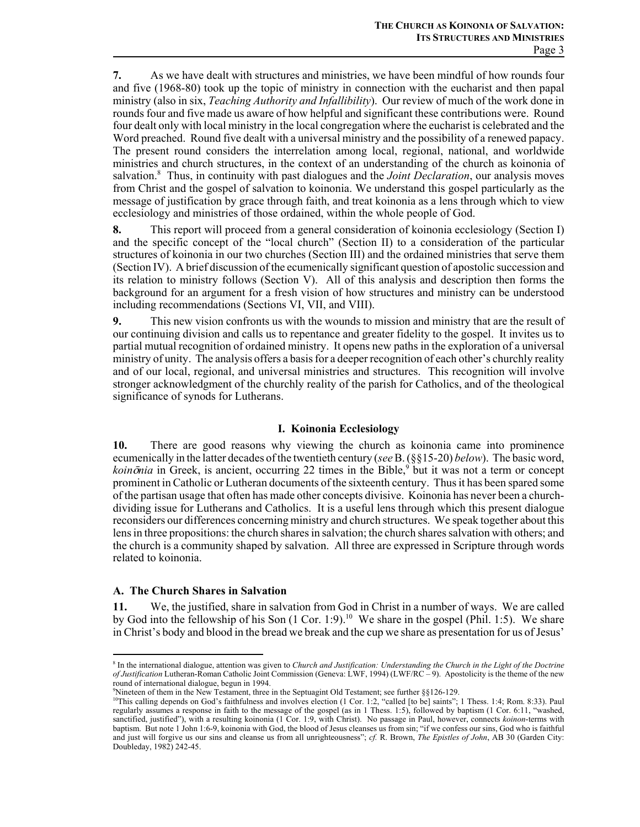**7.** As we have dealt with structures and ministries, we have been mindful of how rounds four and five (1968-80) took up the topic of ministry in connection with the eucharist and then papal ministry (also in six, *Teaching Authority and Infallibility*). Our review of much of the work done in rounds four and five made us aware of how helpful and significant these contributions were. Round four dealt only with local ministry in the local congregation where the eucharist is celebrated and the Word preached. Round five dealt with a universal ministry and the possibility of a renewed papacy. The present round considers the interrelation among local, regional, national, and worldwide ministries and church structures, in the context of an understanding of the church as koinonia of salvation.<sup>8</sup> Thus, in continuity with past dialogues and the *Joint Declaration*, our analysis moves from Christ and the gospel of salvation to koinonia. We understand this gospel particularly as the message of justification by grace through faith, and treat koinonia as a lens through which to view ecclesiology and ministries of those ordained, within the whole people of God.

**8.** This report will proceed from a general consideration of koinonia ecclesiology (Section I) and the specific concept of the "local church" (Section II) to a consideration of the particular structures of koinonia in our two churches (Section III) and the ordained ministries that serve them (Section IV). A brief discussion of the ecumenically significant question of apostolic succession and its relation to ministry follows (Section V). All of this analysis and description then forms the background for an argument for a fresh vision of how structures and ministry can be understood including recommendations (Sections VI, VII, and VIII).

**9.** This new vision confronts us with the wounds to mission and ministry that are the result of our continuing division and calls us to repentance and greater fidelity to the gospel. It invites us to partial mutual recognition of ordained ministry. It opens new paths in the exploration of a universal ministry of unity. The analysis offers a basis for a deeper recognition of each other's churchly reality and of our local, regional, and universal ministries and structures. This recognition will involve stronger acknowledgment of the churchly reality of the parish for Catholics, and of the theological significance of synods for Lutherans.

#### **I. Koinonia Ecclesiology**

**10.** There are good reasons why viewing the church as koinonia came into prominence ecumenically in the latter decades of the twentieth century (*see* B. (§§15-20) *below*). The basic word, *koinōnia* in Greek, is ancient, occurring 22 times in the Bible,<sup>9</sup> but it was not a term or concept prominent in Catholic or Lutheran documents of the sixteenth century. Thus it has been spared some of the partisan usage that often has made other concepts divisive. Koinonia has never been a churchdividing issue for Lutherans and Catholics. It is a useful lens through which this present dialogue reconsiders our differences concerning ministry and church structures. We speak together about this lens in three propositions: the church shares in salvation; the church shares salvation with others; and the church is a community shaped by salvation. All three are expressed in Scripture through words related to koinonia.

#### **A. The Church Shares in Salvation**

**11.** We, the justified, share in salvation from God in Christ in a number of ways. We are called by God into the fellowship of his Son (1 Cor. 1:9).<sup>10</sup> We share in the gospel (Phil. 1:5). We share in Christ's body and blood in the bread we break and the cup we share as presentation for us of Jesus'

<sup>&</sup>lt;sup>8</sup> In the international dialogue, attention was given to *Church and Justification: Understanding the Church in the Light of the Doctrine of Justification* Lutheran-Roman Catholic Joint Commission (Geneva: LWF, 1994) (LWF/RC – 9). Apostolicity is the theme of the new round of international dialogue, begun in 1994.

<sup>9</sup> Nineteen of them in the New Testament, three in the Septuagint Old Testament; see further §§126-129.

<sup>10</sup>This calling depends on God's faithfulness and involves election (1 Cor. 1:2, "called [to be] saints"; 1 Thess. 1:4; Rom. 8:33). Paul regularly assumes a response in faith to the message of the gospel (as in 1 Thess. 1:5), followed by baptism (1 Cor. 6:11, "washed, sanctified, justified"), with a resulting koinonia (1 Cor. 1:9, with Christ). No passage in Paul, however, connects *koinon*-terms with baptism. But note 1 John 1:6-9, koinonia with God, the blood of Jesus cleanses us from sin; "if we confess our sins, God who is faithful and just will forgive us our sins and cleanse us from all unrighteousness"; *cf.* R. Brown, *The Epistles of John*, AB 30 (Garden City: Doubleday, 1982) 242-45.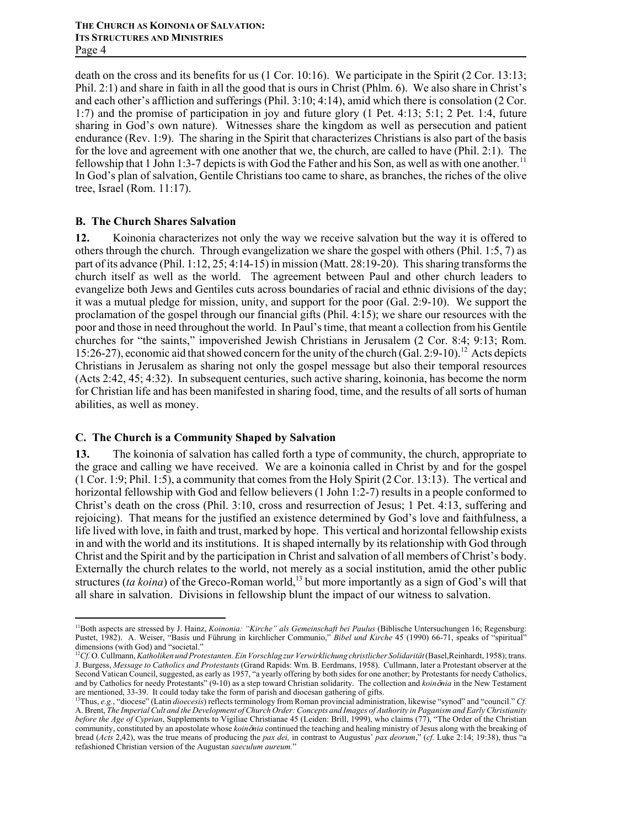death on the cross and its benefits for us (1 Cor. 10:16). We participate in the Spirit (2 Cor. 13:13; Phil. 2:1) and share in faith in all the good that is ours in Christ (Phlm. 6). We also share in Christ's and each other's affliction and sufferings (Phil. 3:10; 4:14), amid which there is consolation (2 Cor. 1:7) and the promise of participation in joy and future glory (1 Pet. 4:13; 5:1; 2 Pet. 1:4, future sharing in God's own nature). Witnesses share the kingdom as well as persecution and patient endurance (Rev. 1:9). The sharing in the Spirit that characterizes Christians is also part of the basis for the love and agreement with one another that we, the church, are called to have (Phil. 2:1). The fellowship that 1 John 1:3-7 depicts is with God the Father and his Son, as well as with one another.<sup>11</sup> In God's plan of salvation, Gentile Christians too came to share, as branches, the riches of the olive tree, Israel (Rom. 11:17).

## **B. The Church Shares Salvation**

**12.** Koinonia characterizes not only the way we receive salvation but the way it is offered to others through the church. Through evangelization we share the gospel with others (Phil. 1:5, 7) as part of its advance (Phil. 1:12, 25; 4:14-15) in mission (Matt. 28:19-20). This sharing transforms the church itself as well as the world. The agreement between Paul and other church leaders to evangelize both Jews and Gentiles cuts across boundaries of racial and ethnic divisions of the day; it was a mutual pledge for mission, unity, and support for the poor (Gal. 2:9-10). We support the proclamation of the gospel through our financial gifts (Phil. 4:15); we share our resources with the poor and those in need throughout the world. In Paul's time, that meant a collection from his Gentile churches for "the saints," impoverished Jewish Christians in Jerusalem (2 Cor. 8:4; 9:13; Rom. 15:26-27), economic aid that showed concern for the unity of the church (Gal. 2:9-10).12 Acts depicts Christians in Jerusalem as sharing not only the gospel message but also their temporal resources (Acts 2:42, 45; 4:32). In subsequent centuries, such active sharing, koinonia, has become the norm for Christian life and has been manifested in sharing food, time, and the results of all sorts of human abilities, as well as money.

# **C. The Church is a Community Shaped by Salvation**

**13.** The koinonia of salvation has called forth a type of community, the church, appropriate to the grace and calling we have received. We are a koinonia called in Christ by and for the gospel (1 Cor. 1:9; Phil. 1:5), a community that comes from the Holy Spirit (2 Cor. 13:13). The vertical and horizontal fellowship with God and fellow believers (1 John 1:2-7) results in a people conformed to Christ's death on the cross (Phil. 3:10, cross and resurrection of Jesus; 1 Pet. 4:13, suffering and rejoicing). That means for the justified an existence determined by God's love and faithfulness, a life lived with love, in faith and trust, marked by hope. This vertical and horizontal fellowship exists in and with the world and its institutions. It is shaped internally by its relationship with God through Christ and the Spirit and by the participation in Christ and salvation of all members of Christ's body. Externally the church relates to the world, not merely as a social institution, amid the other public structures *(ta koina)* of the Greco-Roman world.<sup>13</sup> but more importantly as a sign of God's will that all share in salvation. Divisions in fellowship blunt the impact of our witness to salvation.

<sup>11</sup>Both aspects are stressed by J. Hainz, *Koinonia: "Kirche" als Gemeinschaft bei Paulus* (Biblische Untersuchungen 16; Regensburg: Pustet, 1982). A. Weiser, "Basis und Führung in kirchlicher Communio," *Bibel und Kirche* 45 (1990) 66-71, speaks of "spiritual" dimensions (with God) and "societal."

<sup>&</sup>lt;sup>12</sup>Cf. O. Cullmann, *Katholiken und Protestanten. Ein Vorschlag zur Verwirklichung christlicher Solidarität* (Basel, Reinhardt, 1958); trans. J. Burgess, *Message to Catholics and Protestants* (Grand Rapids: Wm. B. Eerdmans, 1958). Cullmann, later a Protestant observer at the Second Vatican Council, suggested, as early as 1957, "a yearly offering by both sides for one another; by Protestants for needy Catholics, and by Catholics for needy Protestants" (9-10) as a step toward Christian solidarity. The collection and *koin onia* in the New Testament are mentioned, 33-39. It could today take the form of parish and diocesan gathering of gifts.

<sup>13</sup>Thus, *e.g.*, "diocese" (Latin *dioecesis*) reflects terminology from Roman provincial administration, likewise "synod" and "council." *Cf.* A. Brent, *The Imperial Cult and the Development of Church Order: Concepts and Images of Authority in Paganism and Early Christianity before the Age of Cyprian*, Supplements to Vigiliae Christianae 45 (Leiden: Brill, 1999), who claims (77), "The Order of the Christian community, constituted by an apostolate whose *koinonia* continued the teaching and healing ministry of Jesus along with the breaking of bread (*Acts* 2,42), was the true means of producing the *pax dei,* in contrast to Augustus' *pax deorum*," (*cf.* Luke 2:14; 19:38), thus "a refashioned Christian version of the Augustan *saeculum aureum.*"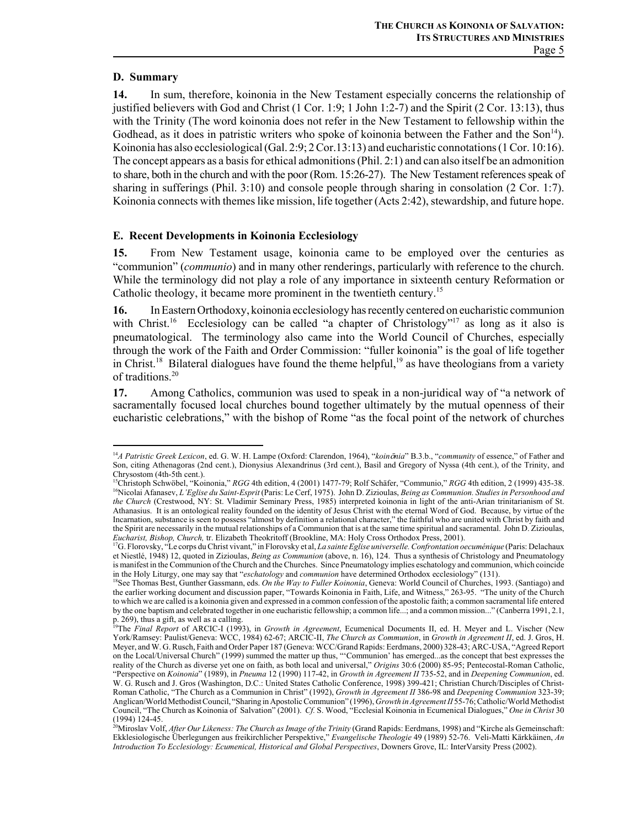#### **D. Summary**

**14.** In sum, therefore, koinonia in the New Testament especially concerns the relationship of justified believers with God and Christ (1 Cor. 1:9; 1 John 1:2-7) and the Spirit (2 Cor. 13:13), thus with the Trinity (The word koinonia does not refer in the New Testament to fellowship within the Godhead, as it does in patristic writers who spoke of koinonia between the Father and the Son<sup>14</sup>). Koinonia has also ecclesiological (Gal. 2:9; 2 Cor.13:13) and eucharistic connotations (1 Cor. 10:16). The concept appears as a basis for ethical admonitions (Phil. 2:1) and can also itself be an admonition to share, both in the church and with the poor (Rom. 15:26-27). The New Testament references speak of sharing in sufferings (Phil. 3:10) and console people through sharing in consolation (2 Cor. 1:7). Koinonia connects with themes like mission, life together (Acts 2:42), stewardship, and future hope.

#### **E. Recent Developments in Koinonia Ecclesiology**

**15.** From New Testament usage, koinonia came to be employed over the centuries as "communion" (*communio*) and in many other renderings, particularly with reference to the church. While the terminology did not play a role of any importance in sixteenth century Reformation or Catholic theology, it became more prominent in the twentieth century.15

**16.** In Eastern Orthodoxy, koinonia ecclesiology has recently centered on eucharistic communion with Christ.<sup>16</sup> Ecclesiology can be called "a chapter of Christology"<sup>17</sup> as long as it also is pneumatological. The terminology also came into the World Council of Churches, especially through the work of the Faith and Order Commission: "fuller koinonia" is the goal of life together in Christ.<sup>18</sup> Bilateral dialogues have found the theme helpful,<sup>19</sup> as have theologians from a variety of traditions.20

**17.** Among Catholics, communion was used to speak in a non-juridical way of "a network of sacramentally focused local churches bound together ultimately by the mutual openness of their eucharistic celebrations," with the bishop of Rome "as the focal point of the network of churches

<sup>&</sup>lt;sup>14</sup>A Patristic Greek Lexicon, ed. G. W. H. Lampe (Oxford: Clarendon, 1964), "koinōnia" B.3.b., "community of essence," of Father and Son, citing Athenagoras (2nd cent.), Dionysius Alexandrinus (3rd cent.), Basil and Gregory of Nyssa (4th cent.), of the Trinity, and Chrysostom (4th-5th cent.).

<sup>15</sup>Christoph Schwöbel, "Koinonia," *RGG* 4th edition, 4 (2001) 1477-79; Rolf Schäfer, "Communio," *RGG* 4th edition, 2 (1999) 435-38. 16Nicolai Afanasev, *L'Eglise du Saint-Esprit* (Paris: Le Cerf, 1975). John D. Zizioulas, *Being as Communion. Studies in Personhood and the Church* (Crestwood, NY: St. Vladimir Seminary Press, 1985) interpreted koinonia in light of the anti-Arian trinitarianism of St. Athanasius. It is an ontological reality founded on the identity of Jesus Christ with the eternal Word of God. Because, by virtue of the Incarnation, substance is seen to possess "almost by definition a relational character," the faithful who are united with Christ by faith and the Spirit are necessarily in the mutual relationships of a Communion that is at the same time spiritual and sacramental. John D. Zizioulas, *Eucharist, Bishop, Church,* tr. Elizabeth Theokritoff (Brookline, MA: Holy Cross Orthodox Press, 2001).

<sup>&</sup>lt;sup>17</sup>G. Florovsky, "Le corps du Christ vivant," in Florovsky et al, *La sainte Eglise universelle. Confrontation oecuménique* (Paris: Delachaux et Niestlé, 1948) 12, quoted in Zizioulas, *Being as Communion* (above, n. 16), 124. Thus a synthesis of Christology and Pneumatology is manifest in the Communion of the Church and the Churches. Since Pneumatology implies eschatology and communion, which coincide in the Holy Liturgy, one may say that "*eschatology* and *communion* have determined Orthodox ecclesiology" (131).

<sup>&</sup>lt;sup>18</sup>See Thomas Best, Gunther Gassmann, eds. *On the Way to Fuller Koinonia*, Geneva: World Council of Churches, 1993. (Santiago) and the earlier working document and discussion paper, "Towards Koinonia in Faith, Life, and Witness," 263-95. "The unity of the Church to which we are called is a koinonia given and expressed in a common confession of the apostolic faith; a common sacramental life entered by the one baptism and celebrated together in one eucharistic fellowship; a common life...; and a common mission..." (Canberra 1991, 2.1, p. 269), thus a gift, as well as a calling.

<sup>19</sup>The *Final Report* of ARCIC-I (1993), in *Growth in Agreement*, Ecumenical Documents II, ed. H. Meyer and L. Vischer (New York/Ramsey: Paulist/Geneva: WCC, 1984) 62-67; ARCIC-II, *The Church as Communion*, in *Growth in Agreement II*, ed. J. Gros, H. Meyer, and W. G. Rusch, Faith and Order Paper 187 (Geneva: WCC/Grand Rapids: Eerdmans, 2000) 328-43; ARC-USA, "Agreed Report on the Local/Universal Church" (1999) summed the matter up thus, "'Communion' has emerged...as the concept that best expresses the reality of the Church as diverse yet one on faith, as both local and universal," *Origins* 30:6 (2000) 85-95; Pentecostal-Roman Catholic, "Perspective on *Koinonia*" (1989), in *Pneuma* 12 (1990) 117-42, in *Growth in Agreement II* 735-52, and in *Deepening Communion*, ed. W. G. Rusch and J. Gros (Washington, D.C.: United States Catholic Conference, 1998) 399-421; Christian Church/Disciples of Christ-Roman Catholic, "The Church as a Communion in Christ" (1992), *Growth in Agreement II* 386-98 and *Deepening Communion* 323-39; Anglican/World Methodist Council, "Sharing in Apostolic Communion" (1996), *Growth in Agreement II* 55-76; Catholic/World Methodist Council, "The Church as Koinonia of Salvation" (2001). *Cf.* S. Wood, "Ecclesial Koinonia in Ecumenical Dialogues," *One in Christ* 30 (1994) 124-45.

<sup>20</sup>Miroslav Volf, *After Our Likeness: The Church as Image of the Trinity* (Grand Rapids: Eerdmans, 1998) and "Kirche als Gemeinschaft: Ekklesiologische Überlegungen aus freikirchlicher Perspektive," *Evangelische Theologie* 49 (1989) 52-76. Veli-Matti Kärkkäinen, *An Introduction To Ecclesiology: Ecumenical, Historical and Global Perspectives*, Downers Grove, IL: InterVarsity Press (2002).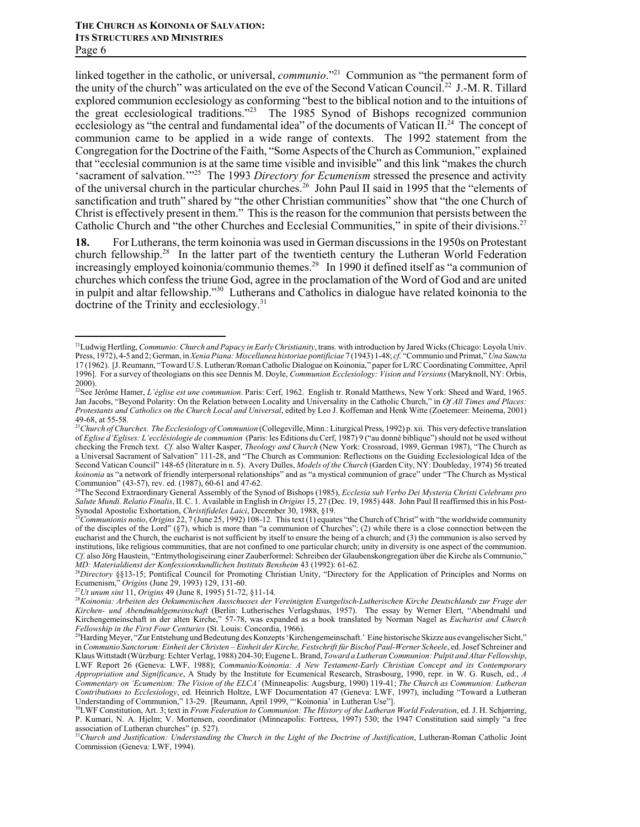linked together in the catholic, or universal, *communio*."<sup>21</sup> Communion as "the permanent form of the unity of the church" was articulated on the eve of the Second Vatican Council.22 J.-M. R. Tillard explored communion ecclesiology as conforming "best to the biblical notion and to the intuitions of the great ecclesiological traditions."23 The 1985 Synod of Bishops recognized communion ecclesiology as "the central and fundamental idea" of the documents of Vatican II.<sup>24</sup> The concept of communion came to be applied in a wide range of contexts. The 1992 statement from the Congregation for the Doctrine of the Faith, "Some Aspects of the Church as Communion," explained that "ecclesial communion is at the same time visible and invisible" and this link "makes the church 'sacrament of salvation.'"25 The 1993 *Directory for Ecumenism* stressed the presence and activity of the universal church in the particular churches.<sup>26</sup> John Paul II said in 1995 that the "elements of sanctification and truth" shared by "the other Christian communities" show that "the one Church of Christ is effectively present in them." This is the reason for the communion that persists between the Catholic Church and "the other Churches and Ecclesial Communities," in spite of their divisions.<sup>27</sup>

**18.** For Lutherans, the term koinonia was used in German discussions in the 1950s on Protestant church fellowship.28 In the latter part of the twentieth century the Lutheran World Federation increasingly employed koinonia/communio themes.<sup>29</sup> In 1990 it defined itself as "a communion of churches which confess the triune God, agree in the proclamation of the Word of God and are united in pulpit and altar fellowship."<sup>30</sup> Lutherans and Catholics in dialogue have related koinonia to the doctrine of the Trinity and ecclesiology.<sup>31</sup>

<sup>&</sup>lt;sup>21</sup>Ludwig Hertling, *Communio: Church and Papacy in Early Christianity*, trans. with introduction by Jared Wicks (Chicago: Loyola Univ. Press, 1972), 4-5 and 2; German, in *Xenia Piana: Miscellanea historiae pontificiae* 7 (1943) 1-48; *cf.* "Communio und Primat," *Una Sancta* 17 (1962). [J. Reumann, "Toward U.S. Lutheran/Roman Catholic Dialogue on Koinonia," paper for L/RC Coordinating Committee, April 1996]. For a survey of theologians on this see Dennis M. Doyle, *Communion Ecclesiology: Vision and Versions* (Maryknoll, NY: Orbis, 2000).

<sup>&</sup>lt;sup>22</sup>See Jérôme Hamer, *L'église est une communion*. Paris: Cerf, 1962. English tr. Ronald Matthews, New York: Sheed and Ward, 1965. Jan Jacobs, "Beyond Polarity: On the Relation between Locality and Universality in the Catholic Church," in *Of All Times and Places: Protestants and Catholics on the Church Local and Universal*, edited by Leo J. Koffeman and Henk Witte (Zoetemeer: Meinema, 2001) 49-68, at 55-58.

<sup>&</sup>lt;sup>23</sup>Church of Churches. The Ecclesiology of Communion (Collegeville, Minn.: Liturgical Press, 1992) p. xii. This very defective translation of *Eglise d'Eglises: L'ecclésiologie de communion* (Paris: les Editions du Cerf, 1987) 9 ("au donné biblique") should not be used without checking the French text. *Cf.* also Walter Kasper, *Theology and Church* (New York: Crossroad, 1989, German 1987), "The Church as a Universal Sacrament of Salvation" 111-28, and "The Church as Communion: Reflections on the Guiding Ecclesiological Idea of the Second Vatican Council" 148-65 (literature in n. 5). Avery Dulles, *Models of the Church* (Garden City, NY: Doubleday, 1974) 56 treated *koinonia* as "a network of friendly interpersonal relationships" and as "a mystical communion of grace" under "The Church as Mystical Communion" (43-57), rev. ed. (1987), 60-61 and 47-62.

<sup>24</sup>The Second Extraordinary General Assembly of the Synod of Bishops (1985), *Ecclesia sub Verbo Dei Mysteria Christi Celebrans pro Salute Mundi. Relatio Finalis*, II. C. 1. Available in English in *Origins* 15, 27 (Dec. 19, 1985) 448. John Paul II reaffirmed this in his Post-Synodal Apostolic Exhortation, *Christifideles Laici*, December 30, 1988, §19.

<sup>&</sup>lt;sup>25</sup>Communionis notio, Origins 22, 7 (June 25, 1992) 108-12. This text (1) equates "the Church of Christ" with "the worldwide community of the disciples of the Lord" (§7), which is more than "a communion of Churches"; (2) while there is a close connection between the eucharist and the Church, the eucharist is not sufficient by itself to ensure the being of a church; and (3) the communion is also served by institutions, like religious communities, that are not confined to one particular church; unity in diversity is one aspect of the communion. *Cf.* also Jörg Haustein, "Entmythologiseirung einer Zauberformel: Schreiben der Glaubenskongregation über die Kirche als Communio," *MD: Materialdienst der Konfessionskundlichen Instituts Bensheim* 43 (1992): 61-62.

<sup>&</sup>lt;sup>26</sup>Directory §§13-15; Pontifical Council for Promoting Christian Unity, "Directory for the Application of Principles and Norms on Ecumenism," *Origins* (June 29, 1993) 129, 131-60.

<sup>27</sup>*Ut unum sint* 11, *Origins* 49 (June 8, 1995) 51-72, §11-14.

<sup>28</sup>*Koinonia: Arbeiten des Oekumenischen Ausschusses der Vereinigten Evangelisch-Lutherischen Kirche Deutschlands zur Frage der Kirchen- und Abendmahlgemeinschaft* (Berlin: Lutherisches Verlagshaus, 1957). The essay by Werner Elert, "Abendmahl und Kirchengemeinschaft in der alten Kirche," 57-78, was expanded as a book translated by Norman Nagel as *Eucharist and Church Fellowship in the First Four Centuries* (St. Louis: Concordia, 1966).

<sup>&</sup>lt;sup>29</sup>Harding Meyer, "Zur Entstehung und Bedeutung des Konzepts 'Kirchengemeinschaft.' Eine historische Skizze aus evangelischer Sicht," in *Communio Sanctorum: Einheit der Christen – Einheit der Kirche, Festschrift für Bischof Paul-Werner Scheele*, ed. Josef Schreiner and Klaus Wittstadt (Würzburg: Echter Verlag, 1988) 204-30; Eugene L. Brand, *Toward a Lutheran Communion: Pulpit and Altar Fellowship*, LWF Report 26 (Geneva: LWF, 1988); *Communio/Koinonia: A New Testament-Early Christian Concept and its Contemporary Appropriation and Significance*, A Study by the Institute for Ecumenical Research, Strasbourg, 1990, repr. in W. G. Rusch, ed., *A Commentary on 'Ecumenism: The Vision of the ELCA'* (Minneapolis: Augsburg, 1990) 119-41; *The Church as Communion: Lutheran Contributions to Ecclesiology*, ed. Heinrich Holtze, LWF Documentation 47 (Geneva: LWF, 1997), including "Toward a Lutheran Understanding of Communion," 13-29. [Reumann, April 1999, "'Koinonia' in Lutheran Use"].

<sup>&</sup>lt;sup>30</sup>LWF Constitution, Art. 3; text in *From Federation to Communion: The History of the Lutheran World Federation*, ed. J. H. Schjørring, P. Kumari, N. A. Hjelm; V. Mortensen, coordinator (Minneapolis: Fortress, 1997) 530; the 1947 Constitution said simply "a free association of Lutheran churches" (p. 527).

<sup>31</sup>*Church and Justification: Understanding the Church in the Light of the Doctrine of Justification*, Lutheran-Roman Catholic Joint Commission (Geneva: LWF, 1994).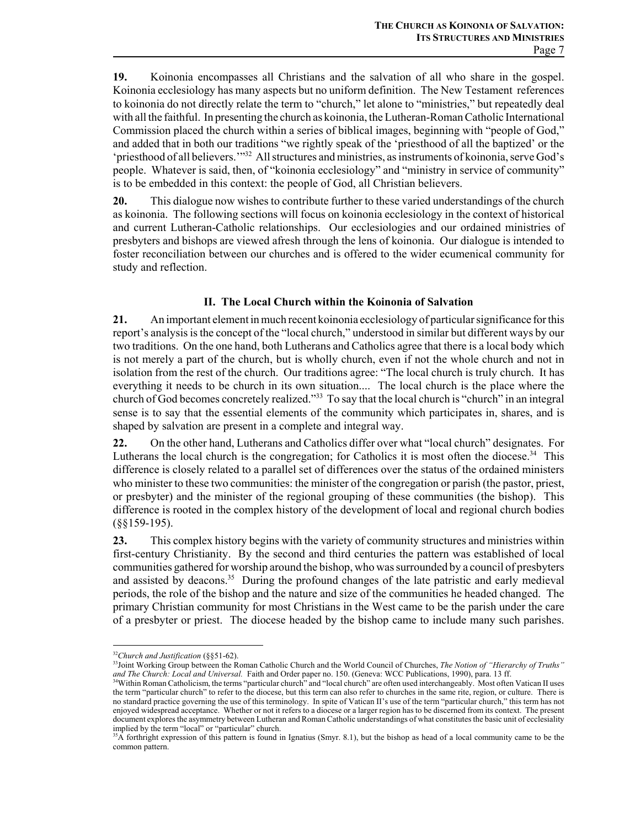**19.** Koinonia encompasses all Christians and the salvation of all who share in the gospel. Koinonia ecclesiology has many aspects but no uniform definition. The New Testament references to koinonia do not directly relate the term to "church," let alone to "ministries," but repeatedly deal with all the faithful. In presenting the church as koinonia, the Lutheran-Roman Catholic International Commission placed the church within a series of biblical images, beginning with "people of God," and added that in both our traditions "we rightly speak of the 'priesthood of all the baptized' or the 'priesthood of all believers.'"32 All structures and ministries, as instruments of koinonia, serve God's people. Whatever is said, then, of "koinonia ecclesiology" and "ministry in service of community" is to be embedded in this context: the people of God, all Christian believers.

**20.** This dialogue now wishes to contribute further to these varied understandings of the church as koinonia. The following sections will focus on koinonia ecclesiology in the context of historical and current Lutheran-Catholic relationships. Our ecclesiologies and our ordained ministries of presbyters and bishops are viewed afresh through the lens of koinonia. Our dialogue is intended to foster reconciliation between our churches and is offered to the wider ecumenical community for study and reflection.

# **II. The Local Church within the Koinonia of Salvation**

**21.** An important element in much recent koinonia ecclesiology of particular significance for this report's analysis is the concept of the "local church," understood in similar but different ways by our two traditions. On the one hand, both Lutherans and Catholics agree that there is a local body which is not merely a part of the church, but is wholly church, even if not the whole church and not in isolation from the rest of the church. Our traditions agree: "The local church is truly church. It has everything it needs to be church in its own situation.... The local church is the place where the church of God becomes concretely realized."<sup>33</sup> To say that the local church is "church" in an integral sense is to say that the essential elements of the community which participates in, shares, and is shaped by salvation are present in a complete and integral way.

**22.** On the other hand, Lutherans and Catholics differ over what "local church" designates. For Lutherans the local church is the congregation; for Catholics it is most often the diocese.<sup>34</sup> This difference is closely related to a parallel set of differences over the status of the ordained ministers who minister to these two communities: the minister of the congregation or parish (the pastor, priest, or presbyter) and the minister of the regional grouping of these communities (the bishop). This difference is rooted in the complex history of the development of local and regional church bodies (§§159-195).

**23.** This complex history begins with the variety of community structures and ministries within first-century Christianity. By the second and third centuries the pattern was established of local communities gathered for worship around the bishop, who was surrounded by a council of presbyters and assisted by deacons.<sup>35</sup> During the profound changes of the late patristic and early medieval periods, the role of the bishop and the nature and size of the communities he headed changed. The primary Christian community for most Christians in the West came to be the parish under the care of a presbyter or priest. The diocese headed by the bishop came to include many such parishes.

33Joint Working Group between the Roman Catholic Church and the World Council of Churches, *The Notion of "Hierarchy of Truths" and The Church: Local and Universal.* Faith and Order paper no. 150. (Geneva: WCC Publications, 1990), para. 13 ff.

<sup>32</sup>*Church and Justification* (§§51-62).

<sup>&</sup>lt;sup>34</sup>Within Roman Catholicism, the terms "particular church" and "local church" are often used interchangeably. Most often Vatican II uses the term "particular church" to refer to the diocese, but this term can also refer to churches in the same rite, region, or culture. There is no standard practice governing the use of this terminology. In spite of Vatican II's use of the term "particular church," this term has not enjoyed widespread acceptance. Whether or not it refers to a diocese or a larger region has to be discerned from its context. The present document explores the asymmetry between Lutheran and Roman Catholic understandings of what constitutes the basic unit of ecclesiality implied by the term "local" or "particular" church.

<sup>&</sup>lt;sup>35</sup>A forthright expression of this pattern is found in Ignatius (Smyr. 8.1), but the bishop as head of a local community came to be the common pattern.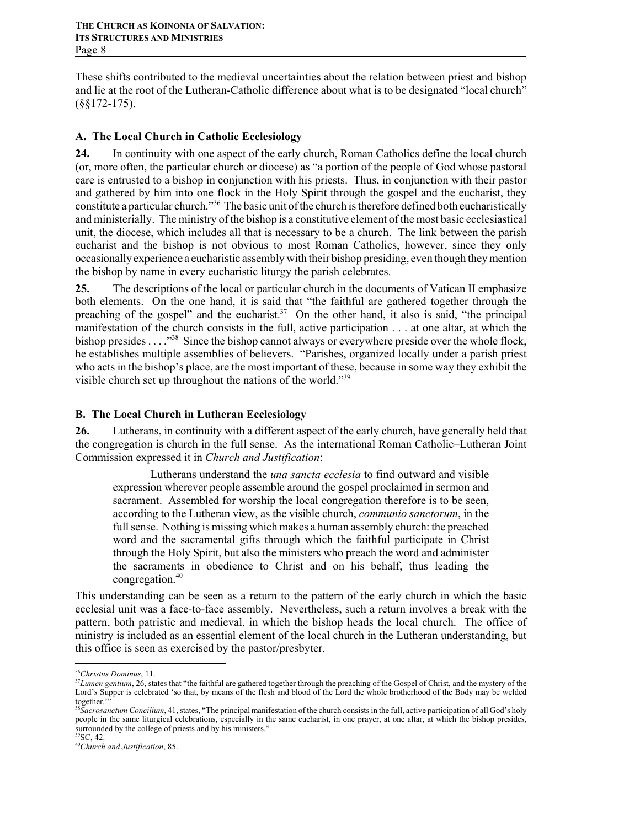These shifts contributed to the medieval uncertainties about the relation between priest and bishop and lie at the root of the Lutheran-Catholic difference about what is to be designated "local church" (§§172-175).

## **A. The Local Church in Catholic Ecclesiology**

**24.** In continuity with one aspect of the early church, Roman Catholics define the local church (or, more often, the particular church or diocese) as "a portion of the people of God whose pastoral care is entrusted to a bishop in conjunction with his priests. Thus, in conjunction with their pastor and gathered by him into one flock in the Holy Spirit through the gospel and the eucharist, they constitute a particular church."36 The basic unit of the church is therefore defined both eucharistically and ministerially. The ministry of the bishop is a constitutive element of the most basic ecclesiastical unit, the diocese, which includes all that is necessary to be a church. The link between the parish eucharist and the bishop is not obvious to most Roman Catholics, however, since they only occasionally experience a eucharistic assembly with their bishop presiding, even though they mention the bishop by name in every eucharistic liturgy the parish celebrates.

**25.** The descriptions of the local or particular church in the documents of Vatican II emphasize both elements. On the one hand, it is said that "the faithful are gathered together through the preaching of the gospel" and the eucharist.<sup>37</sup> On the other hand, it also is said, "the principal manifestation of the church consists in the full, active participation . . . at one altar, at which the bishop presides . . . .<sup>"38</sup> Since the bishop cannot always or everywhere preside over the whole flock, he establishes multiple assemblies of believers. "Parishes, organized locally under a parish priest who acts in the bishop's place, are the most important of these, because in some way they exhibit the visible church set up throughout the nations of the world."39

# **B. The Local Church in Lutheran Ecclesiology**

**26.** Lutherans, in continuity with a different aspect of the early church, have generally held that the congregation is church in the full sense. As the international Roman Catholic–Lutheran Joint Commission expressed it in *Church and Justification*:

Lutherans understand the *una sancta ecclesia* to find outward and visible expression wherever people assemble around the gospel proclaimed in sermon and sacrament. Assembled for worship the local congregation therefore is to be seen, according to the Lutheran view, as the visible church, *communio sanctorum*, in the full sense. Nothing is missing which makes a human assembly church: the preached word and the sacramental gifts through which the faithful participate in Christ through the Holy Spirit, but also the ministers who preach the word and administer the sacraments in obedience to Christ and on his behalf, thus leading the congregation.<sup>40</sup>

This understanding can be seen as a return to the pattern of the early church in which the basic ecclesial unit was a face-to-face assembly. Nevertheless, such a return involves a break with the pattern, both patristic and medieval, in which the bishop heads the local church. The office of ministry is included as an essential element of the local church in the Lutheran understanding, but this office is seen as exercised by the pastor/presbyter.

<sup>36</sup>*Christus Dominus*, 11.

<sup>&</sup>lt;sup>37</sup>Lumen gentium, 26, states that "the faithful are gathered together through the preaching of the Gospel of Christ, and the mystery of the Lord's Supper is celebrated 'so that, by means of the flesh and blood of the Lord the whole brotherhood of the Body may be welded together.'"

<sup>&</sup>lt;sup>38</sup>Sacrosanctum Concilium, 41, states, "The principal manifestation of the church consists in the full, active participation of all God's holy people in the same liturgical celebrations, especially in the same eucharist, in one prayer, at one altar, at which the bishop presides, surrounded by the college of priests and by his ministers."  ${}^{39}$ SC, 42.

<sup>40</sup>*Church and Justification*, 85.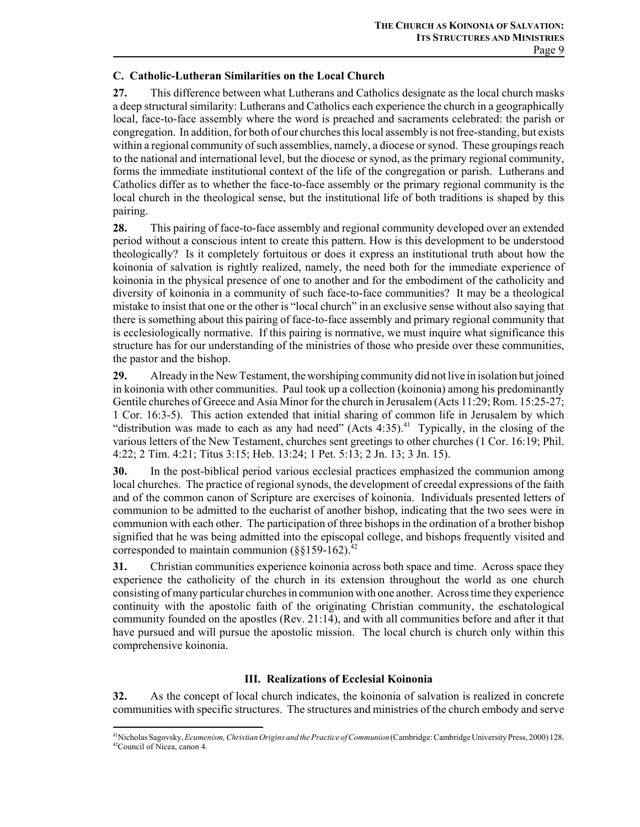# **C. Catholic-Lutheran Similarities on the Local Church**

**27.** This difference between what Lutherans and Catholics designate as the local church masks a deep structural similarity: Lutherans and Catholics each experience the church in a geographically local, face-to-face assembly where the word is preached and sacraments celebrated: the parish or congregation. In addition, for both of our churches this local assembly is not free-standing, but exists within a regional community of such assemblies, namely, a diocese or synod. These groupings reach to the national and international level, but the diocese or synod, as the primary regional community, forms the immediate institutional context of the life of the congregation or parish. Lutherans and Catholics differ as to whether the face-to-face assembly or the primary regional community is the local church in the theological sense, but the institutional life of both traditions is shaped by this pairing.

**28.** This pairing of face-to-face assembly and regional community developed over an extended period without a conscious intent to create this pattern. How is this development to be understood theologically? Is it completely fortuitous or does it express an institutional truth about how the koinonia of salvation is rightly realized, namely, the need both for the immediate experience of koinonia in the physical presence of one to another and for the embodiment of the catholicity and diversity of koinonia in a community of such face-to-face communities? It may be a theological mistake to insist that one or the other is "local church" in an exclusive sense without also saying that there is something about this pairing of face-to-face assembly and primary regional community that is ecclesiologically normative. If this pairing is normative, we must inquire what significance this structure has for our understanding of the ministries of those who preside over these communities, the pastor and the bishop.

**29.** Already in the New Testament, the worshiping community did not live in isolation but joined in koinonia with other communities. Paul took up a collection (koinonia) among his predominantly Gentile churches of Greece and Asia Minor for the church in Jerusalem (Acts 11:29; Rom. 15:25-27; 1 Cor. 16:3-5). This action extended that initial sharing of common life in Jerusalem by which "distribution was made to each as any had need" (Acts  $4:35$ ).<sup>41</sup> Typically, in the closing of the various letters of the New Testament, churches sent greetings to other churches (1 Cor. 16:19; Phil. 4:22; 2 Tim. 4:21; Titus 3:15; Heb. 13:24; 1 Pet. 5:13; 2 Jn. 13; 3 Jn. 15).

**30.** In the post-biblical period various ecclesial practices emphasized the communion among local churches. The practice of regional synods, the development of creedal expressions of the faith and of the common canon of Scripture are exercises of koinonia. Individuals presented letters of communion to be admitted to the eucharist of another bishop, indicating that the two sees were in communion with each other. The participation of three bishops in the ordination of a brother bishop signified that he was being admitted into the episcopal college, and bishops frequently visited and corresponded to maintain communion  $(\frac{8}{8}159 - 162)^{42}$ .

**31.** Christian communities experience koinonia across both space and time. Across space they experience the catholicity of the church in its extension throughout the world as one church consisting of many particular churches in communion with one another. Across time they experience continuity with the apostolic faith of the originating Christian community, the eschatological community founded on the apostles (Rev. 21:14), and with all communities before and after it that have pursued and will pursue the apostolic mission. The local church is church only within this comprehensive koinonia.

# **III. Realizations of Ecclesial Koinonia**

**32.** As the concept of local church indicates, the koinonia of salvation is realized in concrete communities with specific structures. The structures and ministries of the church embody and serve

<sup>41</sup>Nicholas Sagovsky, *Ecumenism, Christian Origins and the Practice of Communion* (Cambridge: Cambridge University Press, 2000) 128. 42Council of Nicea, canon 4.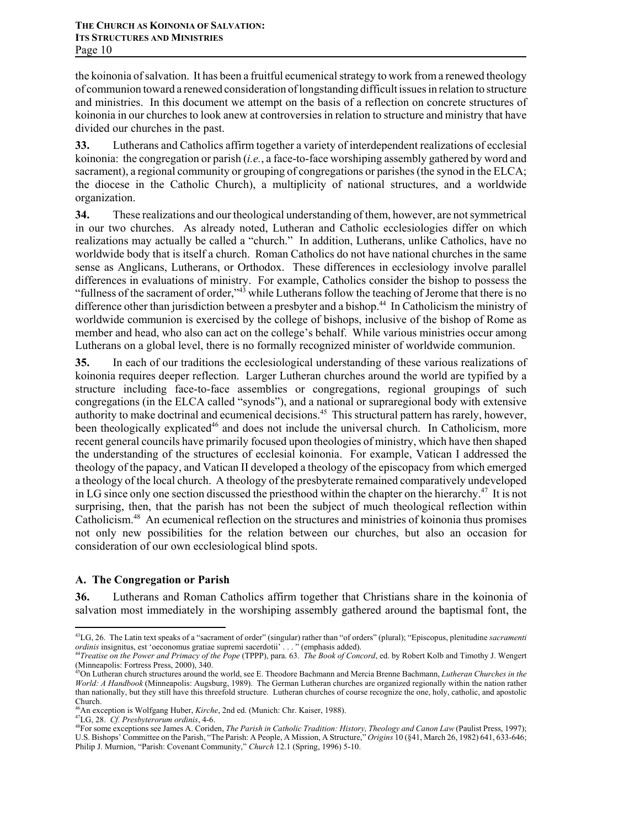the koinonia of salvation. It has been a fruitful ecumenical strategy to work from a renewed theology of communion toward a renewed consideration of longstanding difficult issues in relation to structure and ministries. In this document we attempt on the basis of a reflection on concrete structures of koinonia in our churches to look anew at controversies in relation to structure and ministry that have divided our churches in the past.

**33.** Lutherans and Catholics affirm together a variety of interdependent realizations of ecclesial koinonia: the congregation or parish (*i.e.*, a face-to-face worshiping assembly gathered by word and sacrament), a regional community or grouping of congregations or parishes (the synod in the ELCA; the diocese in the Catholic Church), a multiplicity of national structures, and a worldwide organization.

**34.** These realizations and our theological understanding of them, however, are not symmetrical in our two churches. As already noted, Lutheran and Catholic ecclesiologies differ on which realizations may actually be called a "church." In addition, Lutherans, unlike Catholics, have no worldwide body that is itself a church. Roman Catholics do not have national churches in the same sense as Anglicans, Lutherans, or Orthodox. These differences in ecclesiology involve parallel differences in evaluations of ministry. For example, Catholics consider the bishop to possess the "fullness of the sacrament of order,"<sup>43</sup> while Lutherans follow the teaching of Jerome that there is no difference other than jurisdiction between a presbyter and a bishop.<sup>44</sup> In Catholicism the ministry of worldwide communion is exercised by the college of bishops, inclusive of the bishop of Rome as member and head, who also can act on the college's behalf. While various ministries occur among Lutherans on a global level, there is no formally recognized minister of worldwide communion.

**35.** In each of our traditions the ecclesiological understanding of these various realizations of koinonia requires deeper reflection. Larger Lutheran churches around the world are typified by a structure including face-to-face assemblies or congregations, regional groupings of such congregations (in the ELCA called "synods"), and a national or supraregional body with extensive authority to make doctrinal and ecumenical decisions.<sup>45</sup> This structural pattern has rarely, however, been theologically explicated<sup>46</sup> and does not include the universal church. In Catholicism, more recent general councils have primarily focused upon theologies of ministry, which have then shaped the understanding of the structures of ecclesial koinonia. For example, Vatican I addressed the theology of the papacy, and Vatican II developed a theology of the episcopacy from which emerged a theology of the local church. A theology of the presbyterate remained comparatively undeveloped in LG since only one section discussed the priesthood within the chapter on the hierarchy.<sup>47</sup> It is not surprising, then, that the parish has not been the subject of much theological reflection within Catholicism.48 An ecumenical reflection on the structures and ministries of koinonia thus promises not only new possibilities for the relation between our churches, but also an occasion for consideration of our own ecclesiological blind spots.

### **A. The Congregation or Parish**

**36.** Lutherans and Roman Catholics affirm together that Christians share in the koinonia of salvation most immediately in the worshiping assembly gathered around the baptismal font, the

<sup>43</sup>LG, 26. The Latin text speaks of a "sacrament of order" (singular) rather than "of orders" (plural); "Episcopus, plenitudine *sacramenti ordinis* insignitus, est 'oeconomus gratiae supremi sacerdotii' . . . " (emphasis added).

<sup>44</sup>*Treatise on the Power and Primacy of the Pope* (TPPP), para. 63. *The Book of Concord*, ed. by Robert Kolb and Timothy J. Wengert (Minneapolis: Fortress Press, 2000), 340.

<sup>45</sup>On Lutheran church structures around the world, see E. Theodore Bachmann and Mercia Brenne Bachmann, *Lutheran Churches in the World: A Handbook* (Minneapolis: Augsburg, 1989). The German Lutheran churches are organized regionally within the nation rather than nationally, but they still have this threefold structure. Lutheran churches of course recognize the one, holy, catholic, and apostolic Church.

<sup>46</sup>An exception is Wolfgang Huber, *Kirche*, 2nd ed. (Munich: Chr. Kaiser, 1988).

<sup>47</sup>LG, 28. *Cf. Presbyterorum ordinis*, 4-6.

<sup>48</sup>For some exceptions see James A. Coriden, *The Parish in Catholic Tradition: History, Theology and Canon Law* (Paulist Press, 1997); U.S. Bishops' Committee on the Parish, "The Parish: A People, A Mission, A Structure," *Origins* 10 (§41, March 26, 1982) 641, 633-646; Philip J. Murnion, "Parish: Covenant Community," *Church* 12.1 (Spring, 1996) 5-10.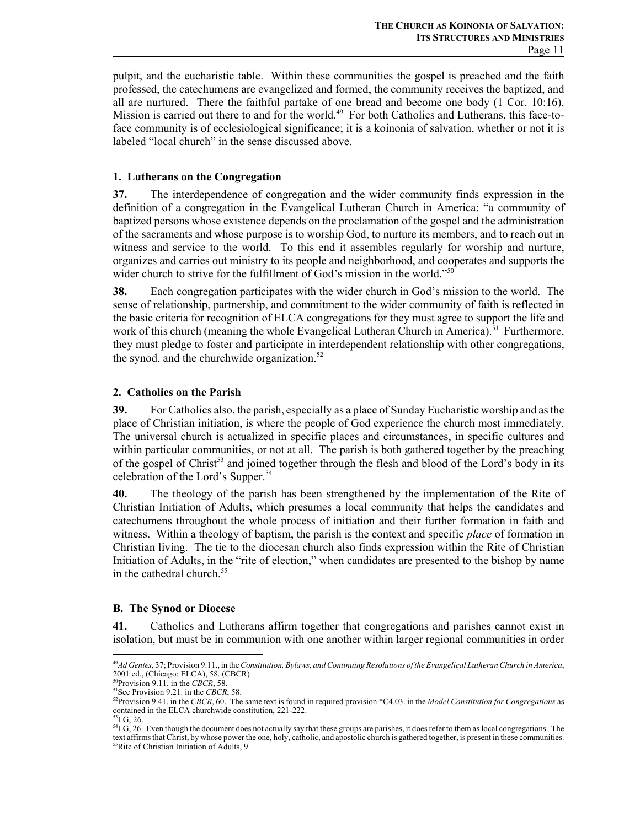pulpit, and the eucharistic table. Within these communities the gospel is preached and the faith professed, the catechumens are evangelized and formed, the community receives the baptized, and all are nurtured. There the faithful partake of one bread and become one body (1 Cor. 10:16). Mission is carried out there to and for the world.<sup>49</sup> For both Catholics and Lutherans, this face-toface community is of ecclesiological significance; it is a koinonia of salvation, whether or not it is labeled "local church" in the sense discussed above.

# **1. Lutherans on the Congregation**

**37.** The interdependence of congregation and the wider community finds expression in the definition of a congregation in the Evangelical Lutheran Church in America: "a community of baptized persons whose existence depends on the proclamation of the gospel and the administration of the sacraments and whose purpose is to worship God, to nurture its members, and to reach out in witness and service to the world. To this end it assembles regularly for worship and nurture, organizes and carries out ministry to its people and neighborhood, and cooperates and supports the wider church to strive for the fulfillment of God's mission in the world."<sup>50</sup>

**38.** Each congregation participates with the wider church in God's mission to the world. The sense of relationship, partnership, and commitment to the wider community of faith is reflected in the basic criteria for recognition of ELCA congregations for they must agree to support the life and work of this church (meaning the whole Evangelical Lutheran Church in America).<sup>51</sup> Furthermore, they must pledge to foster and participate in interdependent relationship with other congregations, the synod, and the churchwide organization. $52$ 

# **2. Catholics on the Parish**

**39.** For Catholics also, the parish, especially as a place of Sunday Eucharistic worship and as the place of Christian initiation, is where the people of God experience the church most immediately. The universal church is actualized in specific places and circumstances, in specific cultures and within particular communities, or not at all. The parish is both gathered together by the preaching of the gospel of Christ<sup>53</sup> and joined together through the flesh and blood of the Lord's body in its celebration of the Lord's Supper.<sup>54</sup>

**40.** The theology of the parish has been strengthened by the implementation of the Rite of Christian Initiation of Adults, which presumes a local community that helps the candidates and catechumens throughout the whole process of initiation and their further formation in faith and witness. Within a theology of baptism, the parish is the context and specific *place* of formation in Christian living. The tie to the diocesan church also finds expression within the Rite of Christian Initiation of Adults, in the "rite of election," when candidates are presented to the bishop by name in the cathedral church.<sup>55</sup>

# **B. The Synod or Diocese**

**41.** Catholics and Lutherans affirm together that congregations and parishes cannot exist in isolation, but must be in communion with one another within larger regional communities in order

<sup>49</sup>*Ad Gentes*, 37; Provision 9.11., in the *Constitution, Bylaws, and Continuing Resolutions of the Evangelical Lutheran Church in America*, 2001 ed., (Chicago: ELCA), 58. (CBCR)

<sup>50</sup>Provision 9.11. in the *CBCR*, 58.

<sup>51</sup>See Provision 9.21. in the *CBCR*, 58.

<sup>52</sup>Provision 9.41. in the *CBCR*, 60. The same text is found in required provision \*C4.03. in the *Model Constitution for Congregations* as contained in the ELCA churchwide constitution, 221-222.

 ${}^{53}LG$ , 26.

 $<sup>54</sup>LG$ , 26. Even though the document does not actually say that these groups are parishes, it does refer to them as local congregations. The</sup> text affirms that Christ, by whose power the one, holy, catholic, and apostolic church is gathered together, is present in these communities. 55Rite of Christian Initiation of Adults, 9.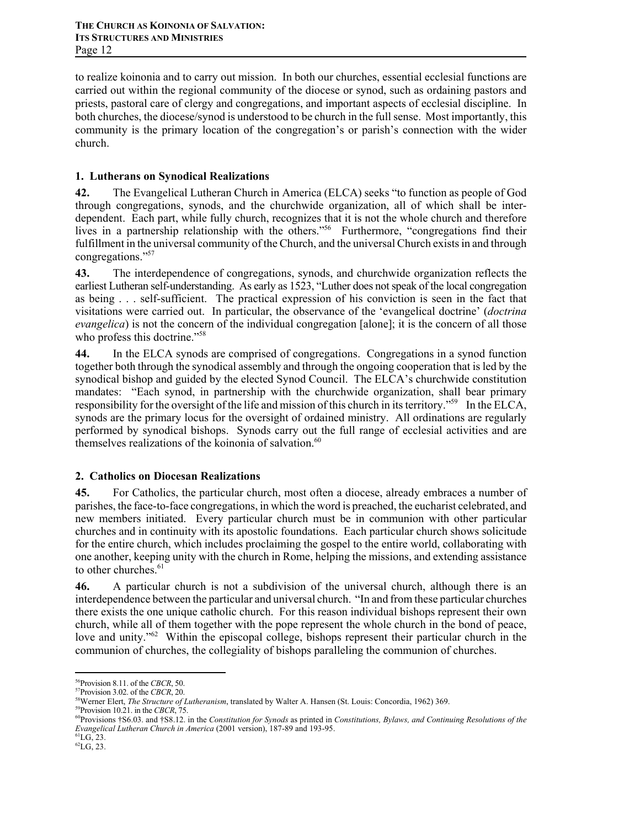to realize koinonia and to carry out mission. In both our churches, essential ecclesial functions are carried out within the regional community of the diocese or synod, such as ordaining pastors and priests, pastoral care of clergy and congregations, and important aspects of ecclesial discipline. In both churches, the diocese/synod is understood to be church in the full sense. Most importantly, this community is the primary location of the congregation's or parish's connection with the wider church.

# **1. Lutherans on Synodical Realizations**

**42.** The Evangelical Lutheran Church in America (ELCA) seeks "to function as people of God through congregations, synods, and the churchwide organization, all of which shall be interdependent. Each part, while fully church, recognizes that it is not the whole church and therefore lives in a partnership relationship with the others."56 Furthermore, "congregations find their fulfillment in the universal community of the Church, and the universal Church exists in and through congregations."57

**43.** The interdependence of congregations, synods, and churchwide organization reflects the earliest Lutheran self-understanding. As early as 1523, "Luther does not speak of the local congregation as being . . . self-sufficient. The practical expression of his conviction is seen in the fact that visitations were carried out. In particular, the observance of the 'evangelical doctrine' (*doctrina evangelica*) is not the concern of the individual congregation [alone]; it is the concern of all those who profess this doctrine."<sup>58</sup>

**44.** In the ELCA synods are comprised of congregations. Congregations in a synod function together both through the synodical assembly and through the ongoing cooperation that is led by the synodical bishop and guided by the elected Synod Council. The ELCA's churchwide constitution mandates: "Each synod, in partnership with the churchwide organization, shall bear primary responsibility for the oversight of the life and mission of this church in its territory."<sup>59</sup> In the ELCA, synods are the primary locus for the oversight of ordained ministry. All ordinations are regularly performed by synodical bishops. Synods carry out the full range of ecclesial activities and are themselves realizations of the koinonia of salvation.<sup>60</sup>

# **2. Catholics on Diocesan Realizations**

**45.** For Catholics, the particular church, most often a diocese, already embraces a number of parishes, the face-to-face congregations, in which the word is preached, the eucharist celebrated, and new members initiated. Every particular church must be in communion with other particular churches and in continuity with its apostolic foundations. Each particular church shows solicitude for the entire church, which includes proclaiming the gospel to the entire world, collaborating with one another, keeping unity with the church in Rome, helping the missions, and extending assistance to other churches.<sup>61</sup>

**46.** A particular church is not a subdivision of the universal church, although there is an interdependence between the particular and universal church. "In and from these particular churches there exists the one unique catholic church. For this reason individual bishops represent their own church, while all of them together with the pope represent the whole church in the bond of peace, love and unity."<sup>62</sup> Within the episcopal college, bishops represent their particular church in the communion of churches, the collegiality of bishops paralleling the communion of churches.

<sup>56</sup>Provision 8.11. of the *CBCR*, 50.

<sup>57</sup>Provision 3.02. of the *CBCR*, 20.

<sup>58</sup>Werner Elert, *The Structure of Lutheranism*, translated by Walter A. Hansen (St. Louis: Concordia, 1962) 369.

<sup>59</sup>Provision 10.21. in the *CBCR*, 75.

<sup>60</sup>Provisions †S6.03. and †S8.12. in the *Constitution for Synods* as printed in *Constitutions, Bylaws, and Continuing Resolutions of the Evangelical Lutheran Church in America* (2001 version), 187-89 and 193-95.

 ${}^{61}LG$ , 23.

 ${}^{62}LG$ , 23.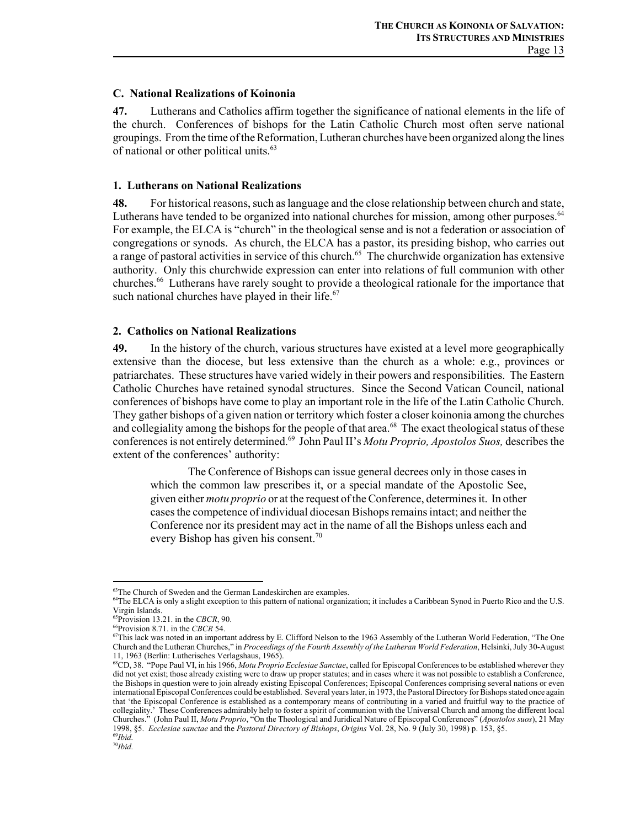#### **C. National Realizations of Koinonia**

**47.** Lutherans and Catholics affirm together the significance of national elements in the life of the church. Conferences of bishops for the Latin Catholic Church most often serve national groupings. From the time of the Reformation, Lutheran churches have been organized along the lines of national or other political units.<sup>63</sup>

## **1. Lutherans on National Realizations**

**48.** For historical reasons, such as language and the close relationship between church and state, Lutherans have tended to be organized into national churches for mission, among other purposes.<sup>64</sup> For example, the ELCA is "church" in the theological sense and is not a federation or association of congregations or synods. As church, the ELCA has a pastor, its presiding bishop, who carries out a range of pastoral activities in service of this church.<sup>65</sup> The churchwide organization has extensive authority. Only this churchwide expression can enter into relations of full communion with other churches.66 Lutherans have rarely sought to provide a theological rationale for the importance that such national churches have played in their life.<sup>67</sup>

# **2. Catholics on National Realizations**

**49.** In the history of the church, various structures have existed at a level more geographically extensive than the diocese, but less extensive than the church as a whole: e.g., provinces or patriarchates. These structures have varied widely in their powers and responsibilities. The Eastern Catholic Churches have retained synodal structures. Since the Second Vatican Council, national conferences of bishops have come to play an important role in the life of the Latin Catholic Church. They gather bishops of a given nation or territory which foster a closer koinonia among the churches and collegiality among the bishops for the people of that area.<sup>68</sup> The exact theological status of these conferences is not entirely determined.69 John Paul II's *Motu Proprio, Apostolos Suos,* describes the extent of the conferences' authority:

The Conference of Bishops can issue general decrees only in those cases in which the common law prescribes it, or a special mandate of the Apostolic See, given either *motu proprio* or at the request of the Conference, determines it. In other cases the competence of individual diocesan Bishops remains intact; and neither the Conference nor its president may act in the name of all the Bishops unless each and every Bishop has given his consent.<sup>70</sup>

<sup>63</sup>The Church of Sweden and the German Landeskirchen are examples.

<sup>&</sup>lt;sup>64</sup>The ELCA is only a slight exception to this pattern of national organization; it includes a Caribbean Synod in Puerto Rico and the U.S. Virgin Islands.

<sup>65</sup>Provision 13.21. in the *CBCR*, 90.

<sup>66</sup>Provision 8.71. in the *CBCR* 54.

<sup>&</sup>lt;sup>67</sup>This lack was noted in an important address by E. Clifford Nelson to the 1963 Assembly of the Lutheran World Federation, "The One Church and the Lutheran Churches," in *Proceedings of the Fourth Assembly of the Lutheran World Federation*, Helsinki, July 30-August 11, 1963 (Berlin: Lutherisches Verlagshaus, 1965).

<sup>68</sup>CD, 38. "Pope Paul VI, in his 1966, *Motu Proprio Ecclesiae Sanctae*, called for Episcopal Conferences to be established wherever they did not yet exist; those already existing were to draw up proper statutes; and in cases where it was not possible to establish a Conference, the Bishops in question were to join already existing Episcopal Conferences; Episcopal Conferences comprising several nations or even international Episcopal Conferences could be established. Several years later, in 1973, the Pastoral Directory for Bishops stated once again that 'the Episcopal Conference is established as a contemporary means of contributing in a varied and fruitful way to the practice of collegiality.' These Conferences admirably help to foster a spirit of communion with the Universal Church and among the different local Churches." (John Paul II, *Motu Proprio*, "On the Theological and Juridical Nature of Episcopal Conferences" (*Apostolos suos*), 21 May 1998, §5. *Ecclesiae sanctae* and the *Pastoral Directory of Bishops*, *Origins* Vol. 28, No. 9 (July 30, 1998) p. 153, §5. <sup>69</sup>*Ibid.*

<sup>70</sup>*Ibid.*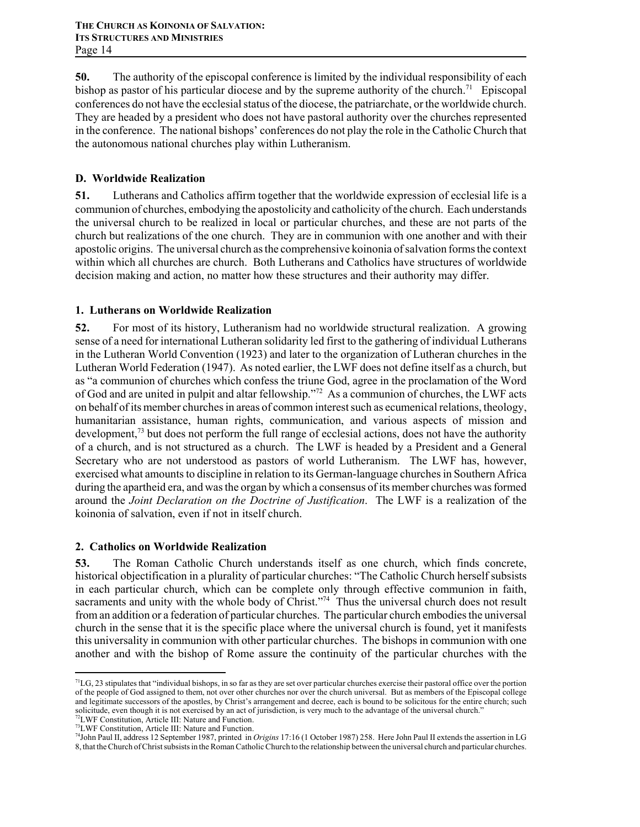**50.** The authority of the episcopal conference is limited by the individual responsibility of each bishop as pastor of his particular diocese and by the supreme authority of the church.<sup>71</sup> Episcopal conferences do not have the ecclesial status of the diocese, the patriarchate, or the worldwide church. They are headed by a president who does not have pastoral authority over the churches represented in the conference. The national bishops' conferences do not play the role in the Catholic Church that the autonomous national churches play within Lutheranism.

# **D. Worldwide Realization**

**51.** Lutherans and Catholics affirm together that the worldwide expression of ecclesial life is a communion of churches, embodying the apostolicity and catholicity of the church. Each understands the universal church to be realized in local or particular churches, and these are not parts of the church but realizations of the one church. They are in communion with one another and with their apostolic origins. The universal church as the comprehensive koinonia of salvation forms the context within which all churches are church. Both Lutherans and Catholics have structures of worldwide decision making and action, no matter how these structures and their authority may differ.

## **1. Lutherans on Worldwide Realization**

**52.** For most of its history, Lutheranism had no worldwide structural realization. A growing sense of a need for international Lutheran solidarity led first to the gathering of individual Lutherans in the Lutheran World Convention (1923) and later to the organization of Lutheran churches in the Lutheran World Federation (1947). As noted earlier, the LWF does not define itself as a church, but as "a communion of churches which confess the triune God, agree in the proclamation of the Word of God and are united in pulpit and altar fellowship."72 As a communion of churches, the LWF acts on behalf of its member churches in areas of common interest such as ecumenical relations, theology, humanitarian assistance, human rights, communication, and various aspects of mission and development, $^{73}$  but does not perform the full range of ecclesial actions, does not have the authority of a church, and is not structured as a church. The LWF is headed by a President and a General Secretary who are not understood as pastors of world Lutheranism. The LWF has, however, exercised what amounts to discipline in relation to its German-language churches in Southern Africa during the apartheid era, and was the organ by which a consensus of its member churches was formed around the *Joint Declaration on the Doctrine of Justification*. The LWF is a realization of the koinonia of salvation, even if not in itself church.

#### **2. Catholics on Worldwide Realization**

**53.** The Roman Catholic Church understands itself as one church, which finds concrete, historical objectification in a plurality of particular churches: "The Catholic Church herself subsists in each particular church, which can be complete only through effective communion in faith, sacraments and unity with the whole body of Christ."<sup>74</sup> Thus the universal church does not result from an addition or a federation of particular churches. The particular church embodies the universal church in the sense that it is the specific place where the universal church is found, yet it manifests this universality in communion with other particular churches. The bishops in communion with one another and with the bishop of Rome assure the continuity of the particular churches with the

 $<sup>71</sup>LG$ , 23 stipulates that "individual bishops, in so far as they are set over particular churches exercise their pastoral office over the portion</sup> of the people of God assigned to them, not over other churches nor over the church universal. But as members of the Episcopal college and legitimate successors of the apostles, by Christ's arrangement and decree, each is bound to be solicitous for the entire church; such solicitude, even though it is not exercised by an act of jurisdiction, is very much to the advantage of the universal church."

<sup>72</sup>LWF Constitution, Article III: Nature and Function.

<sup>73</sup>LWF Constitution, Article III: Nature and Function.

<sup>74</sup>John Paul II, address 12 September 1987, printed in *Origins* 17:16 (1 October 1987) 258. Here John Paul II extends the assertion in LG 8, that the Church of Christ subsists in the Roman Catholic Church to the relationship between the universal church and particular churches.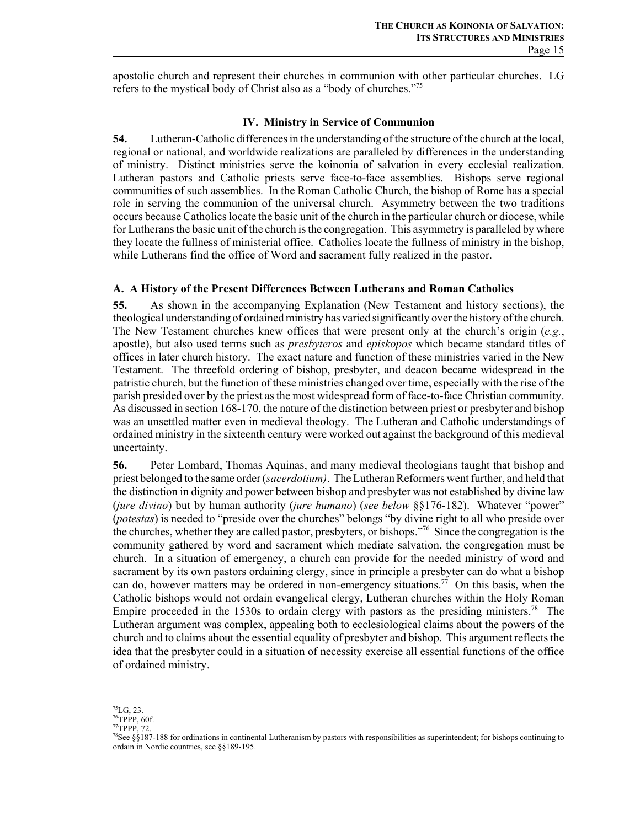apostolic church and represent their churches in communion with other particular churches. LG refers to the mystical body of Christ also as a "body of churches."75

#### **IV. Ministry in Service of Communion**

**54.** Lutheran-Catholic differences in the understanding of the structure of the church at the local, regional or national, and worldwide realizations are paralleled by differences in the understanding of ministry. Distinct ministries serve the koinonia of salvation in every ecclesial realization. Lutheran pastors and Catholic priests serve face-to-face assemblies. Bishops serve regional communities of such assemblies. In the Roman Catholic Church, the bishop of Rome has a special role in serving the communion of the universal church. Asymmetry between the two traditions occurs because Catholics locate the basic unit of the church in the particular church or diocese, while for Lutherans the basic unit of the church is the congregation. This asymmetry is paralleled by where they locate the fullness of ministerial office. Catholics locate the fullness of ministry in the bishop, while Lutherans find the office of Word and sacrament fully realized in the pastor.

#### **A. A History of the Present Differences Between Lutherans and Roman Catholics**

**55.** As shown in the accompanying Explanation (New Testament and history sections), the theological understanding of ordained ministry has varied significantly over the history of the church. The New Testament churches knew offices that were present only at the church's origin (*e.g.*, apostle), but also used terms such as *presbyteros* and *episkopos* which became standard titles of offices in later church history. The exact nature and function of these ministries varied in the New Testament. The threefold ordering of bishop, presbyter, and deacon became widespread in the patristic church, but the function of these ministries changed over time, especially with the rise of the parish presided over by the priest as the most widespread form of face-to-face Christian community. As discussed in section 168-170, the nature of the distinction between priest or presbyter and bishop was an unsettled matter even in medieval theology. The Lutheran and Catholic understandings of ordained ministry in the sixteenth century were worked out against the background of this medieval uncertainty.

**56.** Peter Lombard, Thomas Aquinas, and many medieval theologians taught that bishop and priest belonged to the same order (*sacerdotium)*. The Lutheran Reformers went further, and held that the distinction in dignity and power between bishop and presbyter was not established by divine law (*jure divino*) but by human authority (*jure humano*) (*see below* §§176-182). Whatever "power" (*potestas*) is needed to "preside over the churches" belongs "by divine right to all who preside over the churches, whether they are called pastor, presbyters, or bishops."76 Since the congregation is the community gathered by word and sacrament which mediate salvation, the congregation must be church. In a situation of emergency, a church can provide for the needed ministry of word and sacrament by its own pastors ordaining clergy, since in principle a presbyter can do what a bishop can do, however matters may be ordered in non-emergency situations.<sup>77</sup> On this basis, when the Catholic bishops would not ordain evangelical clergy, Lutheran churches within the Holy Roman Empire proceeded in the 1530s to ordain clergy with pastors as the presiding ministers.<sup>78</sup> The Lutheran argument was complex, appealing both to ecclesiological claims about the powers of the church and to claims about the essential equality of presbyter and bishop. This argument reflects the idea that the presbyter could in a situation of necessity exercise all essential functions of the office of ordained ministry.

<sup>75</sup>LG, 23.

<sup>76</sup>TPPP, 60f.

 $77$ TPPP, 72.

<sup>&</sup>lt;sup>78</sup>See §§187-188 for ordinations in continental Lutheranism by pastors with responsibilities as superintendent; for bishops continuing to ordain in Nordic countries, see §§189-195.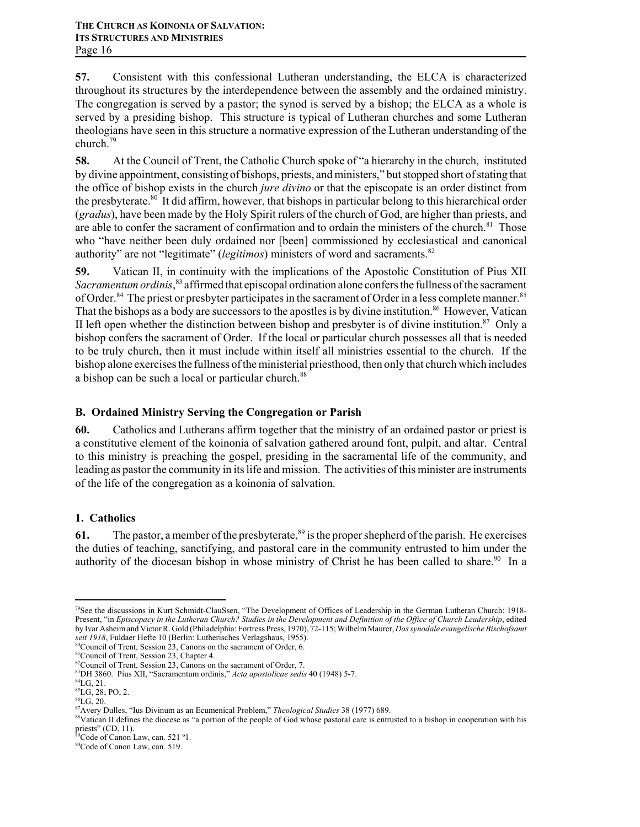**57.** Consistent with this confessional Lutheran understanding, the ELCA is characterized throughout its structures by the interdependence between the assembly and the ordained ministry. The congregation is served by a pastor; the synod is served by a bishop; the ELCA as a whole is served by a presiding bishop. This structure is typical of Lutheran churches and some Lutheran theologians have seen in this structure a normative expression of the Lutheran understanding of the church.79

**58.** At the Council of Trent, the Catholic Church spoke of "a hierarchy in the church, instituted by divine appointment, consisting of bishops, priests, and ministers," but stopped short of stating that the office of bishop exists in the church *jure divino* or that the episcopate is an order distinct from the presbyterate.<sup>80</sup> It did affirm, however, that bishops in particular belong to this hierarchical order (*gradus*), have been made by the Holy Spirit rulers of the church of God, are higher than priests, and are able to confer the sacrament of confirmation and to ordain the ministers of the church.<sup>81</sup> Those who "have neither been duly ordained nor [been] commissioned by ecclesiastical and canonical authority" are not "legitimate" (*legitimos*) ministers of word and sacraments.<sup>82</sup>

**59.** Vatican II, in continuity with the implications of the Apostolic Constitution of Pius XII Sacramentum ordinis,<sup>83</sup> affirmed that episcopal ordination alone confers the fullness of the sacrament of Order.<sup>84</sup> The priest or presbyter participates in the sacrament of Order in a less complete manner.<sup>85</sup> That the bishops as a body are successors to the apostles is by divine institution.<sup>86</sup> However, Vatican II left open whether the distinction between bishop and presbyter is of divine institution.<sup>87</sup> Only a bishop confers the sacrament of Order. If the local or particular church possesses all that is needed to be truly church, then it must include within itself all ministries essential to the church. If the bishop alone exercises the fullness of the ministerial priesthood, then only that church which includes a bishop can be such a local or particular church.<sup>88</sup>

# **B. Ordained Ministry Serving the Congregation or Parish**

**60.** Catholics and Lutherans affirm together that the ministry of an ordained pastor or priest is a constitutive element of the koinonia of salvation gathered around font, pulpit, and altar. Central to this ministry is preaching the gospel, presiding in the sacramental life of the community, and leading as pastor the community in its life and mission. The activities of this minister are instruments of the life of the congregation as a koinonia of salvation.

# **1. Catholics**

61. The pastor, a member of the presbyterate,<sup>89</sup> is the proper shepherd of the parish. He exercises the duties of teaching, sanctifying, and pastoral care in the community entrusted to him under the authority of the diocesan bishop in whose ministry of Christ he has been called to share.<sup>90</sup> In a

<sup>79</sup>See the discussions in Kurt Schmidt-ClauSsen, "The Development of Offices of Leadership in the German Lutheran Church: 1918- Present, "in *Episcopacy in the Lutheran Church? Studies in the Development and Definition of the Office of Church Leadership*, edited by Ivar Asheim and Victor R. Gold (Philadelphia: Fortress Press, 1970), 72-115; Wilhelm Maurer, *Das synodale evangelische Bischofsamt seit 1918*, Fuldaer Hefte 10 (Berlin: Lutherisches Verlagshaus, 1955).

<sup>80</sup>Council of Trent, Session 23, Canons on the sacrament of Order, 6.

<sup>81</sup>Council of Trent, Session 23, Chapter 4.

<sup>82</sup>Council of Trent, Session 23, Canons on the sacrament of Order, 7.

<sup>83</sup>DH 3860. Pius XII, "Sacramentum ordinis," *Acta apostolicae sedis* 40 (1948) 5-7.

<sup>84</sup>LG, 21.

 $85\overline{LG}$ , 28; PO, 2.

 $^{86}LG$ , 20.

<sup>87</sup>Avery Dulles, "Ius Divinum as an Ecumenical Problem," *Theological Studies* 38 (1977) 689.

<sup>88</sup>Vatican II defines the diocese as "a portion of the people of God whose pastoral care is entrusted to a bishop in cooperation with his priests" (CD, 11).

<sup>&</sup>lt;sup>89</sup>Code of Canon Law, can. 521 °1.

<sup>90</sup>Code of Canon Law, can. 519.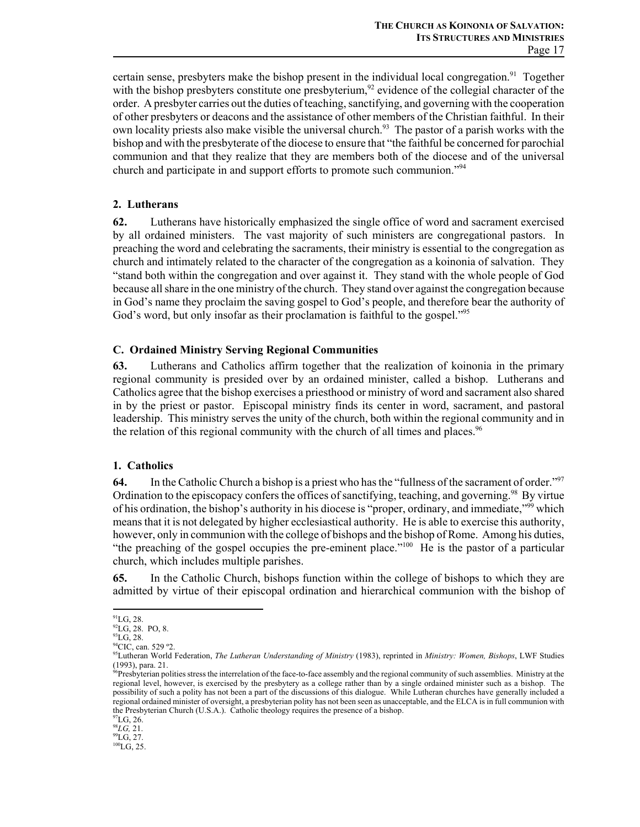certain sense, presbyters make the bishop present in the individual local congregation.<sup>91</sup> Together with the bishop presbyters constitute one presbyterium,<sup>92</sup> evidence of the collegial character of the order. A presbyter carries out the duties of teaching, sanctifying, and governing with the cooperation of other presbyters or deacons and the assistance of other members of the Christian faithful. In their own locality priests also make visible the universal church.<sup>93</sup> The pastor of a parish works with the bishop and with the presbyterate of the diocese to ensure that "the faithful be concerned for parochial communion and that they realize that they are members both of the diocese and of the universal church and participate in and support efforts to promote such communion."<sup>94</sup>

# **2. Lutherans**

**62.** Lutherans have historically emphasized the single office of word and sacrament exercised by all ordained ministers. The vast majority of such ministers are congregational pastors. In preaching the word and celebrating the sacraments, their ministry is essential to the congregation as church and intimately related to the character of the congregation as a koinonia of salvation. They "stand both within the congregation and over against it. They stand with the whole people of God because all share in the one ministry of the church. They stand over against the congregation because in God's name they proclaim the saving gospel to God's people, and therefore bear the authority of God's word, but only insofar as their proclamation is faithful to the gospel."<sup>95</sup>

## **C. Ordained Ministry Serving Regional Communities**

**63.** Lutherans and Catholics affirm together that the realization of koinonia in the primary regional community is presided over by an ordained minister, called a bishop. Lutherans and Catholics agree that the bishop exercises a priesthood or ministry of word and sacrament also shared in by the priest or pastor. Episcopal ministry finds its center in word, sacrament, and pastoral leadership. This ministry serves the unity of the church, both within the regional community and in the relation of this regional community with the church of all times and places.<sup>96</sup>

# **1. Catholics**

**64.** In the Catholic Church a bishop is a priest who has the "fullness of the sacrament of order."97 Ordination to the episcopacy confers the offices of sanctifying, teaching, and governing.<sup>98</sup> By virtue of his ordination, the bishop's authority in his diocese is "proper, ordinary, and immediate,"99 which means that it is not delegated by higher ecclesiastical authority. He is able to exercise this authority, however, only in communion with the college of bishops and the bishop of Rome. Among his duties, "the preaching of the gospel occupies the pre-eminent place."100 He is the pastor of a particular church, which includes multiple parishes.

**65.** In the Catholic Church, bishops function within the college of bishops to which they are admitted by virtue of their episcopal ordination and hierarchical communion with the bishop of

 $91 \text{LG}$ , 28.

 $^{92}LG$ , 28. PO, 8.

 ${}^{93}LG$ , 28.

<sup>&</sup>lt;sup>94</sup>CIC, can. 529 °2.

<sup>95</sup>Lutheran World Federation, *The Lutheran Understanding of Ministry* (1983), reprinted in *Ministry: Women, Bishops*, LWF Studies (1993), para. 21.

<sup>&</sup>lt;sup>96</sup>Presbyterian polities stress the interrelation of the face-to-face assembly and the regional community of such assemblies. Ministry at the regional level, however, is exercised by the presbytery as a college rather than by a single ordained minister such as a bishop. The possibility of such a polity has not been a part of the discussions of this dialogue. While Lutheran churches have generally included a regional ordained minister of oversight, a presbyterian polity has not been seen as unacceptable, and the ELCA is in full communion with the Presbyterian Church (U.S.A.). Catholic theology requires the presence of a bishop.

 ${}^{97}LG$ , 26.

<sup>98</sup>*LG,* 21.

 $^{99}LG$ , 27.  ${}^{100}\text{LG}$ , 25.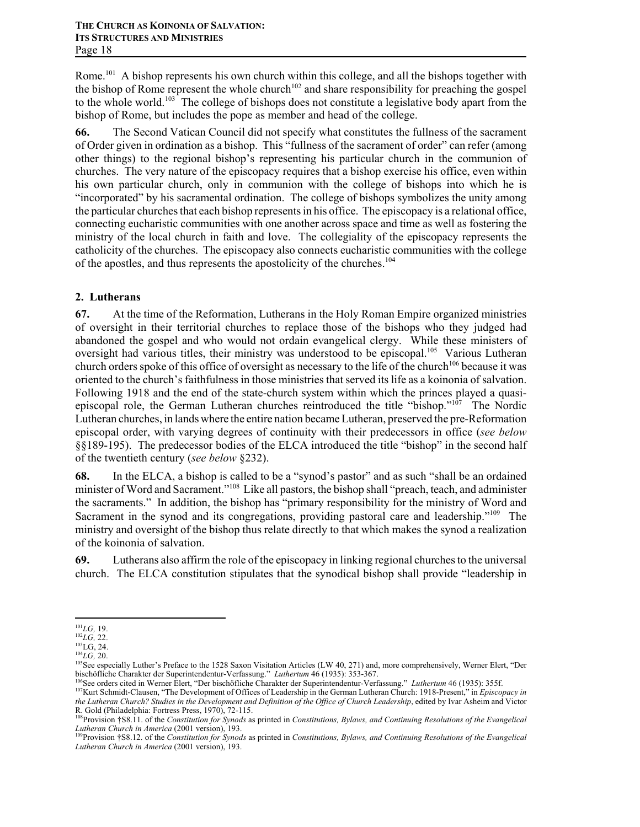Rome.<sup>101</sup> A bishop represents his own church within this college, and all the bishops together with the bishop of Rome represent the whole church<sup>102</sup> and share responsibility for preaching the gospel to the whole world.<sup>103</sup> The college of bishops does not constitute a legislative body apart from the bishop of Rome, but includes the pope as member and head of the college.

**66.** The Second Vatican Council did not specify what constitutes the fullness of the sacrament of Order given in ordination as a bishop. This "fullness of the sacrament of order" can refer (among other things) to the regional bishop's representing his particular church in the communion of churches. The very nature of the episcopacy requires that a bishop exercise his office, even within his own particular church, only in communion with the college of bishops into which he is "incorporated" by his sacramental ordination. The college of bishops symbolizes the unity among the particular churches that each bishop represents in his office. The episcopacy is a relational office, connecting eucharistic communities with one another across space and time as well as fostering the ministry of the local church in faith and love. The collegiality of the episcopacy represents the catholicity of the churches. The episcopacy also connects eucharistic communities with the college of the apostles, and thus represents the apostolicity of the churches.<sup>104</sup>

## **2. Lutherans**

**67.** At the time of the Reformation, Lutherans in the Holy Roman Empire organized ministries of oversight in their territorial churches to replace those of the bishops who they judged had abandoned the gospel and who would not ordain evangelical clergy. While these ministers of oversight had various titles, their ministry was understood to be episcopal.<sup>105</sup> Various Lutheran church orders spoke of this office of oversight as necessary to the life of the church<sup>106</sup> because it was oriented to the church's faithfulness in those ministries that served its life as a koinonia of salvation. Following 1918 and the end of the state-church system within which the princes played a quasiepiscopal role, the German Lutheran churches reintroduced the title "bishop."<sup>107</sup> The Nordic Lutheran churches, in lands where the entire nation became Lutheran, preserved the pre-Reformation episcopal order, with varying degrees of continuity with their predecessors in office (*see below* §§189-195). The predecessor bodies of the ELCA introduced the title "bishop" in the second half of the twentieth century (*see below* §232).

**68.** In the ELCA, a bishop is called to be a "synod's pastor" and as such "shall be an ordained minister of Word and Sacrament."108 Like all pastors, the bishop shall "preach, teach, and administer the sacraments." In addition, the bishop has "primary responsibility for the ministry of Word and Sacrament in the synod and its congregations, providing pastoral care and leadership."<sup>109</sup> The ministry and oversight of the bishop thus relate directly to that which makes the synod a realization of the koinonia of salvation.

**69.** Lutherans also affirm the role of the episcopacy in linking regional churches to the universal church. The ELCA constitution stipulates that the synodical bishop shall provide "leadership in

<sup>101</sup>*LG,* 19.

<sup>102</sup>*LG,* 22.

 $^{103}LG$ , 24.

<sup>104</sup>*LG,* 20.

<sup>&</sup>lt;sup>105</sup>See especially Luther's Preface to the 1528 Saxon Visitation Articles (LW 40, 271) and, more comprehensively, Werner Elert, "Der bischöfliche Charakter der Superintendentur-Verfassung." *Luthertum* 46 (1935): 353-367.

<sup>106</sup>See orders cited in Werner Elert, "Der bischöfliche Charakter der Superintendentur-Verfassung." *Luthertum* 46 (1935): 355f. 107Kurt Schmidt-Clausen, "The Development of Offices of Leadership in the German Lutheran Church: 1918-Present," in *Episcopacy in the Lutheran Church? Studies in the Development and Definition of the Office of Church Leadership*, edited by Ivar Asheim and Victor

R. Gold (Philadelphia: Fortress Press, 1970), 72-115. 108Provision †S8.11. of the *Constitution for Synods* as printed in *Constitutions, Bylaws, and Continuing Resolutions of the Evangelical*

*Lutheran Church in America* (2001 version), 193. 109Provision †S8.12. of the *Constitution for Synods* as printed in *Constitutions, Bylaws, and Continuing Resolutions of the Evangelical Lutheran Church in America* (2001 version), 193.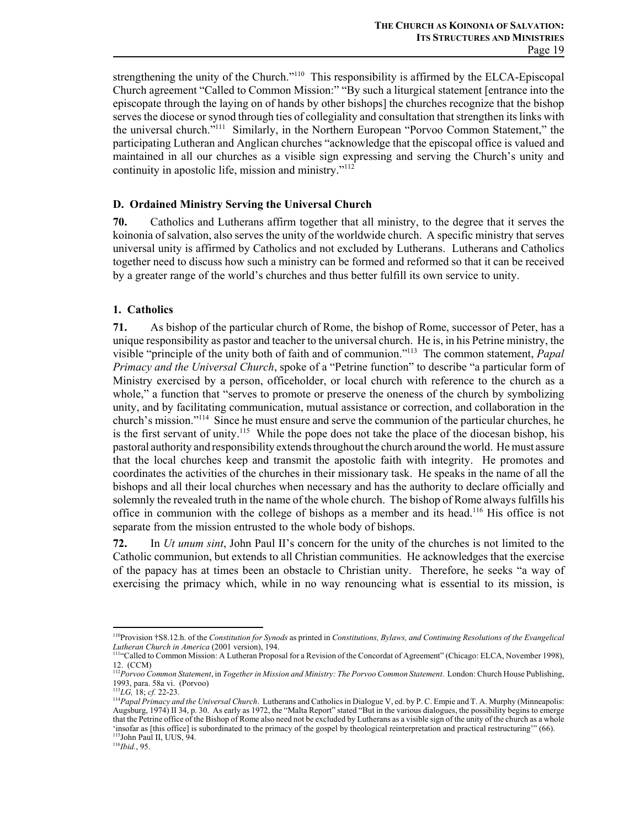strengthening the unity of the Church."<sup>110</sup> This responsibility is affirmed by the ELCA-Episcopal Church agreement "Called to Common Mission:" "By such a liturgical statement [entrance into the episcopate through the laying on of hands by other bishops] the churches recognize that the bishop serves the diocese or synod through ties of collegiality and consultation that strengthen its links with the universal church."111 Similarly, in the Northern European "Porvoo Common Statement," the participating Lutheran and Anglican churches "acknowledge that the episcopal office is valued and maintained in all our churches as a visible sign expressing and serving the Church's unity and continuity in apostolic life, mission and ministry."112

## **D. Ordained Ministry Serving the Universal Church**

**70.** Catholics and Lutherans affirm together that all ministry, to the degree that it serves the koinonia of salvation, also serves the unity of the worldwide church. A specific ministry that serves universal unity is affirmed by Catholics and not excluded by Lutherans. Lutherans and Catholics together need to discuss how such a ministry can be formed and reformed so that it can be received by a greater range of the world's churches and thus better fulfill its own service to unity.

## **1. Catholics**

**71.** As bishop of the particular church of Rome, the bishop of Rome, successor of Peter, has a unique responsibility as pastor and teacher to the universal church. He is, in his Petrine ministry, the visible "principle of the unity both of faith and of communion."113 The common statement, *Papal Primacy and the Universal Church*, spoke of a "Petrine function" to describe "a particular form of Ministry exercised by a person, officeholder, or local church with reference to the church as a whole," a function that "serves to promote or preserve the oneness of the church by symbolizing unity, and by facilitating communication, mutual assistance or correction, and collaboration in the church's mission."114 Since he must ensure and serve the communion of the particular churches, he is the first servant of unity.<sup>115</sup> While the pope does not take the place of the diocesan bishop, his pastoral authority and responsibility extends throughout the church around the world. He must assure that the local churches keep and transmit the apostolic faith with integrity. He promotes and coordinates the activities of the churches in their missionary task. He speaks in the name of all the bishops and all their local churches when necessary and has the authority to declare officially and solemnly the revealed truth in the name of the whole church. The bishop of Rome always fulfills his office in communion with the college of bishops as a member and its head.116 His office is not separate from the mission entrusted to the whole body of bishops.

**72.** In *Ut unum sint*, John Paul II's concern for the unity of the churches is not limited to the Catholic communion, but extends to all Christian communities. He acknowledges that the exercise of the papacy has at times been an obstacle to Christian unity. Therefore, he seeks "a way of exercising the primacy which, while in no way renouncing what is essential to its mission, is

<sup>110</sup>Provision †S8.12.h. of the *Constitution for Synods* as printed in *Constitutions, Bylaws, and Continuing Resolutions of the Evangelical Lutheran Church in America* (2001 version), 194.

<sup>&</sup>lt;sup>1114</sup>Called to Common Mission: A Lutheran Proposal for a Revision of the Concordat of Agreement" (Chicago: ELCA, November 1998), 12. (CCM)

<sup>112</sup>*Porvoo Common Statement*, in *Together in Mission and Ministry: The Porvoo Common Statement*. London: Church House Publishing, 1993, para. 58a vi. (Porvoo)

<sup>113</sup>*LG,* 18; *cf.* 22-23.

<sup>114</sup>*Papal Primacy and the Universal Church*. Lutherans and Catholics in Dialogue V, ed. by P. C. Empie and T. A. Murphy (Minneapolis: Augsburg, 1974) II 34, p. 30. As early as 1972, the "Malta Report" stated "But in the various dialogues, the possibility begins to emerge that the Petrine office of the Bishop of Rome also need not be excluded by Lutherans as a visible sign of the unity of the church as a whole 'insofar as [this office] is subordinated to the primacy of the gospel by theological reinterpretation and practical restructuring'" (66). 115John Paul II, UUS, 94.

<sup>116</sup>*Ibid.*, 95.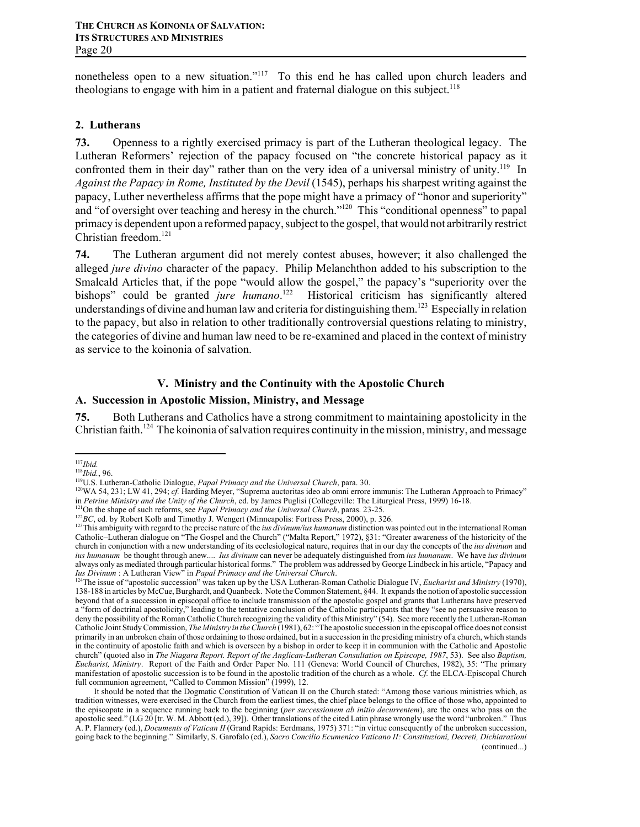nonetheless open to a new situation."<sup>117</sup> To this end he has called upon church leaders and theologians to engage with him in a patient and fraternal dialogue on this subject.<sup>118</sup>

#### **2. Lutherans**

**73.** Openness to a rightly exercised primacy is part of the Lutheran theological legacy. The Lutheran Reformers' rejection of the papacy focused on "the concrete historical papacy as it confronted them in their day" rather than on the very idea of a universal ministry of unity.<sup>119</sup> In *Against the Papacy in Rome, Instituted by the Devil* (1545), perhaps his sharpest writing against the papacy, Luther nevertheless affirms that the pope might have a primacy of "honor and superiority" and "of oversight over teaching and heresy in the church."<sup>120</sup> This "conditional openness" to papal primacy is dependent upon a reformed papacy, subject to the gospel, that would not arbitrarily restrict Christian freedom.<sup>121</sup>

**74.** The Lutheran argument did not merely contest abuses, however; it also challenged the alleged *jure divino* character of the papacy. Philip Melanchthon added to his subscription to the Smalcald Articles that, if the pope "would allow the gospel," the papacy's "superiority over the bishops" could be granted *jure humano*. 122 Historical criticism has significantly altered understandings of divine and human law and criteria for distinguishing them.<sup>123</sup> Especially in relation to the papacy, but also in relation to other traditionally controversial questions relating to ministry, the categories of divine and human law need to be re-examined and placed in the context of ministry as service to the koinonia of salvation.

#### **V. Ministry and the Continuity with the Apostolic Church**

#### **A. Succession in Apostolic Mission, Ministry, and Message**

**75.** Both Lutherans and Catholics have a strong commitment to maintaining apostolicity in the Christian faith.<sup>124</sup> The koinonia of salvation requires continuity in the mission, ministry, and message

<sup>117</sup>*Ibid.*

<sup>118</sup>*Ibid.*, 96.

<sup>119</sup>U.S. Lutheran-Catholic Dialogue, *Papal Primacy and the Universal Church*, para. 30.

<sup>&</sup>lt;sup>120</sup>WA 54, 231; LW 41, 294; *cf.* Harding Meyer, "Suprema auctoritas ideo ab omni errore immunis: The Lutheran Approach to Primacy" in *Petrine Ministry and the Unity of the Church*, ed. by James Puglisi (Collegeville: The Liturgical Press, 1999) 16-18.

<sup>121</sup>On the shape of such reforms, see *Papal Primacy and the Universal Church*, paras. 23-25.

<sup>&</sup>lt;sup>122</sup>BC, ed. by Robert Kolb and Timothy J. Wengert (Minneapolis: Fortress Press, 2000), p. 326.

<sup>&</sup>lt;sup>123</sup>This ambiguity with regard to the precise nature of the *ius divinum/ius humanum* distinction was pointed out in the international Roman Catholic–Lutheran dialogue on "The Gospel and the Church" ("Malta Report," 1972), §31: "Greater awareness of the historicity of the church in conjunction with a new understanding of its ecclesiological nature, requires that in our day the concepts of the *ius divinum* and *ius humanum* be thought through anew.... *Ius divinum* can never be adequately distinguished from *ius humanum*. We have *ius divinum* always only as mediated through particular historical forms." The problem was addressed by George Lindbeck in his article, "Papacy and *Ius Divinum* : A Lutheran View" in *Papal Primacy and the Universal Church*.

<sup>&</sup>lt;sup>124</sup>The issue of "apostolic succession" was taken up by the USA Lutheran-Roman Catholic Dialogue IV, *Eucharist and Ministry* (1970), 138-188 in articles by McCue, Burghardt, and Quanbeck. Note the Common Statement, §44. It expands the notion of apostolic succession beyond that of a succession in episcopal office to include transmission of the apostolic gospel and grants that Lutherans have preserved a "form of doctrinal apostolicity," leading to the tentative conclusion of the Catholic participants that they "see no persuasive reason to deny the possibility of the Roman Catholic Church recognizing the validity of this Ministry" (54). See more recently the Lutheran-Roman Catholic Joint Study Commission, *The Ministry in the Church* (1981), 62: "The apostolic succession in the episcopal office does not consist primarily in an unbroken chain of those ordaining to those ordained, but in a succession in the presiding ministry of a church, which stands in the continuity of apostolic faith and which is overseen by a bishop in order to keep it in communion with the Catholic and Apostolic church" (quoted also in *The Niagara Report. Report of the Anglican-Lutheran Consultation on Episcope, 1987*, 53). See also *Baptism, Eucharist, Ministry*. Report of the Faith and Order Paper No. 111 (Geneva: World Council of Churches, 1982), 35: "The primary manifestation of apostolic succession is to be found in the apostolic tradition of the church as a whole. *Cf.* the ELCA-Episcopal Church full communion agreement, "Called to Common Mission" (1999), 12.

It should be noted that the Dogmatic Constitution of Vatican II on the Church stated: "Among those various ministries which, as tradition witnesses, were exercised in the Church from the earliest times, the chief place belongs to the office of those who, appointed to the episcopate in a sequence running back to the beginning (*per successionem ab initio decurrentem*), are the ones who pass on the apostolic seed." (LG 20 [tr. W. M. Abbott (ed.), 39]). Other translations of the cited Latin phrase wrongly use the word "unbroken." Thus A. P. Flannery (ed.), *Documents of Vatican II* (Grand Rapids: Eerdmans, 1975) 371: "in virtue consequently of the unbroken succession, going back to the beginning." Similarly, S. Garofalo (ed.), *Sacro Concilio Ecumenico Vaticano II: Constituzioni, Decreti, Dichiarazioni* (continued...)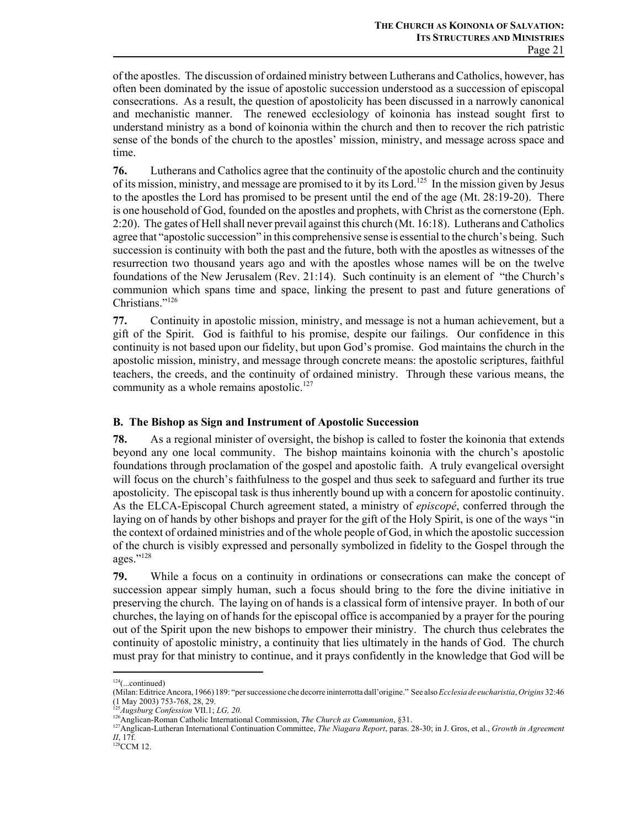of the apostles. The discussion of ordained ministry between Lutherans and Catholics, however, has often been dominated by the issue of apostolic succession understood as a succession of episcopal consecrations. As a result, the question of apostolicity has been discussed in a narrowly canonical and mechanistic manner. The renewed ecclesiology of koinonia has instead sought first to understand ministry as a bond of koinonia within the church and then to recover the rich patristic sense of the bonds of the church to the apostles' mission, ministry, and message across space and time.

**76.** Lutherans and Catholics agree that the continuity of the apostolic church and the continuity of its mission, ministry, and message are promised to it by its Lord.<sup>125</sup> In the mission given by Jesus to the apostles the Lord has promised to be present until the end of the age (Mt. 28:19-20). There is one household of God, founded on the apostles and prophets, with Christ as the cornerstone (Eph. 2:20). The gates of Hell shall never prevail against this church (Mt. 16:18). Lutherans and Catholics agree that "apostolic succession" in this comprehensive sense is essential to the church's being. Such succession is continuity with both the past and the future, both with the apostles as witnesses of the resurrection two thousand years ago and with the apostles whose names will be on the twelve foundations of the New Jerusalem (Rev. 21:14). Such continuity is an element of "the Church's communion which spans time and space, linking the present to past and future generations of Christians."126

**77.** Continuity in apostolic mission, ministry, and message is not a human achievement, but a gift of the Spirit. God is faithful to his promise, despite our failings. Our confidence in this continuity is not based upon our fidelity, but upon God's promise. God maintains the church in the apostolic mission, ministry, and message through concrete means: the apostolic scriptures, faithful teachers, the creeds, and the continuity of ordained ministry. Through these various means, the community as a whole remains apostolic.<sup>127</sup>

# **B. The Bishop as Sign and Instrument of Apostolic Succession**

**78.** As a regional minister of oversight, the bishop is called to foster the koinonia that extends beyond any one local community. The bishop maintains koinonia with the church's apostolic foundations through proclamation of the gospel and apostolic faith. A truly evangelical oversight will focus on the church's faithfulness to the gospel and thus seek to safeguard and further its true apostolicity. The episcopal task is thus inherently bound up with a concern for apostolic continuity. As the ELCA-Episcopal Church agreement stated, a ministry of *episcopé*, conferred through the laying on of hands by other bishops and prayer for the gift of the Holy Spirit, is one of the ways "in the context of ordained ministries and of the whole people of God, in which the apostolic succession of the church is visibly expressed and personally symbolized in fidelity to the Gospel through the ages."128

**79.** While a focus on a continuity in ordinations or consecrations can make the concept of succession appear simply human, such a focus should bring to the fore the divine initiative in preserving the church. The laying on of hands is a classical form of intensive prayer. In both of our churches, the laying on of hands for the episcopal office is accompanied by a prayer for the pouring out of the Spirit upon the new bishops to empower their ministry. The church thus celebrates the continuity of apostolic ministry, a continuity that lies ultimately in the hands of God. The church must pray for that ministry to continue, and it prays confidently in the knowledge that God will be

<sup>124(...</sup>continued)

<sup>(</sup>Milan: Editrice Ancora, 1966) 189: "per successione che decorre ininterrotta dall'origine." See also *Ecclesia de eucharistia*, *Origins* 32:46  $(1 \text{ May } 2003)$  753-768, 28, 29.

<sup>125</sup>*Augsburg Confession* VII.1; *LG, 20.*

<sup>126</sup>Anglican-Roman Catholic International Commission, *The Church as Communion*, §31.

<sup>127</sup>Anglican-Lutheran International Continuation Committee, *The Niagara Report*, paras. 28-30; in J. Gros, et al., *Growth in Agreement II*, 17f.

<sup>&</sup>lt;sup>128</sup>CCM 12.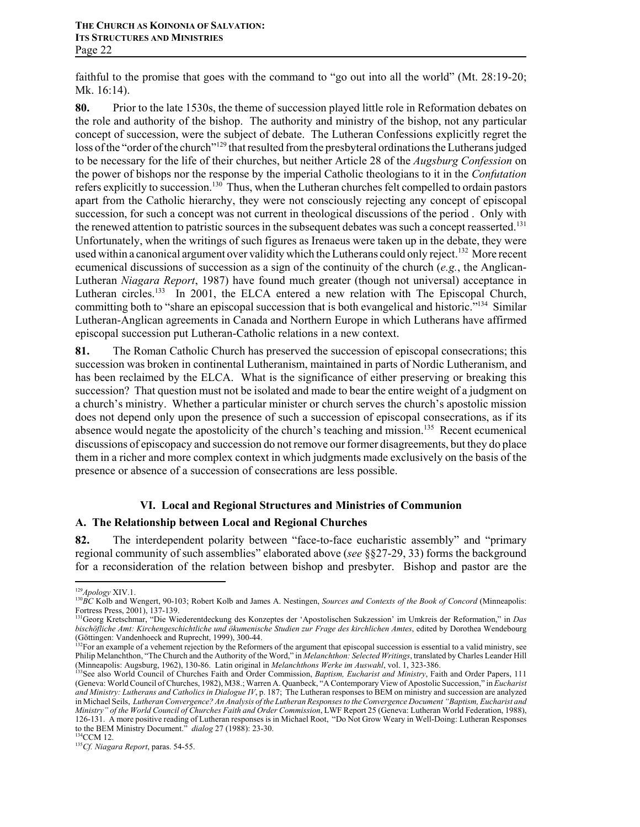faithful to the promise that goes with the command to "go out into all the world" (Mt. 28:19-20; Mk. 16:14).

**80.** Prior to the late 1530s, the theme of succession played little role in Reformation debates on the role and authority of the bishop. The authority and ministry of the bishop, not any particular concept of succession, were the subject of debate. The Lutheran Confessions explicitly regret the loss of the "order of the church"<sup>129</sup> that resulted from the presbyteral ordinations the Lutherans judged to be necessary for the life of their churches, but neither Article 28 of the *Augsburg Confession* on the power of bishops nor the response by the imperial Catholic theologians to it in the *Confutation* refers explicitly to succession.<sup>130</sup> Thus, when the Lutheran churches felt compelled to ordain pastors apart from the Catholic hierarchy, they were not consciously rejecting any concept of episcopal succession, for such a concept was not current in theological discussions of the period . Only with the renewed attention to patristic sources in the subsequent debates was such a concept reasserted.<sup>131</sup> Unfortunately, when the writings of such figures as Irenaeus were taken up in the debate, they were used within a canonical argument over validity which the Lutherans could only reject.<sup>132</sup> More recent ecumenical discussions of succession as a sign of the continuity of the church (*e.g.*, the Anglican-Lutheran *Niagara Report*, 1987) have found much greater (though not universal) acceptance in Lutheran circles.<sup>133</sup> In 2001, the ELCA entered a new relation with The Episcopal Church, committing both to "share an episcopal succession that is both evangelical and historic."134 Similar Lutheran-Anglican agreements in Canada and Northern Europe in which Lutherans have affirmed episcopal succession put Lutheran-Catholic relations in a new context.

**81.** The Roman Catholic Church has preserved the succession of episcopal consecrations; this succession was broken in continental Lutheranism, maintained in parts of Nordic Lutheranism, and has been reclaimed by the ELCA. What is the significance of either preserving or breaking this succession? That question must not be isolated and made to bear the entire weight of a judgment on a church's ministry. Whether a particular minister or church serves the church's apostolic mission does not depend only upon the presence of such a succession of episcopal consecrations, as if its absence would negate the apostolicity of the church's teaching and mission.<sup>135</sup> Recent ecumenical discussions of episcopacy and succession do not remove our former disagreements, but they do place them in a richer and more complex context in which judgments made exclusively on the basis of the presence or absence of a succession of consecrations are less possible.

# **VI. Local and Regional Structures and Ministries of Communion**

## **A. The Relationship between Local and Regional Churches**

**82.** The interdependent polarity between "face-to-face eucharistic assembly" and "primary regional community of such assemblies" elaborated above (*see* §§27-29, 33) forms the background for a reconsideration of the relation between bishop and presbyter. Bishop and pastor are the

<sup>129</sup>*Apology* XIV.1.

<sup>&</sup>lt;sup>130</sup>BC Kolb and Wengert, 90-103; Robert Kolb and James A. Nestingen, *Sources and Contexts of the Book of Concord* (Minneapolis: Fortress Press, 2001), 137-139.

<sup>131</sup>Georg Kretschmar, "Die Wiederentdeckung des Konzeptes der 'Apostolischen Sukzession' im Umkreis der Reformation," in *Das bischöfliche Amt: Kirchengeschichtliche und ökumenische Studien zur Frage des kirchlichen Amtes*, edited by Dorothea Wendebourg (Göttingen: Vandenhoeck and Ruprecht, 1999), 300-44.

 $132$  For an example of a vehement rejection by the Reformers of the argument that episcopal succession is essential to a valid ministry, see Philip Melanchthon, "The Church and the Authority of the Word," in *Melanchthon: Selected Writings*, translated by Charles Leander Hill (Minneapolis: Augsburg, 1962), 130-86. Latin original in *Melanchthons Werke im Auswahl*, vol. 1, 323-386.<br><sup>[335</sup>ee else Ward Cur

<sup>&</sup>lt;sup>3</sup>See also World Council of Churches Faith and Order Commission, *Baptism, Eucharist and Ministry*, Faith and Order Papers, 111 (Geneva: World Council of Churches, 1982), M38.; Warren A. Quanbeck, "A Contemporary View of Apostolic Succession," in *Eucharist and Ministry: Lutherans and Catholics in Dialogue IV*, p. 187; The Lutheran responses to BEM on ministry and succession are analyzed in Michael Seils, *Lutheran Convergence? An Analysis of the Lutheran Responses to the Convergence Document "Baptism, Eucharist and Ministry" of the World Council of Churches Faith and Order Commission*, LWF Report 25 (Geneva: Lutheran World Federation, 1988), 126-131. A more positive reading of Lutheran responses is in Michael Root, "Do Not Grow Weary in Well-Doing: Lutheran Responses to the BEM Ministry Document." *dialog* 27 (1988): 23-30. <sup>134</sup>CCM 12.

<sup>135</sup>*Cf. Niagara Report*, paras. 54-55.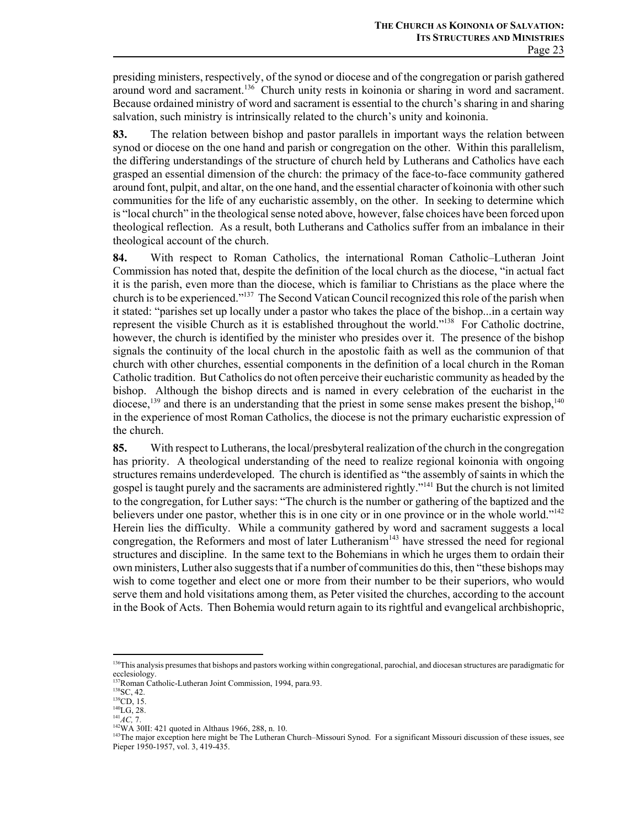presiding ministers, respectively, of the synod or diocese and of the congregation or parish gathered around word and sacrament.<sup>136</sup> Church unity rests in koinonia or sharing in word and sacrament. Because ordained ministry of word and sacrament is essential to the church's sharing in and sharing salvation, such ministry is intrinsically related to the church's unity and koinonia.

**83.** The relation between bishop and pastor parallels in important ways the relation between synod or diocese on the one hand and parish or congregation on the other. Within this parallelism, the differing understandings of the structure of church held by Lutherans and Catholics have each grasped an essential dimension of the church: the primacy of the face-to-face community gathered around font, pulpit, and altar, on the one hand, and the essential character of koinonia with other such communities for the life of any eucharistic assembly, on the other. In seeking to determine which is "local church" in the theological sense noted above, however, false choices have been forced upon theological reflection. As a result, both Lutherans and Catholics suffer from an imbalance in their theological account of the church.

**84.** With respect to Roman Catholics, the international Roman Catholic–Lutheran Joint Commission has noted that, despite the definition of the local church as the diocese, "in actual fact it is the parish, even more than the diocese, which is familiar to Christians as the place where the church is to be experienced."137 The Second Vatican Council recognized this role of the parish when it stated: "parishes set up locally under a pastor who takes the place of the bishop...in a certain way represent the visible Church as it is established throughout the world."138 For Catholic doctrine, however, the church is identified by the minister who presides over it. The presence of the bishop signals the continuity of the local church in the apostolic faith as well as the communion of that church with other churches, essential components in the definition of a local church in the Roman Catholic tradition. But Catholics do not often perceive their eucharistic community as headed by the bishop. Although the bishop directs and is named in every celebration of the eucharist in the diocese,  $^{139}$  and there is an understanding that the priest in some sense makes present the bishop,  $^{140}$ in the experience of most Roman Catholics, the diocese is not the primary eucharistic expression of the church.

**85.** With respect to Lutherans, the local/presbyteral realization of the church in the congregation has priority. A theological understanding of the need to realize regional koinonia with ongoing structures remains underdeveloped. The church is identified as "the assembly of saints in which the gospel is taught purely and the sacraments are administered rightly."<sup>141</sup> But the church is not limited to the congregation, for Luther says: "The church is the number or gathering of the baptized and the believers under one pastor, whether this is in one city or in one province or in the whole world."<sup>142</sup> Herein lies the difficulty. While a community gathered by word and sacrament suggests a local congregation, the Reformers and most of later Lutheranism<sup>143</sup> have stressed the need for regional structures and discipline. In the same text to the Bohemians in which he urges them to ordain their own ministers, Luther also suggests that if a number of communities do this, then "these bishops may wish to come together and elect one or more from their number to be their superiors, who would serve them and hold visitations among them, as Peter visited the churches, according to the account in the Book of Acts. Then Bohemia would return again to its rightful and evangelical archbishopric,

<sup>&</sup>lt;sup>136</sup>This analysis presumes that bishops and pastors working within congregational, parochial, and diocesan structures are paradigmatic for ecclesiology.

<sup>&</sup>lt;sup>137</sup>Roman Catholic-Lutheran Joint Commission, 1994, para.93.

<sup>138</sup>SC, 42.

<sup>139</sup>CD, 15.

 $140$ LG, 28.  $^{141}AC$ , 7.

<sup>142</sup>WA 30II: 421 quoted in Althaus 1966, 288, n. 10.

<sup>&</sup>lt;sup>143</sup>The major exception here might be The Lutheran Church–Missouri Synod. For a significant Missouri discussion of these issues, see Pieper 1950-1957, vol. 3, 419-435.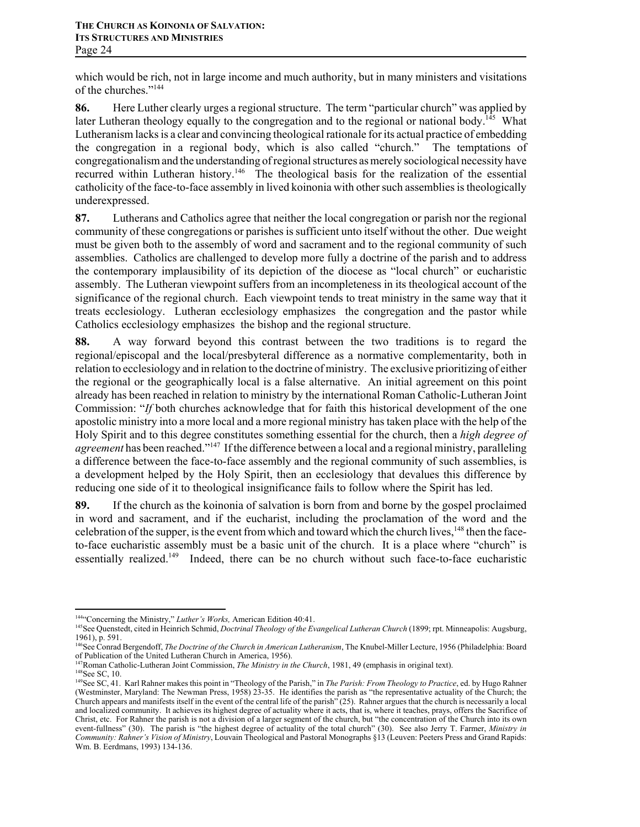which would be rich, not in large income and much authority, but in many ministers and visitations of the churches."144

**86.** Here Luther clearly urges a regional structure. The term "particular church" was applied by later Lutheran theology equally to the congregation and to the regional or national body.<sup>145</sup> What Lutheranism lacks is a clear and convincing theological rationale for its actual practice of embedding the congregation in a regional body, which is also called "church." The temptations of congregationalism and the understanding of regional structures as merely sociological necessity have recurred within Lutheran history.<sup>146</sup> The theological basis for the realization of the essential catholicity of the face-to-face assembly in lived koinonia with other such assemblies is theologically underexpressed.

**87.** Lutherans and Catholics agree that neither the local congregation or parish nor the regional community of these congregations or parishes is sufficient unto itself without the other. Due weight must be given both to the assembly of word and sacrament and to the regional community of such assemblies. Catholics are challenged to develop more fully a doctrine of the parish and to address the contemporary implausibility of its depiction of the diocese as "local church" or eucharistic assembly. The Lutheran viewpoint suffers from an incompleteness in its theological account of the significance of the regional church. Each viewpoint tends to treat ministry in the same way that it treats ecclesiology. Lutheran ecclesiology emphasizes the congregation and the pastor while Catholics ecclesiology emphasizes the bishop and the regional structure.

**88.** A way forward beyond this contrast between the two traditions is to regard the regional/episcopal and the local/presbyteral difference as a normative complementarity, both in relation to ecclesiology and in relation to the doctrine of ministry. The exclusive prioritizing of either the regional or the geographically local is a false alternative. An initial agreement on this point already has been reached in relation to ministry by the international Roman Catholic-Lutheran Joint Commission: "*If* both churches acknowledge that for faith this historical development of the one apostolic ministry into a more local and a more regional ministry has taken place with the help of the Holy Spirit and to this degree constitutes something essential for the church, then a *high degree of agreement* has been reached."147 If the difference between a local and a regional ministry, paralleling a difference between the face-to-face assembly and the regional community of such assemblies, is a development helped by the Holy Spirit, then an ecclesiology that devalues this difference by reducing one side of it to theological insignificance fails to follow where the Spirit has led.

**89.** If the church as the koinonia of salvation is born from and borne by the gospel proclaimed in word and sacrament, and if the eucharist, including the proclamation of the word and the celebration of the supper, is the event from which and toward which the church lives,<sup>148</sup> then the faceto-face eucharistic assembly must be a basic unit of the church. It is a place where "church" is essentially realized.<sup>149</sup> Indeed, there can be no church without such face-to-face eucharistic

<sup>144&</sup>quot;Concerning the Ministry," *Luther's Works,* American Edition 40:41.

<sup>145</sup>See Quenstedt, cited in Heinrich Schmid, *Doctrinal Theology of the Evangelical Lutheran Church* (1899; rpt. Minneapolis: Augsburg, 1961), p. 591.

<sup>146</sup>See Conrad Bergendoff, *The Doctrine of the Church in American Lutheranism*, The Knubel-Miller Lecture, 1956 (Philadelphia: Board of Publication of the United Lutheran Church in America, 1956).

<sup>147</sup>Roman Catholic-Lutheran Joint Commission, *The Ministry in the Church*, 1981, 49 (emphasis in original text).

<sup>&</sup>lt;sup>148</sup>See SC, 10.

<sup>149</sup>See SC, 41. Karl Rahner makes this point in "Theology of the Parish," in *The Parish: From Theology to Practice*, ed. by Hugo Rahner (Westminster, Maryland: The Newman Press, 1958) 23-35. He identifies the parish as "the representative actuality of the Church; the Church appears and manifests itself in the event of the central life of the parish" (25). Rahner argues that the church is necessarily a local and localized community. It achieves its highest degree of actuality where it acts, that is, where it teaches, prays, offers the Sacrifice of Christ, etc. For Rahner the parish is not a division of a larger segment of the church, but "the concentration of the Church into its own event-fullness" (30). The parish is "the highest degree of actuality of the total church" (30). See also Jerry T. Farmer, *Ministry in Community: Rahner's Vision of Ministry*, Louvain Theological and Pastoral Monographs §13 (Leuven: Peeters Press and Grand Rapids: Wm. B. Eerdmans, 1993) 134-136.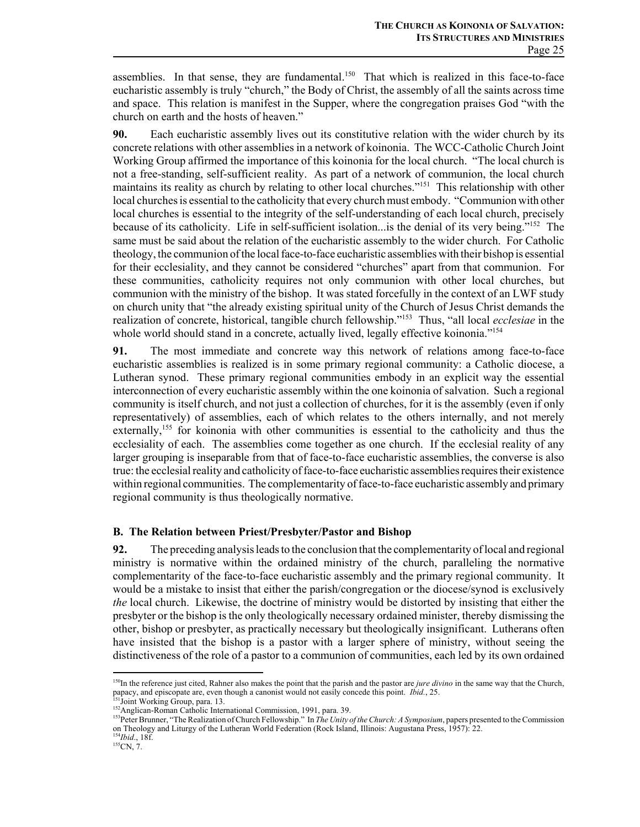assemblies. In that sense, they are fundamental.<sup>150</sup> That which is realized in this face-to-face eucharistic assembly is truly "church," the Body of Christ, the assembly of all the saints across time and space. This relation is manifest in the Supper, where the congregation praises God "with the church on earth and the hosts of heaven."

**90.** Each eucharistic assembly lives out its constitutive relation with the wider church by its concrete relations with other assemblies in a network of koinonia. The WCC-Catholic Church Joint Working Group affirmed the importance of this koinonia for the local church. "The local church is not a free-standing, self-sufficient reality. As part of a network of communion, the local church maintains its reality as church by relating to other local churches."151 This relationship with other local churches is essential to the catholicity that every church must embody. "Communion with other local churches is essential to the integrity of the self-understanding of each local church, precisely because of its catholicity. Life in self-sufficient isolation...is the denial of its very being."152 The same must be said about the relation of the eucharistic assembly to the wider church. For Catholic theology, the communion of the local face-to-face eucharistic assemblies with their bishop is essential for their ecclesiality, and they cannot be considered "churches" apart from that communion. For these communities, catholicity requires not only communion with other local churches, but communion with the ministry of the bishop. It was stated forcefully in the context of an LWF study on church unity that "the already existing spiritual unity of the Church of Jesus Christ demands the realization of concrete, historical, tangible church fellowship."153 Thus, "all local *ecclesiae* in the whole world should stand in a concrete, actually lived, legally effective koinonia."<sup>154</sup>

**91.** The most immediate and concrete way this network of relations among face-to-face eucharistic assemblies is realized is in some primary regional community: a Catholic diocese, a Lutheran synod. These primary regional communities embody in an explicit way the essential interconnection of every eucharistic assembly within the one koinonia of salvation. Such a regional community is itself church, and not just a collection of churches, for it is the assembly (even if only representatively) of assemblies, each of which relates to the others internally, and not merely externally,<sup>155</sup> for koinonia with other communities is essential to the catholicity and thus the ecclesiality of each. The assemblies come together as one church. If the ecclesial reality of any larger grouping is inseparable from that of face-to-face eucharistic assemblies, the converse is also true: the ecclesial reality and catholicity of face-to-face eucharistic assemblies requires their existence within regional communities. The complementarity of face-to-face eucharistic assembly and primary regional community is thus theologically normative.

# **B. The Relation between Priest/Presbyter/Pastor and Bishop**

**92.** The preceding analysis leads to the conclusion that the complementarity of local and regional ministry is normative within the ordained ministry of the church, paralleling the normative complementarity of the face-to-face eucharistic assembly and the primary regional community. It would be a mistake to insist that either the parish/congregation or the diocese/synod is exclusively *the* local church. Likewise, the doctrine of ministry would be distorted by insisting that either the presbyter or the bishop is the only theologically necessary ordained minister, thereby dismissing the other, bishop or presbyter, as practically necessary but theologically insignificant. Lutherans often have insisted that the bishop is a pastor with a larger sphere of ministry, without seeing the distinctiveness of the role of a pastor to a communion of communities, each led by its own ordained

<sup>&</sup>lt;sup>150</sup>In the reference just cited, Rahner also makes the point that the parish and the pastor are *jure divino* in the same way that the Church, papacy, and episcopate are, even though a canonist would not easily concede this point. *Ibid.*, 25. <sup>151</sup>Joint Working Group, para. 13.

<sup>&</sup>lt;sup>152</sup>Anglican-Roman Catholic International Commission, 1991, para. 39.

<sup>&</sup>lt;sup>153</sup>Peter Brunner, "The Realization of Church Fellowship." In *The Unity of the Church: A Symposium*, papers presented to the Commission on Theology and Liturgy of the Lutheran World Federation (Rock Island, Illinois: Augustana Press, 1957): 22.

<sup>154</sup>*Ibid*., 18f.

 $155CN$ , 7.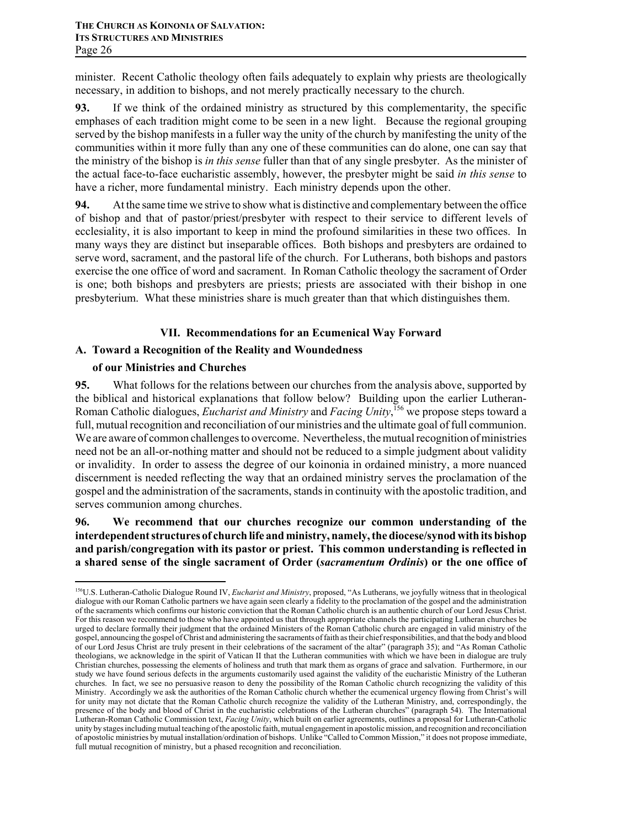minister. Recent Catholic theology often fails adequately to explain why priests are theologically necessary, in addition to bishops, and not merely practically necessary to the church.

**93.** If we think of the ordained ministry as structured by this complementarity, the specific emphases of each tradition might come to be seen in a new light. Because the regional grouping served by the bishop manifests in a fuller way the unity of the church by manifesting the unity of the communities within it more fully than any one of these communities can do alone, one can say that the ministry of the bishop is *in this sense* fuller than that of any single presbyter. As the minister of the actual face-to-face eucharistic assembly, however, the presbyter might be said *in this sense* to have a richer, more fundamental ministry. Each ministry depends upon the other.

**94.** At the same time we strive to show what is distinctive and complementary between the office of bishop and that of pastor/priest/presbyter with respect to their service to different levels of ecclesiality, it is also important to keep in mind the profound similarities in these two offices. In many ways they are distinct but inseparable offices. Both bishops and presbyters are ordained to serve word, sacrament, and the pastoral life of the church. For Lutherans, both bishops and pastors exercise the one office of word and sacrament. In Roman Catholic theology the sacrament of Order is one; both bishops and presbyters are priests; priests are associated with their bishop in one presbyterium. What these ministries share is much greater than that which distinguishes them.

## **VII. Recommendations for an Ecumenical Way Forward**

## **A. Toward a Recognition of the Reality and Woundedness**

## **of our Ministries and Churches**

**95.** What follows for the relations between our churches from the analysis above, supported by the biblical and historical explanations that follow below? Building upon the earlier Lutheran-Roman Catholic dialogues, *Eucharist and Ministry* and *Facing Unity*, 156 we propose steps toward a full, mutual recognition and reconciliation of our ministries and the ultimate goal of full communion. We are aware of common challenges to overcome. Nevertheless, the mutual recognition of ministries need not be an all-or-nothing matter and should not be reduced to a simple judgment about validity or invalidity. In order to assess the degree of our koinonia in ordained ministry, a more nuanced discernment is needed reflecting the way that an ordained ministry serves the proclamation of the gospel and the administration of the sacraments, stands in continuity with the apostolic tradition, and serves communion among churches.

**96. We recommend that our churches recognize our common understanding of the interdependent structures of church life and ministry, namely, the diocese/synod with its bishop and parish/congregation with its pastor or priest. This common understanding is reflected in a shared sense of the single sacrament of Order (***sacramentum Ordinis***) or the one office of**

<sup>&</sup>lt;sup>156</sup>U.S. Lutheran-Catholic Dialogue Round IV, *Eucharist and Ministry*, proposed, "As Lutherans, we joyfully witness that in theological dialogue with our Roman Catholic partners we have again seen clearly a fidelity to the proclamation of the gospel and the administration of the sacraments which confirms our historic conviction that the Roman Catholic church is an authentic church of our Lord Jesus Christ. For this reason we recommend to those who have appointed us that through appropriate channels the participating Lutheran churches be urged to declare formally their judgment that the ordained Ministers of the Roman Catholic church are engaged in valid ministry of the gospel, announcing the gospel of Christ and administering the sacraments of faith as their chief responsibilities, and that the body and blood of our Lord Jesus Christ are truly present in their celebrations of the sacrament of the altar" (paragraph 35); and "As Roman Catholic theologians, we acknowledge in the spirit of Vatican II that the Lutheran communities with which we have been in dialogue are truly Christian churches, possessing the elements of holiness and truth that mark them as organs of grace and salvation. Furthermore, in our study we have found serious defects in the arguments customarily used against the validity of the eucharistic Ministry of the Lutheran churches. In fact, we see no persuasive reason to deny the possibility of the Roman Catholic church recognizing the validity of this Ministry. Accordingly we ask the authorities of the Roman Catholic church whether the ecumenical urgency flowing from Christ's will for unity may not dictate that the Roman Catholic church recognize the validity of the Lutheran Ministry, and, correspondingly, the presence of the body and blood of Christ in the eucharistic celebrations of the Lutheran churches" (paragraph 54). The International Lutheran-Roman Catholic Commission text, *Facing Unity*, which built on earlier agreements, outlines a proposal for Lutheran-Catholic unity by stages including mutual teaching of the apostolic faith, mutual engagement in apostolic mission, and recognition and reconciliation of apostolic ministries by mutual installation/ordination of bishops. Unlike "Called to Common Mission," it does not propose immediate, full mutual recognition of ministry, but a phased recognition and reconciliation.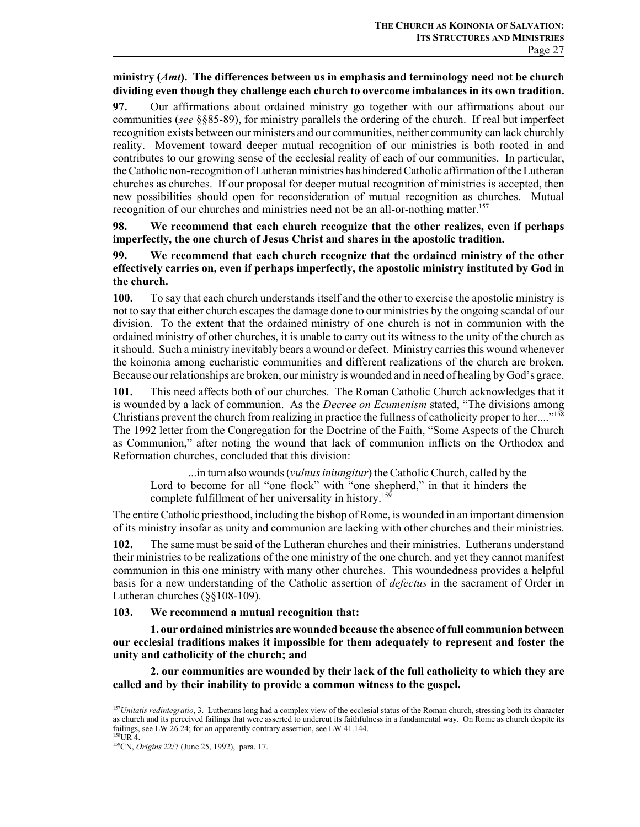# **ministry (***Amt***). The differences between us in emphasis and terminology need not be church dividing even though they challenge each church to overcome imbalances in its own tradition.**

**97.** Our affirmations about ordained ministry go together with our affirmations about our communities (*see* §§85-89), for ministry parallels the ordering of the church. If real but imperfect recognition exists between our ministers and our communities, neither community can lack churchly reality. Movement toward deeper mutual recognition of our ministries is both rooted in and contributes to our growing sense of the ecclesial reality of each of our communities. In particular, the Catholic non-recognition of Lutheran ministries has hindered Catholic affirmation of the Lutheran churches as churches. If our proposal for deeper mutual recognition of ministries is accepted, then new possibilities should open for reconsideration of mutual recognition as churches. Mutual recognition of our churches and ministries need not be an all-or-nothing matter.<sup>157</sup>

**98. We recommend that each church recognize that the other realizes, even if perhaps imperfectly, the one church of Jesus Christ and shares in the apostolic tradition.**

**99. We recommend that each church recognize that the ordained ministry of the other effectively carries on, even if perhaps imperfectly, the apostolic ministry instituted by God in the church.**

**100.** To say that each church understands itself and the other to exercise the apostolic ministry is not to say that either church escapes the damage done to our ministries by the ongoing scandal of our division. To the extent that the ordained ministry of one church is not in communion with the ordained ministry of other churches, it is unable to carry out its witness to the unity of the church as it should. Such a ministry inevitably bears a wound or defect. Ministry carries this wound whenever the koinonia among eucharistic communities and different realizations of the church are broken. Because our relationships are broken, our ministry is wounded and in need of healing by God's grace.

**101.** This need affects both of our churches. The Roman Catholic Church acknowledges that it is wounded by a lack of communion. As the *Decree on Ecumenism* stated, "The divisions among Christians prevent the church from realizing in practice the fullness of catholicity proper to her...."<sup>158</sup> The 1992 letter from the Congregation for the Doctrine of the Faith, "Some Aspects of the Church as Communion," after noting the wound that lack of communion inflicts on the Orthodox and Reformation churches, concluded that this division:

...in turn also wounds (*vulnus iniungitur*) the Catholic Church, called by the Lord to become for all "one flock" with "one shepherd," in that it hinders the complete fulfillment of her universality in history.<sup>159</sup>

The entire Catholic priesthood, including the bishop of Rome, is wounded in an important dimension of its ministry insofar as unity and communion are lacking with other churches and their ministries.

**102.** The same must be said of the Lutheran churches and their ministries. Lutherans understand their ministries to be realizations of the one ministry of the one church, and yet they cannot manifest communion in this one ministry with many other churches. This woundedness provides a helpful basis for a new understanding of the Catholic assertion of *defectus* in the sacrament of Order in Lutheran churches (§§108-109).

#### **103. We recommend a mutual recognition that:**

**1. our ordained ministries are wounded because the absence of full communion between our ecclesial traditions makes it impossible for them adequately to represent and foster the unity and catholicity of the church; and**

**2. our communities are wounded by their lack of the full catholicity to which they are called and by their inability to provide a common witness to the gospel.**

<sup>&</sup>lt;sup>157</sup>Unitatis redintegratio, 3. Lutherans long had a complex view of the ecclesial status of the Roman church, stressing both its character as church and its perceived failings that were asserted to undercut its faithfulness in a fundamental way. On Rome as church despite its failings, see LW 26.24; for an apparently contrary assertion, see LW 41.144.

 $158$ UR 4.

<sup>159</sup>CN, *Origins* 22/7 (June 25, 1992), para. 17.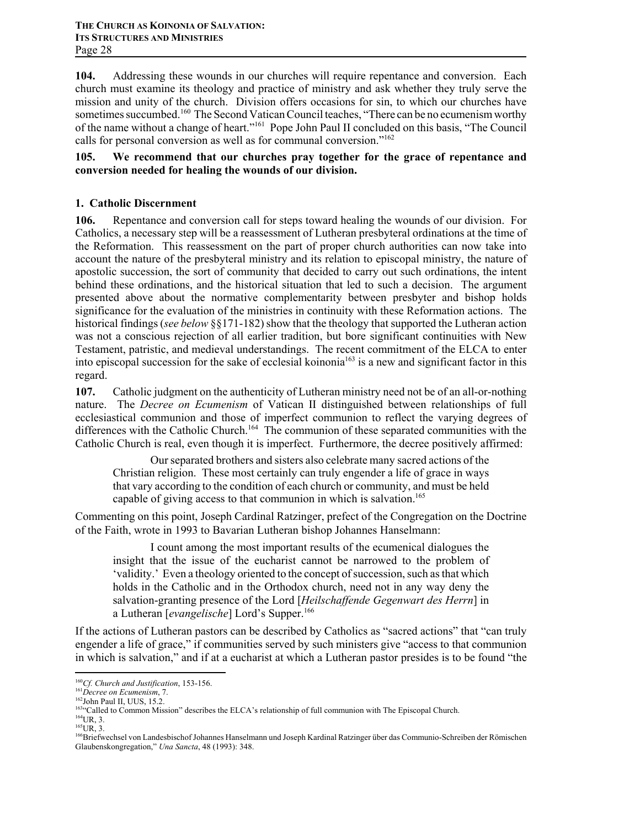**104.** Addressing these wounds in our churches will require repentance and conversion. Each church must examine its theology and practice of ministry and ask whether they truly serve the mission and unity of the church. Division offers occasions for sin, to which our churches have sometimes succumbed.<sup>160</sup> The Second Vatican Council teaches, "There can be no ecumenism worthy of the name without a change of heart."161 Pope John Paul II concluded on this basis, "The Council calls for personal conversion as well as for communal conversion."162

## **105. We recommend that our churches pray together for the grace of repentance and conversion needed for healing the wounds of our division.**

# **1. Catholic Discernment**

**106.** Repentance and conversion call for steps toward healing the wounds of our division. For Catholics, a necessary step will be a reassessment of Lutheran presbyteral ordinations at the time of the Reformation. This reassessment on the part of proper church authorities can now take into account the nature of the presbyteral ministry and its relation to episcopal ministry, the nature of apostolic succession, the sort of community that decided to carry out such ordinations, the intent behind these ordinations, and the historical situation that led to such a decision. The argument presented above about the normative complementarity between presbyter and bishop holds significance for the evaluation of the ministries in continuity with these Reformation actions. The historical findings (*see below* §§171-182) show that the theology that supported the Lutheran action was not a conscious rejection of all earlier tradition, but bore significant continuities with New Testament, patristic, and medieval understandings. The recent commitment of the ELCA to enter into episcopal succession for the sake of ecclesial koinonia<sup>163</sup> is a new and significant factor in this regard.

**107.** Catholic judgment on the authenticity of Lutheran ministry need not be of an all-or-nothing nature. The *Decree on Ecumenism* of Vatican II distinguished between relationships of full ecclesiastical communion and those of imperfect communion to reflect the varying degrees of differences with the Catholic Church.<sup>164</sup> The communion of these separated communities with the Catholic Church is real, even though it is imperfect. Furthermore, the decree positively affirmed:

Our separated brothers and sisters also celebrate many sacred actions of the Christian religion. These most certainly can truly engender a life of grace in ways that vary according to the condition of each church or community, and must be held capable of giving access to that communion in which is salvation.<sup>165</sup>

Commenting on this point, Joseph Cardinal Ratzinger, prefect of the Congregation on the Doctrine of the Faith, wrote in 1993 to Bavarian Lutheran bishop Johannes Hanselmann:

I count among the most important results of the ecumenical dialogues the insight that the issue of the eucharist cannot be narrowed to the problem of 'validity.' Even a theology oriented to the concept of succession, such as that which holds in the Catholic and in the Orthodox church, need not in any way deny the salvation-granting presence of the Lord [*Heilschaffende Gegenwart des Herrn*] in a Lutheran [*evangelische*] Lord's Supper.166

If the actions of Lutheran pastors can be described by Catholics as "sacred actions" that "can truly engender a life of grace," if communities served by such ministers give "access to that communion in which is salvation," and if at a eucharist at which a Lutheran pastor presides is to be found "the

<sup>160</sup>*Cf. Church and Justification*, 153-156.

<sup>161</sup>*Decree on Ecumenism*, 7.

<sup>162</sup>John Paul II, UUS, 15.2.

<sup>&</sup>lt;sup>1634</sup>Called to Common Mission" describes the ELCA's relationship of full communion with The Episcopal Church.  $^{164}$ UR, 3.

 $^{165}$ UR, 3.

<sup>&</sup>lt;sup>166</sup>Briefwechsel von Landesbischof Johannes Hanselmann und Joseph Kardinal Ratzinger über das Communio-Schreiben der Römischen Glaubenskongregation," *Una Sancta*, 48 (1993): 348.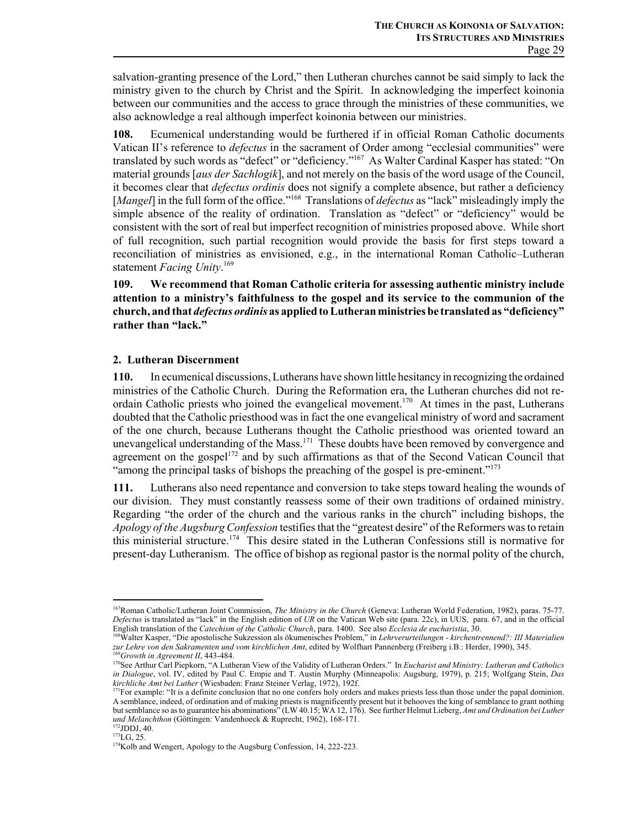salvation-granting presence of the Lord," then Lutheran churches cannot be said simply to lack the ministry given to the church by Christ and the Spirit. In acknowledging the imperfect koinonia between our communities and the access to grace through the ministries of these communities, we also acknowledge a real although imperfect koinonia between our ministries.

**108.** Ecumenical understanding would be furthered if in official Roman Catholic documents Vatican II's reference to *defectus* in the sacrament of Order among "ecclesial communities" were translated by such words as "defect" or "deficiency."167 As Walter Cardinal Kasper has stated: "On material grounds [*aus der Sachlogik*], and not merely on the basis of the word usage of the Council, it becomes clear that *defectus ordinis* does not signify a complete absence, but rather a deficiency [*Mangel*] in the full form of the office."<sup>168</sup> Translations of *defectus* as "lack" misleadingly imply the simple absence of the reality of ordination. Translation as "defect" or "deficiency" would be consistent with the sort of real but imperfect recognition of ministries proposed above. While short of full recognition, such partial recognition would provide the basis for first steps toward a reconciliation of ministries as envisioned, e.g., in the international Roman Catholic–Lutheran statement *Facing Unity*. 169

**109. We recommend that Roman Catholic criteria for assessing authentic ministry include attention to a ministry's faithfulness to the gospel and its service to the communion of the church, and that** *defectus ordinis* **as applied to Lutheran ministries be translated as "deficiency" rather than "lack."**

#### **2. Lutheran Discernment**

**110.** In ecumenical discussions, Lutherans have shown little hesitancy in recognizing the ordained ministries of the Catholic Church. During the Reformation era, the Lutheran churches did not reordain Catholic priests who joined the evangelical movement.<sup>170</sup> At times in the past, Lutherans doubted that the Catholic priesthood was in fact the one evangelical ministry of word and sacrament of the one church, because Lutherans thought the Catholic priesthood was oriented toward an unevangelical understanding of the Mass.<sup>171</sup> These doubts have been removed by convergence and agreement on the gospel<sup>172</sup> and by such affirmations as that of the Second Vatican Council that "among the principal tasks of bishops the preaching of the gospel is pre-eminent."<sup>173</sup>

**111.** Lutherans also need repentance and conversion to take steps toward healing the wounds of our division. They must constantly reassess some of their own traditions of ordained ministry. Regarding "the order of the church and the various ranks in the church" including bishops, the *Apology of the Augsburg Confession* testifies that the "greatest desire" of the Reformers was to retain this ministerial structure.174 This desire stated in the Lutheran Confessions still is normative for present-day Lutheranism. The office of bishop as regional pastor is the normal polity of the church,

<sup>167</sup>Roman Catholic/Lutheran Joint Commission, *The Ministry in the Church* (Geneva: Lutheran World Federation, 1982), paras. 75-77. *Defectus* is translated as "lack" in the English edition of *UR* on the Vatican Web site (para. 22c), in UUS, para. 67, and in the official English translation of the *Catechism of the Catholic Church*, para. 1400. See also *Ecclesia de eucharistia*, 30.

<sup>168</sup>Walter Kasper, "Die apostolische Sukzession als ökumenisches Problem," in *Lehrverurteilungen - kirchentrennend?: III Materialien zur Lehre von den Sakramenten und vom kirchlichen Amt*, edited by Wolfhart Pannenberg (Freiberg i.B.: Herder, 1990), 345. <sup>169</sup>*Growth in Agreement II*, 443-484.

<sup>170</sup>See Arthur Carl Piepkorn, "A Lutheran View of the Validity of Lutheran Orders." In *Eucharist and Ministry: Lutheran and Catholics in Dialogue*, vol. IV, edited by Paul C. Empie and T. Austin Murphy (Minneapolis: Augsburg, 1979), p. 215; Wolfgang Stein, *Das kirchliche Amt bei Luther* (Wiesbaden: Franz Steiner Verlag, 1972), 192f.

 $171$  For example: "It is a definite conclusion that no one confers holy orders and makes priests less than those under the papal dominion. A semblance, indeed, of ordination and of making priests is magnificently present but it behooves the king of semblance to grant nothing but semblance so as to guarantee his abominations" (LW 40.15; WA 12, 176). See further Helmut Lieberg, *Amt und Ordination bei Luther und Melanchthon* (Göttingen: Vandenhoeck & Ruprecht, 1962), 168-171.  $172$ JDDJ, 40.

 $173$ LG, 25.

<sup>&</sup>lt;sup>174</sup>Kolb and Wengert, Apology to the Augsburg Confession, 14, 222-223.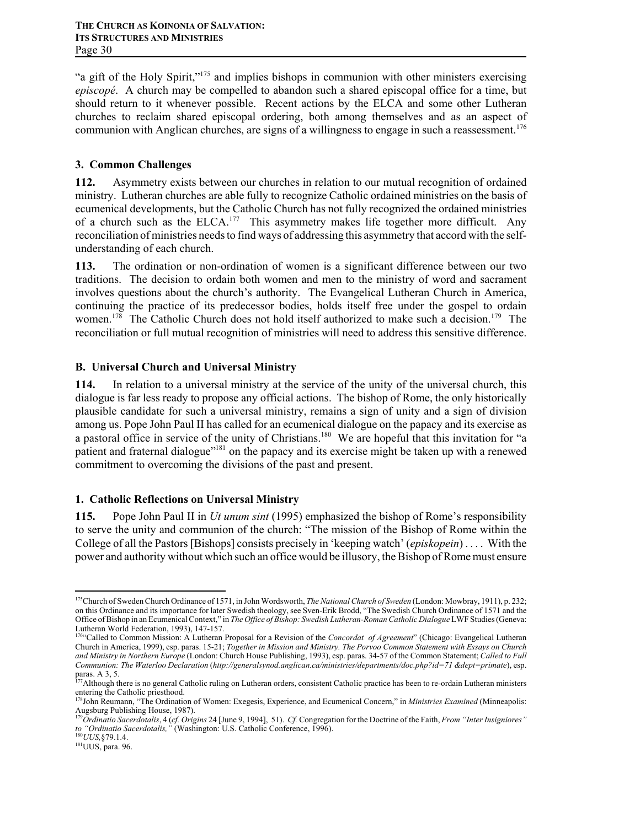"a gift of the Holy Spirit,"175 and implies bishops in communion with other ministers exercising *episcopé*. A church may be compelled to abandon such a shared episcopal office for a time, but should return to it whenever possible. Recent actions by the ELCA and some other Lutheran churches to reclaim shared episcopal ordering, both among themselves and as an aspect of communion with Anglican churches, are signs of a willingness to engage in such a reassessment.<sup>176</sup>

# **3. Common Challenges**

**112.** Asymmetry exists between our churches in relation to our mutual recognition of ordained ministry. Lutheran churches are able fully to recognize Catholic ordained ministries on the basis of ecumenical developments, but the Catholic Church has not fully recognized the ordained ministries of a church such as the ELCA.<sup>177</sup> This asymmetry makes life together more difficult. Any reconciliation of ministries needs to find ways of addressing this asymmetry that accord with the selfunderstanding of each church.

**113.** The ordination or non-ordination of women is a significant difference between our two traditions. The decision to ordain both women and men to the ministry of word and sacrament involves questions about the church's authority. The Evangelical Lutheran Church in America, continuing the practice of its predecessor bodies, holds itself free under the gospel to ordain women.<sup>178</sup> The Catholic Church does not hold itself authorized to make such a decision.<sup>179</sup> The reconciliation or full mutual recognition of ministries will need to address this sensitive difference.

## **B. Universal Church and Universal Ministry**

**114.** In relation to a universal ministry at the service of the unity of the universal church, this dialogue is far less ready to propose any official actions. The bishop of Rome, the only historically plausible candidate for such a universal ministry, remains a sign of unity and a sign of division among us. Pope John Paul II has called for an ecumenical dialogue on the papacy and its exercise as a pastoral office in service of the unity of Christians.<sup>180</sup> We are hopeful that this invitation for "a patient and fraternal dialogue"181 on the papacy and its exercise might be taken up with a renewed commitment to overcoming the divisions of the past and present.

### **1. Catholic Reflections on Universal Ministry**

**115.** Pope John Paul II in *Ut unum sint* (1995) emphasized the bishop of Rome's responsibility to serve the unity and communion of the church: "The mission of the Bishop of Rome within the College of all the Pastors [Bishops] consists precisely in 'keeping watch' (*episkopein*) . . . . With the power and authority without which such an office would be illusory, the Bishop of Rome must ensure

<sup>175</sup>Church of Sweden Church Ordinance of 1571, in John Wordsworth, *The National Church of Sweden* (London: Mowbray, 1911), p. 232; on this Ordinance and its importance for later Swedish theology, see Sven-Erik Brodd, "The Swedish Church Ordinance of 1571 and the Office of Bishop in an Ecumenical Context," in *The Office of Bishop: Swedish Lutheran-Roman Catholic Dialogue* LWF Studies (Geneva: Lutheran World Federation, 1993), 147-157.

<sup>176&</sup>lt;sup>ct</sup>Called to Common Mission: A Lutheran Proposal for a Revision of the *Concordat of Agreement*" (Chicago: Evangelical Lutheran Church in America, 1999), esp. paras. 15-21; *Together in Mission and Ministry. The Porvoo Common Statement with Essays on Church and Ministry in Northern Europe* (London: Church House Publishing, 1993), esp. paras. 34-57 of the Common Statement; *Called to Full Communion: The Waterloo Declaration* (*http://generalsynod.anglican.ca/ministries/departments/doc.php?id=71 &dept=primate*), esp. paras. A 3, 5.

<sup>&</sup>lt;sup>177</sup>Although there is no general Catholic ruling on Lutheran orders, consistent Catholic practice has been to re-ordain Lutheran ministers entering the Catholic priesthood.

<sup>&</sup>lt;sup>178</sup>John Reumann, "The Ordination of Women: Exegesis, Experience, and Ecumenical Concern," in *Ministries Examined* (Minneapolis: Augsburg Publishing House, 1987).

<sup>179</sup>*Ordinatio Sacerdotalis*, 4 (*cf. Origins* 24 [June 9, 1994], 51). *Cf.* Congregation for the Doctrine of the Faith, *From "Inter Insigniores" to "Ordinatio Sacerdotalis,"* (Washington: U.S. Catholic Conference, 1996).

<sup>180</sup>*UUS,*§79.1.4.

<sup>181</sup>UUS, para. 96.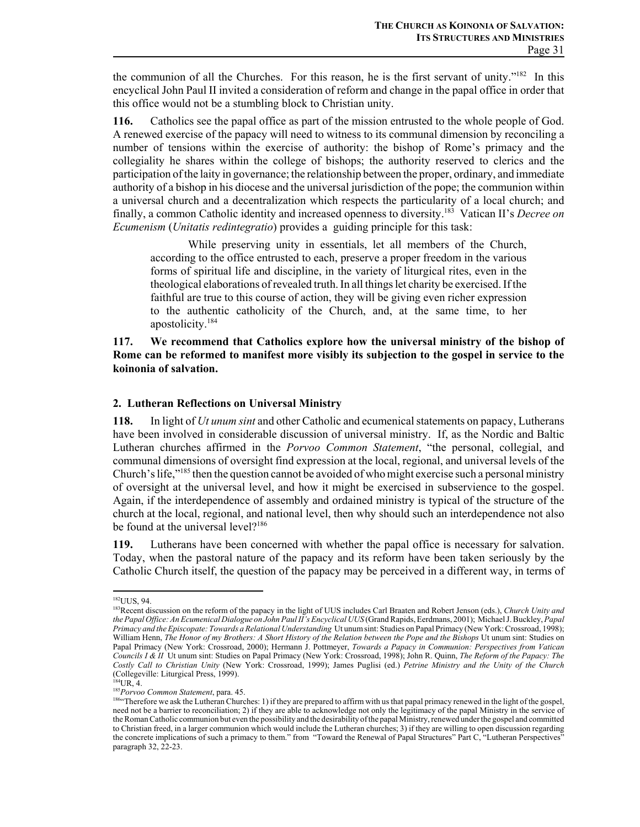the communion of all the Churches. For this reason, he is the first servant of unity."182 In this encyclical John Paul II invited a consideration of reform and change in the papal office in order that this office would not be a stumbling block to Christian unity.

**116.** Catholics see the papal office as part of the mission entrusted to the whole people of God. A renewed exercise of the papacy will need to witness to its communal dimension by reconciling a number of tensions within the exercise of authority: the bishop of Rome's primacy and the collegiality he shares within the college of bishops; the authority reserved to clerics and the participation of the laity in governance; the relationship between the proper, ordinary, and immediate authority of a bishop in his diocese and the universal jurisdiction of the pope; the communion within a universal church and a decentralization which respects the particularity of a local church; and finally, a common Catholic identity and increased openness to diversity.183 Vatican II's *Decree on Ecumenism* (*Unitatis redintegratio*) provides a guiding principle for this task:

While preserving unity in essentials, let all members of the Church, according to the office entrusted to each, preserve a proper freedom in the various forms of spiritual life and discipline, in the variety of liturgical rites, even in the theological elaborations of revealed truth. In all things let charity be exercised. If the faithful are true to this course of action, they will be giving even richer expression to the authentic catholicity of the Church, and, at the same time, to her apostolicity.184

## **117. We recommend that Catholics explore how the universal ministry of the bishop of Rome can be reformed to manifest more visibly its subjection to the gospel in service to the koinonia of salvation.**

## **2. Lutheran Reflections on Universal Ministry**

**118.** In light of *Ut unum sint* and other Catholic and ecumenical statements on papacy, Lutherans have been involved in considerable discussion of universal ministry. If, as the Nordic and Baltic Lutheran churches affirmed in the *Porvoo Common Statement*, "the personal, collegial, and communal dimensions of oversight find expression at the local, regional, and universal levels of the Church's life,"185 then the question cannot be avoided of who might exercise such a personal ministry of oversight at the universal level, and how it might be exercised in subservience to the gospel. Again, if the interdependence of assembly and ordained ministry is typical of the structure of the church at the local, regional, and national level, then why should such an interdependence not also be found at the universal level?<sup>186</sup>

**119.** Lutherans have been concerned with whether the papal office is necessary for salvation. Today, when the pastoral nature of the papacy and its reform have been taken seriously by the Catholic Church itself, the question of the papacy may be perceived in a different way, in terms of

<sup>182</sup>UUS, 94.

<sup>183</sup>Recent discussion on the reform of the papacy in the light of UUS includes Carl Braaten and Robert Jenson (eds.), *Church Unity and the Papal Office: An Ecumenical Dialogue on John Paul II's Encyclical UUS* (Grand Rapids, Eerdmans, 2001); Michael J. Buckley, *Papal Primacy and the Episcopate: Towards a Relational Understanding* Ut unum sint: Studies on Papal Primacy (New York: Crossroad, 1998); William Henn, *The Honor of my Brothers: A Short History of the Relation between the Pope and the Bishops* Ut unum sint: Studies on Papal Primacy (New York: Crossroad, 2000); Hermann J. Pottmeyer, *Towards a Papacy in Communion: Perspectives from Vatican Councils I & II* Ut unum sint: Studies on Papal Primacy (New York: Crossroad, 1998); John R. Quinn, *The Reform of the Papacy: The Costly Call to Christian Unity* (New York: Crossroad, 1999); James Puglisi (ed.) *Petrine Ministry and the Unity of the Church* (Collegeville: Liturgical Press, 1999).

 $184$ UR, 4.

<sup>185</sup>*Porvoo Common Statement*, para. 45.

<sup>186&</sup>quot;Therefore we ask the Lutheran Churches: 1) if they are prepared to affirm with us that papal primacy renewed in the light of the gospel, need not be a barrier to reconciliation; 2) if they are able to acknowledge not only the legitimacy of the papal Ministry in the service of the Roman Catholic communion but even the possibility and the desirability of the papal Ministry, renewed under the gospel and committed to Christian freed, in a larger communion which would include the Lutheran churches; 3) if they are willing to open discussion regarding the concrete implications of such a primacy to them." from "Toward the Renewal of Papal Structures" Part C, "Lutheran Perspectives" paragraph 32, 22-23.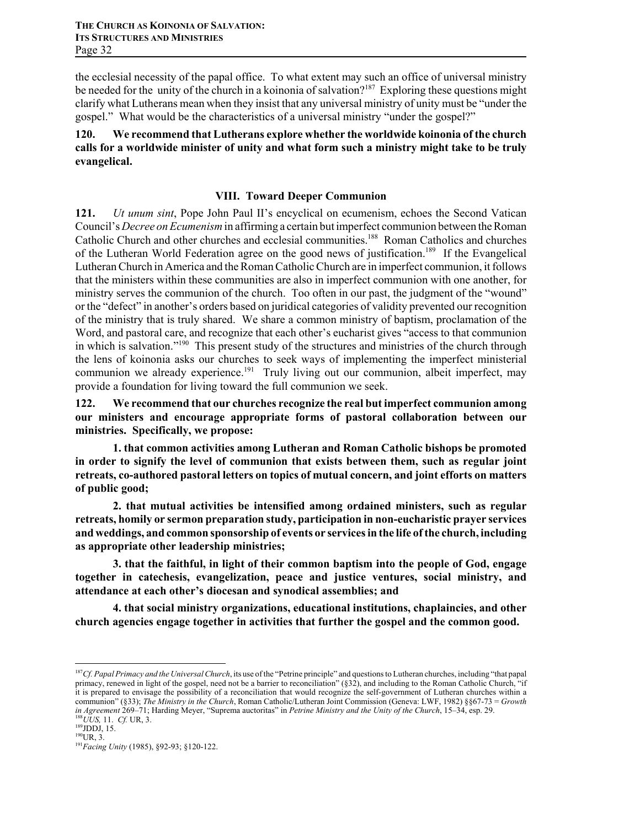the ecclesial necessity of the papal office. To what extent may such an office of universal ministry be needed for the unity of the church in a koinonia of salvation?<sup>187</sup> Exploring these questions might clarify what Lutherans mean when they insist that any universal ministry of unity must be "under the gospel." What would be the characteristics of a universal ministry "under the gospel?"

# **120. We recommend that Lutherans explore whether the worldwide koinonia of the church calls for a worldwide minister of unity and what form such a ministry might take to be truly evangelical.**

## **VIII. Toward Deeper Communion**

**121.** *Ut unum sint*, Pope John Paul II's encyclical on ecumenism, echoes the Second Vatican Council's *Decree on Ecumenism* in affirming a certain but imperfect communion between the Roman Catholic Church and other churches and ecclesial communities.<sup>188</sup> Roman Catholics and churches of the Lutheran World Federation agree on the good news of justification.189 If the Evangelical Lutheran Church in America and the Roman Catholic Church are in imperfect communion, it follows that the ministers within these communities are also in imperfect communion with one another, for ministry serves the communion of the church. Too often in our past, the judgment of the "wound" or the "defect" in another's orders based on juridical categories of validity prevented our recognition of the ministry that is truly shared. We share a common ministry of baptism, proclamation of the Word, and pastoral care, and recognize that each other's eucharist gives "access to that communion in which is salvation."190 This present study of the structures and ministries of the church through the lens of koinonia asks our churches to seek ways of implementing the imperfect ministerial communion we already experience.<sup>191</sup> Truly living out our communion, albeit imperfect, may provide a foundation for living toward the full communion we seek.

**122. We recommend that our churches recognize the real but imperfect communion among our ministers and encourage appropriate forms of pastoral collaboration between our ministries. Specifically, we propose:**

**1. that common activities among Lutheran and Roman Catholic bishops be promoted in order to signify the level of communion that exists between them, such as regular joint retreats, co-authored pastoral letters on topics of mutual concern, and joint efforts on matters of public good;**

**2. that mutual activities be intensified among ordained ministers, such as regular retreats, homily or sermon preparation study, participation in non-eucharistic prayer services and weddings, and common sponsorship of events or services in the life of the church, including as appropriate other leadership ministries;**

**3. that the faithful, in light of their common baptism into the people of God, engage together in catechesis, evangelization, peace and justice ventures, social ministry, and attendance at each other's diocesan and synodical assemblies; and**

**4. that social ministry organizations, educational institutions, chaplaincies, and other church agencies engage together in activities that further the gospel and the common good.**

<sup>&</sup>lt;sup>187</sup>Cf. Papal Primacy and the Universal Church, its use of the "Petrine principle" and questions to Lutheran churches, including "that papal primacy, renewed in light of the gospel, need not be a barrier to reconciliation" (§32), and including to the Roman Catholic Church, "if it is prepared to envisage the possibility of a reconciliation that would recognize the self-government of Lutheran churches within a communion" (§33); *The Ministry in the Church*, Roman Catholic/Lutheran Joint Commission (Geneva: LWF, 1982) §§67-73 = *Growth in Agreement* 269–71; Harding Meyer, "Suprema auctoritas" in *Petrine Ministry and the Unity of the Church*, 15–34, esp. 29. <sup>188</sup>*UUS,* 11. *Cf.* UR, 3.

<sup>189</sup>JDDJ, 15.

 $190$ UR, 3.

<sup>191</sup>*Facing Unity* (1985), §92-93; §120-122.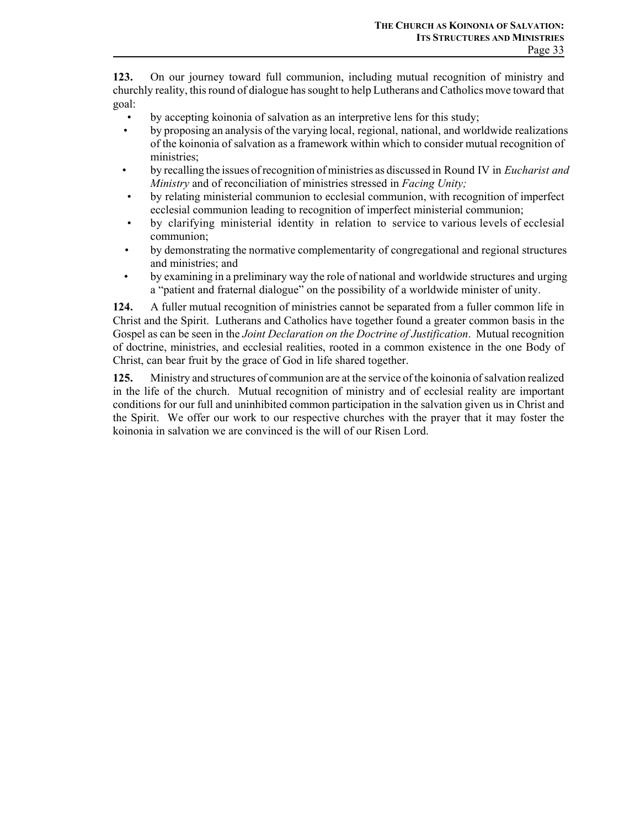**123.** On our journey toward full communion, including mutual recognition of ministry and churchly reality, this round of dialogue has sought to help Lutherans and Catholics move toward that goal:

- by accepting koinonia of salvation as an interpretive lens for this study;
- by proposing an analysis of the varying local, regional, national, and worldwide realizations of the koinonia of salvation as a framework within which to consider mutual recognition of ministries;
- by recalling the issues of recognition of ministries as discussed in Round IV in *Eucharist and Ministry* and of reconciliation of ministries stressed in *Facing Unity;*
- by relating ministerial communion to ecclesial communion, with recognition of imperfect ecclesial communion leading to recognition of imperfect ministerial communion;
- by clarifying ministerial identity in relation to service to various levels of ecclesial communion;
- by demonstrating the normative complementarity of congregational and regional structures and ministries; and
- by examining in a preliminary way the role of national and worldwide structures and urging a "patient and fraternal dialogue" on the possibility of a worldwide minister of unity.

**124.** A fuller mutual recognition of ministries cannot be separated from a fuller common life in Christ and the Spirit. Lutherans and Catholics have together found a greater common basis in the Gospel as can be seen in the *Joint Declaration on the Doctrine of Justification*. Mutual recognition of doctrine, ministries, and ecclesial realities, rooted in a common existence in the one Body of Christ, can bear fruit by the grace of God in life shared together.

**125.** Ministry and structures of communion are at the service of the koinonia of salvation realized in the life of the church. Mutual recognition of ministry and of ecclesial reality are important conditions for our full and uninhibited common participation in the salvation given us in Christ and the Spirit. We offer our work to our respective churches with the prayer that it may foster the koinonia in salvation we are convinced is the will of our Risen Lord.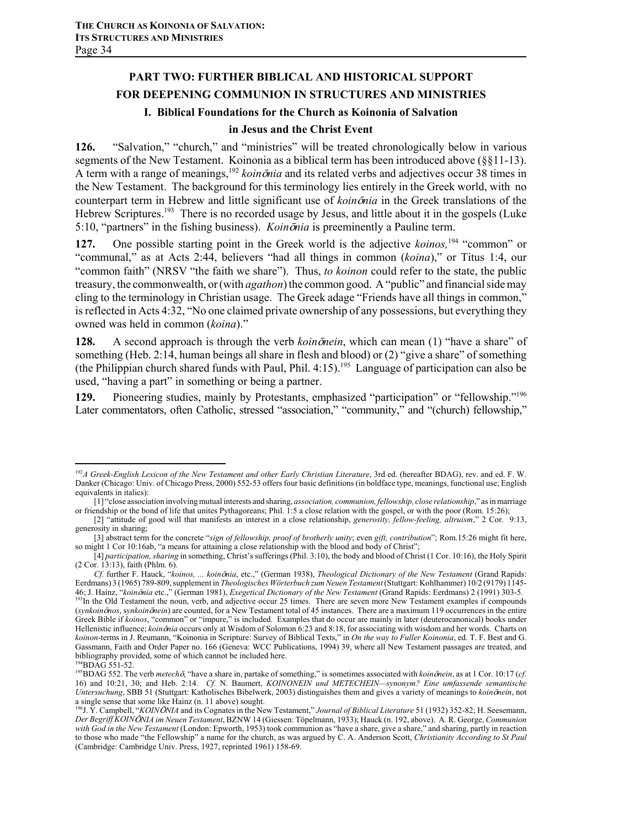# **PART TWO: FURTHER BIBLICAL AND HISTORICAL SUPPORT FOR DEEPENING COMMUNION IN STRUCTURES AND MINISTRIES I. Biblical Foundations for the Church as Koinonia of Salvation in Jesus and the Christ Event**

**126.** "Salvation," "church," and "ministries" will be treated chronologically below in various segments of the New Testament. Koinonia as a biblical term has been introduced above (§§11-13). A term with a range of meanings,<sup>192</sup> *koinonia* and its related verbs and adjectives occur 38 times in the New Testament. The background for this terminology lies entirely in the Greek world, with no counterpart term in Hebrew and little significant use of *koinonia* in the Greek translations of the Hebrew Scriptures.<sup>193</sup> There is no recorded usage by Jesus, and little about it in the gospels (Luke 5:10, "partners" in the fishing business). *Koinõnia* is preeminently a Pauline term.

**127.** One possible starting point in the Greek world is the adjective *koinos,*194 "common" or "communal," as at Acts 2:44, believers "had all things in common (*koina*)," or Titus 1:4, our "common faith" (NRSV "the faith we share"). Thus, *to koinon* could refer to the state, the public treasury, the commonwealth, or (with *agathon*) the common good. A "public" and financial side may cling to the terminology in Christian usage. The Greek adage "Friends have all things in common," is reflected in Acts 4:32, "No one claimed private ownership of any possessions, but everything they owned was held in common (*koina*)."

**128.** A second approach is through the verb *koinonein*, which can mean (1) "have a share" of something (Heb. 2:14, human beings all share in flesh and blood) or (2) "give a share" of something (the Philippian church shared funds with Paul, Phil. 4:15).<sup>195</sup> Language of participation can also be used, "having a part" in something or being a partner.

**129.** Pioneering studies, mainly by Protestants, emphasized "participation" or "fellowship."196 Later commentators, often Catholic, stressed "association," "community," and "(church) fellowship,"

<sup>192</sup>*A Greek-English Lexicon of the New Testament and other Early Christian Literature*, 3rd ed. (hereafter BDAG), rev. and ed. F. W. Danker (Chicago: Univ. of Chicago Press, 2000) 552-53 offers four basic definitions (in boldface type, meanings, functional use; English equivalents in italics):

<sup>[1] &</sup>quot;close association involving mutual interests and sharing, *association, communion, fellowship, close relationship*," as in marriage or friendship or the bond of life that unites Pythagoreans; Phil. 1:5 a close relation with the gospel, or with the poor (Rom. 15:26);

<sup>[2] &</sup>quot;attitude of good will that manifests an interest in a close relationship, *generosity, fellow-feeling, altruism*," 2 Cor. 9:13, generosity in sharing;

<sup>[3]</sup> abstract term for the concrete "*sign of fellowship, proof of brotherly unity*; even *gift, contribution*"; Rom.15:26 might fit here, so might 1 Cor 10:16ab, "a means for attaining a close relationship with the blood and body of Christ";

<sup>[4]</sup> *participation, sharing* in something, Christ's sufferings (Phil. 3:10), the body and blood of Christ (1 Cor. 10:16), the Holy Spirit (2 Cor. 13:13), faith (Phlm. 6).

*Cf.* further F. Hauck, "*koinos, ... koin*Ç*nia*, etc.," (German 1938), *Theological Dictionary of the New Testament* (Grand Rapids: Eerdmans) 3 (1965) 789-809, supplement in *Theologisches Wörterbuch zum Neuen Testament* (Stuttgart: Kohlhammer) 10/2 (9179) 1145- 46; J. Hainz, "*koin*Ç*nia* etc.," (German 1981), *Exegetical Dictionary of the New Testament* (Grand Rapids: Eerdmans) 2 (1991) 303-5.

<sup>&</sup>lt;sup>193</sup>In the Old Testament the noun, verb, and adjective occur 25 times. There are seven more New Testament examples if compounds (*synkoin*Ç*nos*, s*ynkoin*Ç*nein*) are counted, for a New Testament total of 45 instances. There are a maximum 119 occurrences in the entire Greek Bible if *koinos*, "common" or "impure," is included. Examples that do occur are mainly in later (deuterocanonical) books under Hellenistic influence; *koin onia* occurs only at Wisdom of Solomon 6:23 and 8:18, for associating with wisdom and her words. Charts on *koinon*-terms in J. Reumann, "Koinonia in Scripture: Survey of Biblical Texts," in *On the way to Fuller Koinonia*, ed. T. F. Best and G. Gassmann, Faith and Order Paper no. 166 (Geneva: WCC Publications, 1994) 39, where all New Testament passages are treated, and bibliography provided, some of which cannot be included here.

 $^{194}$ BDAG 551-52.

<sup>&</sup>lt;sup>195</sup>BDAG 552. The verb *metechō*, "have a share in, partake of something," is sometimes associated with *koinōnein*, as at 1 Cor. 10:17 (*cf.* 16) and 10:21, 30; and Heb. 2:14. *Cf.* N. Baumert, *KOINONEIN und METECHEIN—synonym? Eine umfassende semantische Untersuchung*, SBB 51 (Stuttgart: Katholisches Bibelwerk, 2003) distinguishes them and gives a variety of meanings to *koinonein*, not a single sense that some like Hainz (n. 11 above) sought.

<sup>&</sup>lt;sup>196</sup>J. Y. Campbell, "*KOINŌNIA* and its Cognates in the New Testament," *Journal of Biblical Literature* 51 (1932) 352-82; H. Seesemann, *Der Begriff KOIN*Æ*NIA im Neuen Testament*, BZNW 14 (Giessen: Töpelmann, 1933); Hauck (n. 192, above). A. R. George, *Communion* with God in the New Testament (London: Epworth, 1953) took communion as "have a share, give a share," and sharing, partly in reaction to those who made "the Fellowship" a name for the church, as was argued by C. A. Anderson Scott, *Christianity According to St Paul* (Cambridge: Cambridge Univ. Press, 1927, reprinted 1961) 158-69.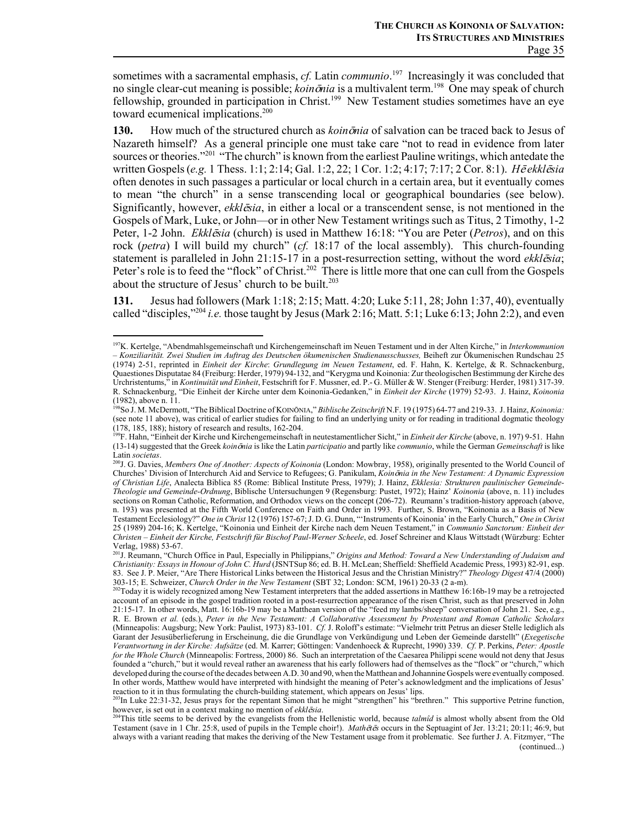sometimes with a sacramental emphasis, *cf.* Latin *communio*. 197 Increasingly it was concluded that no single clear-cut meaning is possible; *koinōnia* is a multivalent term.<sup>198</sup> One may speak of church fellowship, grounded in participation in Christ.<sup>199</sup> New Testament studies sometimes have an eye toward ecumenical implications.<sup>200</sup>

**130.** How much of the structured church as *koinonia* of salvation can be traced back to Jesus of Nazareth himself? As a general principle one must take care "not to read in evidence from later sources or theories."<sup>201</sup> "The church" is known from the earliest Pauline writings, which antedate the written Gospels (*e.g.* 1 Thess. 1:1; 2:14; Gal. 1:2, 22; 1 Cor. 1:2; 4:17; 7:17; 2 Cor. 8:1). *H*' *ekkl*'*sia* often denotes in such passages a particular or local church in a certain area, but it eventually comes to mean "the church" in a sense transcending local or geographical boundaries (see below). Significantly, however, *ekkl*'*sia*, in either a local or a transcendent sense, is not mentioned in the Gospels of Mark, Luke, or John—or in other New Testament writings such as Titus, 2 Timothy, 1-2 Peter, 1-2 John. *Ekkl*'*sia* (church) is used in Matthew 16:18: "You are Peter (*Petros*), and on this rock (*petra*) I will build my church" (*cf.* 18:17 of the local assembly). This church-founding statement is paralleled in John 21:15-17 in a post-resurrection setting, without the word *ekklesia*; Peter's role is to feed the "flock" of Christ.<sup>202</sup> There is little more that one can cull from the Gospels about the structure of Jesus' church to be built.<sup>203</sup>

**131.** Jesus had followers (Mark 1:18; 2:15; Matt. 4:20; Luke 5:11, 28; John 1:37, 40), eventually called "disciples,"204 *i.e.* those taught by Jesus (Mark 2:16; Matt. 5:1; Luke 6:13; John 2:2), and even

<sup>197</sup>K. Kertelge, "Abendmahlsgemeinschaft und Kirchengemeinschaft im Neuen Testament und in der Alten Kirche," in *Interkommunion – Konziliarität. Zwei Studien im Auftrag des Deutschen ökumenischen Studienausschusses,* Beiheft zur Ökumenischen Rundschau 25 (1974) 2-51, reprinted in *Einheit der Kirche*: *Grundlegung im Neuen Testament*, ed. F. Hahn, K. Kertelge, & R. Schnackenburg, Quaestiones Disputatae 84 (Freiburg: Herder, 1979) 94-132, and "Kerygma und Koinonia: Zur theologischen Bestimmung der Kirche des Urchristentums," in *Kontinuität und Einheit*, Festschrift for F. Mussner, ed. P.- G. Müller & W. Stenger (Freiburg: Herder, 1981) 317-39. R. Schnackenburg, "Die Einheit der Kirche unter dem Koinonia-Gedanken," in *Einheit der Kirche* (1979) 52-93. J. Hainz, *Koinonia* (1982), above n. 11.

<sup>&</sup>lt;sup>198</sup>So J. M. McDermott, "The Biblical Doctrine of KOINŌNIA," *Biblische Zeitschrift* N.F. 19 (1975) 64-77 and 219-33. J. Hainz, *Koinonia:* (see note 11 above), was critical of earlier studies for failing to find an underlying unity or for reading in traditional dogmatic theology (178, 185, 188); history of research and results, 162-204.

<sup>199</sup>F. Hahn, "Einheit der Kirche und Kirchengemeinschaft in neutestamentlicher Sicht," in *Einheit der Kirche* (above, n. 197) 9-51. Hahn (13-14) suggested that the Greek *koin*Ç*nia* is like the Latin *participatio* and partly like *communio*, while the German *Gemeinschaft* is like Latin *societas*.

<sup>200</sup>J. G. Davies, *Members One of Another: Aspects of Koinonia* (London: Mowbray, 1958), originally presented to the World Council of Churches' Division of Interchurch Aid and Service to Refugees; G. Panikulam, *Koin*Ç*nia in the New Testament: A Dynamic Expression of Christian Life*, Analecta Biblica 85 (Rome: Biblical Institute Press, 1979); J. Hainz, *Ekklesia: Strukturen paulinischer Gemeinde-Theologie und Gemeinde-Ordnung*, Biblische Untersuchungen 9 (Regensburg: Pustet, 1972); Hainz' *Koinonia* (above, n. 11) includes sections on Roman Catholic, Reformation, and Orthodox views on the concept (206-72). Reumann's tradition-history approach (above, n. 193) was presented at the Fifth World Conference on Faith and Order in 1993. Further, S. Brown, "Koinonia as a Basis of New Testament Ecclesiology?" *One in Christ* 12 (1976) 157-67; J. D. G. Dunn, "'Instruments of Koinonia' in the Early Church," *One in Christ* 25 (1989) 204-16; K. Kertelge, "Koinonia und Einheit der Kirche nach dem Neuen Testament," in *Communio Sanctorum: Einheit der Christen – Einheit der Kirche, Festschrift für Bischof Paul-Werner Scheele*, ed. Josef Schreiner and Klaus Wittstadt (Würzburg: Echter Verlag, 1988) 53-67.

<sup>201</sup>J. Reumann, "Church Office in Paul, Especially in Philippians," *Origins and Method: Toward a New Understanding of Judaism and Christianity: Essays in Honour of John C. Hurd* (JSNTSup 86; ed. B. H. McLean; Sheffield: Sheffield Academic Press, 1993) 82-91, esp. 83. See J. P. Meier, "Are There Historical Links between the Historical Jesus and the Christian Ministry?" *Theology Digest* 47/4 (2000) 303-15; E. Schweizer, *Church Order in the New Testament* (SBT 32; London: SCM, 1961) 20-33 (2 a-m).

<sup>&</sup>lt;sup>202</sup>Today it is widely recognized among New Testament interpreters that the added assertions in Matthew 16:16b-19 may be a retrojected account of an episode in the gospel tradition rooted in a post-resurrection appearance of the risen Christ, such as that preserved in John 21:15-17. In other words, Matt. 16:16b-19 may be a Matthean version of the "feed my lambs/sheep" conversation of John 21. See, e.g., R. E. Brown *et al.* (eds.), *Peter in the New Testament: A Collaborative Assessment by Protestant and Roman Catholic Scholars* (Minneapolis: Augsburg; New York: Paulist, 1973) 83-101. *Cf.* J. Roloff's estimate: "Vielmehr tritt Petrus an dieser Stelle lediglich als Garant der Jesusüberlieferung in Erscheinung, die die Grundlage von Verkündigung und Leben der Gemeinde darstellt" (*Exegetische Verantwortung in der Kirche: Aufsätze* (ed. M. Karrer; Göttingen: Vandenhoeck & Ruprecht, 1990) 339. *Cf.* P. Perkins, *Peter: Apostle for the Whole Church* (Minneapolis: Fortress, 2000) 86. Such an interpretation of the Caesarea Philippi scene would not deny that Jesus founded a "church," but it would reveal rather an awareness that his early followers had of themselves as the "flock" or "church," which developed during the course of the decades between A.D. 30 and 90, when the Matthean and Johannine Gospels were eventually composed. In other words, Matthew would have interpreted with hindsight the meaning of Peter's acknowledgment and the implications of Jesus' reaction to it in thus formulating the church-building statement, which appears on Jesus' lips.

 $^{203}$ In Luke 22:31-32, Jesus prays for the repentant Simon that he might "strengthen" his "brethren." This supportive Petrine function, however, is set out in a context making no mention of *ekklēsia*.

<sup>&</sup>lt;sup>204</sup>This title seems to be derived by the evangelists from the Hellenistic world, because *talmîd* is almost wholly absent from the Old Testament (save in 1 Chr. 25:8, used of pupils in the Temple choir!). *Math*'*t*'*s* occurs in the Septuagint of Jer. 13:21; 20:11; 46:9, but always with a variant reading that makes the deriving of the New Testament usage from it problematic. See further J. A. Fitzmyer, "The (continued...)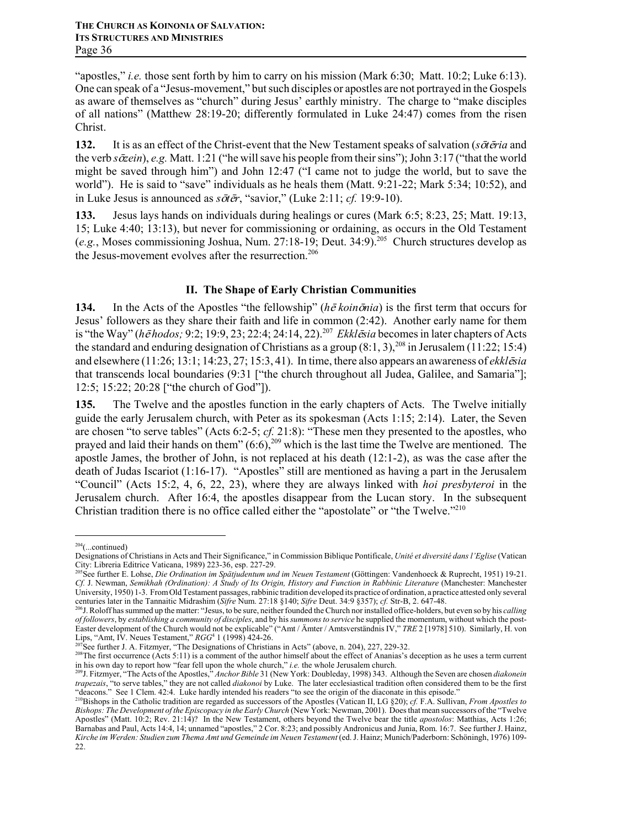"apostles," *i.e.* those sent forth by him to carry on his mission (Mark 6:30; Matt. 10:2; Luke 6:13). One can speak of a "Jesus-movement," but such disciples or apostles are not portrayed in the Gospels as aware of themselves as "church" during Jesus' earthly ministry. The charge to "make disciples of all nations" (Matthew 28:19-20; differently formulated in Luke 24:47) comes from the risen Christ.

**132.** It is as an effect of the Christ-event that the New Testament speaks of salvation ( $s\bar{\sigma}$ *eria* and the verb *s* $\bar{c}$ *zein*), *e.g.* Matt. 1:21 ("he will save his people from their sins"); John 3:17 ("that the world might be saved through him") and John 12:47 ("I came not to judge the world, but to save the world"). He is said to "save" individuals as he heals them (Matt. 9:21-22; Mark 5:34; 10:52), and in Luke Jesus is announced as  $s\bar{\sigma}t\bar{e}r$ , "savior," (Luke 2:11; *cf.* 19:9-10).

**133.** Jesus lays hands on individuals during healings or cures (Mark 6:5; 8:23, 25; Matt. 19:13, 15; Luke 4:40; 13:13), but never for commissioning or ordaining, as occurs in the Old Testament (*e.g.*, Moses commissioning Joshua, Num. 27:18-19; Deut. 34:9).205 Church structures develop as the Jesus-movement evolves after the resurrection.<sup>206</sup>

## **II. The Shape of Early Christian Communities**

**134.** In the Acts of the Apostles "the fellowship" (*he koinonia*) is the first term that occurs for Jesus' followers as they share their faith and life in common (2:42). Another early name for them is "the Way" (*hēhodos;* 9:2; 19:9, 23; 22:4; 24:14, 22).<sup>207</sup> *Ekklēsia* becomes in later chapters of Acts the standard and enduring designation of Christians as a group  $(8:1, 3)$ ,<sup>208</sup> in Jerusalem  $(11:22; 15:4)$ and elsewhere (11:26; 13:1; 14:23, 27; 15:3, 41). In time, there also appears an awareness of *ekkl*'*sia* that transcends local boundaries (9:31 ["the church throughout all Judea, Galilee, and Samaria"]; 12:5; 15:22; 20:28 ["the church of God"]).

**135.** The Twelve and the apostles function in the early chapters of Acts. The Twelve initially guide the early Jerusalem church, with Peter as its spokesman (Acts 1:15; 2:14). Later, the Seven are chosen "to serve tables" (Acts 6:2-5; *cf.* 21:8): "These men they presented to the apostles, who prayed and laid their hands on them"  $(6:6)$ ,<sup>209</sup> which is the last time the Twelve are mentioned. The apostle James, the brother of John, is not replaced at his death (12:1-2), as was the case after the death of Judas Iscariot (1:16-17). "Apostles" still are mentioned as having a part in the Jerusalem "Council" (Acts 15:2, 4, 6, 22, 23), where they are always linked with *hoi presbyteroi* in the Jerusalem church. After 16:4, the apostles disappear from the Lucan story. In the subsequent Christian tradition there is no office called either the "apostolate" or "the Twelve."<sup>210</sup>

 $204$ (...continued)

Designations of Christians in Acts and Their Significance," in Commission Biblique Pontificale, *Unité et diversité dans l'Eglise* (Vatican City: Libreria Editrice Vaticana, 1989) 223-36, esp. 227-29.

<sup>205</sup>See further E. Lohse, *Die Ordination im Spätjudentum und im Neuen Testament* (Göttingen: Vandenhoeck & Ruprecht, 1951) 19-21. *Cf.* J. Newman, *Semikhah (Ordination): A Study of Its Origin, History and Function in Rabbinic Literature* (Manchester: Manchester University, 1950) 1-3. From Old Testament passages, rabbinic tradition developed its practice of ordination, a practice attested only several centuries later in the Tannaitic Midrashim (*Sifre* Num. 27:18 §140; *Sifre* Deut. 34:9 §357); *cf.* Str-B, 2. 647-48.

<sup>206</sup>J. Roloff has summed up the matter: "Jesus, to be sure, neither founded the Church nor installed office-holders, but even so by his *calling of followers*, by *establishing a community of disciples*, and by his *summons to service* he supplied the momentum, without which the post-Easter development of the Church would not be explicable" ("Amt / Ämter / Amtsverständnis IV," *TRE* 2 [1978] 510). Similarly, H. von Lips, "Amt, IV. Neues Testament," *RGG*<sup>4</sup> 1 (1998) 424-26.

 $207$ See further J. A. Fitzmyer, "The Designations of Christians in Acts" (above, n. 204), 227, 229-32.

<sup>&</sup>lt;sup>208</sup>The first occurrence (Acts 5:11) is a comment of the author himself about the effect of Ananias's deception as he uses a term current in his own day to report how "fear fell upon the whole church," *i.e.* the whole Jerusalem church.

<sup>209</sup>J. Fitzmyer, "The Acts of the Apostles," *Anchor Bible* 31 (New York: Doubleday, 1998) 343. Although the Seven are chosen *diakonein trapezais*, "to serve tables," they are not called *diakonoi* by Luke. The later ecclesiastical tradition often considered them to be the first "deacons." See 1 Clem. 42:4. Luke hardly intended his readers "to see the origin of the diaconate in this episode."

<sup>210</sup>Bishops in the Catholic tradition are regarded as successors of the Apostles (Vatican II, LG §20); *cf.* F.A. Sullivan, *From Apostles to Bishops: The Development of the Episcopacy in the Early Church* (New York: Newman, 2001). Does that mean successors of the "Twelve Apostles" (Matt. 10:2; Rev. 21:14)? In the New Testament, others beyond the Twelve bear the title *apostolos*: Matthias, Acts 1:26; Barnabas and Paul, Acts 14:4, 14; unnamed "apostles," 2 Cor. 8:23; and possibly Andronicus and Junia, Rom. 16:7. See further J. Hainz, *Kirche im Werden: Studien zum Thema Amt und Gemeinde im Neuen Testament* (ed. J. Hainz; Munich/Paderborn: Schöningh, 1976) 109- 22.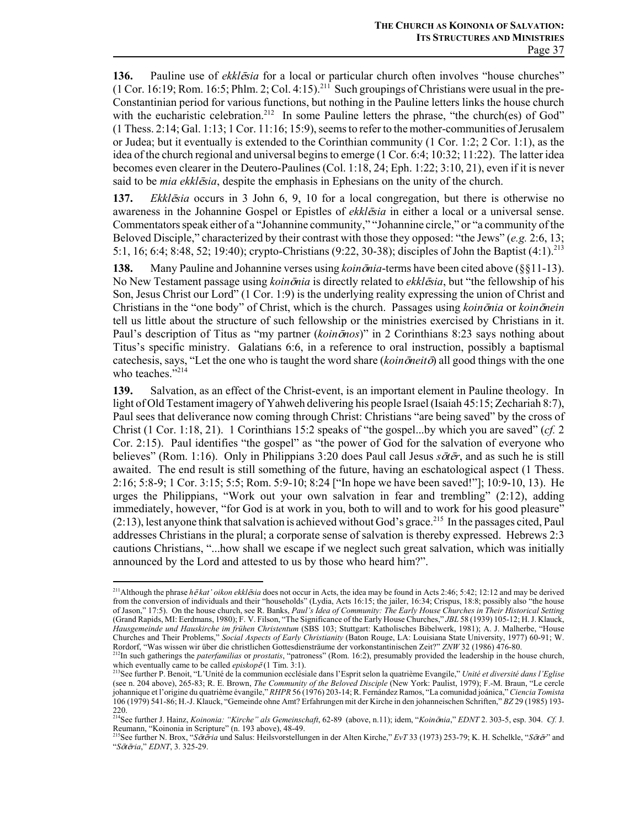**136.** Pauline use of *ekkl*'*sia* for a local or particular church often involves "house churches" (1 Cor. 16:19; Rom. 16:5; Phlm. 2; Col. 4:15).<sup>211</sup> Such groupings of Christians were usual in the pre-Constantinian period for various functions, but nothing in the Pauline letters links the house church with the eucharistic celebration.<sup>212</sup> In some Pauline letters the phrase, "the church(es) of God" (1 Thess. 2:14; Gal. 1:13; 1 Cor. 11:16; 15:9), seems to refer to the mother-communities of Jerusalem or Judea; but it eventually is extended to the Corinthian community (1 Cor. 1:2; 2 Cor. 1:1), as the idea of the church regional and universal begins to emerge (1 Cor. 6:4; 10:32; 11:22). The latter idea becomes even clearer in the Deutero-Paulines (Col. 1:18, 24; Eph. 1:22; 3:10, 21), even if it is never said to be *mia ekklēsia*, despite the emphasis in Ephesians on the unity of the church.

**137.** *Ekkl*'*sia* occurs in 3 John 6, 9, 10 for a local congregation, but there is otherwise no awareness in the Johannine Gospel or Epistles of *ekklesia* in either a local or a universal sense. Commentators speak either of a "Johannine community," "Johannine circle," or "a community of the Beloved Disciple," characterized by their contrast with those they opposed: "the Jews" (*e.g.* 2:6, 13; 5:1, 16; 6:4; 8:48, 52; 19:40); crypto-Christians (9:22, 30-38); disciples of John the Baptist (4:1).213

**138.** Many Pauline and Johannine verses using *koinonia*-terms have been cited above (§§11-13). No New Testament passage using *koin*Ç*nia* is directly related to *ekkl*'*sia*, but "the fellowship of his Son, Jesus Christ our Lord" (1 Cor. 1:9) is the underlying reality expressing the union of Christ and Christians in the "one body" of Christ, which is the church. Passages using *koinonia* or *koinonia* or tell us little about the structure of such fellowship or the ministries exercised by Christians in it. Paul's description of Titus as "my partner *(koinonos)*" in 2 Corinthians 8:23 says nothing about Titus's specific ministry. Galatians 6:6, in a reference to oral instruction, possibly a baptismal cate chesis, says, "Let the one who is taught the word share ( $koin$ <sup> $\bar{o}$ </sup>) all good things with the one who teaches."214

**139.** Salvation, as an effect of the Christ-event, is an important element in Pauline theology. In light of Old Testament imagery of Yahweh delivering his people Israel (Isaiah 45:15; Zechariah 8:7), Paul sees that deliverance now coming through Christ: Christians "are being saved" by the cross of Christ (1 Cor. 1:18, 21). 1 Corinthians 15:2 speaks of "the gospel...by which you are saved" (*cf.* 2 Cor. 2:15). Paul identifies "the gospel" as "the power of God for the salvation of everyone who believes" (Rom. 1:16). Only in Philippians 3:20 does Paul call Jesus  $s\bar{\sigma}t\bar{\sigma}$ , and as such he is still awaited. The end result is still something of the future, having an eschatological aspect (1 Thess. 2:16; 5:8-9; 1 Cor. 3:15; 5:5; Rom. 5:9-10; 8:24 ["In hope we have been saved!"]; 10:9-10, 13). He urges the Philippians, "Work out your own salvation in fear and trembling" (2:12), adding immediately, however, "for God is at work in you, both to will and to work for his good pleasure"  $(2.13)$ , lest anyone think that salvation is achieved without God's grace.<sup>215</sup> In the passages cited, Paul addresses Christians in the plural; a corporate sense of salvation is thereby expressed. Hebrews 2:3 cautions Christians, "...how shall we escape if we neglect such great salvation, which was initially announced by the Lord and attested to us by those who heard him?".

<sup>&</sup>lt;sup>211</sup>Although the phrase  $h\bar{e}kat'$  oikon ekkl $\bar{e}sia$  does not occur in Acts, the idea may be found in Acts 2:46; 5:42; 12:12 and may be derived from the conversion of individuals and their "households" (Lydia, Acts 16:15; the jailer, 16:34; Crispus, 18:8; possibly also "the house of Jason," 17:5). On the house church, see R. Banks, *Paul's Idea of Community: The Early House Churches in Their Historical Setting* (Grand Rapids, MI: Eerdmans, 1980); F. V. Filson, "The Significance of the Early House Churches," *JBL* 58 (1939) 105-12; H. J. Klauck, *Hausgemeinde und Hauskirche im frühen Christentum* (SBS 103; Stuttgart: Katholisches Bibelwerk, 1981); A. J. Malherbe, "House Churches and Their Problems," *Social Aspects of Early Christianity* (Baton Rouge, LA: Louisiana State University, 1977) 60-91; W. Rordorf, "Was wissen wir über die christlichen Gottesdiensträume der vorkonstantinischen Zeit?" *ZNW* 32 (1986) 476-80.

<sup>212</sup>In such gatherings the *paterfamilias* or *prostatis*, "patroness" (Rom. 16:2), presumably provided the leadership in the house church, which eventually came to be called  $episkop\bar{e}(1$  Tim. 3:1).

<sup>213</sup>See further P. Benoit, "L'Unité de la communion ecclésiale dans l'Esprit selon la quatrième Evangile," *Unité et diversité dans l'Eglise* (see n. 204 above), 265-83; R. E. Brown, *The Community of the Beloved Disciple* (New York: Paulist, 1979); F.-M. Braun, "Le cercle johannique et l'origine du quatrième évangile," *RHPR* 56 (1976) 203-14; R. Fernández Ramos, "La comunidad joánica," *Ciencia Tomista* 106 (1979) 541-86; H.-J. Klauck, "Gemeinde ohne Amt? Erfahrungen mit der Kirche in den johanneischen Schriften," *BZ* 29 (1985) 193- 220.

<sup>214</sup>See further J. Hainz, *Koinonia: "Kirche" als Gemeinschaft*, 62-89 (above, n.11); idem, "*Koin*Ç*nia*," *EDNT* 2. 303-5, esp. 304. *Cf.* J. Reumann, "Koinonia in Scripture" (n. 193 above), 48-49.

<sup>215</sup>See further N. Brox, "*S*Ç*t*'*ria* und Salus: Heilsvorstellungen in der Alten Kirche," *EvT* 33 (1973) 253-79; K. H. Schelkle, "*S*Ç*t*'*r*" and "*S*Ç*t*'*ria*," *EDNT*, 3. 325-29.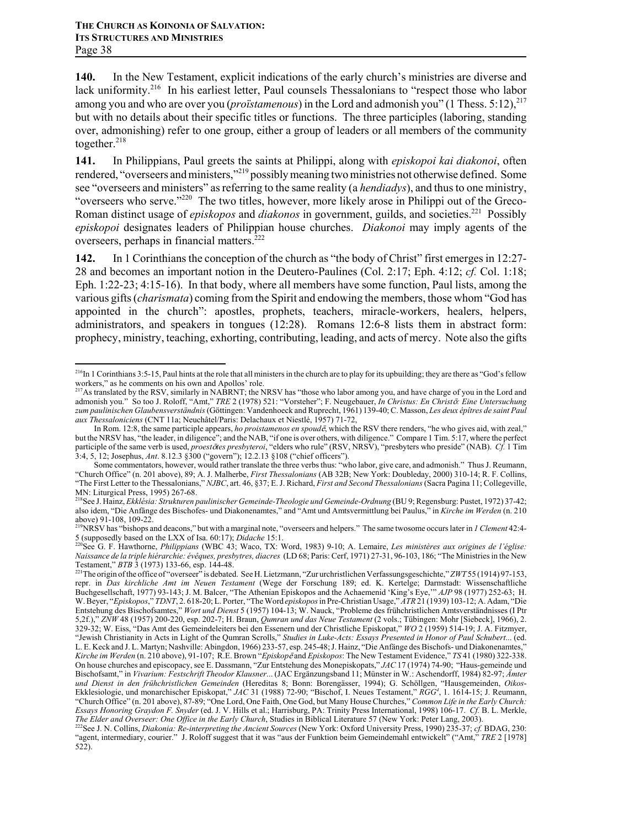**140.** In the New Testament, explicit indications of the early church's ministries are diverse and lack uniformity.<sup>216</sup> In his earliest letter, Paul counsels Thessalonians to "respect those who labor among you and who are over you *(proïstamenous)* in the Lord and admonish you" (1 Thess.  $5:12$ ),  $2^{17}$ but with no details about their specific titles or functions. The three participles (laboring, standing over, admonishing) refer to one group, either a group of leaders or all members of the community together.<sup>218</sup>

**141.** In Philippians, Paul greets the saints at Philippi, along with *episkopoi kai diakonoi*, often rendered, "overseers and ministers,"219 possibly meaning two ministries not otherwise defined. Some see "overseers and ministers" as referring to the same reality (a *hendiadys*), and thus to one ministry, "overseers who serve."220 The two titles, however, more likely arose in Philippi out of the Greco-Roman distinct usage of *episkopos* and *diakonos* in government, guilds, and societies.<sup>221</sup> Possibly *episkopoi* designates leaders of Philippian house churches. *Diakonoi* may imply agents of the overseers, perhaps in financial matters.222

**142.** In 1 Corinthians the conception of the church as "the body of Christ" first emerges in 12:27- 28 and becomes an important notion in the Deutero-Paulines (Col. 2:17; Eph. 4:12; *cf.* Col. 1:18; Eph. 1:22-23; 4:15-16). In that body, where all members have some function, Paul lists, among the various gifts (*charismata*) coming from the Spirit and endowing the members, those whom "God has appointed in the church": apostles, prophets, teachers, miracle-workers, healers, helpers, administrators, and speakers in tongues (12:28). Romans 12:6-8 lists them in abstract form: prophecy, ministry, teaching, exhorting, contributing, leading, and acts of mercy. Note also the gifts

 $^{216}$ In 1 Corinthians 3:5-15, Paul hints at the role that all ministers in the church are to play for its upbuilding; they are there as "God's fellow workers," as he comments on his own and Apollos' role.<br> $\frac{217 \text{ A}}{217 \text{ A}}$  as trenglated 1.

<sup>217</sup>As translated by the RSV, similarly in NABRNT; the NRSV has "those who labor among you, and have charge of you in the Lord and admonish you." So too J. Roloff, "Amt," *TRE* 2 (1978) 521: "Vorsteher"; F. Neugebauer, *In Christus: En Christ*Ç*: Eine Untersuchung zum paulinischen Glaubensverständnis* (Göttingen: Vandenhoeck and Ruprecht, 1961) 139-40; C. Masson, *Les deux épîtres de saint Paul aux Thessaloniciens* (CNT 11a; Neuchâtel/Paris: Delachaux et Niestlé, 1957) 71-72,

In Rom. 12:8, the same participle appears, *ho proistamenos en spoud*<sup> $\bar{e}$ </sup>, which the RSV there renders, "he who gives aid, with zeal," but the NRSV has, "the leader, in diligence"; and the NAB, "if one is over others, with diligence." Compare 1 Tim. 5:17, where the perfect participle of the same verb is used, *proestotes presbyteroi*, "elders who rule" (RSV, NRSV), "presbyters who preside" (NAB). *Cf.* 1 Tim 3:4, 5, 12; Josephus, *Ant*. 8.12.3 §300 ("govern"); 12.2.13 §108 ("chief officers").

Some commentators, however, would rather translate the three verbs thus: "who labor, give care, and admonish." Thus J. Reumann, "Church Office" (n. 201 above), 89; A. J. Malherbe, *First Thessalonians* (AB 32B; New York: Doubleday, 2000) 310-14; R. F. Collins, "The First Letter to the Thessalonians," *NJBC*, art. 46, §37; E. J. Richard, *First and Second Thessalonians* (Sacra Pagina 11; Collegeville, MN: Liturgical Press, 1995) 267-68.

<sup>218</sup>See J. Hainz, *Ekklésia: Strukturen paulinischer Gemeinde-Theologie und Gemeinde-Ordnung* (BU 9; Regensburg: Pustet, 1972) 37-42; also idem, "Die Anfänge des Bischofes- und Diakonenamtes," and "Amt und Amtsvermittlung bei Paulus," in *Kirche im Werden* (n. 210 above) 91-108, 109-22.

<sup>219</sup>NRSV has "bishops and deacons," but with a marginal note, "overseers and helpers." The same twosome occurs later in *1 Clement* 42:4- 5 (supposedly based on the LXX of Isa. 60:17); *Didache* 15:1.

<sup>220</sup>See G. F. Hawthorne, *Philippians* (WBC 43; Waco, TX: Word, 1983) 9-10; A. Lemaire, *Les ministères aux origines de l'église: Naissance de la triple hiérarchie: évêques, presbytres, diacres* (LD 68; Paris: Cerf, 1971) 27-31, 96-103, 186; "The Ministries in the New Testament," *BTB* 3 (1973) 133-66, esp. 144-48.

<sup>221</sup>The origin of the office of "overseer" is debated. See H. Lietzmann, "Zur urchristlichen Verfassungsgeschichte," *ZWT* 55 (1914) 97-153, repr. in *Das kirchliche Amt im Neuen Testament* (Wege der Forschung 189; ed. K. Kertelge; Darmstadt: Wissenschaftliche Buchgesellschaft, 1977) 93-143; J. M. Balcer, "The Athenian Episkopos and the Achaemenid 'King's Eye,'" *AJP* 98 (1977) 252-63; H. W. Beyer, "*Episkopos*," *TDNT*, 2. 618-20; L. Porter, "The Word *episkopos* in Pre-Christian Usage," *ATR* 21 (1939) 103-12; A. Adam, "Die Entstehung des Bischofsamtes," *Wort und Dienst* 5 (1957) 104-13; W. Nauck, "Probleme des frühchristlichen Amtsverständnisses (I Ptr 5,2f.)," *ZNW* 48 (1957) 200-220, esp. 202-7; H. Braun, *Qumran und das Neue Testament* (2 vols.; Tübingen: Mohr [Siebeck], 1966), 2. 329-32; W. Eiss, "Das Amt des Gemeindeleiters bei den Essenern und der Christliche Episkopat," *WO* 2 (1959) 514-19; J. A. Fitzmyer, "Jewish Christianity in Acts in Light of the Qumran Scrolls," *Studies in Luke-Acts: Essays Presented in Honor of Paul Schubert*... (ed. L. E. Keck and J. L. Martyn; Nashville: Abingdon, 1966) 233-57, esp. 245-48; J. Hainz, "Die Anfänge des Bischofs- und Diakonenamtes," *Kirche im Werden* (n. 210 above), 91-107; R.E. Brown "*Episkop*' and *Episkopos*: The New Testament Evidence," *TS* 41 (1980) 322-338. On house churches and episcopacy, see E. Dassmann, "Zur Entstehung des Monepiskopats," *JAC* 17 (1974) 74-90; "Haus-gemeinde und Bischofsamt," in *Vivarium: Festschrift Theodor Klausner*... (JAC Ergänzungsband 11; Münster in W.: Aschendorff, 1984) 82-97; *Ämter und Dienst in den frühchristlichen Gemeinden* (Hereditas 8; Bonn: Borengässer, 1994); G. Schöllgen, "Hausgemeinden, *Oikos*-Ekklesiologie, und monarchischer Episkopat," *JAC* 31 (1988) 72-90; "Bischof, I. Neues Testament," *RGG<sup>4</sup>*, 1. 1614-15; J. Reumann, "Church Office" (n. 201 above), 87-89; "One Lord, One Faith, One God, but Many House Churches," *Common Life in the Early Church: Essays Honoring Graydon F. Snyder* (ed. J. V. Hills et al.; Harrisburg, PA: Trinity Press International, 1998) 106-17. *Cf.* B. L. Merkle, *The Elder and Overseer: One Office in the Early Church*, Studies in Biblical Literature 57 (New York: Peter Lang, 2003).

<sup>222</sup>See J. N. Collins, *Diakonia: Re-interpreting the Ancient Sources* (New York: Oxford University Press, 1990) 235-37; *cf.* BDAG, 230: "agent, intermediary, courier." J. Roloff suggest that it was "aus der Funktion beim Gemeindemahl entwickelt" ("Amt," *TRE* 2 [1978]  $522$ ).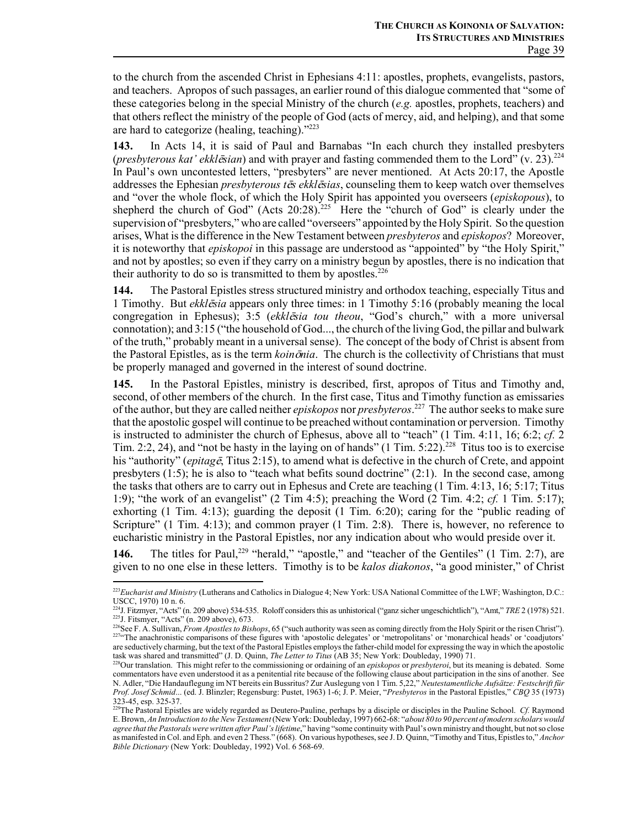to the church from the ascended Christ in Ephesians 4:11: apostles, prophets, evangelists, pastors, and teachers. Apropos of such passages, an earlier round of this dialogue commented that "some of these categories belong in the special Ministry of the church (*e.g.* apostles, prophets, teachers) and that others reflect the ministry of the people of God (acts of mercy, aid, and helping), and that some are hard to categorize (healing, teaching)."223

**143.** In Acts 14, it is said of Paul and Barnabas "In each church they installed presbyters (*presbyterous kat' ekklēsian*) and with prayer and fasting commended them to the Lord" (v. 23).<sup>224</sup> In Paul's own uncontested letters, "presbyters" are never mentioned. At Acts 20:17, the Apostle addresses the Ephesian *presbyterous t*'*s ekkl*'*sias*, counseling them to keep watch over themselves and "over the whole flock, of which the Holy Spirit has appointed you overseers (*episkopous*), to shepherd the church of God" (Acts  $20:28$ ).<sup>225</sup> Here the "church of God" is clearly under the supervision of "presbyters," who are called "overseers" appointed by the Holy Spirit. So the question arises, What is the difference in the New Testament between *presbyteros* and *episkopos*? Moreover, it is noteworthy that *episkopoi* in this passage are understood as "appointed" by "the Holy Spirit," and not by apostles; so even if they carry on a ministry begun by apostles, there is no indication that their authority to do so is transmitted to them by apostles. $226$ 

**144.** The Pastoral Epistles stress structured ministry and orthodox teaching, especially Titus and 1 Timothy. But *ekkl*'*sia* appears only three times: in 1 Timothy 5:16 (probably meaning the local congregation in Ephesus); 3:5 (*ekklēsia tou theou*, "God's church," with a more universal connotation); and 3:15 ("the household of God..., the church of the living God, the pillar and bulwark of the truth," probably meant in a universal sense). The concept of the body of Christ is absent from the Pastoral Epistles, as is the term *koinõnia*. The church is the collectivity of Christians that must be properly managed and governed in the interest of sound doctrine.

**145.** In the Pastoral Epistles, ministry is described, first, apropos of Titus and Timothy and, second, of other members of the church. In the first case, Titus and Timothy function as emissaries of the author, but they are called neither *episkopos* nor *presbyteros*. 227 The author seeks to make sure that the apostolic gospel will continue to be preached without contamination or perversion. Timothy is instructed to administer the church of Ephesus, above all to "teach" (1 Tim. 4:11, 16; 6:2; *cf.* 2 Tim. 2:2, 24), and "not be hasty in the laying on of hands"  $(1 \text{ Tim. } 5:22)$ .<sup>228</sup> Titus too is to exercise his "authority" (*epitag*<sup> $\bar{e}$ </sup>, Titus 2:15), to amend what is defective in the church of Crete, and appoint presbyters  $(1:5)$ ; he is also to "teach what befits sound doctrine"  $(2:1)$ . In the second case, among the tasks that others are to carry out in Ephesus and Crete are teaching (1 Tim. 4:13, 16; 5:17; Titus 1:9); "the work of an evangelist" (2 Tim 4:5); preaching the Word (2 Tim. 4:2; *cf.* 1 Tim. 5:17); exhorting (1 Tim. 4:13); guarding the deposit (1 Tim. 6:20); caring for the "public reading of Scripture" (1 Tim. 4:13); and common prayer (1 Tim. 2:8). There is, however, no reference to eucharistic ministry in the Pastoral Epistles, nor any indication about who would preside over it.

146. The titles for Paul,<sup>229</sup> "herald," "apostle," and "teacher of the Gentiles" (1 Tim. 2:7), are given to no one else in these letters. Timothy is to be *kalos diakonos*, "a good minister," of Christ

<sup>223</sup>*Eucharist and Ministry* (Lutherans and Catholics in Dialogue 4; New York: USA National Committee of the LWF; Washington, D.C.: USCC, 1970) 10 n. 6.

<sup>224</sup>J. Fitzmyer, "Acts" (n. 209 above) 534-535. Roloff considers this as unhistorical ("ganz sicher ungeschichtlich"), "Amt," *TRE* 2 (1978) 521. 225J. Fitsmyer, "Acts" (n. 209 above), 673.

<sup>&</sup>lt;sup>226</sup>See F. A. Sullivan, *From Apostles to Bishops*, 65 ("such authority was seen as coming directly from the Holy Spirit or the risen Christ"). <sup>227"</sup>The anachronistic comparisons of these figures with 'apostolic delegates' or 'metropolitans' or 'monarchical heads' or 'coadjutors' are seductively charming, but the text of the Pastoral Epistles employs the father-child model for expressing the way in which the apostolic task was shared and transmitted" (J. D. Quinn, *The Letter to Titus* (AB 35; New York: Doubleday, 1990) 71.

<sup>228</sup>Our translation. This might refer to the commissioning or ordaining of an *episkopos* or *presbyteroi*, but its meaning is debated. Some commentators have even understood it as a penitential rite because of the following clause about participation in the sins of another. See N. Adler, "Die Handauflegung im NT bereits ein Bussritus? Zur Auslegung von 1 Tim. 5,22," *Neutestamentliche Aufsätze: Festschrift für Prof. Josef Schmid*... (ed. J. Blinzler; Regensburg: Pustet, 1963) 1-6; J. P. Meier, "*Presbyteros* in the Pastoral Epistles," *CBQ* 35 (1973) 323-45, esp. 325-37.

<sup>229</sup>The Pastoral Epistles are widely regarded as Deutero-Pauline, perhaps by a disciple or disciples in the Pauline School. *Cf.* Raymond E. Brown, *An Introduction to the New Testament* (New York: Doubleday, 1997) 662-68: "*about 80 to 90 percent of modern scholars would agree that the Pastorals were written after Paul's lifetime*," having "some continuity with Paul's own ministry and thought, but not so close as manifested in Col. and Eph. and even 2 Thess." (668). On various hypotheses, see J. D. Quinn, "Timothy and Titus, Epistles to," *Anchor Bible Dictionary* (New York: Doubleday, 1992) Vol. 6 568-69.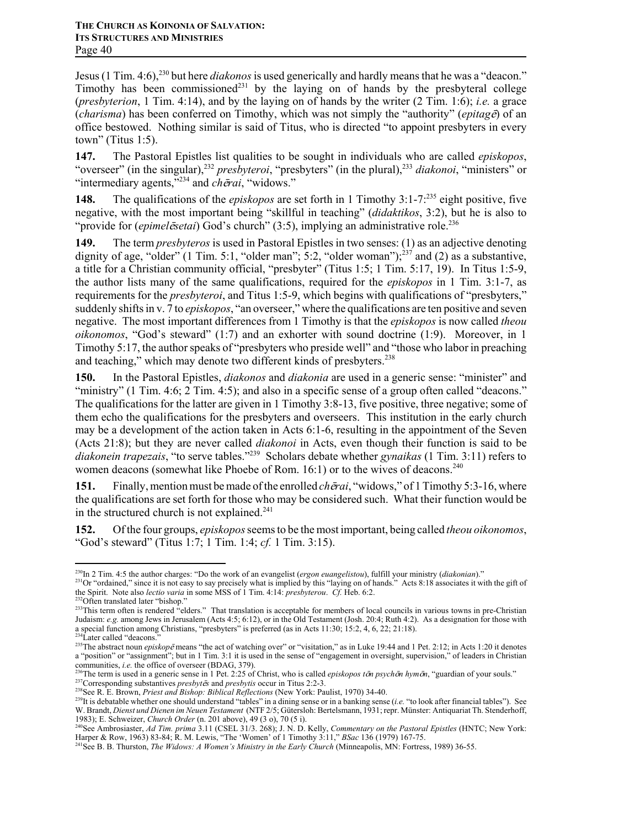Jesus (1 Tim. 4:6),<sup>230</sup> but here *diakonos* is used generically and hardly means that he was a "deacon." Timothy has been commissioned<sup>231</sup> by the laying on of hands by the presbyteral college (*presbyterion*, 1 Tim. 4:14), and by the laying on of hands by the writer (2 Tim. 1:6); *i.e.* a grace (*charisma*) has been conferred on Timothy, which was not simply the "authority" (*epitag* $\vec{e}$ ) of an office bestowed. Nothing similar is said of Titus, who is directed "to appoint presbyters in every town" (Titus 1:5).

**147.** The Pastoral Epistles list qualities to be sought in individuals who are called *episkopos*, "overseer" (in the singular),<sup>232</sup> *presbyteroi*, "presbyters" (in the plural),<sup>233</sup> *diakonoi*, "ministers" or "intermediary agents,"<sup>234</sup> and *chērai*, "widows."

**148.** The qualifications of the *episkopos* are set forth in 1 Timothy 3:1-7:235 eight positive, five negative, with the most important being "skillful in teaching" (*didaktikos*, 3:2), but he is also to "provide for (*epimelesetai*) God's church" (3:5), implying an administrative role.<sup>236</sup>

**149.** The term *presbyteros* is used in Pastoral Epistles in two senses: (1) as an adjective denoting dignity of age, "older" (1 Tim. 5:1, "older man"; 5:2, "older woman");<sup>237</sup> and (2) as a substantive, a title for a Christian community official, "presbyter" (Titus 1:5; 1 Tim. 5:17, 19). In Titus 1:5-9, the author lists many of the same qualifications, required for the *episkopos* in 1 Tim. 3:1-7, as requirements for the *presbyteroi*, and Titus 1:5-9, which begins with qualifications of "presbyters," suddenly shifts in v. 7 to *episkopos*, "an overseer," where the qualifications are ten positive and seven negative. The most important differences from 1 Timothy is that the *episkopos* is now called *theou oikonomos*, "God's steward" (1:7) and an exhorter with sound doctrine (1:9). Moreover, in 1 Timothy 5:17, the author speaks of "presbyters who preside well" and "those who labor in preaching and teaching," which may denote two different kinds of presbyters.<sup>238</sup>

**150.** In the Pastoral Epistles, *diakonos* and *diakonia* are used in a generic sense: "minister" and "ministry" (1 Tim. 4:6; 2 Tim. 4:5); and also in a specific sense of a group often called "deacons." The qualifications for the latter are given in 1 Timothy 3:8-13, five positive, three negative; some of them echo the qualifications for the presbyters and overseers. This institution in the early church may be a development of the action taken in Acts 6:1-6, resulting in the appointment of the Seven (Acts 21:8); but they are never called *diakonoi* in Acts, even though their function is said to be *diakonein trapezais*, "to serve tables."239 Scholars debate whether *gynaikas* (1 Tim. 3:11) refers to women deacons (somewhat like Phoebe of Rom. 16:1) or to the wives of deacons.<sup>240</sup>

**151.** Finally, mention must be made of the enrolled *ch*'*rai*, "widows," of 1 Timothy 5:3-16, where the qualifications are set forth for those who may be considered such. What their function would be in the structured church is not explained.<sup>241</sup>

**152.** Of the four groups, *episkopos* seems to be the most important, being called *theou oikonomos*, "God's steward" (Titus 1:7; 1 Tim. 1:4; *cf.* 1 Tim. 3:15).

<sup>230</sup>In 2 Tim. 4:5 the author charges: "Do the work of an evangelist (*ergon euangelistou*), fulfill your ministry (*diakonian*)."

 $2^{23}$ Or "ordained," since it is not easy to say precisely what is implied by this "laying on of hands." Acts 8:18 associates it with the gift of the Spirit. Note also *lectio varia* in some MSS of 1 Tim. 4:14: *presbyterou*. *Cf.* Heb. 6:2.

<sup>&</sup>lt;sup>232</sup>Often translated later "bishop."

<sup>&</sup>lt;sup>233</sup>This term often is rendered "elders." That translation is acceptable for members of local councils in various towns in pre-Christian Judaism: *e.g.* among Jews in Jerusalem (Acts 4:5; 6:12), or in the Old Testament (Josh. 20:4; Ruth 4:2). As a designation for those with a special function among Christians, "presbyters" is preferred (as in Acts 11:30; 15:2, 4, 6, 22; 21:18). <sup>234</sup>Later called "deacons."

<sup>&</sup>lt;sup>235</sup>The abstract noun *episkop*<sup> $\vec{e}$ </sup> means "the act of watching over" or "visitation," as in Luke 19:44 and 1 Pet. 2:12; in Acts 1:20 it denotes a "position" or "assignment"; but in 1 Tim. 3:1 it is used in the sense of "engagement in oversight, supervision," of leaders in Christian communities, *i.e.* the office of overseer (BDAG, 379).

<sup>&</sup>lt;sup>236</sup>The term is used in a generic sense in 1 Pet. 2:25 of Christ, who is called *episkopos ton psychon hymon*, "guardian of your souls." <sup>237</sup>Corresponding substantives *presbytes* and *presbytis* occur in Titus 2:2-3.

<sup>238</sup>See R. E. Brown, *Priest and Bishop: Biblical Reflections* (New York: Paulist, 1970) 34-40.

<sup>&</sup>lt;sup>239</sup>It is debatable whether one should understand "tables" in a dining sense or in a banking sense (*i.e.* "to look after financial tables"). See W. Brandt, *Dienst und Dienen im Neuen Testament* (NTF 2/5; Gütersloh: Bertelsmann, 1931; repr. Münster: Antiquariat Th. Stenderhoff, 1983); E. Schweizer, *Church Order* (n. 201 above), 49 (3 o), 70 (5 i).

<sup>240</sup>See Ambrosiaster, *Ad Tim. prima* 3.11 (CSEL 31/3. 268); J. N. D. Kelly, *Commentary on the Pastoral Epistles* (HNTC; New York: Harper & Row, 1963) 83-84; R. M. Lewis, "The 'Women' of 1 Timothy 3:11," *BSac* 136 (1979) 167-75.

<sup>241</sup>See B. B. Thurston, *The Widows: A Women's Ministry in the Early Church* (Minneapolis, MN: Fortress, 1989) 36-55.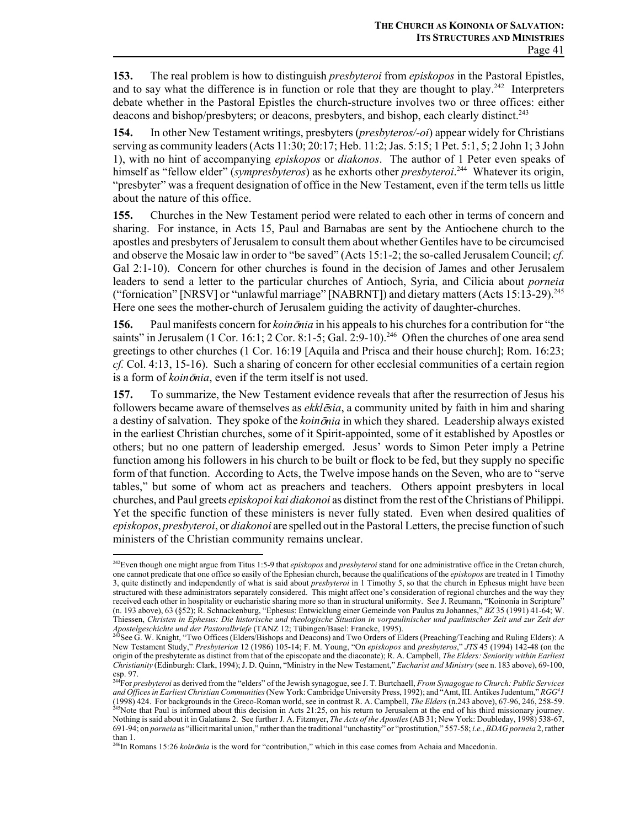**153.** The real problem is how to distinguish *presbyteroi* from *episkopos* in the Pastoral Epistles, and to say what the difference is in function or role that they are thought to play.<sup>242</sup> Interpreters debate whether in the Pastoral Epistles the church-structure involves two or three offices: either deacons and bishop/presbyters; or deacons, presbyters, and bishop, each clearly distinct.<sup>243</sup>

**154.** In other New Testament writings, presbyters (*presbyteros/-oi*) appear widely for Christians serving as community leaders (Acts 11:30; 20:17; Heb. 11:2; Jas. 5:15; 1 Pet. 5:1, 5; 2 John 1; 3 John 1), with no hint of accompanying *episkopos* or *diakonos*. The author of 1 Peter even speaks of himself as "fellow elder" (*sympresbyteros*) as he exhorts other *presbyteroi*. 244 Whatever its origin, "presbyter" was a frequent designation of office in the New Testament, even if the term tells us little about the nature of this office.

**155.** Churches in the New Testament period were related to each other in terms of concern and sharing. For instance, in Acts 15, Paul and Barnabas are sent by the Antiochene church to the apostles and presbyters of Jerusalem to consult them about whether Gentiles have to be circumcised and observe the Mosaic law in order to "be saved" (Acts 15:1-2; the so-called Jerusalem Council; *cf.* Gal 2:1-10). Concern for other churches is found in the decision of James and other Jerusalem leaders to send a letter to the particular churches of Antioch, Syria, and Cilicia about *porneia* ("fornication" [NRSV] or "unlawful marriage" [NABRNT]) and dietary matters (Acts 15:13-29).<sup>245</sup> Here one sees the mother-church of Jerusalem guiding the activity of daughter-churches.

**156.** Paul manifests concern for *koin onia* in his appeals to his churches for a contribution for "the saints" in Jerusalem (1 Cor. 16:1; 2 Cor. 8:1-5; Gal. 2:9-10).<sup>246</sup> Often the churches of one area send greetings to other churches (1 Cor. 16:19 [Aquila and Prisca and their house church]; Rom. 16:23; *cf.* Col. 4:13, 15-16). Such a sharing of concern for other ecclesial communities of a certain region is a form of *koinonia*, even if the term itself is not used.

**157.** To summarize, the New Testament evidence reveals that after the resurrection of Jesus his followers became aware of themselves as *ekkl*'*sia*, a community united by faith in him and sharing a destiny of salvation. They spoke of the *koinonia* in which they shared. Leadership always existed in the earliest Christian churches, some of it Spirit-appointed, some of it established by Apostles or others; but no one pattern of leadership emerged. Jesus' words to Simon Peter imply a Petrine function among his followers in his church to be built or flock to be fed, but they supply no specific form of that function. According to Acts, the Twelve impose hands on the Seven, who are to "serve tables," but some of whom act as preachers and teachers. Others appoint presbyters in local churches, and Paul greets *episkopoi kai diakonoi* as distinct from the rest of the Christians of Philippi. Yet the specific function of these ministers is never fully stated. Even when desired qualities of *episkopos*, *presbyteroi*, or *diakonoi* are spelled out in the Pastoral Letters, the precise function of such ministers of the Christian community remains unclear.

<sup>242</sup>Even though one might argue from Titus 1:5-9 that *episkopos* and *presbyteroi* stand for one administrative office in the Cretan church, one cannot predicate that one office so easily of the Ephesian church, because the qualifications of the *episkopos* are treated in 1 Timothy 3, quite distinctly and independently of what is said about *presbyteroi* in 1 Timothy 5, so that the church in Ephesus might have been structured with these administrators separately considered. This might affect one's consideration of regional churches and the way they received each other in hospitality or eucharistic sharing more so than in structural uniformity. See J. Reumann, "Koinonia in Scripture" (n. 193 above), 63 (§52); R. Schnackenburg, "Ephesus: Entwicklung einer Gemeinde von Paulus zu Johannes," *BZ* 35 (1991) 41-64; W. Thiessen, *Christen in Ephesus: Die historische und theologische Situation in vorpaulinischer und paulinischer Zeit und zur Zeit der Apostelgeschichte und der Pastoralbriefe* (TANZ 12; Tübingen/Basel: Francke, 1995).

<sup>&</sup>lt;sup>243</sup>See G. W. Knight, "Two Offices (Elders/Bishops and Deacons) and Two Orders of Elders (Preaching/Teaching and Ruling Elders): A New Testament Study," *Presbyterion* 12 (1986) 105-14; F. M. Young, "On *episkopos* and *presbyteros*," *JTS* 45 (1994) 142-48 (on the origin of the presbyterate as distinct from that of the episcopate and the diaconate); R. A. Campbell, *The Elders: Seniority within Earliest Christianity* (Edinburgh: Clark, 1994); J. D. Quinn, "Ministry in the New Testament," *Eucharist and Ministry* (see n. 183 above), 69-100, esp. 97.

<sup>244</sup>For *presbyteroi* as derived from the "elders" of the Jewish synagogue, see J. T. Burtchaell, *From Synagogue to Church: Public Services and Offices in Earliest Christian Communities* (New York: Cambridge University Press, 1992); and "Amt, III. Antikes Judentum," *RGG4 1* (1998) 424. For backgrounds in the Greco-Roman world, see in contrast R. A. Campbell, *The Elders* (n.243 above), 67-96, 246, 258-59.  $^{245}$ Note that Paul is informed about this decision in Acts 21:25, on his return to Jerusalem at the end of his third missionary journey. Nothing is said about it in Galatians 2. See further J. A. Fitzmyer, *The Acts of the Apostles* (AB 31; New York: Doubleday, 1998) 538-67, 691-94; on *porneia* as "illicit marital union," rather than the traditional "unchastity" or "prostitution," 557-58; *i.e.*, *BDAG porneia* 2, rather than 1.

<sup>&</sup>lt;sup>246</sup>In Romans 15:26 *koin onia* is the word for "contribution," which in this case comes from Achaia and Macedonia.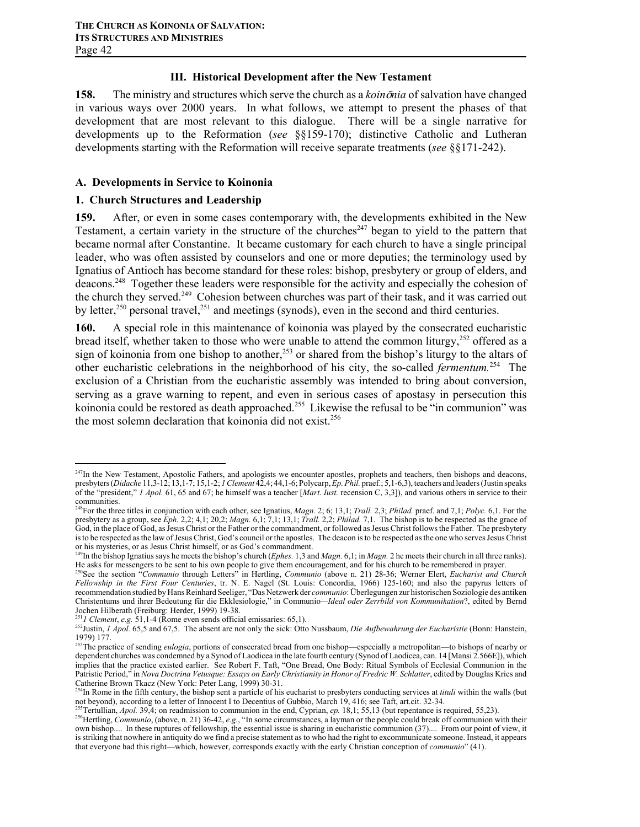#### **III. Historical Development after the New Testament**

**158.** The ministry and structures which serve the church as a *koin onia* of salvation have changed in various ways over 2000 years. In what follows, we attempt to present the phases of that development that are most relevant to this dialogue. There will be a single narrative for developments up to the Reformation (*see* §§159-170); distinctive Catholic and Lutheran developments starting with the Reformation will receive separate treatments (*see* §§171-242).

## **A. Developments in Service to Koinonia**

## **1. Church Structures and Leadership**

**159.** After, or even in some cases contemporary with, the developments exhibited in the New Testament, a certain variety in the structure of the churches<sup> $247$ </sup> began to yield to the pattern that became normal after Constantine. It became customary for each church to have a single principal leader, who was often assisted by counselors and one or more deputies; the terminology used by Ignatius of Antioch has become standard for these roles: bishop, presbytery or group of elders, and deacons.248 Together these leaders were responsible for the activity and especially the cohesion of the church they served.<sup>249</sup> Cohesion between churches was part of their task, and it was carried out by letter,<sup>250</sup> personal travel,<sup>251</sup> and meetings (synods), even in the second and third centuries.

**160.** A special role in this maintenance of koinonia was played by the consecrated eucharistic bread itself, whether taken to those who were unable to attend the common liturgy,<sup>252</sup> offered as a sign of koinonia from one bishop to another,<sup>253</sup> or shared from the bishop's liturgy to the altars of other eucharistic celebrations in the neighborhood of his city, the so-called *fermentum.*254 The exclusion of a Christian from the eucharistic assembly was intended to bring about conversion, serving as a grave warning to repent, and even in serious cases of apostasy in persecution this koinonia could be restored as death approached.<sup>255</sup> Likewise the refusal to be "in communion" was the most solemn declaration that koinonia did not exist.<sup>256</sup>

<sup>&</sup>lt;sup>247</sup>In the New Testament, Apostolic Fathers, and apologists we encounter apostles, prophets and teachers, then bishops and deacons, presbyters (*Didache* 11,3-12; 13,1-7; 15,1-2; *1 Clement* 42,4; 44,1-6; Polycarp, *Ep. Phil.* praef.; 5,1-6,3), teachers and leaders (Justin speaks of the "president," *1 Apol.* 61, 65 and 67; he himself was a teacher [*Mart. Iust.* recension C, 3,3]), and various others in service to their communities.

<sup>248</sup>For the three titles in conjunction with each other, see Ignatius, *Magn.* 2; 6; 13,1; *Trall.* 2,3; *Philad.* praef. and 7,1; *Polyc.* 6,1. For the presbytery as a group, see *Eph.* 2,2; 4,1; 20,2; *Magn.* 6,1; 7,1; 13,1; *Trall.* 2,2; *Philad.* 7,1. The bishop is to be respected as the grace of God, in the place of God, as Jesus Christ or the Father or the commandment, or followed as Jesus Christ follows the Father. The presbytery is to be respected as the law of Jesus Christ, God's council or the apostles. The deacon is to be respected as the one who serves Jesus Christ or his mysteries, or as Jesus Christ himself, or as God's commandment.

<sup>249</sup>In the bishop Ignatius says he meets the bishop's church (*Ephes.* 1,3 and *Magn.* 6,1; in *Magn.* 2 he meets their church in all three ranks). He asks for messengers to be sent to his own people to give them encouragement, and for his church to be remembered in prayer.

<sup>250</sup>See the section "*Communio* through Letters" in Hertling, *Communio* (above n. 21) 28-36; Werner Elert, *Eucharist and Church Fellowship in the First Four Centuries*, tr. N. E. Nagel (St. Louis: Concordia, 1966) 125-160; and also the papyrus letters of recommendation studied by Hans Reinhard Seeliger, "Das Netzwerk der *communio*: Überlegungen zur historischen Soziologie des antiken Christentums und ihrer Bedeutung für die Ekklesiologie," in Communio*—Ideal oder Zerrbild von Kommunikation*?, edited by Bernd Jochen Hilberath (Freiburg: Herder, 1999) 19-38.

<sup>251</sup>*1 Clement*, *e.g.* 51,1-4 (Rome even sends official emissaries: 65,1).

<sup>&</sup>lt;sup>252</sup>Justin, *1 Apol.* 65,5 and 67,5. The absent are not only the sick: Otto Nussbaum, *Die Aufbewahrung der Eucharistie* (Bonn: Hanstein, 1979) 177.

<sup>&</sup>lt;sup>253</sup>The practice of sending *eulogia*, portions of consecrated bread from one bishop—especially a metropolitan—to bishops of nearby or dependent churches was condemned by a Synod of Laodicea in the late fourth century (Synod of Laodicea, can. 14 [Mansi 2.566E]), which implies that the practice existed earlier. See Robert F. Taft, "One Bread, One Body: Ritual Symbols of Ecclesial Communion in the Patristic Period," in *Nova Doctrina Vetusque: Essays on Early Christianity in Honor of Fredric W. Schlatter*, edited by Douglas Kries and Catherine Brown Tkacz (New York: Peter Lang, 1999) 30-31.

<sup>&</sup>lt;sup>254</sup>In Rome in the fifth century, the bishop sent a particle of his eucharist to presbyters conducting services at *tituli* within the walls (but not beyond), according to a letter of Innocent I to Decentius of Gubbio, March 19, 416; see Taft, art.cit. 32-34.

<sup>255</sup>Tertullian, *Apol.* 39,4; on readmission to communion in the end, Cyprian, *ep.* 18,1; 55,13 (but repentance is required, 55,23).

<sup>256</sup>Hertling, *Communio*, (above, n. 21) 36-42, *e.g.*, "In some circumstances, a layman or the people could break off communion with their own bishop.... In these ruptures of fellowship, the essential issue is sharing in eucharistic communion (37).... From our point of view, it is striking that nowhere in antiquity do we find a precise statement as to who had the right to excommunicate someone. Instead, it appears that everyone had this right—which, however, corresponds exactly with the early Christian conception of *communio*" (41).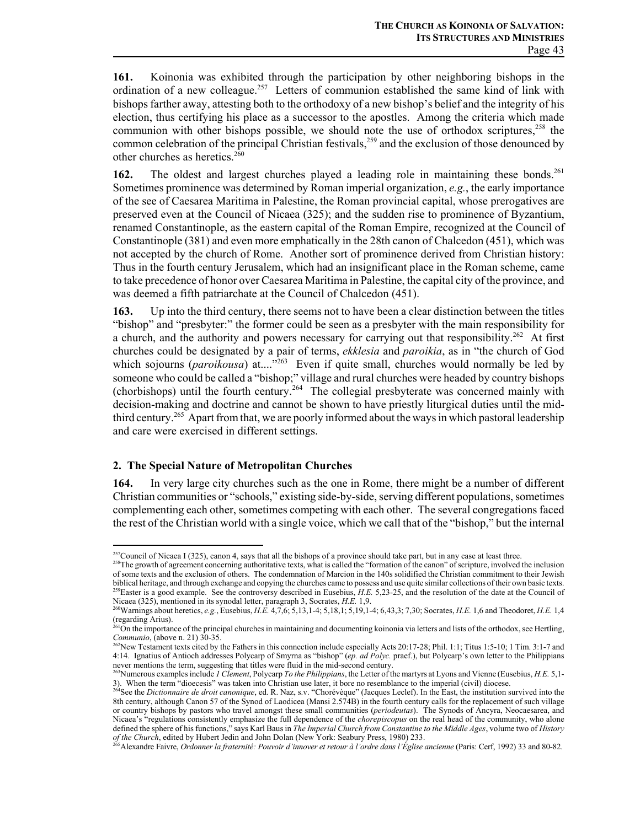**161.** Koinonia was exhibited through the participation by other neighboring bishops in the ordination of a new colleague.<sup>257</sup> Letters of communion established the same kind of link with bishops farther away, attesting both to the orthodoxy of a new bishop's belief and the integrity of his election, thus certifying his place as a successor to the apostles. Among the criteria which made communion with other bishops possible, we should note the use of orthodox scriptures,<sup>258</sup> the common celebration of the principal Christian festivals,<sup>259</sup> and the exclusion of those denounced by other churches as heretics. $2\overline{60}$ 

**162.** The oldest and largest churches played a leading role in maintaining these bonds.<sup>261</sup> Sometimes prominence was determined by Roman imperial organization, *e.g.*, the early importance of the see of Caesarea Maritima in Palestine, the Roman provincial capital, whose prerogatives are preserved even at the Council of Nicaea (325); and the sudden rise to prominence of Byzantium, renamed Constantinople, as the eastern capital of the Roman Empire, recognized at the Council of Constantinople (381) and even more emphatically in the 28th canon of Chalcedon (451), which was not accepted by the church of Rome. Another sort of prominence derived from Christian history: Thus in the fourth century Jerusalem, which had an insignificant place in the Roman scheme, came to take precedence of honor over Caesarea Maritima in Palestine, the capital city of the province, and was deemed a fifth patriarchate at the Council of Chalcedon (451).

**163.** Up into the third century, there seems not to have been a clear distinction between the titles "bishop" and "presbyter:" the former could be seen as a presbyter with the main responsibility for a church, and the authority and powers necessary for carrying out that responsibility.<sup>262</sup> At first churches could be designated by a pair of terms, *ekklesia* and *paroikia*, as in "the church of God which sojourns (*paroikousa*) at....<sup>"263</sup> Even if quite small, churches would normally be led by someone who could be called a "bishop;" village and rural churches were headed by country bishops (chorbishops) until the fourth century.264 The collegial presbyterate was concerned mainly with decision-making and doctrine and cannot be shown to have priestly liturgical duties until the midthird century.<sup>265</sup> Apart from that, we are poorly informed about the ways in which pastoral leadership and care were exercised in different settings.

## **2. The Special Nature of Metropolitan Churches**

**164.** In very large city churches such as the one in Rome, there might be a number of different Christian communities or "schools," existing side-by-side, serving different populations, sometimes complementing each other, sometimes competing with each other. The several congregations faced the rest of the Christian world with a single voice, which we call that of the "bishop," but the internal

 $257$ Council of Nicaea I (325), canon 4, says that all the bishops of a province should take part, but in any case at least three.

<sup>&</sup>lt;sup>258</sup>The growth of agreement concerning authoritative texts, what is called the "formation of the canon" of scripture, involved the inclusion of some texts and the exclusion of others. The condemnation of Marcion in the 140s solidified the Christian commitment to their Jewish biblical heritage, and through exchange and copying the churches came to possess and use quite similar collections of their own basic texts.  $^{259}$ Easter is a good example. See the controversy described in Eusebius,  $H.E. 5,23-25$ , and the resolution of the date at the Council of Nicaea (325), mentioned in its synodal letter, paragraph 3, Socrates, *H.E.* 1,9.

<sup>&</sup>lt;sup>260</sup>Warnings about heretics, *e.g.*, Eusebius, *H.E.* 4,7,6; 5,13,1-4; 5,18,1; 5,19,1-4; 6,43,3; 7,30; Socrates, *H.E.* 1,6 and Theodoret, *H.E.* 1,4 (regarding Arius).

 $^{261}$ On the importance of the principal churches in maintaining and documenting koinonia via letters and lists of the orthodox, see Hertling, *Communio*, (above n. 21) 30-35.

<sup>&</sup>lt;sup>262</sup>New Testament texts cited by the Fathers in this connection include especially Acts 20:17-28; Phil. 1:1; Titus 1:5-10; 1 Tim. 3:1-7 and 4:14. Ignatius of Antioch addresses Polycarp of Smyrna as "bishop" (*ep. ad Polyc.* praef.), but Polycarp's own letter to the Philippians never mentions the term, suggesting that titles were fluid in the mid-second century.

<sup>263</sup>Numerous examples include *1 Clement*, Polycarp *To the Philippians*, the Letter of the martyrs at Lyons and Vienne (Eusebius, *H.E.* 5,1- 3). When the term "dioecesis" was taken into Christian use later, it bore no resemblance to the imperial (civil) diocese.

<sup>264</sup>See the *Dictionnaire de droit canonique*, ed. R. Naz, s.v. "Chorévèque" (Jacques Leclef). In the East, the institution survived into the 8th century, although Canon 57 of the Synod of Laodicea (Mansi 2.574B) in the fourth century calls for the replacement of such village or country bishops by pastors who travel amongst these small communities (*periodeutas*). The Synods of Ancyra, Neocaesarea, and Nicaea's "regulations consistently emphasize the full dependence of the *chorepiscopus* on the real head of the community, who alone defined the sphere of his functions," says Karl Baus in *The Imperial Church from Constantine to the Middle Ages*, volume two of *History of the Church*, edited by Hubert Jedin and John Dolan (New York: Seabury Press, 1980) 233.

<sup>265</sup>Alexandre Faivre, *Ordonner la fraternité: Pouvoir d'innover et retour à l'ordre dans l'Église ancienne* (Paris: Cerf, 1992) 33 and 80-82.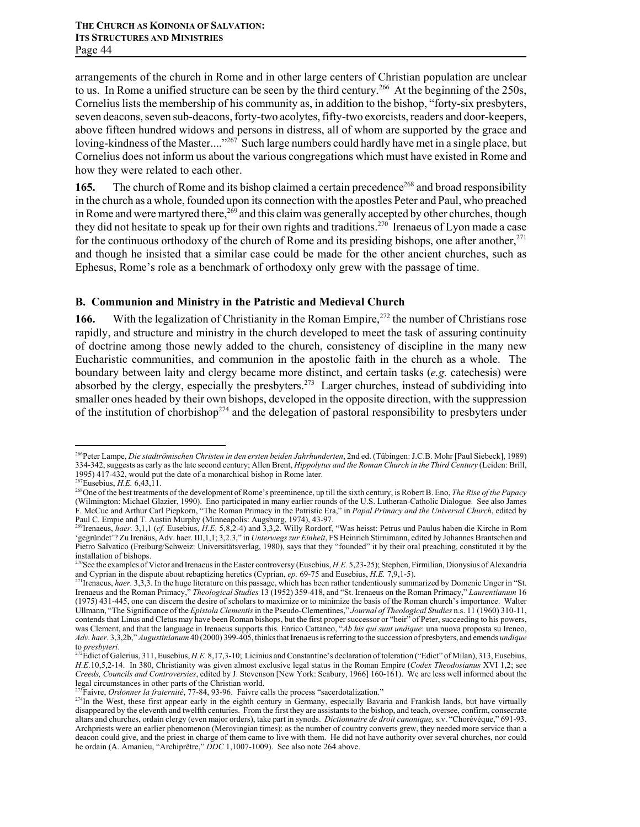arrangements of the church in Rome and in other large centers of Christian population are unclear to us. In Rome a unified structure can be seen by the third century.<sup>266</sup> At the beginning of the 250s, Cornelius lists the membership of his community as, in addition to the bishop, "forty-six presbyters, seven deacons, seven sub-deacons, forty-two acolytes, fifty-two exorcists, readers and door-keepers, above fifteen hundred widows and persons in distress, all of whom are supported by the grace and loving-kindness of the Master...."<sup>267</sup> Such large numbers could hardly have met in a single place, but Cornelius does not inform us about the various congregations which must have existed in Rome and how they were related to each other.

165. The church of Rome and its bishop claimed a certain precedence<sup>268</sup> and broad responsibility in the church as a whole, founded upon its connection with the apostles Peter and Paul, who preached in Rome and were martyred there,  $269$  and this claim was generally accepted by other churches, though they did not hesitate to speak up for their own rights and traditions.<sup>270</sup> Irenaeus of Lyon made a case for the continuous orthodoxy of the church of Rome and its presiding bishops, one after another, $^{271}$ and though he insisted that a similar case could be made for the other ancient churches, such as Ephesus, Rome's role as a benchmark of orthodoxy only grew with the passage of time.

## **B. Communion and Ministry in the Patristic and Medieval Church**

**166.** With the legalization of Christianity in the Roman Empire,<sup>272</sup> the number of Christians rose rapidly, and structure and ministry in the church developed to meet the task of assuring continuity of doctrine among those newly added to the church, consistency of discipline in the many new Eucharistic communities, and communion in the apostolic faith in the church as a whole. The boundary between laity and clergy became more distinct, and certain tasks (*e.g.* catechesis) were absorbed by the clergy, especially the presbyters.<sup>273</sup> Larger churches, instead of subdividing into smaller ones headed by their own bishops, developed in the opposite direction, with the suppression of the institution of chorbishop<sup>274</sup> and the delegation of pastoral responsibility to presbyters under

<sup>266</sup>Peter Lampe, *Die stadtrömischen Christen in den ersten beiden Jahrhunderten*, 2nd ed. (Tübingen: J.C.B. Mohr [Paul Siebeck], 1989) 334-342, suggests as early as the late second century; Allen Brent, *Hippolytus and the Roman Church in the Third Century* (Leiden: Brill, 1995) 417-432, would put the date of a monarchical bishop in Rome later.

<sup>267</sup>Eusebius, *H.E.* 6,43,11.

<sup>268</sup>One of the best treatments of the development of Rome's preeminence, up till the sixth century, is Robert B. Eno, *The Rise of the Papacy* (Wilmington: Michael Glazier, 1990). Eno participated in many earlier rounds of the U.S. Lutheran-Catholic Dialogue. See also James F. McCue and Arthur Carl Piepkorn, "The Roman Primacy in the Patristic Era," in *Papal Primacy and the Universal Church*, edited by Paul C. Empie and T. Austin Murphy (Minneapolis: Augsburg, 1974), 43-97.

<sup>269</sup>Irenaeus, *haer.* 3,1,1 (*cf.* Eusebius, *H.E.* 5,8,2-4) and 3,3,2. Willy Rordorf, "Was heisst: Petrus und Paulus haben die Kirche in Rom 'gegründet'? Zu Irenäus, Adv. haer. III,1,1; 3,2.3," in *Unterwegs zur Einheit*, FS Heinrich Stirnimann, edited by Johannes Brantschen and Pietro Salvatico (Freiburg/Schweiz: Universitätsverlag, 1980), says that they "founded" it by their oral preaching, constituted it by the installation of bishops.

<sup>270</sup>See the examples of Victor and Irenaeus in the Easter controversy (Eusebius, *H.E.* 5,23-25); Stephen, Firmilian, Dionysius of Alexandria and Cyprian in the dispute about rebaptizing heretics (Cyprian, *ep.* 69-75 and Eusebius, *H.E.* 7,9,1-5).

<sup>271</sup>Irenaeus, *haer.* 3,3,3. In the huge literature on this passage, which has been rather tendentiously summarized by Domenic Unger in "St. Irenaeus and the Roman Primacy," *Theological Studies* 13 (1952) 359-418, and "St. Irenaeus on the Roman Primacy," *Laurentianum* 16 (1975) 431-445, one can discern the desire of scholars to maximize or to minimize the basis of the Roman church's importance. Walter Ullmann, "The Significance of the *Epistola Clementis* in the Pseudo-Clementines," *Journal of Theological Studies* n.s. 11 (1960) 310-11, contends that Linus and Cletus may have been Roman bishops, but the first proper successor or "heir" of Peter, succeeding to his powers, was Clement, and that the language in Irenaeus supports this. Enrico Cattaneo, "*Ab his qui sunt undique*: una nuova proposta su Ireneo, *Adv. haer.* 3,3,2b," *Augustinianum* 40 (2000) 399-405, thinks that Irenaeus is referring to the succession of presbyters, and emends *undique* to *presbyteri*.

<sup>272</sup>Edict of Galerius, 311, Eusebius, *H.E.* 8,17,3-10; Licinius and Constantine's declaration of toleration ("Edict" of Milan), 313, Eusebius, *H.E.*10,5,2-14. In 380, Christianity was given almost exclusive legal status in the Roman Empire (*Codex Theodosianus* XVI 1,2; see *Creeds, Councils and Controversies*, edited by J. Stevenson [New York: Seabury, 1966] 160-161). We are less well informed about the legal circumstances in other parts of the Christian world.

<sup>273</sup>Faivre, *Ordonner la fraternité*, 77-84, 93-96. Faivre calls the process "sacerdotalization."

<sup>&</sup>lt;sup>274</sup>In the West, these first appear early in the eighth century in Germany, especially Bavaria and Frankish lands, but have virtually disappeared by the eleventh and twelfth centuries. From the first they are assistants to the bishop, and teach, oversee, confirm, consecrate altars and churches, ordain clergy (even major orders), take part in synods. *Dictionnaire de droit canonique,* s.v. "Chorévèque," 691-93. Archpriests were an earlier phenomenon (Merovingian times): as the number of country converts grew, they needed more service than a deacon could give, and the priest in charge of them came to live with them. He did not have authority over several churches, nor could he ordain (A. Amanieu, "Archiprêtre," *DDC* 1,1007-1009). See also note 264 above.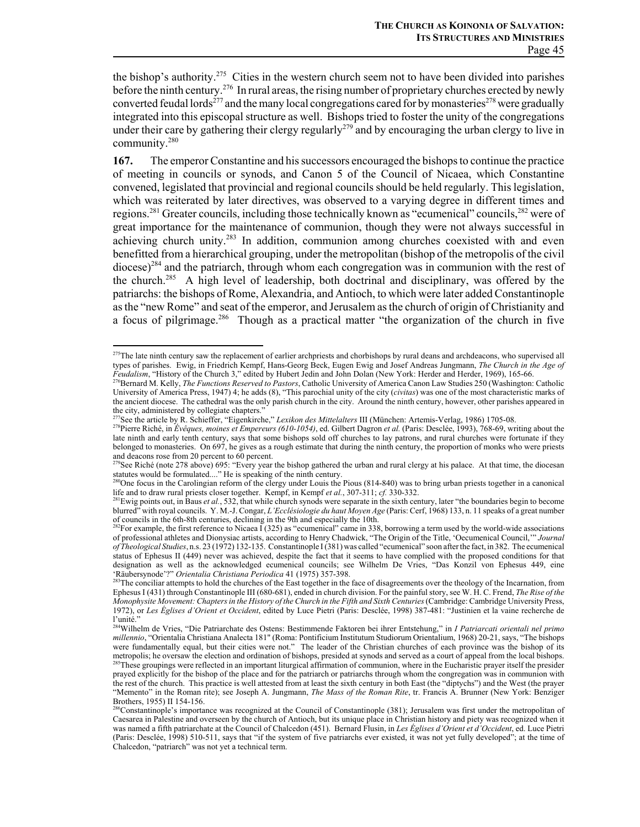the bishop's authority.<sup>275</sup> Cities in the western church seem not to have been divided into parishes before the ninth century.<sup>276</sup> In rural areas, the rising number of proprietary churches erected by newly converted feudal lords<sup>277</sup> and the many local congregations cared for by monasteries<sup>278</sup> were gradually integrated into this episcopal structure as well. Bishops tried to foster the unity of the congregations under their care by gathering their clergy regularly<sup>279</sup> and by encouraging the urban clergy to live in community.280

**167.** The emperor Constantine and his successors encouraged the bishops to continue the practice of meeting in councils or synods, and Canon 5 of the Council of Nicaea, which Constantine convened, legislated that provincial and regional councils should be held regularly. This legislation, which was reiterated by later directives, was observed to a varying degree in different times and regions.281 Greater councils, including those technically known as "ecumenical" councils,282 were of great importance for the maintenance of communion, though they were not always successful in achieving church unity.283 In addition, communion among churches coexisted with and even benefitted from a hierarchical grouping, under the metropolitan (bishop of the metropolis of the civil diocese)<sup>284</sup> and the patriarch, through whom each congregation was in communion with the rest of the church.<sup>285</sup> A high level of leadership, both doctrinal and disciplinary, was offered by the patriarchs: the bishops of Rome, Alexandria, and Antioch, to which were later added Constantinople as the "new Rome" and seat of the emperor, and Jerusalem as the church of origin of Christianity and a focus of pilgrimage.<sup>286</sup> Though as a practical matter "the organization of the church in five

<sup>&</sup>lt;sup>275</sup>The late ninth century saw the replacement of earlier archpriests and chorbishops by rural deans and archdeacons, who supervised all types of parishes. Ewig, in Friedrich Kempf, Hans-Georg Beck, Eugen Ewig and Josef Andreas Jungmann, *The Church in the Age of Feudalism*, "History of the Church 3," edited by Hubert Jedin and John Dolan (New York: Herder and Herder, 1969), 165-66.

<sup>276</sup>Bernard M. Kelly, *The Functions Reserved to Pastors*, Catholic University of America Canon Law Studies 250 (Washington: Catholic University of America Press, 1947) 4; he adds (8), "This parochial unity of the city (*civitas*) was one of the most characteristic marks of the ancient diocese. The cathedral was the only parish church in the city. Around the ninth century, however, other parishes appeared in the city, administered by collegiate chapters."

<sup>277</sup>See the article by R. Schieffer, "Eigenkirche," *Lexikon des Mittelalters* III (München: Artemis-Verlag, 1986) 1705-08.

<sup>278</sup>Pierre Riché, in *Évêques, moines et Empereurs (610-1054)*, ed. Gilbert Dagron *et al.* (Paris: Desclée, 1993), 768-69, writing about the late ninth and early tenth century, says that some bishops sold off churches to lay patrons, and rural churches were fortunate if they belonged to monasteries. On 697, he gives as a rough estimate that during the ninth century, the proportion of monks who were priests and deacons rose from 20 percent to 60 percent.

<sup>&</sup>lt;sup>279</sup>See Riché (note 278 above) 695: "Every year the bishop gathered the urban and rural clergy at his palace. At that time, the diocesan statutes would be formulated...." He is speaking of the ninth century.

<sup>&</sup>lt;sup>280</sup>One focus in the Carolingian reform of the clergy under Louis the Pious (814-840) was to bring urban priests together in a canonical life and to draw rural priests closer together. Kempf, in Kempf *et al.*, 307-311;

 $^{281}$ Ewig points out, in Baus *et al.*, 532, that while church synods were separate in the sixth century, later "the boundaries begin to become blurred" with royal councils. Y. M.-J. Congar, *L'Ecclésiologie du haut Moyen Age* (Paris: Cerf, 1968) 133, n. 11 speaks of a great number of councils in the 6th-8th centuries, declining in the 9th and especially the 10th.<br> $282$ Ear around the 6th-8th centuries, declining in the 9th and especially the 10th.

<sup>&</sup>lt;sup>2</sup>For example, the first reference to Nicaea I (325) as "ecumenical" came in 338, borrowing a term used by the world-wide associations of professional athletes and Dionysiac artists, according to Henry Chadwick, "The Origin of the Title, 'Oecumenical Council,'" *Journal of Theological Studies*, n.s. 23 (1972) 132-135. Constantinople I (381) was called "ecumenical" soon after the fact, in 382. The ecumenical status of Ephesus II (449) never was achieved, despite the fact that it seems to have complied with the proposed conditions for that designation as well as the acknowledged ecumenical councils; see Wilhelm De Vries, "Das Konzil von Ephesus 449, eine 'Räubersynode'?" *Orientalia Christiana Periodica* 41 (1975) 357-398.

<sup>&</sup>lt;sup>283</sup>The conciliar attempts to hold the churches of the East together in the face of disagreements over the theology of the Incarnation, from Ephesus I (431) through Constantinople III (680-681), ended in church division. For the painful story, see W. H. C. Frend, *The Rise of the Monophysite Movement: Chapters in the History of the Church in the Fifth and Sixth Centuries* (Cambridge: Cambridge University Press, 1972), or *Les Églises d'Orient et Occident*, edited by Luce Pietri (Paris: Desclée, 1998) 387-481: "Justinien et la vaine recherche de l'unité."

<sup>284</sup>Wilhelm de Vries, "Die Patriarchate des Ostens: Bestimmende Faktoren bei ihrer Entstehung," in *I Patriarcati orientali nel primo millennio*, "Orientalia Christiana Analecta 181" (Roma: Pontificium Institutum Studiorum Orientalium, 1968) 20-21, says, "The bishops were fundamentally equal, but their cities were not." The leader of the Christian churches of each province was the bishop of its metropolis; he oversaw the election and ordination of bishops, presided at synods and served as a court of appeal from the local bishops.

<sup>&</sup>lt;sup>285</sup>These groupings were reflected in an important liturgical affirmation of communion, where in the Eucharistic prayer itself the presider prayed explicitly for the bishop of the place and for the patriarch or patriarchs through whom the congregation was in communion with the rest of the church. This practice is well attested from at least the sixth century in both East (the "diptychs") and the West (the prayer "Memento" in the Roman rite); see Joseph A. Jungmann, *The Mass of the Roman Rite*, tr. Francis A. Brunner (New York: Benziger Brothers, 1955) II 154-156.

<sup>286</sup>Constantinople's importance was recognized at the Council of Constantinople (381); Jerusalem was first under the metropolitan of Caesarea in Palestine and overseen by the church of Antioch, but its unique place in Christian history and piety was recognized when it was named a fifth patriarchate at the Council of Chalcedon (451). Bernard Flusin, in *Les Églises d'Orient et d'Occident*, ed. Luce Pietri (Paris: Desclée, 1998) 510-511, says that "if the system of five patriarchs ever existed, it was not yet fully developed"; at the time of Chalcedon, "patriarch" was not yet a technical term.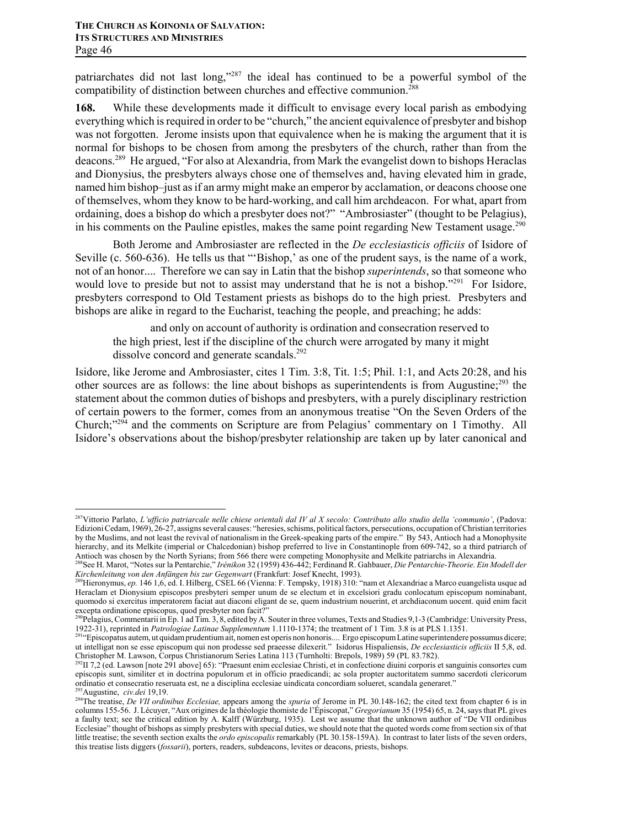patriarchates did not last long,"287 the ideal has continued to be a powerful symbol of the compatibility of distinction between churches and effective communion.<sup>288</sup>

**168.** While these developments made it difficult to envisage every local parish as embodying everything which is required in order to be "church," the ancient equivalence of presbyter and bishop was not forgotten. Jerome insists upon that equivalence when he is making the argument that it is normal for bishops to be chosen from among the presbyters of the church, rather than from the deacons.289 He argued, "For also at Alexandria, from Mark the evangelist down to bishops Heraclas and Dionysius, the presbyters always chose one of themselves and, having elevated him in grade, named him bishop–just as if an army might make an emperor by acclamation, or deacons choose one of themselves, whom they know to be hard-working, and call him archdeacon. For what, apart from ordaining, does a bishop do which a presbyter does not?" "Ambrosiaster" (thought to be Pelagius), in his comments on the Pauline epistles, makes the same point regarding New Testament usage.<sup>290</sup>

Both Jerome and Ambrosiaster are reflected in the *De ecclesiasticis officiis* of Isidore of Seville (c. 560-636). He tells us that "'Bishop,' as one of the prudent says, is the name of a work, not of an honor.... Therefore we can say in Latin that the bishop *superintends*, so that someone who would love to preside but not to assist may understand that he is not a bishop."<sup>291</sup> For Isidore, presbyters correspond to Old Testament priests as bishops do to the high priest. Presbyters and bishops are alike in regard to the Eucharist, teaching the people, and preaching; he adds:

and only on account of authority is ordination and consecration reserved to the high priest, lest if the discipline of the church were arrogated by many it might dissolve concord and generate scandals.<sup>292</sup>

Isidore, like Jerome and Ambrosiaster, cites 1 Tim. 3:8, Tit. 1:5; Phil. 1:1, and Acts 20:28, and his other sources are as follows: the line about bishops as superintendents is from Augustine;<sup>293</sup> the statement about the common duties of bishops and presbyters, with a purely disciplinary restriction of certain powers to the former, comes from an anonymous treatise "On the Seven Orders of the Church;"294 and the comments on Scripture are from Pelagius' commentary on 1 Timothy. All Isidore's observations about the bishop/presbyter relationship are taken up by later canonical and

<sup>287</sup>Vittorio Parlato, *L'ufficio patriarcale nelle chiese orientali dal IV al X secolo: Contributo allo studio della 'communio'*, (Padova: Edizioni Cedam, 1969), 26-27, assigns several causes: "heresies, schisms, political factors, persecutions, occupation of Christian territories by the Muslims, and not least the revival of nationalism in the Greek-speaking parts of the empire." By 543, Antioch had a Monophysite hierarchy, and its Melkite (imperial or Chalcedonian) bishop preferred to live in Constantinople from 609-742, so a third patriarch of Antioch was chosen by the North Syrians; from 566 there were competing Monophysite and Melkite patriarchs in Alexandria.

<sup>288</sup>See H. Marot, "Notes sur la Pentarchie," *Irénikon* 32 (1959) 436-442; Ferdinand R. Gahbauer, *Die Pentarchie-Theorie. Ein Modell der Kirchenleitung von den Anfängen bis zur Gegenwart* (Frankfurt: Josef Knecht, 1993).

<sup>289</sup>Hieronymus, *ep.* 146 1,6, ed. I. Hilberg, CSEL 66 (Vienna: F. Tempsky, 1918) 310: "nam et Alexandriae a Marco euangelista usque ad Heraclam et Dionysium episcopos presbyteri semper unum de se electum et in excelsiori gradu conlocatum episcopum nominabant, quomodo si exercitus imperatorem faciat aut diaconi eligant de se, quem industrium nouerint, et archdiaconum uocent. quid enim facit excepta ordinatione episcopus, quod presbyter non facit?"

<sup>&</sup>lt;sup>290</sup>Pelagius, Commentarii in Ep. 1 ad Tim. 3, 8, edited by A. Souter in three volumes, Texts and Studies 9,1-3 (Cambridge: University Press, 1922-31), reprinted in *Patrologiae Latinae Supplementum* 1.1110-1374; the trea 1922-31), reprinted in *Patrologiae Latinae Supplementum* 1.1110-1374; the treatment of 1 Tim. 3.8 is at PLS 1.1351.<br><sup>2914</sup>Episcopatus autem, ut quidam prudentium ait, nomen est operis non honoris.... Ergo episcopum Latine

ut intelligat non se esse episcopum qui non prodesse sed praeesse dilexerit." Isidorus Hispaliensis, *De ecclesiasticis officiis* II 5,8, ed. Christopher M. Lawson, Corpus Christianorum Series Latina 113 (Turnholti: Brepols, 1989) 59 (PL 83.782).

<sup>&</sup>lt;sup>292</sup>II 7,2 (ed. Lawson [note 291 above] 65): "Praesunt enim ecclesiae Christi, et in confectione diuini corporis et sanguinis consortes cum episcopis sunt, similiter et in doctrina populorum et in officio praedicandi; ac sola propter auctoritatem summo sacerdoti clericorum ordinatio et consecratio reseruata est, ne a disciplina ecclesiae uindicata concordiam solueret, scandala generaret." 293Augustine, *civ.dei* 19,19.

<sup>&</sup>lt;sup>294</sup>The treatise, *De VII ordinibus Ecclesiae*, appears among the *spuria* of Jerome in PL 30.148-162; the cited text from chapter 6 is in columns 155-56. J. Lécuyer, "Aux origines de la théologie thomiste de l'Épiscopat," *Gregorianum* 35 (1954) 65, n. 24, says that PL gives a faulty text; see the critical edition by A. Kalff (Würzburg, 1935). Lest we assume that the unknown author of "De VII ordinibus Ecclesiae" thought of bishops as simply presbyters with special duties, we should note that the quoted words come from section six of that little treatise; the seventh section exalts the *ordo episcopalis* remarkably (PL 30.158-159A). In contrast to later lists of the seven orders, this treatise lists diggers (*fossarii*), porters, readers, subdeacons, levites or deacons, priests, bishops.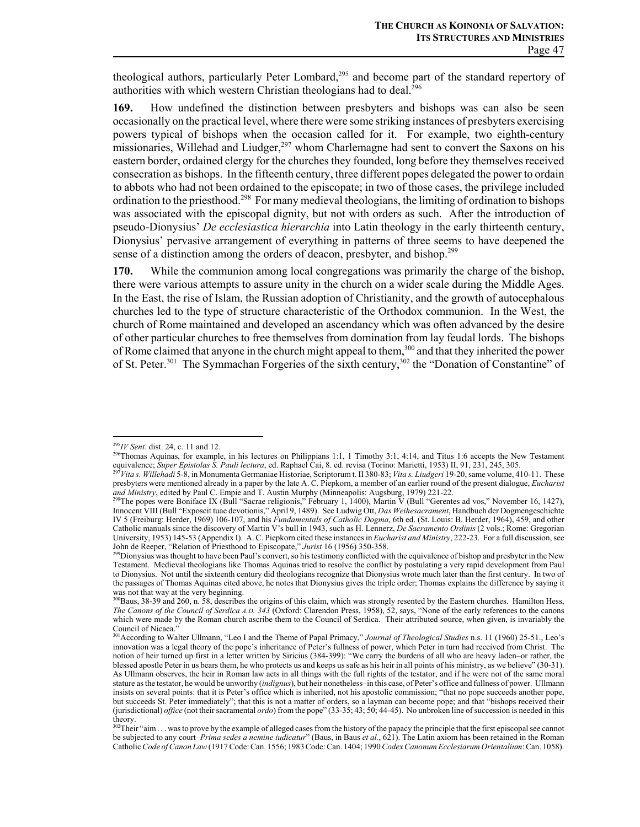theological authors, particularly Peter Lombard,<sup>295</sup> and become part of the standard repertory of authorities with which western Christian theologians had to deal. $^{296}$ 

**169.** How undefined the distinction between presbyters and bishops was can also be seen occasionally on the practical level, where there were some striking instances of presbyters exercising powers typical of bishops when the occasion called for it. For example, two eighth-century missionaries, Willehad and Liudger,<sup>297</sup> whom Charlemagne had sent to convert the Saxons on his eastern border, ordained clergy for the churches they founded, long before they themselves received consecration as bishops. In the fifteenth century, three different popes delegated the power to ordain to abbots who had not been ordained to the episcopate; in two of those cases, the privilege included ordination to the priesthood.<sup>298</sup> For many medieval theologians, the limiting of ordination to bishops was associated with the episcopal dignity, but not with orders as such. After the introduction of pseudo-Dionysius' *De ecclesiastica hierarchia* into Latin theology in the early thirteenth century, Dionysius' pervasive arrangement of everything in patterns of three seems to have deepened the sense of a distinction among the orders of deacon, presbyter, and bishop.<sup>299</sup>

**170.** While the communion among local congregations was primarily the charge of the bishop, there were various attempts to assure unity in the church on a wider scale during the Middle Ages. In the East, the rise of Islam, the Russian adoption of Christianity, and the growth of autocephalous churches led to the type of structure characteristic of the Orthodox communion. In the West, the church of Rome maintained and developed an ascendancy which was often advanced by the desire of other particular churches to free themselves from domination from lay feudal lords. The bishops of Rome claimed that anyone in the church might appeal to them,<sup>300</sup> and that they inherited the power of St. Peter.<sup>301</sup> The Symmachan Forgeries of the sixth century,<sup>302</sup> the "Donation of Constantine" of

<sup>295</sup>*IV Sent*. dist. 24, c. 11 and 12.

<sup>&</sup>lt;sup>296</sup>Thomas Aquinas, for example, in his lectures on Philippians 1:1, 1 Timothy 3:1, 4:14, and Titus 1:6 accepts the New Testament equivalence; *Super Epistolas S. Pauli lectura*, ed. Raphael Cai, 8. ed. revisa (Torino: Marietti, 1953) II, 91, 231, 245, 305.

<sup>297</sup>*Vita s. Willehadi* 5-8, in Monumenta Germaniae Historiae, Scriptorum t. II 380-83; *Vita s. Liudgeri* 19-20, same volume, 410-11. These presbyters were mentioned already in a paper by the late A. C. Piepkorn, a member of an earlier round of the present dialogue, *Eucharist and Ministry*, edited by Paul C. Empie and T. Austin Murphy (Minneapolis: Augsburg, 1979) 221-22.

<sup>298</sup>The popes were Boniface IX (Bull "Sacrae religionis," February 1, 1400), Martin V (Bull "Gerentes ad vos," November 16, 1427), Innocent VIII (Bull "Exposcit tuae devotionis," April 9, 1489). See Ludwig Ott, *Das Weihesacrament*, Handbuch der Dogmengeschichte IV 5 (Freiburg: Herder, 1969) 106-107, and his *Fundamentals of Catholic Dogma*, 6th ed. (St. Louis: B. Herder, 1964), 459, and other Catholic manuals since the discovery of Martin V's bull in 1943, such as H. Lennerz, *De Sacramento Ordinis* (2 vols.; Rome: Gregorian University, 1953) 145-53 (Appendix I). A. C. Piepkorn cited these instances in *Eucharist and Ministry*, 222-23. For a full discussion, see John de Reeper, "Relation of Priesthood to Episcopate," *Jurist* 16 (1956) 350-358.

<sup>&</sup>lt;sup>299</sup>Dionysius was thought to have been Paul's convert, so his testimony conflicted with the equivalence of bishop and presbyter in the New Testament. Medieval theologians like Thomas Aquinas tried to resolve the conflict by postulating a very rapid development from Paul to Dionysius. Not until the sixteenth century did theologians recognize that Dionysius wrote much later than the first century. In two of the passages of Thomas Aquinas cited above, he notes that Dionysius gives the triple order; Thomas explains the difference by saying it was not that way at the very beginning.

<sup>&</sup>lt;sup>300</sup>Baus, 38-39 and 260, n. 58, describes the origins of this claim, which was strongly resented by the Eastern churches. Hamilton Hess, *The Canons of the Council of Serdica A.D. 343* (Oxford: Clarendon Press, 1958), 52, says, "None of the early references to the canons which were made by the Roman church ascribe them to the Council of Serdica. Their attributed source, when given, is invariably the Council of Nicaea.

<sup>&</sup>lt;sup>301</sup> According to Walter Ullmann, "Leo I and the Theme of Papal Primacy," *Journal of Theological Studies* n.s. 11 (1960) 25-51., Leo's innovation was a legal theory of the pope's inheritance of Peter's fullness of power, which Peter in turn had received from Christ. The notion of heir turned up first in a letter written by Siricius (384-399): "We carry the burdens of all who are heavy laden–or rather, the blessed apostle Peter in us bears them, he who protects us and keeps us safe as his heir in all points of his ministry, as we believe" (30-31). As Ullmann observes, the heir in Roman law acts in all things with the full rights of the testator, and if he were not of the same moral stature as the testator, he would be unworthy (*indignus*), but heir nonetheless–in this case, of Peter's office and fullness of power. Ullmann insists on several points: that it is Peter's office which is inherited, not his apostolic commission; "that no pope succeeds another pope, but succeeds St. Peter immediately"; that this is not a matter of orders, so a layman can become pope; and that "bishops received their (jurisdictional) *office* (not their sacramental *ordo*) from the pope" (33-35; 43; 50; 44-45). No unbroken line of succession is needed in this theory.

<sup>&</sup>lt;sup>302</sup>Their "aim . . . was to prove by the example of alleged cases from the history of the papacy the principle that the first episcopal see cannot be subjected to any court–*Prima sedes a nemine iudicatur*" (Baus, in Baus *et al.*, 621). The Latin axiom has been retained in the Roman Catholic *Code of Canon Law* (1917 Code: Can. 1556; 1983 Code: Can. 1404; 1990 *Codex Canonum Ecclesiarum Orientalium*: Can. 1058).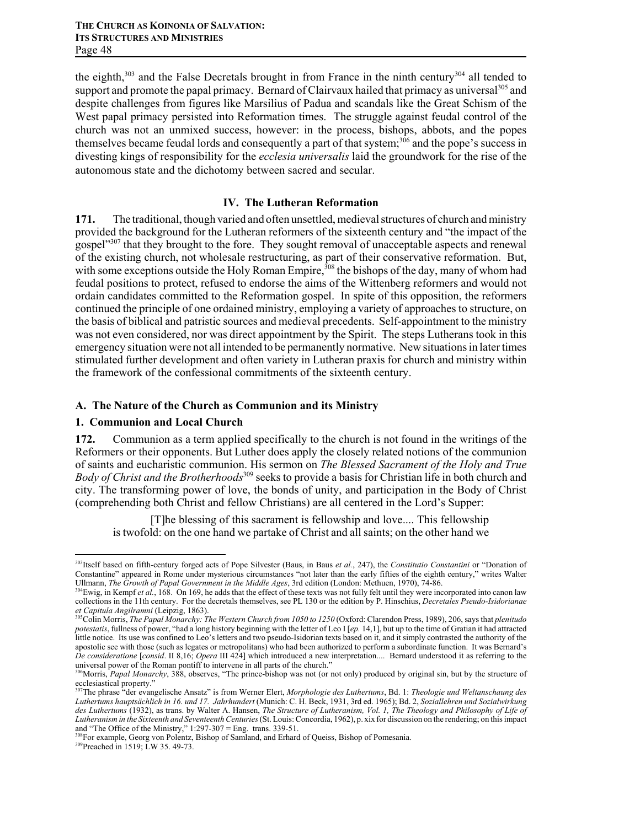the eighth, $303$  and the False Decretals brought in from France in the ninth century $304$  all tended to support and promote the papal primacy. Bernard of Clairvaux hailed that primacy as universal<sup>305</sup> and despite challenges from figures like Marsilius of Padua and scandals like the Great Schism of the West papal primacy persisted into Reformation times. The struggle against feudal control of the church was not an unmixed success, however: in the process, bishops, abbots, and the popes themselves became feudal lords and consequently a part of that system; $3^{06}$  and the pope's success in divesting kings of responsibility for the *ecclesia universalis* laid the groundwork for the rise of the autonomous state and the dichotomy between sacred and secular.

## **IV. The Lutheran Reformation**

**171.** The traditional, though varied and often unsettled, medieval structures of church and ministry provided the background for the Lutheran reformers of the sixteenth century and "the impact of the  $gospel$ <sup>307</sup> that they brought to the fore. They sought removal of unacceptable aspects and renewal of the existing church, not wholesale restructuring, as part of their conservative reformation. But, with some exceptions outside the Holy Roman Empire,<sup>308</sup> the bishops of the day, many of whom had feudal positions to protect, refused to endorse the aims of the Wittenberg reformers and would not ordain candidates committed to the Reformation gospel. In spite of this opposition, the reformers continued the principle of one ordained ministry, employing a variety of approaches to structure, on the basis of biblical and patristic sources and medieval precedents. Self-appointment to the ministry was not even considered, nor was direct appointment by the Spirit. The steps Lutherans took in this emergency situation were not all intended to be permanently normative. New situations in later times stimulated further development and often variety in Lutheran praxis for church and ministry within the framework of the confessional commitments of the sixteenth century.

## **A. The Nature of the Church as Communion and its Ministry**

# **1. Communion and Local Church**

**172.** Communion as a term applied specifically to the church is not found in the writings of the Reformers or their opponents. But Luther does apply the closely related notions of the communion of saints and eucharistic communion. His sermon on *The Blessed Sacrament of the Holy and True Body of Christ and the Brotherhoods*309 seeks to provide a basis for Christian life in both church and city. The transforming power of love, the bonds of unity, and participation in the Body of Christ (comprehending both Christ and fellow Christians) are all centered in the Lord's Supper:

[T]he blessing of this sacrament is fellowship and love.... This fellowship is twofold: on the one hand we partake of Christ and all saints; on the other hand we

<sup>303</sup>Itself based on fifth-century forged acts of Pope Silvester (Baus, in Baus *et al.*, 247), the *Constitutio Constantini* or "Donation of Constantine" appeared in Rome under mysterious circumstances "not later than the early fifties of the eighth century," writes Walter Ullmann, *The Growth of Papal Government in the Middle Ages*, 3rd edition (London: Methuen, 1970), 74-86.

<sup>&</sup>lt;sup>304</sup>Ewig, in Kempf *et al.*, 168. On 169, he adds that the effect of these texts was not fully felt until they were incorporated into canon law collections in the 11th century. For the decretals themselves, see PL 130 or the edition by P. Hinschius, *Decretales Pseudo-Isidorianae et Capitula Angilramni* (Leipzig, 1863).

<sup>305</sup>Colin Morris, *The Papal Monarchy: The Western Church from 1050 to 1250* (Oxford: Clarendon Press, 1989), 206, says that *plenitudo potestatis*, fullness of power, "had a long history beginning with the letter of Leo I [*ep.* 14,1], but up to the time of Gratian it had attracted little notice. Its use was confined to Leo's letters and two pseudo-Isidorian texts based on it, and it simply contrasted the authority of the apostolic see with those (such as legates or metropolitans) who had been authorized to perform a subordinate function. It was Bernard's *De consideratione* [*consid*. II 8,16; *Opera* III 424] which introduced a new interpretation.... Bernard understood it as referring to the universal power of the Roman pontiff to intervene in all parts of the church."<br> $\frac{306 \text{M}}{200 \text{M}}$ 

<sup>&</sup>lt;sup>06</sup>Morris, *Papal Monarchy*, 388, observes, "The prince-bishop was not (or not only) produced by original sin, but by the structure of ecclesiastical property."

<sup>307</sup>The phrase "der evangelische Ansatz" is from Werner Elert, *Morphologie des Luthertums*, Bd. 1: *Theologie und Weltanschaung des Luthertums hauptsächlich in 16. und 17. Jahrhundert* (Munich: C. H. Beck, 1931, 3rd ed. 1965); Bd. 2, *Soziallehren und Sozialwirkung des Luthertums* (1932), as trans. by Walter A. Hansen, *The Structure of Lutheranism, Vol. 1, The Theology and Philosophy of Life of Lutheranism in the Sixteenth and Seventeenth Centuries* (St. Louis: Concordia, 1962), p. xix for discussion on the rendering; on this impact and "The Office of the Ministry,"  $1:297-307 =$  Eng. trans. 339-51.

<sup>308</sup>For example, Georg von Polentz, Bishop of Samland, and Erhard of Queiss, Bishop of Pomesania.

<sup>309</sup>Preached in 1519; LW 35. 49-73.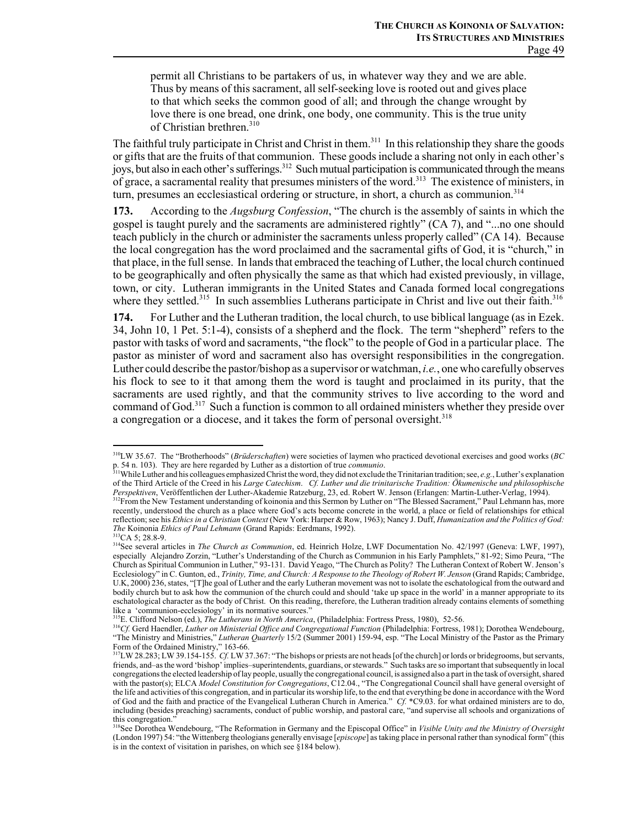permit all Christians to be partakers of us, in whatever way they and we are able. Thus by means of this sacrament, all self-seeking love is rooted out and gives place to that which seeks the common good of all; and through the change wrought by love there is one bread, one drink, one body, one community. This is the true unity of Christian brethren.<sup>310</sup>

The faithful truly participate in Christ and Christ in them.<sup>311</sup> In this relationship they share the goods or gifts that are the fruits of that communion. These goods include a sharing not only in each other's joys, but also in each other's sufferings.<sup>312</sup> Such mutual participation is communicated through the means of grace, a sacramental reality that presumes ministers of the word.<sup>313</sup> The existence of ministers, in turn, presumes an ecclesiastical ordering or structure, in short, a church as communion.<sup>314</sup>

**173.** According to the *Augsburg Confession*, "The church is the assembly of saints in which the gospel is taught purely and the sacraments are administered rightly" (CA 7), and "...no one should teach publicly in the church or administer the sacraments unless properly called" (CA 14). Because the local congregation has the word proclaimed and the sacramental gifts of God, it is "church," in that place, in the full sense. In lands that embraced the teaching of Luther, the local church continued to be geographically and often physically the same as that which had existed previously, in village, town, or city. Lutheran immigrants in the United States and Canada formed local congregations where they settled.<sup>315</sup> In such assemblies Lutherans participate in Christ and live out their faith.<sup>316</sup>

**174.** For Luther and the Lutheran tradition, the local church, to use biblical language (as in Ezek. 34, John 10, 1 Pet. 5:1-4), consists of a shepherd and the flock. The term "shepherd" refers to the pastor with tasks of word and sacraments, "the flock" to the people of God in a particular place. The pastor as minister of word and sacrament also has oversight responsibilities in the congregation. Luther could describe the pastor/bishop as a supervisor or watchman, *i.e.*, one who carefully observes his flock to see to it that among them the word is taught and proclaimed in its purity, that the sacraments are used rightly, and that the community strives to live according to the word and command of God.317 Such a function is common to all ordained ministers whether they preside over a congregation or a diocese, and it takes the form of personal oversight.<sup>318</sup>

<sup>310</sup>LW 35.67. The "Brotherhoods" (*Brüderschaften*) were societies of laymen who practiced devotional exercises and good works (*BC* p. 54 n. 103). They are here regarded by Luther as a distortion of true *communio*.

<sup>&</sup>lt;sup>311</sup>While Luther and his colleagues emphasized Christ the word, they did not exclude the Trinitarian tradition; see, *e.g.*, Luther's explanation of the Third Article of the Creed in his *Large Catechism*. *Cf. Luther und die trinitarische Tradition: Ökumenische und philosophische Perspektiven*, Veröffentlichen der Luther-Akademie Ratzeburg, 23, ed. Robert W. Jenson (Erlangen: Martin-Luther-Verlag, 1994).

<sup>&</sup>lt;sup>312</sup>From the New Testament understanding of koinonia and this Sermon by Luther on "The Blessed Sacrament," Paul Lehmann has, more recently, understood the church as a place where God's acts become concrete in the world, a place or field of relationships for ethical reflection; see his *Ethics in a Christian Context* (New York: Harper & Row, 1963); Nancy J. Duff, *Humanization and the Politics of God: The* Koinonia *Ethics of Paul Lehmann* (Grand Rapids: Eerdmans, 1992).

<sup>313</sup>CA 5; 28.8-9.

<sup>314</sup>See several articles in *The Church as Communion*, ed. Heinrich Holze, LWF Documentation No. 42/1997 (Geneva: LWF, 1997), especially Alejandro Zorzin, "Luther's Understanding of the Church as Communion in his Early Pamphlets," 81-92; Simo Peura, "The Church as Spiritual Communion in Luther," 93-131. David Yeago, "The Church as Polity? The Lutheran Context of Robert W. Jenson's Ecclesiology" in C. Gunton, ed., *Trinity, Time, and Church: A Response to the Theology of Robert W. Jenson* (Grand Rapids; Cambridge, U.K, 2000) 236, states, "[T]he goal of Luther and the early Lutheran movement was not to isolate the eschatological from the outward and bodily church but to ask how the communion of the church could and should 'take up space in the world' in a manner appropriate to its eschatological character as the body of Christ. On this reading, therefore, the Lutheran tradition already contains elements of something like a 'communion-ecclesiology' in its normative sources."

<sup>315</sup>E. Clifford Nelson (ed.), *The Lutherans in North America*, (Philadelphia: Fortress Press, 1980), 52-56.

<sup>316</sup>*Cf.* Gerd Haendler, *Luther on Ministerial Office and Congregational Function* (Philadelphia: Fortress, 1981); Dorothea Wendebourg, "The Ministry and Ministries," *Lutheran Quarterly* 15/2 (Summer 2001) 159-94, esp. "The Local Ministry of the Pastor as the Primary Form of the Ordained Ministry," 163-66.

<sup>317</sup>LW 28.283; LW 39.154-155. *Cf.* LW 37.367: "The bishops or priests are not heads [of the church] or lords or bridegrooms, but servants, friends, and–as the word 'bishop' implies–superintendents, guardians, or stewards." Such tasks are so important that subsequently in local congregations the elected leadership of lay people, usually the congregational council, is assigned also a part in the task of oversight, shared with the pastor(s); ELCA *Model Constitution for Congregations*, C12.04., "The Congregational Council shall have general oversight of the life and activities of this congregation, and in particular its worship life, to the end that everything be done in accordance with the Word of God and the faith and practice of the Evangelical Lutheran Church in America." *Cf.* \*C9.03. for what ordained ministers are to do, including (besides preaching) sacraments, conduct of public worship, and pastoral care, "and supervise all schools and organizations of this congregation.

<sup>&</sup>lt;sup>318</sup>See Dorothea Wendebourg, "The Reformation in Germany and the Episcopal Office" in *Visible Unity and the Ministry of Oversight* (London 1997) 54: "the Wittenberg theologians generally envisage [*episcope*] as taking place in personal rather than synodical form" (this is in the context of visitation in parishes, on which see §184 below).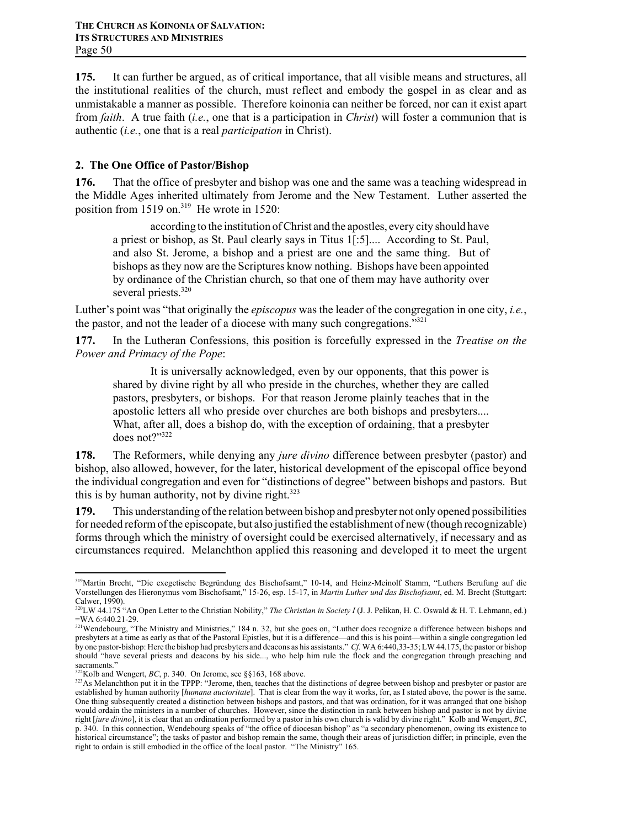**175.** It can further be argued, as of critical importance, that all visible means and structures, all the institutional realities of the church, must reflect and embody the gospel in as clear and as unmistakable a manner as possible. Therefore koinonia can neither be forced, nor can it exist apart from *faith*. A true faith (*i.e.*, one that is a participation in *Christ*) will foster a communion that is authentic (*i.e.*, one that is a real *participation* in Christ).

## **2. The One Office of Pastor/Bishop**

**176.** That the office of presbyter and bishop was one and the same was a teaching widespread in the Middle Ages inherited ultimately from Jerome and the New Testament. Luther asserted the position from  $1519$  on.<sup>319</sup> He wrote in 1520:

according to the institution of Christ and the apostles, every city should have a priest or bishop, as St. Paul clearly says in Titus 1[:5].... According to St. Paul, and also St. Jerome, a bishop and a priest are one and the same thing. But of bishops as they now are the Scriptures know nothing. Bishops have been appointed by ordinance of the Christian church, so that one of them may have authority over several priests.<sup>320</sup>

Luther's point was "that originally the *episcopus* was the leader of the congregation in one city, *i.e.*, the pastor, and not the leader of a diocese with many such congregations."321

**177.** In the Lutheran Confessions, this position is forcefully expressed in the *Treatise on the Power and Primacy of the Pope*:

It is universally acknowledged, even by our opponents, that this power is shared by divine right by all who preside in the churches, whether they are called pastors, presbyters, or bishops. For that reason Jerome plainly teaches that in the apostolic letters all who preside over churches are both bishops and presbyters.... What, after all, does a bishop do, with the exception of ordaining, that a presbyter does not?"322

**178.** The Reformers, while denying any *jure divino* difference between presbyter (pastor) and bishop, also allowed, however, for the later, historical development of the episcopal office beyond the individual congregation and even for "distinctions of degree" between bishops and pastors. But this is by human authority, not by divine right. $323$ 

**179.** This understanding of the relation between bishop and presbyter not only opened possibilities for needed reform of the episcopate, but also justified the establishment of new (though recognizable) forms through which the ministry of oversight could be exercised alternatively, if necessary and as circumstances required. Melanchthon applied this reasoning and developed it to meet the urgent

<sup>319</sup>Martin Brecht, "Die exegetische Begründung des Bischofsamt," 10-14, and Heinz-Meinolf Stamm, "Luthers Berufung auf die Vorstellungen des Hieronymus vom Bischofsamt," 15-26, esp. 15-17, in *Martin Luther und das Bischofsamt*, ed. M. Brecht (Stuttgart: Calwer, 1990).

<sup>&</sup>lt;sup>320</sup>LW 44.175 "An Open Letter to the Christian Nobility," *The Christian in Society I* (J. J. Pelikan, H. C. Oswald & H. T. Lehmann, ed.) =WA 6:440.21-29.

WA 0.440.21 22.<br><sup>321</sup>Wendebourg, "The Ministry and Ministries," 184 n. 32, but she goes on, "Luther does recognize a difference between bishops and presbyters at a time as early as that of the Pastoral Epistles, but it is a difference—and this is his point—within a single congregation led by one pastor-bishop: Here the bishop had presbyters and deacons as his assistants." *Cf.* WA 6:440,33-35; LW 44.175, the pastor or bishop should "have several priests and deacons by his side..., who help him rule the flock and the congregation through preaching and sacraments."

 $22$ Kolb and Wengert, *BC*, p. 340. On Jerome, see  $\S$ §163, 168 above.

<sup>&</sup>lt;sup>323</sup>As Melanchthon put it in the TPPP: "Jerome, then, teaches that the distinctions of degree between bishop and presbyter or pastor are established by human authority [*humana auctoritate*]. That is clear from the way it works, for, as I stated above, the power is the same. One thing subsequently created a distinction between bishops and pastors, and that was ordination, for it was arranged that one bishop would ordain the ministers in a number of churches. However, since the distinction in rank between bishop and pastor is not by divine right [*jure divino*], it is clear that an ordination performed by a pastor in his own church is valid by divine right." Kolb and Wengert, *BC*, p. 340. In this connection, Wendebourg speaks of "the office of diocesan bishop" as "a secondary phenomenon, owing its existence to historical circumstance"; the tasks of pastor and bishop remain the same, though their areas of jurisdiction differ; in principle, even the right to ordain is still embodied in the office of the local pastor. "The Ministry" 165.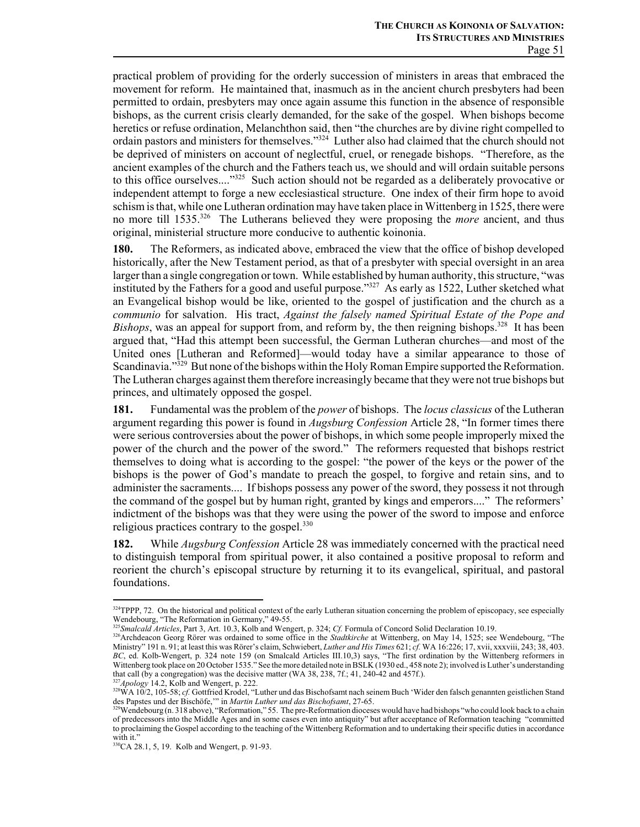practical problem of providing for the orderly succession of ministers in areas that embraced the movement for reform. He maintained that, inasmuch as in the ancient church presbyters had been permitted to ordain, presbyters may once again assume this function in the absence of responsible bishops, as the current crisis clearly demanded, for the sake of the gospel. When bishops become heretics or refuse ordination, Melanchthon said, then "the churches are by divine right compelled to ordain pastors and ministers for themselves."<sup>324</sup> Luther also had claimed that the church should not be deprived of ministers on account of neglectful, cruel, or renegade bishops. "Therefore, as the ancient examples of the church and the Fathers teach us, we should and will ordain suitable persons to this office ourselves...."<sup>325</sup> Such action should not be regarded as a deliberately provocative or independent attempt to forge a new ecclesiastical structure. One index of their firm hope to avoid schism is that, while one Lutheran ordination may have taken place in Wittenberg in 1525, there were no more till 1535.326 The Lutherans believed they were proposing the *more* ancient, and thus original, ministerial structure more conducive to authentic koinonia.

**180.** The Reformers, as indicated above, embraced the view that the office of bishop developed historically, after the New Testament period, as that of a presbyter with special oversight in an area larger than a single congregation or town. While established by human authority, this structure, "was instituted by the Fathers for a good and useful purpose."327 As early as 1522, Luther sketched what an Evangelical bishop would be like, oriented to the gospel of justification and the church as a *communio* for salvation. His tract, *Against the falsely named Spiritual Estate of the Pope and Bishops*, was an appeal for support from, and reform by, the then reigning bishops.<sup>328</sup> It has been argued that, "Had this attempt been successful, the German Lutheran churches—and most of the United ones [Lutheran and Reformed]—would today have a similar appearance to those of Scandinavia."<sup>329</sup> But none of the bishops within the Holy Roman Empire supported the Reformation. The Lutheran charges against them therefore increasingly became that they were not true bishops but princes, and ultimately opposed the gospel.

**181.** Fundamental was the problem of the *power* of bishops. The *locus classicus* of the Lutheran argument regarding this power is found in *Augsburg Confession* Article 28, "In former times there were serious controversies about the power of bishops, in which some people improperly mixed the power of the church and the power of the sword." The reformers requested that bishops restrict themselves to doing what is according to the gospel: "the power of the keys or the power of the bishops is the power of God's mandate to preach the gospel, to forgive and retain sins, and to administer the sacraments.... If bishops possess any power of the sword, they possess it not through the command of the gospel but by human right, granted by kings and emperors...." The reformers' indictment of the bishops was that they were using the power of the sword to impose and enforce religious practices contrary to the gospel. $330$ 

**182.** While *Augsburg Confession* Article 28 was immediately concerned with the practical need to distinguish temporal from spiritual power, it also contained a positive proposal to reform and reorient the church's episcopal structure by returning it to its evangelical, spiritual, and pastoral foundations.

 $324$ TPPP, 72. On the historical and political context of the early Lutheran situation concerning the problem of episcopacy, see especially Wendebourg, "The Reformation in Germany," 49-55.

<sup>325</sup>*Smalcald Articles*, Part 3, Art. 10.3, Kolb and Wengert, p. 324; *Cf.* Formula of Concord Solid Declaration 10.19.

<sup>&</sup>lt;sup>326</sup>Archdeacon Georg Rörer was ordained to some office in the *Stadtkirche* at Wittenberg, on May 14, 1525; see Wendebourg, "The Ministry" 191 n. 91; at least this was Rörer's claim, Schwiebert, *Luther and His Times* 621; *cf.* WA 16:226; 17, xvii, xxxviii, 243; 38, 403. *BC*, ed. Kolb-Wengert, p. 324 note 159 (on Smalcald Articles III.10,3) says, "The first ordination by the Wittenberg reformers in Wittenberg took place on 20 October 1535." See the more detailed note in BSLK (1930 ed., 458 note 2); involved is Luther's understanding that call (by a congregation) was the decisive matter (WA 38, 238, 7f.; 41, 240-42 and 457f.).

<sup>327</sup>*Apology* 14.2, Kolb and Wengert, p. 222.

<sup>328</sup>WA 10/2, 105-58; *cf.* Gottfried Krodel, "Luther und das Bischofsamt nach seinem Buch 'Wider den falsch genannten geistlichen Stand des Papstes und der Bischöfe,'" in *Martin Luther und das Bischofsamt*, 27-65.

<sup>&</sup>lt;sup>329</sup>Wendebourg (n. 318 above), "Reformation," 55. The pre-Reformation dioceses would have had bishops "who could look back to a chain of predecessors into the Middle Ages and in some cases even into antiquity" but after acceptance of Reformation teaching "committed to proclaiming the Gospel according to the teaching of the Wittenberg Reformation and to undertaking their specific duties in accordance with it.'

<sup>330</sup>CA 28.1, 5, 19. Kolb and Wengert, p. 91-93.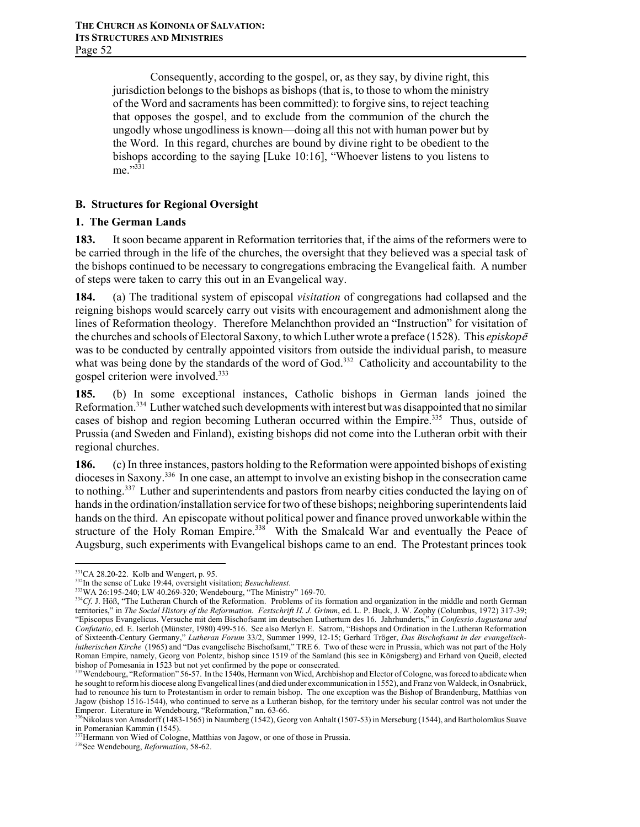Consequently, according to the gospel, or, as they say, by divine right, this jurisdiction belongs to the bishops as bishops (that is, to those to whom the ministry of the Word and sacraments has been committed): to forgive sins, to reject teaching that opposes the gospel, and to exclude from the communion of the church the ungodly whose ungodliness is known—doing all this not with human power but by the Word. In this regard, churches are bound by divine right to be obedient to the bishops according to the saying [Luke 10:16], "Whoever listens to you listens to me $^{331}$ 

## **B. Structures for Regional Oversight**

## **1. The German Lands**

**183.** It soon became apparent in Reformation territories that, if the aims of the reformers were to be carried through in the life of the churches, the oversight that they believed was a special task of the bishops continued to be necessary to congregations embracing the Evangelical faith. A number of steps were taken to carry this out in an Evangelical way.

**184.** (a) The traditional system of episcopal *visitation* of congregations had collapsed and the reigning bishops would scarcely carry out visits with encouragement and admonishment along the lines of Reformation theology. Therefore Melanchthon provided an "Instruction" for visitation of the churches and schools of Electoral Saxony, to which Luther wrote a preface (1528). This *episkop*' was to be conducted by centrally appointed visitors from outside the individual parish, to measure what was being done by the standards of the word of God.<sup>332</sup> Catholicity and accountability to the gospel criterion were involved.333

**185.** (b) In some exceptional instances, Catholic bishops in German lands joined the Reformation.334 Luther watched such developments with interest but was disappointed that no similar cases of bishop and region becoming Lutheran occurred within the Empire.<sup>335</sup> Thus, outside of Prussia (and Sweden and Finland), existing bishops did not come into the Lutheran orbit with their regional churches.

**186.** (c) In three instances, pastors holding to the Reformation were appointed bishops of existing dioceses in Saxony.336 In one case, an attempt to involve an existing bishop in the consecration came to nothing.337 Luther and superintendents and pastors from nearby cities conducted the laying on of hands in the ordination/installation service for two of these bishops; neighboring superintendents laid hands on the third. An episcopate without political power and finance proved unworkable within the structure of the Holy Roman Empire.<sup>338</sup> With the Smalcald War and eventually the Peace of Augsburg, such experiments with Evangelical bishops came to an end. The Protestant princes took

<sup>331</sup>CA 28.20-22. Kolb and Wengert, p. 95.

<sup>332</sup>In the sense of Luke 19:44, oversight visitation; *Besuchdienst*.

<sup>333</sup>WA 26:195-240; LW 40.269-320; Wendebourg, "The Ministry" 169-70.

<sup>&</sup>lt;sup>334</sup>Cf. J. Höß, "The Lutheran Church of the Reformation. Problems of its formation and organization in the middle and north German territories," in *The Social History of the Reformation. Festschrift H. J. Grimm*, ed. L. P. Buck, J. W. Zophy (Columbus, 1972) 317-39; "Episcopus Evangelicus. Versuche mit dem Bischofsamt im deutschen Luthertum des 16. Jahrhunderts," in *Confessio Augustana und Confutatio*, ed. E. Iserloh (Münster, 1980) 499-516. See also Merlyn E. Satrom, "Bishops and Ordination in the Lutheran Reformation of Sixteenth-Century Germany," *Lutheran Forum* 33/2, Summer 1999, 12-15; Gerhard Tröger, *Das Bischofsamt in der evangelischlutherischen Kirche* (1965) and "Das evangelische Bischofsamt," TRE 6. Two of these were in Prussia, which was not part of the Holy Roman Empire, namely, Georg von Polentz, bishop since 1519 of the Samland (his see in Königsberg) and Erhard von Queiß, elected

<sup>335</sup> Wendebourg, "Reformation" 56-57. In the 1540s, Hermann von Wied, Archbishop and Elector of Cologne, was forced to abdicate when he sought to reform his diocese along Evangelical lines (and died under excommunication in 1552), and Franz von Waldeck, in Osnabrück, had to renounce his turn to Protestantism in order to remain bishop. The one exception was the Bishop of Brandenburg, Matthias von Jagow (bishop 1516-1544), who continued to serve as a Lutheran bishop, for the territory under his secular control was not under the Emperor. Literature in Wendebourg, "Reformation," nn. 63-66.

<sup>&</sup>lt;sup>336</sup>Nikolaus von Amsdorff (1483-1565) in Naumberg (1542), Georg von Anhalt (1507-53) in Merseburg (1544), and Bartholomäus Suave in Pomeranian Kammin (1545).

<sup>337</sup>Hermann von Wied of Cologne, Matthias von Jagow, or one of those in Prussia.

<sup>338</sup>See Wendebourg, *Reformation*, 58-62.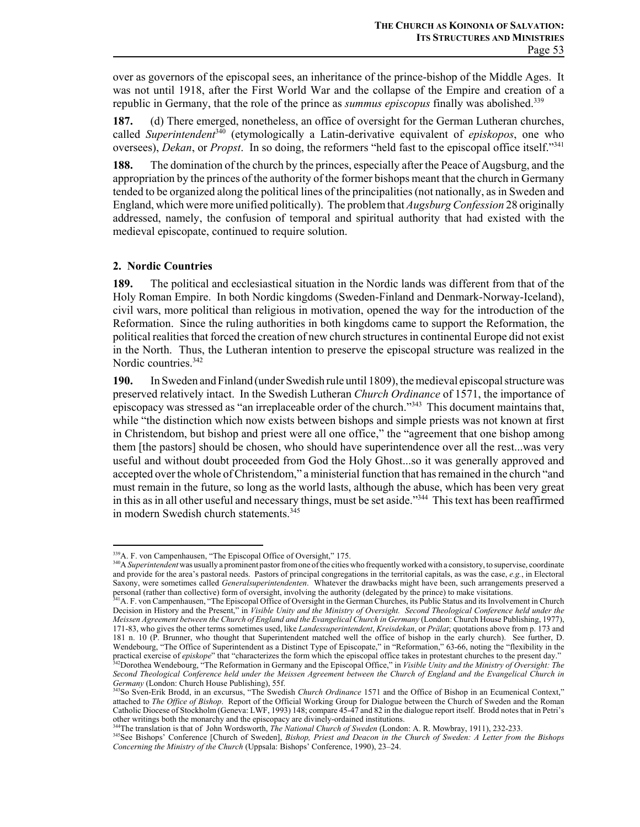over as governors of the episcopal sees, an inheritance of the prince-bishop of the Middle Ages. It was not until 1918, after the First World War and the collapse of the Empire and creation of a republic in Germany, that the role of the prince as *summus episcopus* finally was abolished.<sup>339</sup>

**187.** (d) There emerged, nonetheless, an office of oversight for the German Lutheran churches, called *Superintendent*340 (etymologically a Latin-derivative equivalent of *episkopos*, one who oversees), *Dekan*, or *Propst*. In so doing, the reformers "held fast to the episcopal office itself."341

**188.** The domination of the church by the princes, especially after the Peace of Augsburg, and the appropriation by the princes of the authority of the former bishops meant that the church in Germany tended to be organized along the political lines of the principalities (not nationally, as in Sweden and England, which were more unified politically). The problem that *Augsburg Confession* 28 originally addressed, namely, the confusion of temporal and spiritual authority that had existed with the medieval episcopate, continued to require solution.

## **2. Nordic Countries**

**189.** The political and ecclesiastical situation in the Nordic lands was different from that of the Holy Roman Empire. In both Nordic kingdoms (Sweden-Finland and Denmark-Norway-Iceland), civil wars, more political than religious in motivation, opened the way for the introduction of the Reformation. Since the ruling authorities in both kingdoms came to support the Reformation, the political realities that forced the creation of new church structures in continental Europe did not exist in the North. Thus, the Lutheran intention to preserve the episcopal structure was realized in the Nordic countries.<sup>342</sup>

**190.** In Sweden and Finland (under Swedish rule until 1809), the medieval episcopal structure was preserved relatively intact. In the Swedish Lutheran *Church Ordinance* of 1571, the importance of episcopacy was stressed as "an irreplaceable order of the church."343 This document maintains that, while "the distinction which now exists between bishops and simple priests was not known at first in Christendom, but bishop and priest were all one office," the "agreement that one bishop among them [the pastors] should be chosen, who should have superintendence over all the rest...was very useful and without doubt proceeded from God the Holy Ghost...so it was generally approved and accepted over the whole of Christendom," a ministerial function that has remained in the church "and must remain in the future, so long as the world lasts, although the abuse, which has been very great in this as in all other useful and necessary things, must be set aside."<sup>344</sup> This text has been reaffirmed in modern Swedish church statements.<sup>345</sup>

<sup>339</sup> A. F. von Campenhausen, "The Episcopal Office of Oversight," 175.

<sup>&</sup>lt;sup>340</sup>A *Superintendent* was usually a prominent pastor from one of the cities who frequently worked with a consistory, to supervise, coordinate and provide for the area's pastoral needs. Pastors of principal congregations in the territorial capitals, as was the case, *e.g.*, in Electoral Saxony, were sometimes called *Generalsuperintendenten*. Whatever the drawbacks might have been, such arrangements preserved a personal (rather than collective) form of oversight, involving the authority (delegated by the prince) to make visitations.

<sup>&</sup>lt;sup>341</sup>A. F. von Campenhausen, "The Episcopal Office of Oversight in the German Churches, its Public Status and its Involvement in Church Decision in History and the Present," in *Visible Unity and the Ministry of Oversight. Second Theological Conference held under the Meissen Agreement between the Church of England and the Evangelical Church in Germany* (London: Church House Publishing, 1977), 171-83, who gives the other terms sometimes used, like *Landessuperintendent*, *Kreisdekan*, or *Prälat*; quotations above from p. 173 and 181 n. 10 (P. Brunner, who thought that Superintendent matched well the office of bishop in the early church). See further, D. Wendebourg, "The Office of Superintendent as a Distinct Type of Episcopate," in "Reformation," 63-66, noting the "flexibility in the practical exercise of *episkope*" that "characterizes the form which the episcopal office takes in protestant churches to the present day." <sup>342</sup>Dorothea Wendebourg, "The Reformation in Germany and the Episcopal Office," in *Visible Unity and the Ministry of Oversight: The* 

*Second Theological Conference held under the Meissen Agreement between the Church of England and the Evangelical Church in Germany* (London: Church House Publishing), 55f.

<sup>343</sup>So Sven-Erik Brodd, in an excursus, "The Swedish *Church Ordinance* 1571 and the Office of Bishop in an Ecumenical Context," attached to *The Office of Bishop*. Report of the Official Working Group for Dialogue between the Church of Sweden and the Roman Catholic Diocese of Stockholm (Geneva: LWF, 1993) 148; compare 45-47 and 82 in the dialogue report itself. Brodd notes that in Petri's other writings both the monarchy and the episcopacy are divinely-ordained institutions.

<sup>344</sup>The translation is that of John Wordsworth, *The National Church of Sweden* (London: A. R. Mowbray, 1911), 232-233.

<sup>&</sup>lt;sup>345</sup>See Bishops' Conference [Church of Sweden], *Bishop, Priest and Deacon in the Church of Sweden: A Letter from the Bishops Concerning the Ministry of the Church* (Uppsala: Bishops' Conference, 1990), 23–24.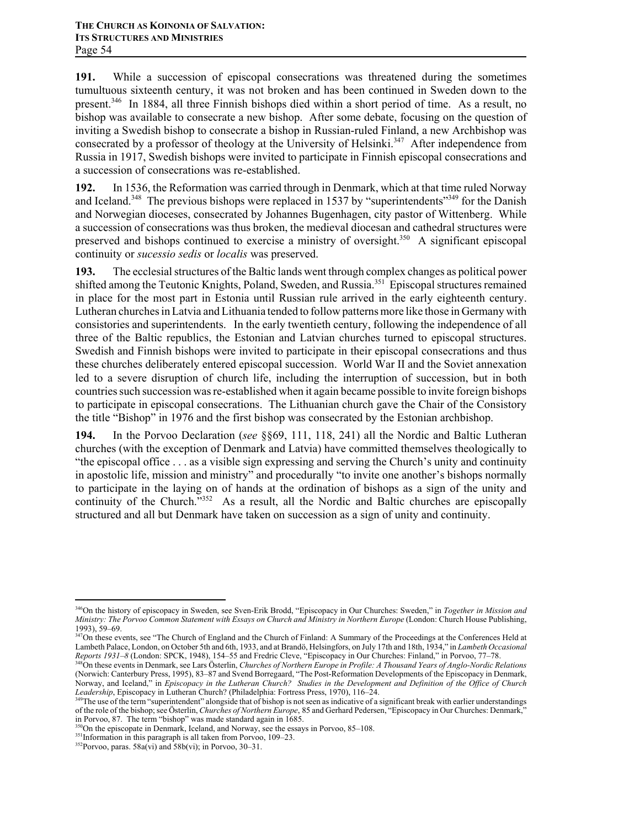**191.** While a succession of episcopal consecrations was threatened during the sometimes tumultuous sixteenth century, it was not broken and has been continued in Sweden down to the present.346 In 1884, all three Finnish bishops died within a short period of time. As a result, no bishop was available to consecrate a new bishop. After some debate, focusing on the question of inviting a Swedish bishop to consecrate a bishop in Russian-ruled Finland, a new Archbishop was consecrated by a professor of theology at the University of Helsinki.<sup>347</sup> After independence from Russia in 1917, Swedish bishops were invited to participate in Finnish episcopal consecrations and a succession of consecrations was re-established.

**192.** In 1536, the Reformation was carried through in Denmark, which at that time ruled Norway and Iceland.<sup>348</sup> The previous bishops were replaced in 1537 by "superintendents"<sup>349</sup> for the Danish and Norwegian dioceses, consecrated by Johannes Bugenhagen, city pastor of Wittenberg. While a succession of consecrations was thus broken, the medieval diocesan and cathedral structures were preserved and bishops continued to exercise a ministry of oversight.350 A significant episcopal continuity or *sucessio sedis* or *localis* was preserved.

**193.** The ecclesial structures of the Baltic lands went through complex changes as political power shifted among the Teutonic Knights, Poland, Sweden, and Russia.<sup>351</sup> Episcopal structures remained in place for the most part in Estonia until Russian rule arrived in the early eighteenth century. Lutheran churches in Latvia and Lithuania tended to follow patterns more like those in Germany with consistories and superintendents. In the early twentieth century, following the independence of all three of the Baltic republics, the Estonian and Latvian churches turned to episcopal structures. Swedish and Finnish bishops were invited to participate in their episcopal consecrations and thus these churches deliberately entered episcopal succession. World War II and the Soviet annexation led to a severe disruption of church life, including the interruption of succession, but in both countries such succession was re-established when it again became possible to invite foreign bishops to participate in episcopal consecrations. The Lithuanian church gave the Chair of the Consistory the title "Bishop" in 1976 and the first bishop was consecrated by the Estonian archbishop.

**194.** In the Porvoo Declaration (*see* §§69, 111, 118, 241) all the Nordic and Baltic Lutheran churches (with the exception of Denmark and Latvia) have committed themselves theologically to "the episcopal office . . . as a visible sign expressing and serving the Church's unity and continuity in apostolic life, mission and ministry" and procedurally "to invite one another's bishops normally to participate in the laying on of hands at the ordination of bishops as a sign of the unity and continuity of the Church.<sup>"352</sup> As a result, all the Nordic and Baltic churches are episcopally structured and all but Denmark have taken on succession as a sign of unity and continuity.

<sup>346</sup>On the history of episcopacy in Sweden, see Sven-Erik Brodd, "Episcopacy in Our Churches: Sweden," in *Together in Mission and Ministry: The Porvoo Common Statement with Essays on Church and Ministry in Northern Europe* (London: Church House Publishing, 1993), 59–69.

<sup>347</sup>On these events, see "The Church of England and the Church of Finland: A Summary of the Proceedings at the Conferences Held at Lambeth Palace, London, on October 5th and 6th, 1933, and at Brandö, Helsingfors, on July 17th and 18th, 1934," in *Lambeth Occasional Reports 1931–8* (London: SPCK, 1948), 154–55 and Fredric Cleve, "Episcopacy in Our Churches: Finland," in Porvoo, 77–78.

<sup>348</sup>On these events in Denmark, see Lars Österlin, *Churches of Northern Europe in Profile: A Thousand Years of Anglo-Nordic Relations* (Norwich: Canterbury Press, 1995), 83–87 and Svend Borregaard, "The Post-Reformation Developments of the Episcopacy in Denmark, Norway, and Iceland," in *Episcopacy in the Lutheran Church? Studies in the Development and Definition of the Office of Church Leadership*, Episcopacy in Lutheran Church? (Philadelphia: Fortress Press, 1970), 116–24.

 $349$ The use of the term "superintendent" alongside that of bishop is not seen as indicative of a significant break with earlier understandings of the role of the bishop; see Österlin, *Churches of Northern Europe*, 85 and Gerhard Pedersen, "Episcopacy in Our Churches: Denmark," in Porvoo, 87. The term "bishop" was made standard again in 1685.

<sup>&</sup>lt;sup>350</sup>On the episcopate in Denmark, Iceland, and Norway, see the essays in Porvoo, 85–108.

<sup>&</sup>lt;sup>351</sup>Information in this paragraph is all taken from Porvoo, 109-23.

 $352$ Porvoo, paras.  $58a(vi)$  and  $58b(vi)$ ; in Porvoo,  $30-31$ .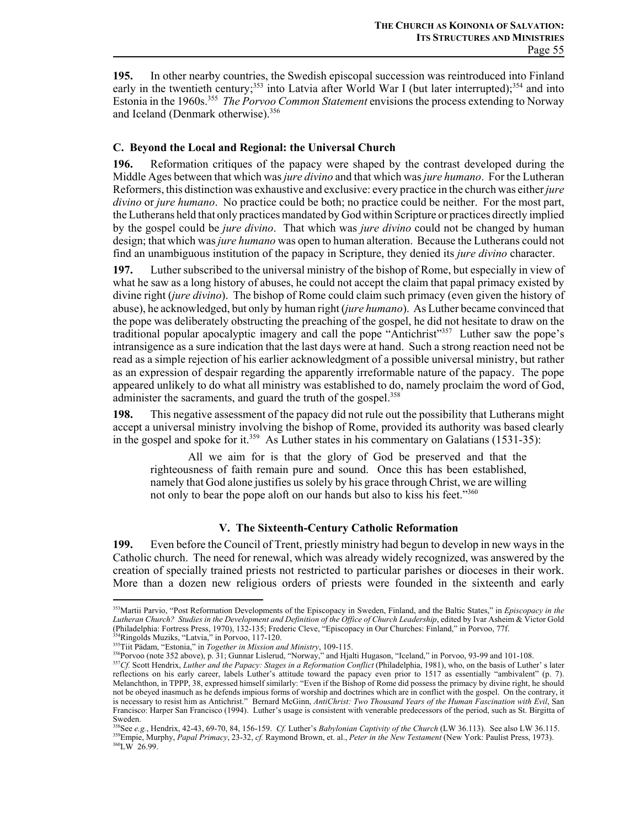**195.** In other nearby countries, the Swedish episcopal succession was reintroduced into Finland early in the twentieth century;<sup>353</sup> into Latvia after World War I (but later interrupted);<sup>354</sup> and into Estonia in the 1960s.355 *The Porvoo Common Statement* envisions the process extending to Norway and Iceland (Denmark otherwise).<sup>356</sup>

## **C. Beyond the Local and Regional: the Universal Church**

**196.** Reformation critiques of the papacy were shaped by the contrast developed during the Middle Ages between that which was *jure divino* and that which was *jure humano*. For the Lutheran Reformers, this distinction was exhaustive and exclusive: every practice in the church was either *jure divino* or *jure humano*. No practice could be both; no practice could be neither. For the most part, the Lutherans held that only practices mandated by God within Scripture or practices directly implied by the gospel could be *jure divino*. That which was *jure divino* could not be changed by human design; that which was *jure humano* was open to human alteration. Because the Lutherans could not find an unambiguous institution of the papacy in Scripture, they denied its *jure divino* character.

**197.** Luther subscribed to the universal ministry of the bishop of Rome, but especially in view of what he saw as a long history of abuses, he could not accept the claim that papal primacy existed by divine right (*jure divino*). The bishop of Rome could claim such primacy (even given the history of abuse), he acknowledged, but only by human right (*jure humano*). As Luther became convinced that the pope was deliberately obstructing the preaching of the gospel, he did not hesitate to draw on the traditional popular apocalyptic imagery and call the pope "Antichrist"357 Luther saw the pope's intransigence as a sure indication that the last days were at hand. Such a strong reaction need not be read as a simple rejection of his earlier acknowledgment of a possible universal ministry, but rather as an expression of despair regarding the apparently irreformable nature of the papacy. The pope appeared unlikely to do what all ministry was established to do, namely proclaim the word of God, administer the sacraments, and guard the truth of the gospel.<sup>358</sup>

**198.** This negative assessment of the papacy did not rule out the possibility that Lutherans might accept a universal ministry involving the bishop of Rome, provided its authority was based clearly in the gospel and spoke for it.<sup>359</sup> As Luther states in his commentary on Galatians (1531-35):

All we aim for is that the glory of God be preserved and that the righteousness of faith remain pure and sound. Once this has been established, namely that God alone justifies us solely by his grace through Christ, we are willing not only to bear the pope aloft on our hands but also to kiss his feet."<sup>360</sup>

# **V. The Sixteenth-Century Catholic Reformation**

**199.** Even before the Council of Trent, priestly ministry had begun to develop in new ways in the Catholic church. The need for renewal, which was already widely recognized, was answered by the creation of specially trained priests not restricted to particular parishes or dioceses in their work. More than a dozen new religious orders of priests were founded in the sixteenth and early

<sup>353</sup>Martii Parvio, "Post Reformation Developments of the Episcopacy in Sweden, Finland, and the Baltic States," in *Episcopacy in the Lutheran Church? Studies in the Development and Definition of the Office of Church Leadership*, edited by Ivar Asheim & Victor Gold (Philadelphia: Fortress Press, 1970), 132-135; Frederic Cleve, "Episcopacy in Our Churches: Finland," in Porvoo, 77f. <sup>354</sup>Ringolds Muziks, "Latvia," in Porvoo, 117-120.

<sup>355</sup>Tiit Pädam, "Estonia," in *Together in Mission and Ministry*, 109-115.

<sup>356</sup>Porvoo (note 352 above), p. 31; Gunnar Lislerud, "Norway," and Hjalti Hugason, "Iceland," in Porvoo, 93-99 and 101-108.

<sup>357</sup>*Cf.* Scott Hendrix, *Luther and the Papacy: Stages in a Reformation Conflict* (Philadelphia, 1981), who, on the basis of Luther' s later reflections on his early career, labels Luther's attitude toward the papacy even prior to 1517 as essentially "ambivalent" (p. 7). Melanchthon, in TPPP, 38, expressed himself similarly: "Even if the Bishop of Rome did possess the primacy by divine right, he should not be obeyed inasmuch as he defends impious forms of worship and doctrines which are in conflict with the gospel. On the contrary, it is necessary to resist him as Antichrist." Bernard McGinn, *AntiChrist: Two Thousand Years of the Human Fascination with Evil*, San Francisco: Harper San Francisco (1994). Luther's usage is consistent with venerable predecessors of the period, such as St. Birgitta of Sweden.

<sup>358</sup>See *e.g.*, Hendrix, 42-43, 69-70, 84, 156-159. *Cf.* Luther's *Babylonian Captivity of the Church* (LW 36.113). See also LW 36.115. 359Empie, Murphy, *Papal Primacy*, 23-32, *cf.* Raymond Brown, et. al., *Peter in the New Testament* (New York: Paulist Press, 1973). 360LW 26.99.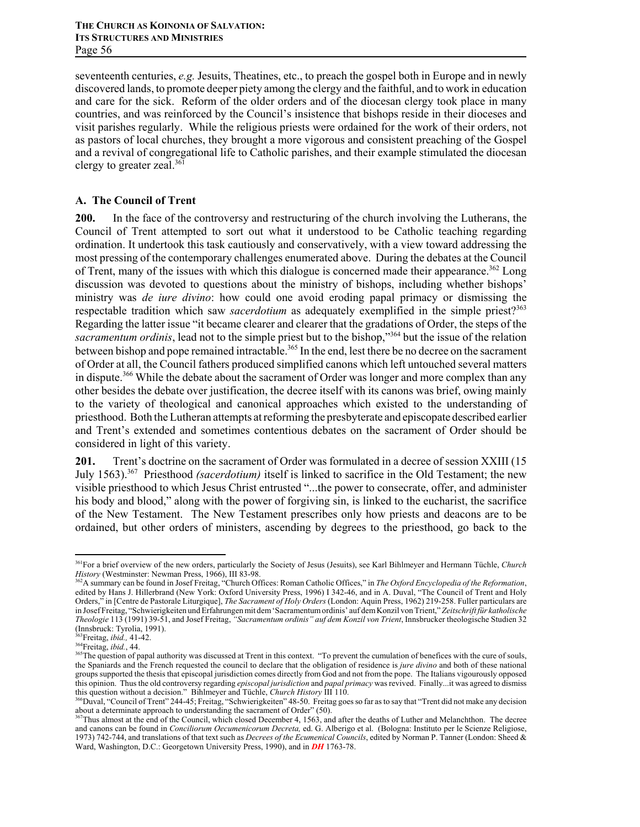seventeenth centuries, *e.g.* Jesuits, Theatines, etc., to preach the gospel both in Europe and in newly discovered lands, to promote deeper piety among the clergy and the faithful, and to work in education and care for the sick. Reform of the older orders and of the diocesan clergy took place in many countries, and was reinforced by the Council's insistence that bishops reside in their dioceses and visit parishes regularly. While the religious priests were ordained for the work of their orders, not as pastors of local churches, they brought a more vigorous and consistent preaching of the Gospel and a revival of congregational life to Catholic parishes, and their example stimulated the diocesan clergy to greater zeal.<sup>36</sup>

## **A. The Council of Trent**

**200.** In the face of the controversy and restructuring of the church involving the Lutherans, the Council of Trent attempted to sort out what it understood to be Catholic teaching regarding ordination. It undertook this task cautiously and conservatively, with a view toward addressing the most pressing of the contemporary challenges enumerated above. During the debates at the Council of Trent, many of the issues with which this dialogue is concerned made their appearance.<sup>362</sup> Long discussion was devoted to questions about the ministry of bishops, including whether bishops' ministry was *de iure divino*: how could one avoid eroding papal primacy or dismissing the respectable tradition which saw *sacerdotium* as adequately exemplified in the simple priest?<sup>363</sup> Regarding the latter issue "it became clearer and clearer that the gradations of Order, the steps of the *sacramentum ordinis*, lead not to the simple priest but to the bishop,"364 but the issue of the relation between bishop and pope remained intractable.<sup>365</sup> In the end, lest there be no decree on the sacrament of Order at all, the Council fathers produced simplified canons which left untouched several matters in dispute.<sup>366</sup> While the debate about the sacrament of Order was longer and more complex than any other besides the debate over justification, the decree itself with its canons was brief, owing mainly to the variety of theological and canonical approaches which existed to the understanding of priesthood. Both the Lutheran attempts at reforming the presbyterate and episcopate described earlier and Trent's extended and sometimes contentious debates on the sacrament of Order should be considered in light of this variety.

**201.** Trent's doctrine on the sacrament of Order was formulated in a decree of session XXIII (15 July 1563).367 Priesthood *(sacerdotium)* itself is linked to sacrifice in the Old Testament; the new visible priesthood to which Jesus Christ entrusted "...the power to consecrate, offer, and administer his body and blood," along with the power of forgiving sin, is linked to the eucharist, the sacrifice of the New Testament. The New Testament prescribes only how priests and deacons are to be ordained, but other orders of ministers, ascending by degrees to the priesthood, go back to the

<sup>361</sup>For a brief overview of the new orders, particularly the Society of Jesus (Jesuits), see Karl Bihlmeyer and Hermann Tüchle, *Church History* (Westminster: Newman Press, 1966), III 83-98.

<sup>362</sup>A summary can be found in Josef Freitag, "Church Offices: Roman Catholic Offices," in *The Oxford Encyclopedia of the Reformation*, edited by Hans J. Hillerbrand (New York: Oxford University Press, 1996) I 342-46, and in A. Duval, "The Council of Trent and Holy Orders," in [Centre de Pastorale Liturgique], *The Sacrament of Holy Orders* (London: Aquin Press, 1962) 219-258. Fuller particulars are in Josef Freitag, "Schwierigkeiten und Erfahrungen mit dem 'Sacramentum ordinis' auf dem Konzil von Trient," *Zeitschrift für katholische Theologie* 113 (1991) 39-51, and Josef Freitag, *"Sacramentum ordinis" auf dem Konzil von Trient*, Innsbrucker theologische Studien 32 (Innsbruck: Tyrolia, 1991).

<sup>363</sup>Freitag, *ibid.,* 41-42.

<sup>364</sup>Freitag, *ibid.*, 44.

<sup>&</sup>lt;sup>365</sup>The question of papal authority was discussed at Trent in this context. "To prevent the cumulation of benefices with the cure of souls, the Spaniards and the French requested the council to declare that the obligation of residence is *jure divino* and both of these national groups supported the thesis that episcopal jurisdiction comes directly from God and not from the pope. The Italians vigourously opposed this opinion. Thus the old controversy regarding *episcopal jurisdiction* and *papal primacy* was revived. Finally...it was agreed to dismiss this question without a decision." Bihlmeyer and Tüchle, *Church History* III 110.

<sup>366</sup>Duval, "Council of Trent" 244-45; Freitag, "Schwierigkeiten" 48-50. Freitag goes so far as to say that "Trent did not make any decision about a determinate approach to understanding the sacrament of Order" (50).

<sup>367</sup>Thus almost at the end of the Council, which closed December 4, 1563, and after the deaths of Luther and Melanchthon. The decree and canons can be found in *Conciliorum Oecumenicorum Decreta,* ed. G. Alberigo et al. (Bologna: Instituto per le Scienze Religiose, 1973) 742-744, and translations of that text such as *Decrees of the Ecumenical Councils*, edited by Norman P. Tanner (London: Sheed & Ward, Washington, D.C.: Georgetown University Press, 1990), and in *DH* 1763-78.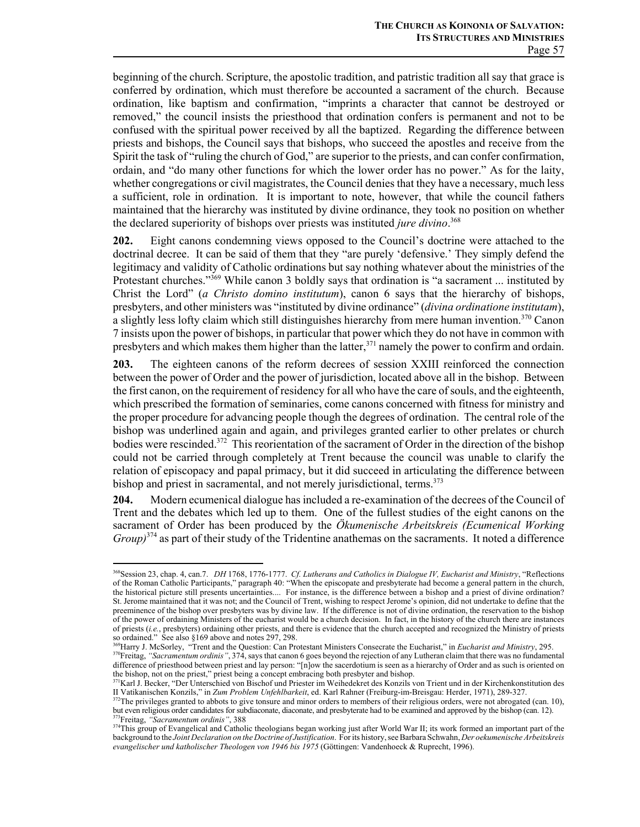beginning of the church. Scripture, the apostolic tradition, and patristic tradition all say that grace is conferred by ordination, which must therefore be accounted a sacrament of the church. Because ordination, like baptism and confirmation, "imprints a character that cannot be destroyed or removed," the council insists the priesthood that ordination confers is permanent and not to be confused with the spiritual power received by all the baptized. Regarding the difference between priests and bishops, the Council says that bishops, who succeed the apostles and receive from the Spirit the task of "ruling the church of God," are superior to the priests, and can confer confirmation, ordain, and "do many other functions for which the lower order has no power." As for the laity, whether congregations or civil magistrates, the Council denies that they have a necessary, much less a sufficient, role in ordination. It is important to note, however, that while the council fathers maintained that the hierarchy was instituted by divine ordinance, they took no position on whether the declared superiority of bishops over priests was instituted *jure divino*. 368

**202.** Eight canons condemning views opposed to the Council's doctrine were attached to the doctrinal decree. It can be said of them that they "are purely 'defensive.' They simply defend the legitimacy and validity of Catholic ordinations but say nothing whatever about the ministries of the Protestant churches."<sup>369</sup> While canon 3 boldly says that ordination is "a sacrament ... instituted by Christ the Lord" (*a Christo domino institutum*), canon 6 says that the hierarchy of bishops, presbyters, and other ministers was "instituted by divine ordinance" (*divina ordinatione institutam*), a slightly less lofty claim which still distinguishes hierarchy from mere human invention.<sup>370</sup> Canon 7 insists upon the power of bishops, in particular that power which they do not have in common with presbyters and which makes them higher than the latter,<sup>371</sup> namely the power to confirm and ordain.

**203.** The eighteen canons of the reform decrees of session XXIII reinforced the connection between the power of Order and the power of jurisdiction, located above all in the bishop. Between the first canon, on the requirement of residency for all who have the care of souls, and the eighteenth, which prescribed the formation of seminaries, come canons concerned with fitness for ministry and the proper procedure for advancing people though the degrees of ordination. The central role of the bishop was underlined again and again, and privileges granted earlier to other prelates or church bodies were rescinded.<sup>372</sup> This reorientation of the sacrament of Order in the direction of the bishop could not be carried through completely at Trent because the council was unable to clarify the relation of episcopacy and papal primacy, but it did succeed in articulating the difference between bishop and priest in sacramental, and not merely jurisdictional, terms.<sup>373</sup>

**204.** Modern ecumenical dialogue has included a re-examination of the decrees of the Council of Trent and the debates which led up to them. One of the fullest studies of the eight canons on the sacrament of Order has been produced by the *Ökumenische Arbeitskreis (Ecumenical Working Group)*374 as part of their study of the Tridentine anathemas on the sacraments. It noted a difference

<sup>368</sup>Session 23, chap. 4, can.7. *DH* 1768, 1776-1777. *Cf. Lutherans and Catholics in Dialogue IV, Eucharist and Ministry*, "Reflections of the Roman Catholic Participants," paragraph 40: "When the episcopate and presbyterate had become a general pattern in the church, the historical picture still presents uncertainties.... For instance, is the difference between a bishop and a priest of divine ordination? St. Jerome maintained that it was not; and the Council of Trent, wishing to respect Jerome's opinion, did not undertake to define that the preeminence of the bishop over presbyters was by divine law. If the difference is not of divine ordination, the reservation to the bishop of the power of ordaining Ministers of the eucharist would be a church decision. In fact, in the history of the church there are instances of priests (*i.e.*, presbyters) ordaining other priests, and there is evidence that the church accepted and recognized the Ministry of priests so ordained." See also §169 above and notes 297, 298.

<sup>369</sup>Harry J. McSorley, "Trent and the Question: Can Protestant Ministers Consecrate the Eucharist," in *Eucharist and Ministry*, 295.

<sup>&</sup>lt;sup>370</sup>Freitag, "Sacramentum ordinis", 374, says that canon 6 goes beyond the rejection of any Lutheran claim that there was no fundamental difference of priesthood between priest and lay person: "[n]ow the sacerdotium is seen as a hierarchy of Order and as such is oriented on the bishop, not on the priest," priest being a concept embracing both presbyter and bishop.

<sup>&</sup>lt;sup>371</sup>Karl J. Becker, "Der Unterschied von Bischof und Priester im Weihedekret des Konzils von Trient und in der Kirchenkonstitution des<br>II Vatikanischen Konzils," in *Zum Problem Unfehlbarkeit*, ed. Karl Rahner (Freiburg-i

<sup>&</sup>lt;sup>372</sup>The privileges granted to abbots to give tonsure and minor orders to members of their religious orders, were not abrogated (can. 10), but even religious order candidates for subdiaconate, diaconate, and presbyterate had to be examined and approved by the bishop (can. 12). 373Freitag, *"Sacramentum ordinis"*, 388

<sup>&</sup>lt;sup>374</sup>This group of Evangelical and Catholic theologians began working just after World War II; its work formed an important part of the background to the *Joint Declaration on the Doctrine of Justification*. For its history, see Barbara Schwahn, *Der oekumenische Arbeitskreis evangelischer und katholischer Theologen von 1946 bis 1975* (Göttingen: Vandenhoeck & Ruprecht, 1996).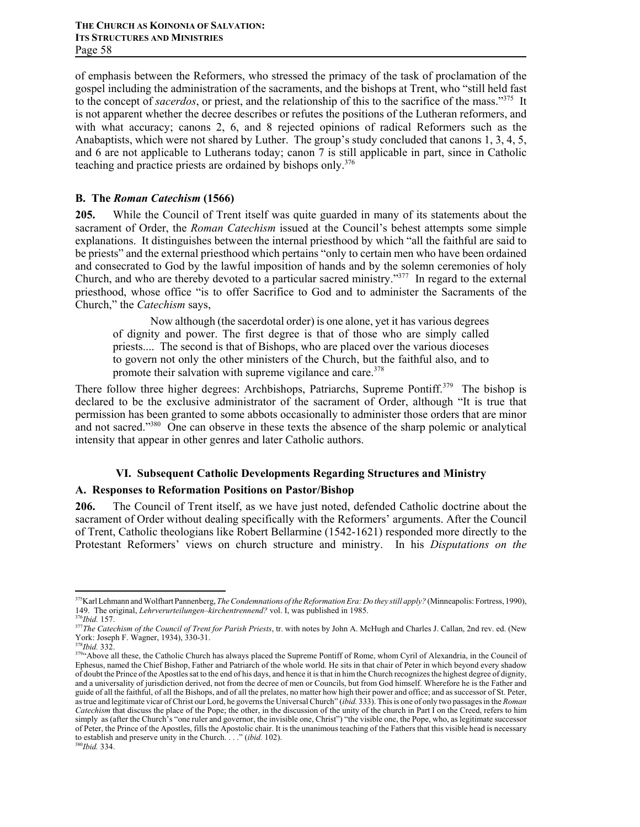of emphasis between the Reformers, who stressed the primacy of the task of proclamation of the gospel including the administration of the sacraments, and the bishops at Trent, who "still held fast to the concept of *sacerdos*, or priest, and the relationship of this to the sacrifice of the mass."375 It is not apparent whether the decree describes or refutes the positions of the Lutheran reformers, and with what accuracy; canons 2, 6, and 8 rejected opinions of radical Reformers such as the Anabaptists, which were not shared by Luther. The group's study concluded that canons 1, 3, 4, 5, and 6 are not applicable to Lutherans today; canon 7 is still applicable in part, since in Catholic teaching and practice priests are ordained by bishops only.376

## **B. The** *Roman Catechism* **(1566)**

**205.** While the Council of Trent itself was quite guarded in many of its statements about the sacrament of Order, the *Roman Catechism* issued at the Council's behest attempts some simple explanations. It distinguishes between the internal priesthood by which "all the faithful are said to be priests" and the external priesthood which pertains "only to certain men who have been ordained and consecrated to God by the lawful imposition of hands and by the solemn ceremonies of holy Church, and who are thereby devoted to a particular sacred ministry."377 In regard to the external priesthood, whose office "is to offer Sacrifice to God and to administer the Sacraments of the Church," the *Catechism* says,

Now although (the sacerdotal order) is one alone, yet it has various degrees of dignity and power. The first degree is that of those who are simply called priests.... The second is that of Bishops, who are placed over the various dioceses to govern not only the other ministers of the Church, but the faithful also, and to promote their salvation with supreme vigilance and care.<sup>378</sup>

There follow three higher degrees: Archbishops, Patriarchs, Supreme Pontiff.<sup>379</sup> The bishop is declared to be the exclusive administrator of the sacrament of Order, although "It is true that permission has been granted to some abbots occasionally to administer those orders that are minor and not sacred."<sup>380</sup> One can observe in these texts the absence of the sharp polemic or analytical intensity that appear in other genres and later Catholic authors.

## **VI. Subsequent Catholic Developments Regarding Structures and Ministry**

#### **A. Responses to Reformation Positions on Pastor/Bishop**

**206.** The Council of Trent itself, as we have just noted, defended Catholic doctrine about the sacrament of Order without dealing specifically with the Reformers' arguments. After the Council of Trent, Catholic theologians like Robert Bellarmine (1542-1621) responded more directly to the Protestant Reformers' views on church structure and ministry. In his *Disputations on the*

<sup>375</sup>Karl Lehmann and Wolfhart Pannenberg, *The Condemnations of the Reformation Era: Do they still apply?* (Minneapolis: Fortress, 1990), 149. The original, *Lehrverurteilungen–kirchentrennend?* vol. I, was published in 1985. <sup>376</sup>*Ibid.* 157.

<sup>&</sup>lt;sup>377</sup>The Catechism of the Council of Trent for Parish Priests, tr. with notes by John A. McHugh and Charles J. Callan, 2nd rev. ed. (New York: Joseph F. Wagner, 1934), 330-31.

<sup>378</sup>*Ibid.* 332.

<sup>&</sup>lt;sup>37944</sup> Above all these, the Catholic Church has always placed the Supreme Pontiff of Rome, whom Cyril of Alexandria, in the Council of Ephesus, named the Chief Bishop, Father and Patriarch of the whole world. He sits in that chair of Peter in which beyond every shadow of doubt the Prince of the Apostles sat to the end of his days, and hence it is that in him the Church recognizes the highest degree of dignity, and a universality of jurisdiction derived, not from the decree of men or Councils, but from God himself. Wherefore he is the Father and guide of all the faithful, of all the Bishops, and of all the prelates, no matter how high their power and office; and as successor of St. Peter, as true and legitimate vicar of Christ our Lord, he governs the Universal Church" (*ibid.* 333). This is one of only two passages in the *Roman Catechism* that discuss the place of the Pope; the other, in the discussion of the unity of the church in Part I on the Creed, refers to him simply as (after the Church's "one ruler and governor, the invisible one, Christ") "the visible one, the Pope, who, as legitimate successor of Peter, the Prince of the Apostles, fills the Apostolic chair. It is the unanimous teaching of the Fathers that this visible head is necessary to establish and preserve unity in the Church. . . ." (*ibid.* 102).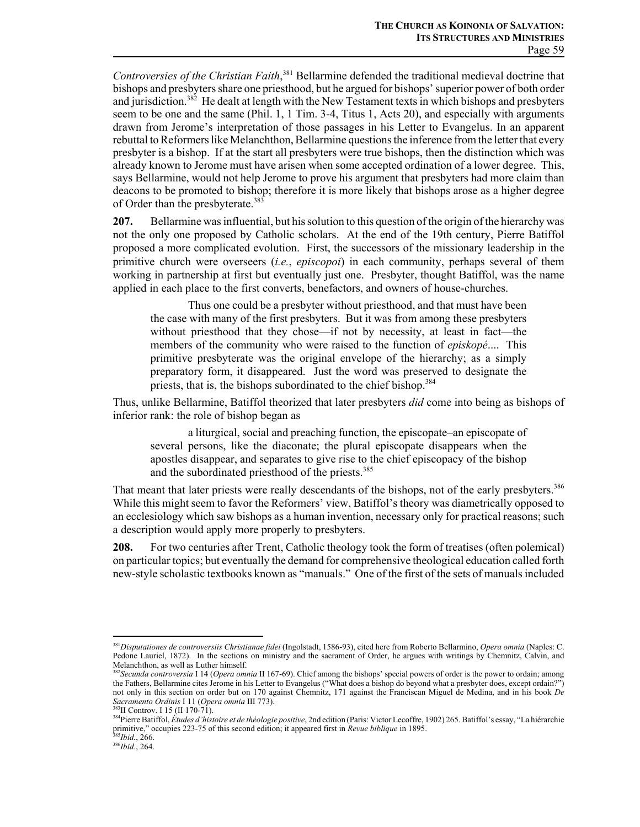*Controversies of the Christian Faith*, 381 Bellarmine defended the traditional medieval doctrine that bishops and presbyters share one priesthood, but he argued for bishops' superior power of both order and jurisdiction.<sup>382</sup> He dealt at length with the New Testament texts in which bishops and presbyters seem to be one and the same (Phil. 1, 1 Tim. 3-4, Titus 1, Acts 20), and especially with arguments drawn from Jerome's interpretation of those passages in his Letter to Evangelus. In an apparent rebuttal to Reformers like Melanchthon, Bellarmine questions the inference from the letter that every presbyter is a bishop. If at the start all presbyters were true bishops, then the distinction which was already known to Jerome must have arisen when some accepted ordination of a lower degree. This, says Bellarmine, would not help Jerome to prove his argument that presbyters had more claim than deacons to be promoted to bishop; therefore it is more likely that bishops arose as a higher degree of Order than the presbyterate.<sup>383</sup>

**207.** Bellarmine was influential, but his solution to this question of the origin of the hierarchy was not the only one proposed by Catholic scholars. At the end of the 19th century, Pierre Batiffol proposed a more complicated evolution. First, the successors of the missionary leadership in the primitive church were overseers (*i.e.*, *episcopoi*) in each community, perhaps several of them working in partnership at first but eventually just one. Presbyter, thought Batiffol, was the name applied in each place to the first converts, benefactors, and owners of house-churches.

Thus one could be a presbyter without priesthood, and that must have been the case with many of the first presbyters. But it was from among these presbyters without priesthood that they chose—if not by necessity, at least in fact—the members of the community who were raised to the function of *episkopé*.... This primitive presbyterate was the original envelope of the hierarchy; as a simply preparatory form, it disappeared. Just the word was preserved to designate the priests, that is, the bishops subordinated to the chief bishop.384

Thus, unlike Bellarmine, Batiffol theorized that later presbyters *did* come into being as bishops of inferior rank: the role of bishop began as

a liturgical, social and preaching function, the episcopate–an episcopate of several persons, like the diaconate; the plural episcopate disappears when the apostles disappear, and separates to give rise to the chief episcopacy of the bishop and the subordinated priesthood of the priests.<sup>385</sup>

That meant that later priests were really descendants of the bishops, not of the early presbyters.<sup>386</sup> While this might seem to favor the Reformers' view, Batiffol's theory was diametrically opposed to an ecclesiology which saw bishops as a human invention, necessary only for practical reasons; such a description would apply more properly to presbyters.

**208.** For two centuries after Trent, Catholic theology took the form of treatises (often polemical) on particular topics; but eventually the demand for comprehensive theological education called forth new-style scholastic textbooks known as "manuals." One of the first of the sets of manuals included

<sup>381</sup>*Disputationes de controversiis Christianae fidei* (Ingolstadt, 1586-93), cited here from Roberto Bellarmino, *Opera omnia* (Naples: C. Pedone Lauriel, 1872). In the sections on ministry and the sacrament of Order, he argues with writings by Chemnitz, Calvin, and Melanchthon, as well as Luther himself.

<sup>382</sup>*Secunda controversia* I 14 (*Opera omnia* II 167-69). Chief among the bishops' special powers of order is the power to ordain; among the Fathers, Bellarmine cites Jerome in his Letter to Evangelus ("What does a bishop do beyond what a presbyter does, except ordain?") not only in this section on order but on 170 against Chemnitz, 171 against the Franciscan Miguel de Medina, and in his book *De Sacramento Ordinis* I 11 (*Opera omnia* III 773).

<sup>383</sup>II Controv. I 15 (II 170-71).

<sup>384</sup>Pierre Batiffol, *Études d'histoire et de théologie positive*, 2nd edition (Paris: Victor Lecoffre, 1902) 265. Batiffol's essay, "La hiérarchie primitive," occupies 223-75 of this second edition; it appeared first in *Revue biblique* in 1895. 385*Ibid.*, 266.

<sup>386</sup>*Ibid.*, 264.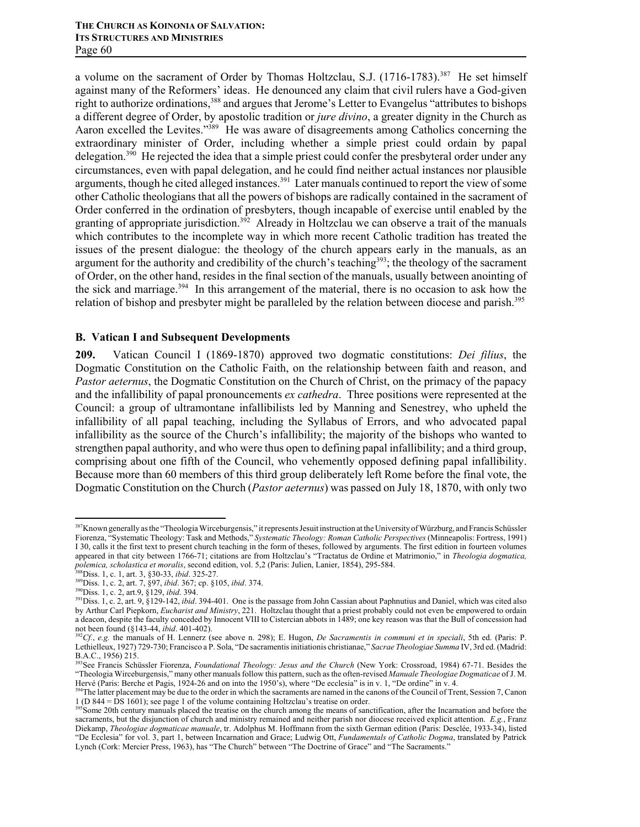a volume on the sacrament of Order by Thomas Holtzclau, S.J. (1716-1783).<sup>387</sup> He set himself against many of the Reformers' ideas. He denounced any claim that civil rulers have a God-given right to authorize ordinations,388 and argues that Jerome's Letter to Evangelus "attributes to bishops a different degree of Order, by apostolic tradition or *jure divino*, a greater dignity in the Church as Aaron excelled the Levites."<sup>389</sup> He was aware of disagreements among Catholics concerning the extraordinary minister of Order, including whether a simple priest could ordain by papal delegation.<sup>390</sup> He rejected the idea that a simple priest could confer the presbyteral order under any circumstances, even with papal delegation, and he could find neither actual instances nor plausible arguments, though he cited alleged instances.<sup>391</sup> Later manuals continued to report the view of some other Catholic theologians that all the powers of bishops are radically contained in the sacrament of Order conferred in the ordination of presbyters, though incapable of exercise until enabled by the granting of appropriate jurisdiction.<sup>392</sup> Already in Holtzclau we can observe a trait of the manuals which contributes to the incomplete way in which more recent Catholic tradition has treated the issues of the present dialogue: the theology of the church appears early in the manuals, as an argument for the authority and credibility of the church's teaching<sup>393</sup>; the theology of the sacrament of Order, on the other hand, resides in the final section of the manuals, usually between anointing of the sick and marriage.394 In this arrangement of the material, there is no occasion to ask how the relation of bishop and presbyter might be paralleled by the relation between diocese and parish.<sup>395</sup>

#### **B. Vatican I and Subsequent Developments**

**209.** Vatican Council I (1869-1870) approved two dogmatic constitutions: *Dei filius*, the Dogmatic Constitution on the Catholic Faith, on the relationship between faith and reason, and *Pastor aeternus*, the Dogmatic Constitution on the Church of Christ, on the primacy of the papacy and the infallibility of papal pronouncements *ex cathedra*. Three positions were represented at the Council: a group of ultramontane infallibilists led by Manning and Senestrey, who upheld the infallibility of all papal teaching, including the Syllabus of Errors, and who advocated papal infallibility as the source of the Church's infallibility; the majority of the bishops who wanted to strengthen papal authority, and who were thus open to defining papal infallibility; and a third group, comprising about one fifth of the Council, who vehemently opposed defining papal infallibility. Because more than 60 members of this third group deliberately left Rome before the final vote, the Dogmatic Constitution on the Church (*Pastor aeternus*) was passed on July 18, 1870, with only two

<sup>&</sup>lt;sup>387</sup>Known generally as the "Theologia Wirceburgensis," it represents Jesuit instruction at the University of Würzburg, and Francis Schüssler Fiorenza, "Systematic Theology: Task and Methods," *Systematic Theology: Roman Catholic Perspectives* (Minneapolis: Fortress, 1991) I 30, calls it the first text to present church teaching in the form of theses, followed by arguments. The first edition in fourteen volumes appeared in that city between 1766-71; citations are from Holtzclau's "Tractatus de Ordine et Matrimonio," in *Theologia dogmatica, polemica, scholastica et moralis, second edition, vol.* 5,2 (Paris: Julien, Lanier, 1854), 295-584.

<sup>389</sup>Diss. 1, c. 2, art. 7, §97, *ibid*. 367; cp. §105, *ibid*. 374.

<sup>390</sup>Diss. 1, c. 2, art.9, §129, *ibid*. 394.

<sup>&</sup>lt;sup>391</sup>Diss. 1, c. 2, art. 9, §129-142, *ibid.* 394-401. One is the passage from John Cassian about Paphnutius and Daniel, which was cited also by Arthur Carl Piepkorn, *Eucharist and Ministry*, 221. Holtzclau thought that a priest probably could not even be empowered to ordain a deacon, despite the faculty conceded by Innocent VIII to Cistercian abbots in 1489; one key reason was that the Bull of concession had not been found (§143-44, *ibid*. 401-402).

<sup>392</sup>*Cf.*, *e.g.* the manuals of H. Lennerz (see above n. 298); E. Hugon, *De Sacramentis in communi et in speciali*, 5th ed. (Paris: P. Lethielleux, 1927) 729-730; Francisco a P. Sola, "De sacramentis initiationis christianae," *Sacrae Theologiae Summa* IV, 3rd ed. (Madrid: B.A.C., 1956) 215.

<sup>393</sup>See Francis Schüssler Fiorenza, *Foundational Theology: Jesus and the Church* (New York: Crossroad, 1984) 67-71. Besides the "Theologia Wirceburgensis," many other manuals follow this pattern, such as the often-revised *Manuale Theologiae Dogmaticae* of J. M. Hervé (Paris: Berche et Pagis, 1924-26 and on into the 1950's), where "De ecclesia" is in v. 1, "De ordine" in v. 4.

<sup>&</sup>lt;sup>394</sup>The latter placement may be due to the order in which the sacraments are named in the canons of the Council of Trent, Session 7, Canon 1 (D 844 = DS 1601); see page 1 of the volume containing Holtzclau's treatise on order.

<sup>&</sup>lt;sup>395</sup>Some 20th century manuals placed the treatise on the church among the means of sanctification, after the Incarnation and before the sacraments, but the disjunction of church and ministry remained and neither parish nor diocese received explicit attention. *E.g.*, Franz Diekamp, *Theologiae dogmaticae manuale*, tr. Adolphus M. Hoffmann from the sixth German edition (Paris: Desclée, 1933-34), listed "De Ecclesia" for vol. 3, part 1, between Incarnation and Grace; Ludwig Ott, *Fundamentals of Catholic Dogma*, translated by Patrick Lynch (Cork: Mercier Press, 1963), has "The Church" between "The Doctrine of Grace" and "The Sacraments."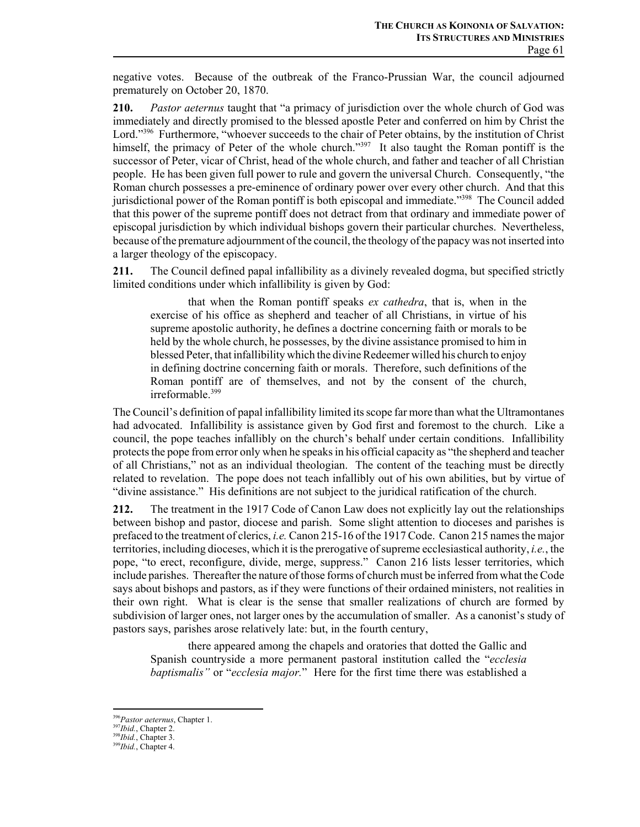negative votes. Because of the outbreak of the Franco-Prussian War, the council adjourned prematurely on October 20, 1870.

**210.** *Pastor aeternus* taught that "a primacy of jurisdiction over the whole church of God was immediately and directly promised to the blessed apostle Peter and conferred on him by Christ the Lord."<sup>396</sup> Furthermore, "whoever succeeds to the chair of Peter obtains, by the institution of Christ himself, the primacy of Peter of the whole church."<sup>397</sup> It also taught the Roman pontiff is the successor of Peter, vicar of Christ, head of the whole church, and father and teacher of all Christian people. He has been given full power to rule and govern the universal Church. Consequently, "the Roman church possesses a pre-eminence of ordinary power over every other church. And that this jurisdictional power of the Roman pontiff is both episcopal and immediate."398 The Council added that this power of the supreme pontiff does not detract from that ordinary and immediate power of episcopal jurisdiction by which individual bishops govern their particular churches. Nevertheless, because of the premature adjournment of the council, the theology of the papacy was not inserted into a larger theology of the episcopacy.

**211.** The Council defined papal infallibility as a divinely revealed dogma, but specified strictly limited conditions under which infallibility is given by God:

that when the Roman pontiff speaks *ex cathedra*, that is, when in the exercise of his office as shepherd and teacher of all Christians, in virtue of his supreme apostolic authority, he defines a doctrine concerning faith or morals to be held by the whole church, he possesses, by the divine assistance promised to him in blessed Peter, that infallibility which the divine Redeemer willed his church to enjoy in defining doctrine concerning faith or morals. Therefore, such definitions of the Roman pontiff are of themselves, and not by the consent of the church, irreformable.<sup>399</sup>

The Council's definition of papal infallibility limited its scope far more than what the Ultramontanes had advocated. Infallibility is assistance given by God first and foremost to the church. Like a council, the pope teaches infallibly on the church's behalf under certain conditions. Infallibility protects the pope from error only when he speaks in his official capacity as "the shepherd and teacher of all Christians," not as an individual theologian. The content of the teaching must be directly related to revelation. The pope does not teach infallibly out of his own abilities, but by virtue of "divine assistance." His definitions are not subject to the juridical ratification of the church.

**212.** The treatment in the 1917 Code of Canon Law does not explicitly lay out the relationships between bishop and pastor, diocese and parish. Some slight attention to dioceses and parishes is prefaced to the treatment of clerics, *i.e.* Canon 215-16 of the 1917 Code. Canon 215 names the major territories, including dioceses, which it is the prerogative of supreme ecclesiastical authority, *i.e.*, the pope, "to erect, reconfigure, divide, merge, suppress." Canon 216 lists lesser territories, which include parishes. Thereafter the nature of those forms of church must be inferred from what the Code says about bishops and pastors, as if they were functions of their ordained ministers, not realities in their own right. What is clear is the sense that smaller realizations of church are formed by subdivision of larger ones, not larger ones by the accumulation of smaller. As a canonist's study of pastors says, parishes arose relatively late: but, in the fourth century,

there appeared among the chapels and oratories that dotted the Gallic and Spanish countryside a more permanent pastoral institution called the "*ecclesia baptismalis"* or "*ecclesia major.*" Here for the first time there was established a

<sup>396</sup>*Pastor aeternus*, Chapter 1.

<sup>397</sup>*Ibid.*, Chapter 2.

<sup>398</sup>*Ibid.*, Chapter 3.

<sup>399</sup>*Ibid.*, Chapter 4.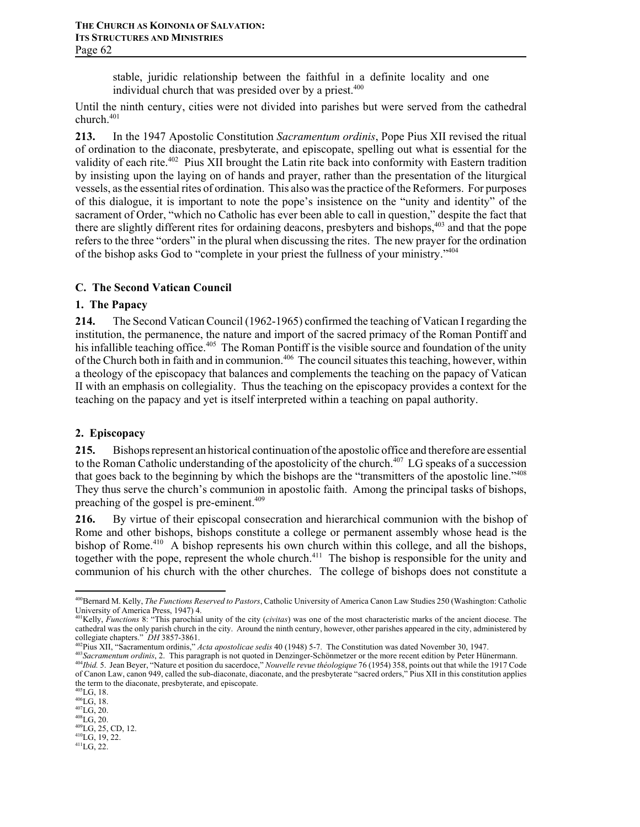stable, juridic relationship between the faithful in a definite locality and one individual church that was presided over by a priest.<sup>400</sup>

Until the ninth century, cities were not divided into parishes but were served from the cathedral church. $401$ 

**213.** In the 1947 Apostolic Constitution *Sacramentum ordinis*, Pope Pius XII revised the ritual of ordination to the diaconate, presbyterate, and episcopate, spelling out what is essential for the validity of each rite.<sup>402</sup> Pius XII brought the Latin rite back into conformity with Eastern tradition by insisting upon the laying on of hands and prayer, rather than the presentation of the liturgical vessels, as the essential rites of ordination. This also was the practice of the Reformers. For purposes of this dialogue, it is important to note the pope's insistence on the "unity and identity" of the sacrament of Order, "which no Catholic has ever been able to call in question," despite the fact that there are slightly different rites for ordaining deacons, presbyters and bishops,<sup>403</sup> and that the pope refers to the three "orders" in the plural when discussing the rites. The new prayer for the ordination of the bishop asks God to "complete in your priest the fullness of your ministry."404

## **C. The Second Vatican Council**

## **1. The Papacy**

**214.** The Second Vatican Council (1962-1965) confirmed the teaching of Vatican I regarding the institution, the permanence, the nature and import of the sacred primacy of the Roman Pontiff and his infallible teaching office.<sup>405</sup> The Roman Pontiff is the visible source and foundation of the unity of the Church both in faith and in communion.406 The council situates this teaching, however, within a theology of the episcopacy that balances and complements the teaching on the papacy of Vatican II with an emphasis on collegiality. Thus the teaching on the episcopacy provides a context for the teaching on the papacy and yet is itself interpreted within a teaching on papal authority.

## **2. Episcopacy**

**215.** Bishops represent an historical continuation of the apostolic office and therefore are essential to the Roman Catholic understanding of the apostolicity of the church.<sup>407</sup> LG speaks of a succession that goes back to the beginning by which the bishops are the "transmitters of the apostolic line."408 They thus serve the church's communion in apostolic faith. Among the principal tasks of bishops, preaching of the gospel is pre-eminent.<sup>409</sup>

**216.** By virtue of their episcopal consecration and hierarchical communion with the bishop of Rome and other bishops, bishops constitute a college or permanent assembly whose head is the bishop of Rome.<sup>410</sup> A bishop represents his own church within this college, and all the bishops, together with the pope, represent the whole church.<sup>411</sup> The bishop is responsible for the unity and communion of his church with the other churches. The college of bishops does not constitute a

<sup>400</sup>Bernard M. Kelly, *The Functions Reserved to Pastors*, Catholic University of America Canon Law Studies 250 (Washington: Catholic University of America Press, 1947) 4.

<sup>401</sup>Kelly, *Functions* 8: "This parochial unity of the city (*civitas*) was one of the most characteristic marks of the ancient diocese. The cathedral was the only parish church in the city. Around the ninth century, however, other parishes appeared in the city, administered by collegiate chapters." *DH* 3857-3861.<br>
<sup>402</sup>Pius XII, "Sacramentum ordinis," *Acta apostolicae sedis* 40 (1948) 5-7. The Constitution was dated November 30, 1947.

<sup>403</sup> Sacramentum ordinis, 2. This paragraph is not quoted in Denzinger-Schönmetzer or the more recent edition by Peter Hünermann.

<sup>404</sup>*Ibid.* 5. Jean Beyer, "Nature et position du sacerdoce," *Nouvelle revue théologique* 76 (1954) 358, points out that while the 1917 Code of Canon Law, canon 949, called the sub-diaconate, diaconate, and the presbyterate "sacred orders," Pius XII in this constitution applies the term to the diaconate, presbyterate, and episcopate.

 $405$ <sub>LG</sub>, 18.

 $406$ LG, 18.  $407\overline{LG}$ , 20.

 $408\overline{LG}$ , 20.

 $^{409}$ LG, 25, CD, 12.

<sup>410</sup>LG, 19, 22.

 $^{411}LG$ , 22.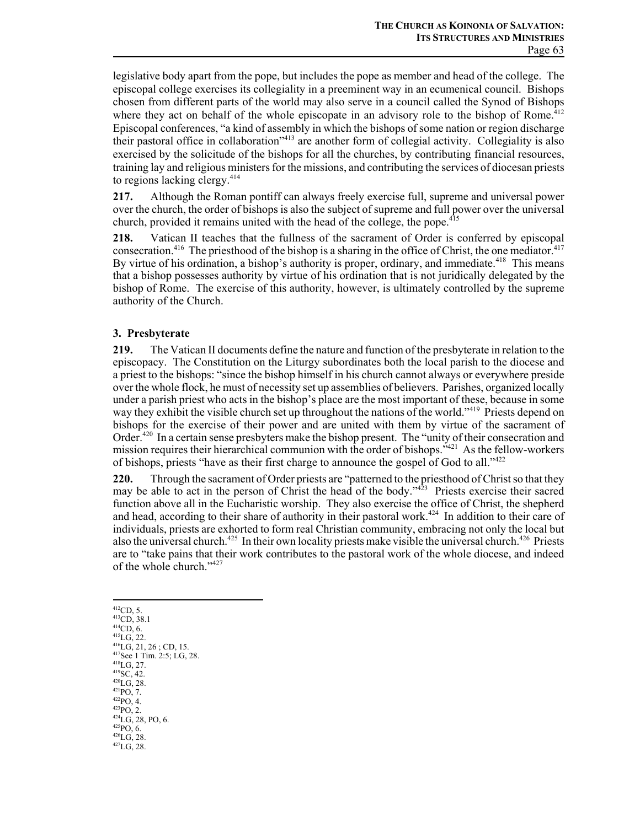legislative body apart from the pope, but includes the pope as member and head of the college. The episcopal college exercises its collegiality in a preeminent way in an ecumenical council. Bishops chosen from different parts of the world may also serve in a council called the Synod of Bishops where they act on behalf of the whole episcopate in an advisory role to the bishop of Rome. $412$ Episcopal conferences, "a kind of assembly in which the bishops of some nation or region discharge their pastoral office in collaboration"413 are another form of collegial activity. Collegiality is also exercised by the solicitude of the bishops for all the churches, by contributing financial resources, training lay and religious ministers for the missions, and contributing the services of diocesan priests to regions lacking clergy.414

**217.** Although the Roman pontiff can always freely exercise full, supreme and universal power over the church, the order of bishops is also the subject of supreme and full power over the universal church, provided it remains united with the head of the college, the pope.<sup>415</sup>

**218.** Vatican II teaches that the fullness of the sacrament of Order is conferred by episcopal consecration.<sup>416</sup> The priesthood of the bishop is a sharing in the office of Christ, the one mediator.<sup>417</sup> By virtue of his ordination, a bishop's authority is proper, ordinary, and immediate.<sup>418</sup> This means that a bishop possesses authority by virtue of his ordination that is not juridically delegated by the bishop of Rome. The exercise of this authority, however, is ultimately controlled by the supreme authority of the Church.

# **3. Presbyterate**

**219.** The Vatican II documents define the nature and function of the presbyterate in relation to the episcopacy. The Constitution on the Liturgy subordinates both the local parish to the diocese and a priest to the bishops: "since the bishop himself in his church cannot always or everywhere preside over the whole flock, he must of necessity set up assemblies of believers. Parishes, organized locally under a parish priest who acts in the bishop's place are the most important of these, because in some way they exhibit the visible church set up throughout the nations of the world."<sup>419</sup> Priests depend on bishops for the exercise of their power and are united with them by virtue of the sacrament of Order.<sup>420</sup> In a certain sense presbyters make the bishop present. The "unity of their consecration and mission requires their hierarchical communion with the order of bishops.<sup>"421</sup> As the fellow-workers of bishops, priests "have as their first charge to announce the gospel of God to all."422

**220.** Through the sacrament of Order priests are "patterned to the priesthood of Christ so that they may be able to act in the person of Christ the head of the body."<sup>423</sup> Priests exercise their sacred function above all in the Eucharistic worship. They also exercise the office of Christ, the shepherd and head, according to their share of authority in their pastoral work.<sup>424</sup> In addition to their care of individuals, priests are exhorted to form real Christian community, embracing not only the local but also the universal church.<sup>425</sup> In their own locality priests make visible the universal church.<sup>426</sup> Priests are to "take pains that their work contributes to the pastoral work of the whole diocese, and indeed of the whole church."427

 $412CD, 5.$  $413$ CD, 38.1  $414$ CD, 6.  $415$ LG, 22.  $^{416}LG$ , 21, 26; CD, 15.  $417$ See 1 Tim. 2:5; LG, 28. 418LG, 27.  $419SC$ , 42.  $420 \text{LG}$ , 28.  $^{421}PO, 7.$  $422PO, 4.$  $423\overline{PO}$ , 2.  $424LG$ , 28, PO, 6.  $425$ PO, 6.

 $^{426}LG$ , 28. 427LG, 28.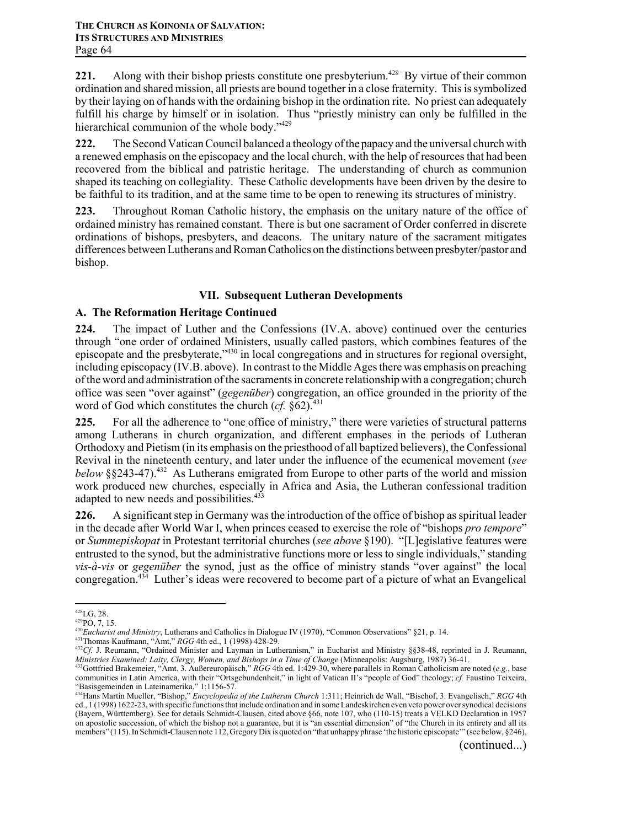**221.** Along with their bishop priests constitute one presbyterium.<sup>428</sup> By virtue of their common ordination and shared mission, all priests are bound together in a close fraternity. This is symbolized by their laying on of hands with the ordaining bishop in the ordination rite. No priest can adequately fulfill his charge by himself or in isolation. Thus "priestly ministry can only be fulfilled in the hierarchical communion of the whole body."<sup>429</sup>

**222.** The Second Vatican Council balanced a theology of the papacy and the universal church with a renewed emphasis on the episcopacy and the local church, with the help of resources that had been recovered from the biblical and patristic heritage. The understanding of church as communion shaped its teaching on collegiality. These Catholic developments have been driven by the desire to be faithful to its tradition, and at the same time to be open to renewing its structures of ministry.

**223.** Throughout Roman Catholic history, the emphasis on the unitary nature of the office of ordained ministry has remained constant. There is but one sacrament of Order conferred in discrete ordinations of bishops, presbyters, and deacons. The unitary nature of the sacrament mitigates differences between Lutherans and Roman Catholics on the distinctions between presbyter/pastor and bishop.

## **VII. Subsequent Lutheran Developments**

## **A. The Reformation Heritage Continued**

**224.** The impact of Luther and the Confessions (IV.A. above) continued over the centuries through "one order of ordained Ministers, usually called pastors, which combines features of the episcopate and the presbyterate,"430 in local congregations and in structures for regional oversight, including episcopacy (IV.B. above). In contrast to the Middle Ages there was emphasis on preaching of the word and administration of the sacraments in concrete relationship with a congregation; church office was seen "over against" (*gegenüber*) congregation, an office grounded in the priority of the word of God which constitutes the church  $(cf. §62)^{431}$ 

**225.** For all the adherence to "one office of ministry," there were varieties of structural patterns among Lutherans in church organization, and different emphases in the periods of Lutheran Orthodoxy and Pietism (in its emphasis on the priesthood of all baptized believers), the Confessional Revival in the nineteenth century, and later under the influence of the ecumenical movement (*see below* §§243-47).<sup>432</sup> As Lutherans emigrated from Europe to other parts of the world and mission work produced new churches, especially in Africa and Asia, the Lutheran confessional tradition adapted to new needs and possibilities.<sup>433</sup>

**226.** A significant step in Germany was the introduction of the office of bishop as spiritual leader in the decade after World War I, when princes ceased to exercise the role of "bishops *pro tempore*" or *Summepiskopat* in Protestant territorial churches (*see above* §190). "[L]egislative features were entrusted to the synod, but the administrative functions more or less to single individuals," standing *vis-à-vis* or *gegenüber* the synod, just as the office of ministry stands "over against" the local congregation.434 Luther's ideas were recovered to become part of a picture of what an Evangelical

<sup>428</sup>LG, 28.

<sup>429</sup>PO, 7, 15.

<sup>430</sup>*Eucharist and Ministry*, Lutherans and Catholics in Dialogue IV (1970), "Common Observations" §21, p. 14.

<sup>431</sup>Thomas Kaufmann, "Amt," *RGG* 4th ed., 1 (1998) 428-29.

<sup>432</sup>*Cf.* J. Reumann, "Ordained Minister and Layman in Lutheranism," in Eucharist and Ministry §§38-48, reprinted in J. Reumann, *Ministries Examined: Laity, Clergy, Women, and Bishops in a Time of Change* (Minneapolis: Augsburg, 1987) 36-41.

<sup>433</sup>Gottfried Brakemeier, "Amt. 3. Außereuropäisch," *RGG* 4th ed. 1:429-30, where parallels in Roman Catholicism are noted (*e.g.*, base communities in Latin America, with their "Ortsgebundenheit," in light of Vatican II's "people of God" theology; *cf.* Faustino Teixeira, "Basisgemeinden in Lateinamerika," 1:1156-57.

<sup>434</sup>Hans Martin Mueller, "Bishop," *Encyclopedia of the Lutheran Church* 1:311; Heinrich de Wall, "Bischof, 3. Evangelisch," *RGG* 4th ed., 1 (1998) 1622-23, with specific functions that include ordination and in some Landeskirchen even veto power over synodical decisions (Bayern, Württemberg). See for details Schmidt-Clausen, cited above §66, note 107, who (110-15) treats a VELKD Declaration in 1957 on apostolic succession, of which the bishop not a guarantee, but it is "an essential dimension" of "the Church in its entirety and all its members" (115). In Schmidt-Clausen note 112, Gregory Dix is quoted on "that unhappy phrase 'the historic episcopate'" (see below, §246),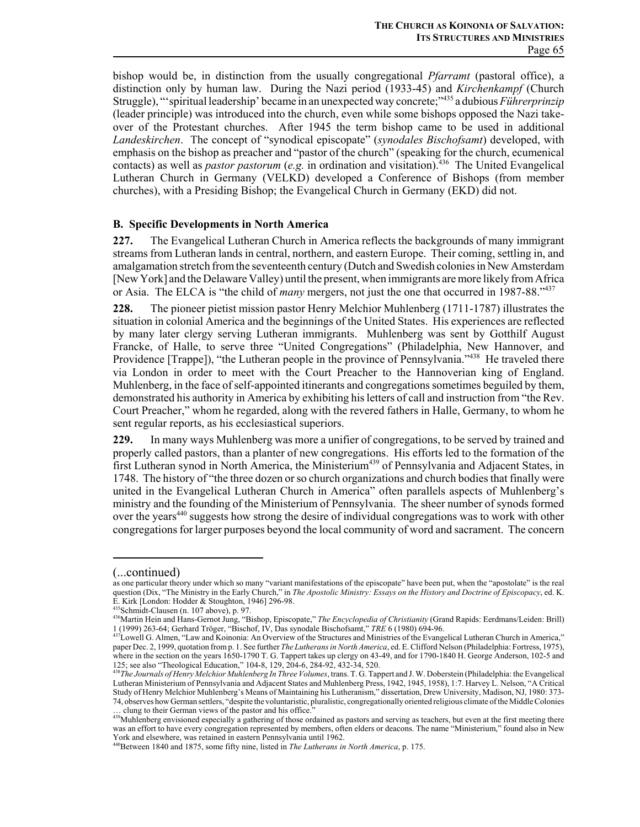bishop would be, in distinction from the usually congregational *Pfarramt* (pastoral office), a distinction only by human law. During the Nazi period (1933-45) and *Kirchenkampf* (Church Struggle), "'spiritual leadership' became in an unexpected way concrete;"435 a dubious *Führerprinzip* (leader principle) was introduced into the church, even while some bishops opposed the Nazi takeover of the Protestant churches. After 1945 the term bishop came to be used in additional *Landeskirchen*. The concept of "synodical episcopate" (*synodales Bischofsamt*) developed, with emphasis on the bishop as preacher and "pastor of the church" (speaking for the church, ecumenical contacts) as well as *pastor pastorum* (*e.g.* in ordination and visitation).436 The United Evangelical Lutheran Church in Germany (VELKD) developed a Conference of Bishops (from member churches), with a Presiding Bishop; the Evangelical Church in Germany (EKD) did not.

#### **B. Specific Developments in North America**

**227.** The Evangelical Lutheran Church in America reflects the backgrounds of many immigrant streams from Lutheran lands in central, northern, and eastern Europe. Their coming, settling in, and amalgamation stretch from the seventeenth century (Dutch and Swedish colonies in New Amsterdam [New York] and the Delaware Valley) until the present, when immigrants are more likely from Africa or Asia. The ELCA is "the child of *many* mergers, not just the one that occurred in 1987-88."437

**228.** The pioneer pietist mission pastor Henry Melchior Muhlenberg (1711-1787) illustrates the situation in colonial America and the beginnings of the United States. His experiences are reflected by many later clergy serving Lutheran immigrants. Muhlenberg was sent by Gotthilf August Francke, of Halle, to serve three "United Congregations" (Philadelphia, New Hannover, and Providence [Trappe]), "the Lutheran people in the province of Pennsylvania."<sup>438</sup> He traveled there via London in order to meet with the Court Preacher to the Hannoverian king of England. Muhlenberg, in the face of self-appointed itinerants and congregations sometimes beguiled by them, demonstrated his authority in America by exhibiting his letters of call and instruction from "the Rev. Court Preacher," whom he regarded, along with the revered fathers in Halle, Germany, to whom he sent regular reports, as his ecclesiastical superiors.

**229.** In many ways Muhlenberg was more a unifier of congregations, to be served by trained and properly called pastors, than a planter of new congregations. His efforts led to the formation of the first Lutheran synod in North America, the Ministerium<sup>439</sup> of Pennsylvania and Adjacent States, in 1748. The history of "the three dozen or so church organizations and church bodies that finally were united in the Evangelical Lutheran Church in America" often parallels aspects of Muhlenberg's ministry and the founding of the Ministerium of Pennsylvania. The sheer number of synods formed over the years<sup>440</sup> suggests how strong the desire of individual congregations was to work with other congregations for larger purposes beyond the local community of word and sacrament. The concern

<sup>(...</sup>continued)

as one particular theory under which so many "variant manifestations of the episcopate" have been put, when the "apostolate" is the real question (Dix, "The Ministry in the Early Church," in *The Apostolic Ministry: Essays on the History and Doctrine of Episcopacy*, ed. K.  $\hat{E}$ . Kirk [London: Hodder & Stoughton, 1946] 296-98.

<sup>435</sup>Schmidt-Clausen (n. 107 above), p. 97.

<sup>436</sup>Martin Hein and Hans-Gernot Jung, "Bishop, Episcopate," *The Encyclopedia of Christianity* (Grand Rapids: Eerdmans/Leiden: Brill) 1 (1999) 263-64; Gerhard Tröger, "Bischof, IV, Das synodale Bischofsamt," *TRE* 6 (1980) 694-96.

<sup>437</sup>Lowell G. Almen, "Law and Koinonia: An Overview of the Structures and Ministries of the Evangelical Lutheran Church in America," paper Dec. 2, 1999, quotation from p. 1. See further *The Lutherans in North America*, ed. E. Clifford Nelson (Philadelphia: Fortress, 1975), where in the section on the years 1650-1790 T. G. Tappert takes up clergy on 43-49, and for 1790-1840 H. George Anderson, 102-5 and 125; see also "Theological Education," 104-8, 129, 204-6, 284-92, 432-34, 520.

<sup>438</sup>*The Journals of Henry Melchior Muhlenberg In Three Volumes*, trans. T. G. Tappert and J. W. Doberstein (Philadelphia: the Evangelical Lutheran Ministerium of Pennsylvania and Adjacent States and Muhlenberg Press, 1942, 1945, 1958), 1:7. Harvey L. Nelson, "A Critical Study of Henry Melchior Muhlenberg's Means of Maintaining his Lutheranism," dissertation, Drew University, Madison, NJ, 1980: 373- 74, observes how German settlers, "despite the voluntaristic, pluralistic, congregationally oriented religious climate of the Middle Colonies … clung to their German views of the pastor and his office."

<sup>&</sup>lt;sup>439</sup>Muhlenberg envisioned especially a gathering of those ordained as pastors and serving as teachers, but even at the first meeting there was an effort to have every congregation represented by members, often elders or deacons. The name "Ministerium," found also in New York and elsewhere, was retained in eastern Pennsylvania until 1962.

<sup>440</sup>Between 1840 and 1875, some fifty nine, listed in *The Lutherans in North America*, p. 175.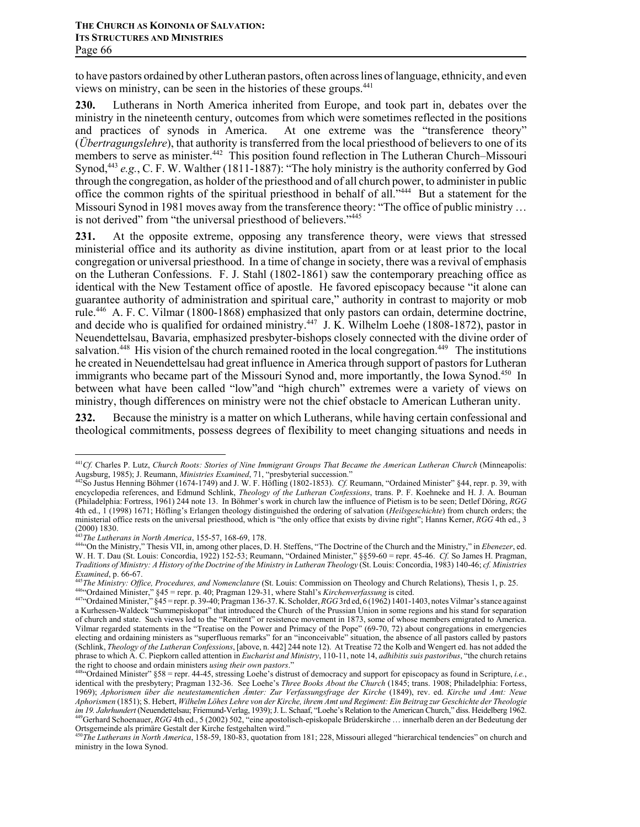to have pastors ordained by other Lutheran pastors, often across lines of language, ethnicity, and even views on ministry, can be seen in the histories of these groups.<sup>441</sup>

**230.** Lutherans in North America inherited from Europe, and took part in, debates over the ministry in the nineteenth century, outcomes from which were sometimes reflected in the positions and practices of synods in America. At one extreme was the "transference theory" (*Übertragungslehre*), that authority is transferred from the local priesthood of believers to one of its members to serve as minister.<sup>442</sup> This position found reflection in The Lutheran Church–Missouri Synod,<sup>443</sup> *e.g.*, C. F. W. Walther (1811-1887): "The holy ministry is the authority conferred by God through the congregation, as holder of the priesthood and of all church power, to administer in public office the common rights of the spiritual priesthood in behalf of all."444 But a statement for the Missouri Synod in 1981 moves away from the transference theory: "The office of public ministry … is not derived" from "the universal priesthood of believers."<sup>445</sup>

**231.** At the opposite extreme, opposing any transference theory, were views that stressed ministerial office and its authority as divine institution, apart from or at least prior to the local congregation or universal priesthood. In a time of change in society, there was a revival of emphasis on the Lutheran Confessions. F. J. Stahl (1802-1861) saw the contemporary preaching office as identical with the New Testament office of apostle. He favored episcopacy because "it alone can guarantee authority of administration and spiritual care," authority in contrast to majority or mob rule.446 A. F. C. Vilmar (1800-1868) emphasized that only pastors can ordain, determine doctrine, and decide who is qualified for ordained ministry.<sup>447</sup> J. K. Wilhelm Loehe (1808-1872), pastor in Neuendettelsau, Bavaria, emphasized presbyter-bishops closely connected with the divine order of salvation.<sup>448</sup> His vision of the church remained rooted in the local congregation.<sup>449</sup> The institutions he created in Neuendettelsau had great influence in America through support of pastors for Lutheran immigrants who became part of the Missouri Synod and, more importantly, the Iowa Synod.<sup>450</sup> In between what have been called "low"and "high church" extremes were a variety of views on ministry, though differences on ministry were not the chief obstacle to American Lutheran unity.

**232.** Because the ministry is a matter on which Lutherans, while having certain confessional and theological commitments, possess degrees of flexibility to meet changing situations and needs in

<sup>441</sup>*Cf.* Charles P. Lutz, *Church Roots: Stories of Nine Immigrant Groups That Became the American Lutheran Church* (Minneapolis: Augsburg, 1985); J. Reumann, *Ministries Examined*, 71, "presbyterial succession."

<sup>442</sup>So Justus Henning Böhmer (1674-1749) and J. W. F. Höfling (1802-1853). *Cf.* Reumann, "Ordained Minister" §44, repr. p. 39, with encyclopedia references, and Edmund Schlink, *Theology of the Lutheran Confessions*, trans. P. F. Koehneke and H. J. A. Bouman (Philadelphia: Fortress, 1961) 244 note 13. In Böhmer's work in church law the influence of Pietism is to be seen; Detlef Döring, *RGG* 4th ed., 1 (1998) 1671; Höfling's Erlangen theology distinguished the ordering of salvation (*Heilsgeschichte*) from church orders; the ministerial office rests on the universal priesthood, which is "the only office that exists by divine right"; Hanns Kerner, *RGG* 4th ed., 3 (2000) 1830.

<sup>443</sup>*The Lutherans in North America*, 155-57, 168-69, 178.

<sup>444&</sup>quot;On the Ministry," Thesis VII, in, among other places, D. H. Steffens, "The Doctrine of the Church and the Ministry," in *Ebenezer*, ed. W. H. T. Dau (St. Louis: Concordia, 1922) 152-53; Reumann, "Ordained Minister," §§59-60 = repr. 45-46. *Cf.* So James H. Pragman, *Traditions of Ministry: A History of the Doctrine of the Ministry in Lutheran Theology* (St. Louis: Concordia, 1983) 140-46; *cf. Ministries Examined*, p. 66-67.

<sup>445</sup>*The Ministry: Office, Procedures, and Nomenclature* (St. Louis: Commission on Theology and Church Relations), Thesis 1, p. 25.

<sup>446&</sup>quot;Ordained Minister," §45 = repr. p. 40; Pragman 129-31, where Stahl's *Kirchenverfassung* is cited.

<sup>447&</sup>quot;Ordained Minister," §45 = repr. p. 39-40; Pragman 136-37. K. Scholder, *RGG* 3rd ed, 6 (1962) 1401-1403, notes Vilmar's stance against a Kurhessen-Waldeck "Summepiskopat" that introduced the Church of the Prussian Union in some regions and his stand for separation of church and state. Such views led to the "Renitent" or resistence movement in 1873, some of whose members emigrated to America. Vilmar regarded statements in the "Treatise on the Power and Primacy of the Pope" (69-70, 72) about congregations in emergencies electing and ordaining ministers as "superfluous remarks" for an "inconceivable" situation, the absence of all pastors called by pastors (Schlink, *Theology of the Lutheran Confessions*, [above, n. 442] 244 note 12). At Treatise 72 the Kolb and Wengert ed. has not added the phrase to which A. C. Piepkorn called attention in *Eucharist and Ministry*, 110-11, note 14, *adhibitis suis pastoribus*, "the church retains the right to choose and ordain ministers *using their own pastors*."

<sup>448&</sup>quot;Ordained Minister" §58 = repr. 44-45, stressing Loehe's distrust of democracy and support for episcopacy as found in Scripture, *i.e.*, identical with the presbytery; Pragman 132-36. See Loehe's *Three Books About the Church* (1845; trans. 1908; Philadelphia: Fortess, 1969); *Aphorismen über die neutestamentichen Ämter: Zur Verfassungsfrage der Kirche* (1849), rev. ed. *Kirche und Amt: Neue Aphorismen* (1851); S. Hebert, *Wilhelm Löhes Lehre von der Kirche, ihrem Amt und Regiment: Ein Beitrag zur Geschichte der Theologie im 19. Jahrhundert* (Neuendettelsau; Friemund-Verlag, 1939); J. L. Schaaf, "Loehe's Relation to the American Church," diss. Heidelberg 1962. 449Gerhard Schoenauer, *RGG* 4th ed., 5 (2002) 502, "eine apostolisch-episkopale Brüderskirche … innerhalb deren an der Bedeutung der Ortsgemeinde als primäre Gestalt der Kirche festgehalten wird."

<sup>450</sup>*The Lutherans in North America*, 158-59, 180-83, quotation from 181; 228, Missouri alleged "hierarchical tendencies" on church and ministry in the Iowa Synod.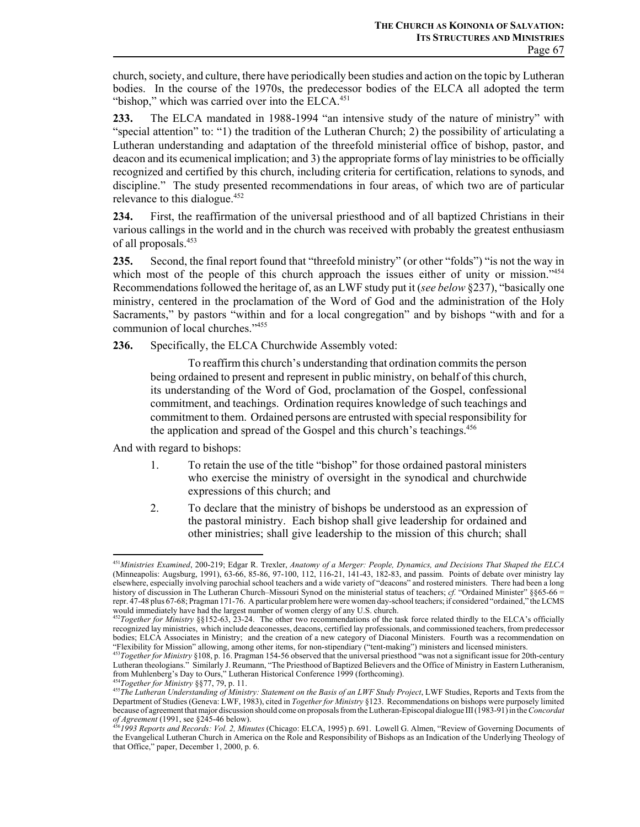church, society, and culture, there have periodically been studies and action on the topic by Lutheran bodies. In the course of the 1970s, the predecessor bodies of the ELCA all adopted the term "bishop," which was carried over into the  $ELCA$ <sup>451</sup>

**233.** The ELCA mandated in 1988-1994 "an intensive study of the nature of ministry" with "special attention" to: "1) the tradition of the Lutheran Church; 2) the possibility of articulating a Lutheran understanding and adaptation of the threefold ministerial office of bishop, pastor, and deacon and its ecumenical implication; and 3) the appropriate forms of lay ministries to be officially recognized and certified by this church, including criteria for certification, relations to synods, and discipline." The study presented recommendations in four areas, of which two are of particular relevance to this dialogue.<sup>452</sup>

**234.** First, the reaffirmation of the universal priesthood and of all baptized Christians in their various callings in the world and in the church was received with probably the greatest enthusiasm of all proposals.453

**235.** Second, the final report found that "threefold ministry" (or other "folds") "is not the way in which most of the people of this church approach the issues either of unity or mission."<sup>454</sup> Recommendations followed the heritage of, as an LWF study put it (*see below* §237), "basically one ministry, centered in the proclamation of the Word of God and the administration of the Holy Sacraments," by pastors "within and for a local congregation" and by bishops "with and for a communion of local churches."<sup>455</sup>

**236.** Specifically, the ELCA Churchwide Assembly voted:

To reaffirm this church's understanding that ordination commits the person being ordained to present and represent in public ministry, on behalf of this church, its understanding of the Word of God, proclamation of the Gospel, confessional commitment, and teachings. Ordination requires knowledge of such teachings and commitment to them. Ordained persons are entrusted with special responsibility for the application and spread of the Gospel and this church's teachings.<sup>456</sup>

And with regard to bishops:

- 1. To retain the use of the title "bishop" for those ordained pastoral ministers who exercise the ministry of oversight in the synodical and churchwide expressions of this church; and
- 2. To declare that the ministry of bishops be understood as an expression of the pastoral ministry. Each bishop shall give leadership for ordained and other ministries; shall give leadership to the mission of this church; shall

<sup>451</sup>*Ministries Examined*, 200-219; Edgar R. Trexler, *Anatomy of a Merger: People, Dynamics, and Decisions That Shaped the ELCA* (Minneapolis: Augsburg, 1991), 63-66, 85-86, 97-100, 112, 116-21, 141-43, 182-83, and passim. Points of debate over ministry lay elsewhere, especially involving parochial school teachers and a wide variety of "deacons" and rostered ministers. There had been a long history of discussion in The Lutheran Church–Missouri Synod on the ministerial status of teachers; *cf.* "Ordained Minister" §§65-66 = repr. 47-48 plus 67-68; Pragman 171-76. A particular problem here were women day-school teachers; if considered "ordained," the LCMS would immediately have had the largest number of women clergy of any U.S. church.

<sup>452</sup>*Together for Ministry* §§152-63, 23-24. The other two recommendations of the task force related thirdly to the ELCA's officially recognized lay ministries, which include deaconesses, deacons, certified lay professionals, and commissioned teachers, from predecessor bodies; ELCA Associates in Ministry; and the creation of a new category of Diaconal Ministers. Fourth was a recommendation on "Flexibility for Mission" allowing, among other items, for non-stipendiary ("tent-making") ministers and licensed ministers.

<sup>453</sup>*Together for Ministry* §108, p. 16. Pragman 154-56 observed that the universal priesthood "was not a significant issue for 20th-century Lutheran theologians." Similarly J. Reumann, "The Priesthood of Baptized Believers and the Office of Ministry in Eastern Lutheranism, from Muhlenberg's Day to Ours," Lutheran Historical Conference 1999 (forthcoming). <sup>454</sup>*Together for Ministry* §§77, 79, p. 11.

<sup>455</sup>*The Lutheran Understanding of Ministry: Statement on the Basis of an LWF Study Project*, LWF Studies, Reports and Texts from the Department of Studies (Geneva: LWF, 1983), cited in *Together for Ministry* §123. Recommendations on bishops were purposely limited because of agreement that major discussion should come on proposals from the Lutheran-Episcopal dialogue III (1983-91) in the *Concordat of Agreement* (1991, see §245-46 below).

<sup>456</sup>*1993 Reports and Records: Vol. 2, Minutes* (Chicago: ELCA, 1995) p. 691. Lowell G. Almen, "Review of Governing Documents of the Evangelical Lutheran Church in America on the Role and Responsibility of Bishops as an Indication of the Underlying Theology of that Office," paper, December 1, 2000, p. 6.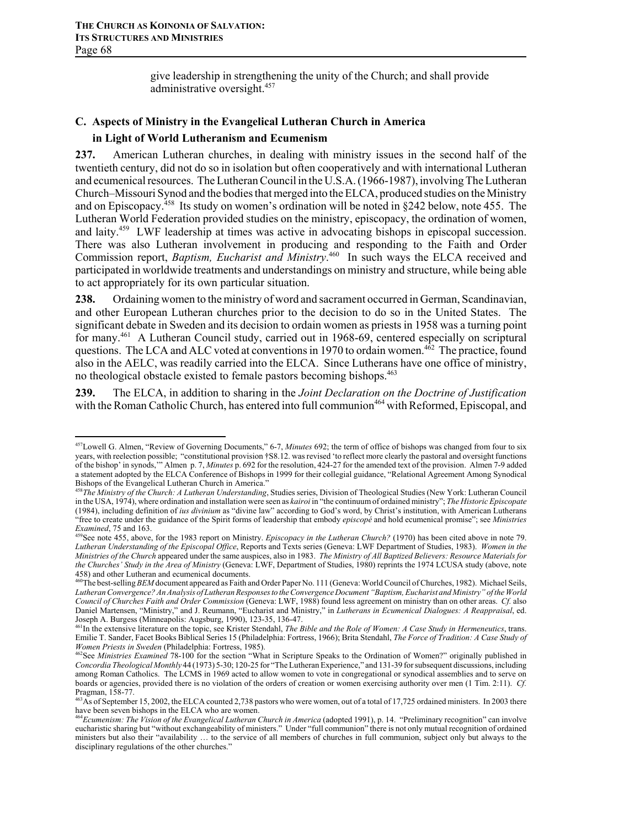give leadership in strengthening the unity of the Church; and shall provide administrative oversight.<sup>457</sup>

## **C. Aspects of Ministry in the Evangelical Lutheran Church in America**

## **in Light of World Lutheranism and Ecumenism**

**237.** American Lutheran churches, in dealing with ministry issues in the second half of the twentieth century, did not do so in isolation but often cooperatively and with international Lutheran and ecumenical resources. The Lutheran Council in the U.S.A. (1966-1987), involving The Lutheran Church–Missouri Synod and the bodies that merged into the ELCA, produced studies on the Ministry and on Episcopacy.<sup>458</sup> Its study on women's ordination will be noted in §242 below, note 455. The Lutheran World Federation provided studies on the ministry, episcopacy, the ordination of women, and laity.<sup>459</sup> LWF leadership at times was active in advocating bishops in episcopal succession. There was also Lutheran involvement in producing and responding to the Faith and Order Commission report, *Baptism, Eucharist and Ministry*.<sup>460</sup> In such ways the ELCA received and participated in worldwide treatments and understandings on ministry and structure, while being able to act appropriately for its own particular situation.

**238.** Ordaining women to the ministry of word and sacrament occurred in German, Scandinavian, and other European Lutheran churches prior to the decision to do so in the United States. The significant debate in Sweden and its decision to ordain women as priests in 1958 was a turning point for many.<sup>461</sup> A Lutheran Council study, carried out in 1968-69, centered especially on scriptural questions. The LCA and ALC voted at conventions in 1970 to ordain women.<sup>462</sup> The practice, found also in the AELC, was readily carried into the ELCA. Since Lutherans have one office of ministry, no theological obstacle existed to female pastors becoming bishops.<sup>463</sup>

**239.** The ELCA, in addition to sharing in the *Joint Declaration on the Doctrine of Justification* with the Roman Catholic Church, has entered into full communion<sup>464</sup> with Reformed, Episcopal, and

<sup>457</sup>Lowell G. Almen, "Review of Governing Documents," 6-7, *Minutes* 692; the term of office of bishops was changed from four to six years, with reelection possible; "constitutional provision †S8.12. was revised 'to reflect more clearly the pastoral and oversight functions of the bishop' in synods,'" Almen p. 7, *Minutes* p. 692 for the resolution, 424-27 for the amended text of the provision. Almen 7-9 added a statement adopted by the ELCA Conference of Bishops in 1999 for their collegial guidance, "Relational Agreement Among Synodical Bishops of the Evangelical Lutheran Church in America."

<sup>458</sup>*The Ministry of the Church: A Lutheran Understanding*, Studies series, Division of Theological Studies (New York: Lutheran Council in the USA, 1974), where ordination and installation were seen as *kairoi* in "the continuum of ordained ministry"; *The Historic Episcopate* (1984), including definition of *ius divinium* as "divine law" according to God's word, by Christ's institution, with American Lutherans "free to create under the guidance of the Spirit forms of leadership that embody *episcopé* and hold ecumenical promise"; see *Ministries Examined*, 75 and 163.

<sup>459</sup>See note 455, above, for the 1983 report on Ministry. *Episcopacy in the Lutheran Church?* (1970) has been cited above in note 79. *Lutheran Understanding of the Episcopal Office*, Reports and Texts series (Geneva: LWF Department of Studies, 1983). *Women in the Ministries of the Church* appeared under the same auspices, also in 1983. *The Ministry of All Baptized Believers: Resource Materials for the Churches' Study in the Area of Ministry* (Geneva: LWF, Department of Studies, 1980) reprints the 1974 LCUSA study (above, note 458) and other Lutheran and ecumenical documents.

<sup>460</sup>The best-selling *BEM* document appeared as Faith and Order Paper No. 111 (Geneva: World Council of Churches, 1982). Michael Seils, *Lutheran Convergence? An Analysis of Lutheran Responses to the Convergence Document "Baptism, Eucharist and Ministry" of the World Council of Churches Faith and Order Commission* (Geneva: LWF, 1988) found less agreement on ministry than on other areas. *Cf.* also Daniel Martensen, "Ministry," and J. Reumann, "Eucharist and Ministry," in *Lutherans in Ecumenical Dialogues: A Reappraisal*, ed. Joseph A. Burgess (Minneapolis: Augsburg, 1990), 123-35, 136-47.

<sup>461</sup>In the extensive literature on the topic, see Krister Stendahl, *The Bible and the Role of Women: A Case Study in Hermeneutics*, trans. Emilie T. Sander, Facet Books Biblical Series 15 (Philadelphia: Fortress, 1966); Brita Stendahl, *The Force of Tradition: A Case Study of Women Priests in Sweden* (Philadelphia: Fortress, 1985).

<sup>462</sup>See *Ministries Examined* 78-100 for the section "What in Scripture Speaks to the Ordination of Women?" originally published in *Concordia Theological Monthly* 44 (1973) 5-30; 120-25 for "The Lutheran Experience," and 131-39 for subsequent discussions, including among Roman Catholics. The LCMS in 1969 acted to allow women to vote in congregational or synodical assemblies and to serve on boards or agencies, provided there is no violation of the orders of creation or women exercising authority over men (1 Tim. 2:11). *Cf.* Pragman, 158-77.

<sup>463</sup>As of September 15, 2002, the ELCA counted 2,738 pastors who were women, out of a total of 17,725 ordained ministers. In 2003 there have been seven bishops in the ELCA who are women.

<sup>464</sup>*Ecumenism: The Vision of the Evangelical Lutheran Church in America* (adopted 1991), p. 14. "Preliminary recognition" can involve eucharistic sharing but "without exchangeability of ministers." Under "full communion" there is not only mutual recognition of ordained ministers but also their "availability … to the service of all members of churches in full communion, subject only but always to the disciplinary regulations of the other churches."